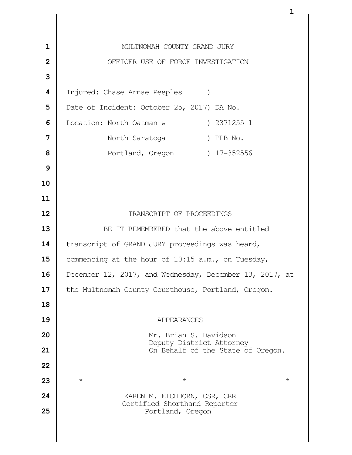| $\mathbf{1}$            | MULTNOMAH COUNTY GRAND JURY                                 |
|-------------------------|-------------------------------------------------------------|
| $\overline{\mathbf{2}}$ | OFFICER USE OF FORCE INVESTIGATION                          |
| 3                       |                                                             |
| 4                       | Injured: Chase Arnae Peeples                                |
| 5                       | Date of Incident: October 25, 2017) DA No.                  |
| 6                       | Location: North Oatman & (2371255-1)                        |
| 7                       | North Saratoga (b) PPB No.                                  |
| 8                       | Portland, Oregon (27-352556)                                |
| 9                       |                                                             |
| 10                      |                                                             |
| 11                      |                                                             |
| 12                      | TRANSCRIPT OF PROCEEDINGS                                   |
| 13                      | BE IT REMEMBERED that the above-entitled                    |
| 14                      | transcript of GRAND JURY proceedings was heard,             |
| 15                      | commencing at the hour of 10:15 a.m., on Tuesday,           |
| 16                      | December 12, 2017, and Wednesday, December 13, 2017, at     |
| 17                      | the Multnomah County Courthouse, Portland, Oregon.          |
| 18                      |                                                             |
| 19                      | APPEARANCES                                                 |
| 20                      | Mr. Brian S. Davidson<br>Deputy District Attorney           |
| 21                      | On Behalf of the State of Oregon.                           |
| 22                      |                                                             |
| 23                      | $^\star$<br>$^\star$<br>$^\star$                            |
| 24                      | KAREN M. EICHHORN, CSR, CRR<br>Certified Shorthand Reporter |
| 25                      | Portland, Oregon                                            |
|                         |                                                             |
|                         |                                                             |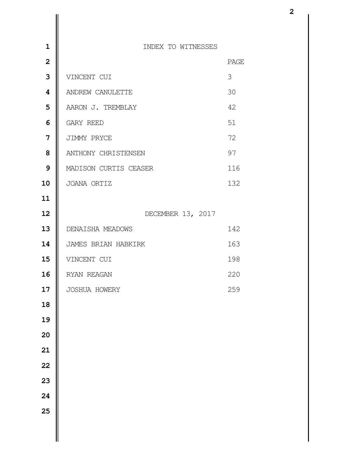| $\mathbf 1$             | INDEX TO WITNESSES    |      |
|-------------------------|-----------------------|------|
| $\overline{2}$          |                       | PAGE |
| 3                       | VINCENT CUI           | 3    |
| $\overline{\mathbf{4}}$ | ANDREW CANULETTE      | 30   |
| 5                       | AARON J. TREMBLAY     | 42   |
| 6                       | GARY REED             | 51   |
| $\overline{7}$          | JIMMY PRYCE           | 72   |
| 8                       | ANTHONY CHRISTENSEN   | 97   |
| $\mathbf{9}$            | MADISON CURTIS CEASER | 116  |
| 10                      | JOANA ORTIZ           | 132  |
| 11                      |                       |      |
| 12                      | DECEMBER 13, 2017     |      |
| 13                      | DENAISHA MEADOWS      | 142  |
| 14                      | JAMES BRIAN HABKIRK   | 163  |
| 15                      | VINCENT CUI           | 198  |
| 16                      | RYAN REAGAN           | 220  |
| 17                      | JOSHUA HOWERY         | 259  |
| 18                      |                       |      |
| 19                      |                       |      |
| 20                      |                       |      |
| 21                      |                       |      |
| 22                      |                       |      |
| 23                      |                       |      |
| 24                      |                       |      |
| 25                      |                       |      |
|                         |                       |      |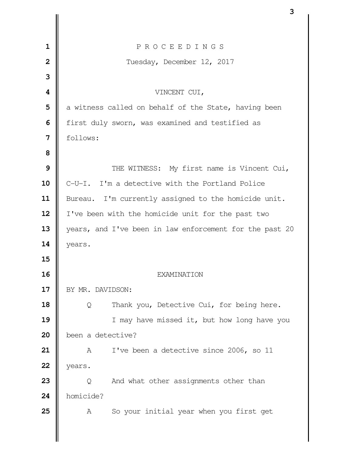|                | 3                                                       |
|----------------|---------------------------------------------------------|
|                |                                                         |
| $\mathbf{1}$   | PROCEEDINGS                                             |
| $\overline{2}$ | Tuesday, December 12, 2017                              |
| 3              |                                                         |
| 4              | VINCENT CUI,                                            |
| 5              | a witness called on behalf of the State, having been    |
| 6              | first duly sworn, was examined and testified as         |
| 7              | follows:                                                |
| 8              |                                                         |
| 9              | THE WITNESS: My first name is Vincent Cui,              |
| 10             | C-U-I. I'm a detective with the Portland Police         |
| 11             | Bureau. I'm currently assigned to the homicide unit.    |
| 12             | I've been with the homicide unit for the past two       |
| 13             | years, and I've been in law enforcement for the past 20 |
| 14             | years.                                                  |
| 15             |                                                         |
| 16             | EXAMINATION                                             |
| 17             | BY MR. DAVIDSON:                                        |
| 18             | Thank you, Detective Cui, for being here.<br>Q          |
| 19             | I may have missed it, but how long have you             |
| 20             | been a detective?                                       |
| 21             | I've been a detective since 2006, so 11<br>A            |
| 22             | years.                                                  |
| 23             | And what other assignments other than<br>Q              |
| 24             | homicide?                                               |
| 25             | So your initial year when you first get<br>A            |
|                |                                                         |
|                |                                                         |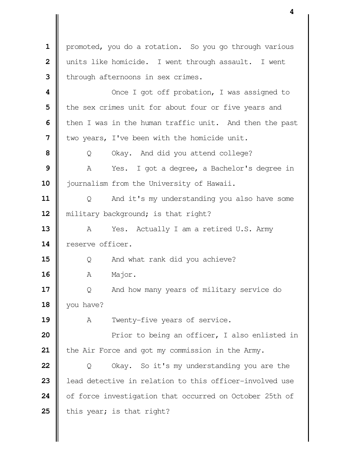1 | promoted, you do a rotation. So you go through various | units like homicide. I went through assault. I went I through afternoons in sex crimes.  $\parallel$  Once I got off probation, I was assigned to **i** the sex crimes unit for about four or five years and **I** then I was in the human traffic unit. And then the past I two years, I've been with the homicide unit. Q Okay. And did you attend college? A Yes. I got a degree, a Bachelor's degree in journalism from the University of Hawaii. | Q And it's my understanding you also have some **| military background; is that right?**  A Yes. Actually I am a retired U.S. Army **Parameter** reserve officer.  $\parallel$  0 And what rank did you achieve? | A Major.  $\parallel$  Q And how many years of military service do you have? A Twenty-five years of service. **Prior** to being an officer, I also enlisted in 21 | the Air Force and got my commission in the Army.  $\parallel$  Q Okay. So it's my understanding you are the **l** lead detective in relation to this officer-involved use 24 | of force investigation that occurred on October 25th of  $\parallel$  this year; is that right?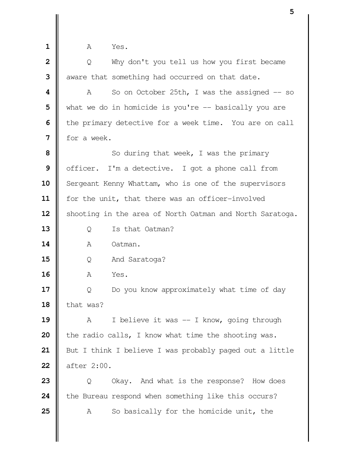| 1              | Yes.<br>A                                                |
|----------------|----------------------------------------------------------|
| $\overline{2}$ | Why don't you tell us how you first became<br>Q          |
| 3              | aware that something had occurred on that date.          |
| 4              | So on October 25th, I was the assigned $-$ so<br>A       |
| 5              | what we do in homicide is you're $-$ basically you are   |
| 6              | the primary detective for a week time. You are on call   |
| 7              | for a week.                                              |
| 8              | So during that week, I was the primary                   |
| 9              | officer. I'm a detective. I got a phone call from        |
| 10             | Sergeant Kenny Whattam, who is one of the supervisors    |
| 11             | for the unit, that there was an officer-involved         |
| 12             | shooting in the area of North Oatman and North Saratoga. |
| 13             | Is that Oatman?<br>Q                                     |
| 14             | Α<br>Oatman.                                             |
| 15             | And Saratoga?<br>Q                                       |
| 16             | Α<br>Yes.                                                |
| 17             | Do you know approximately what time of day<br>Q          |
| 18             | that was?                                                |
| 19             | I believe it was -- I know, going through<br>A           |
| 20             | the radio calls, I know what time the shooting was.      |
| 21             | But I think I believe I was probably paged out a little  |
| 22             | after 2:00.                                              |
| 23             | Okay. And what is the response? How does<br>Q            |
| 24             | the Bureau respond when something like this occurs?      |
| 25             | So basically for the homicide unit, the<br>A             |
|                |                                                          |
|                |                                                          |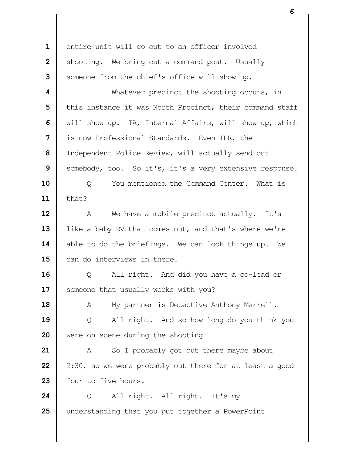entire unit will go out to an officer-involved Shooting. We bring out a command post. Usually Someone from the chief's office will show up. Whatever precinct the shooting occurs, in | this instance it was North Precinct, their command staff Will show up. IA, Internal Affairs, will show up, which **i** is now Professional Standards. Even IPR, the | Independent Police Review, will actually send out Somebody, too. So it's, it's a very extensive response.  $\parallel$  0 You mentioned the Command Center. What is  $\parallel$  that? A We have a mobile precinct actually. It's 13 | like a baby RV that comes out, and that's where we're 14 able to do the briefings. We can look things up. We  $\parallel$  can do interviews in there. Q All right. And did you have a co-lead or 17 | someone that usually works with you? 18 | A My partner is Detective Anthony Merrell. Q All right. And so how long do you think you were on scene during the shooting? A So I probably got out there maybe about  $\parallel$  2:30, so we were probably out there for at least a good **four to five hours.**  Q All right. All right. It's my understanding that you put together a PowerPoint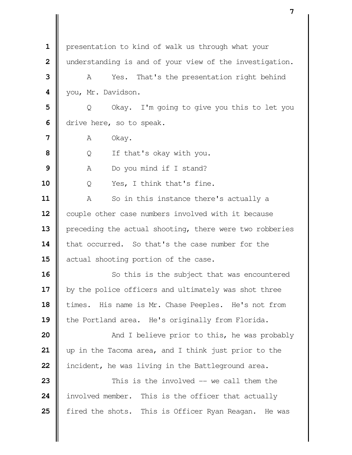| $\mathbf{1}$   | presentation to kind of walk us through what your       |
|----------------|---------------------------------------------------------|
| $\overline{2}$ | understanding is and of your view of the investigation. |
| 3              | That's the presentation right behind<br>A<br>Yes.       |
| 4              | you, Mr. Davidson.                                      |
| 5              | Okay. I'm going to give you this to let you<br>Q        |
| 6              | drive here, so to speak.                                |
| 7              | Α                                                       |
| 8              | Okay.                                                   |
|                | If that's okay with you.<br>Q                           |
| 9              | Do you mind if I stand?<br>Α                            |
| 10             | Yes, I think that's fine.<br>Q                          |
| 11             | So in this instance there's actually a<br>Α             |
| 12             | couple other case numbers involved with it because      |
| 13             | preceding the actual shooting, there were two robberies |
| 14             | that occurred. So that's the case number for the        |
| 15             | actual shooting portion of the case.                    |
| 16             | So this is the subject that was encountered             |
| 17             | by the police officers and ultimately was shot three    |
| 18             | times. His name is Mr. Chase Peeples. He's not from     |
| 19             | the Portland area. He's originally from Florida.        |
| 20             | And I believe prior to this, he was probably            |
| 21             | up in the Tacoma area, and I think just prior to the    |
| 22             | incident, he was living in the Battleground area.       |
| 23             | This is the involved -- we call them the                |
| 24             | involved member. This is the officer that actually      |
| 25             | fired the shots. This is Officer Ryan Reagan. He was    |
|                |                                                         |
|                |                                                         |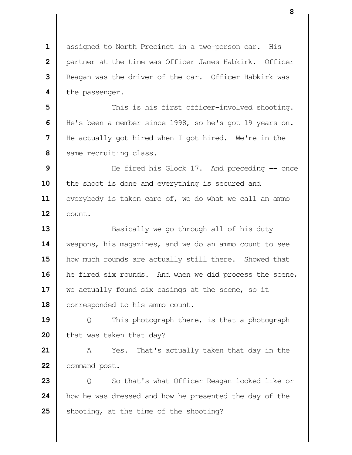assigned to North Precinct in a two-person car. His **|** partner at the time was Officer James Habkirk. Officer **I** Reagan was the driver of the car. Officer Habkirk was **l** the passenger.

  $\parallel$  This is his first officer-involved shooting. He's been a member since 1998, so he's got 19 years on. He actually got hired when I got hired. We're in the Same recruiting class.

 He fired his Glock 17. And preceding -- once 10 | the shoot is done and everything is secured and 11 everybody is taken care of, we do what we call an ammo **l** count.

 Basically we go through all of his duty weapons, his magazines, and we do an ammo count to see how much rounds are actually still there. Showed that 16 | he fired six rounds. And when we did process the scene, we actually found six casings at the scene, so it 18 | corresponded to his ammo count.

 | Q This photograph there, is that a photograph **h** that was taken that day?

 A Yes. That's actually taken that day in the **command post.** 

**23**  $\parallel$  0 So that's what Officer Reagan looked like or how he was dressed and how he presented the day of the Shooting, at the time of the shooting?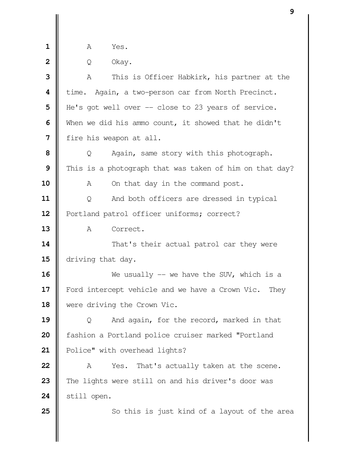| ۰<br>_ | $Y \cap S$ |
|--------|------------|
|        |            |

| Q Okay.

 A This is Officer Habkirk, his partner at the time. Again, a two-person car from North Precinct. | He's got well over -- close to 23 years of service. When we did his ammo count, it showed that he didn't | fire his weapon at all. | Q Again, same story with this photograph. This is a photograph that was taken of him on that day? A On that day in the command post. | Q And both officers are dressed in typical 12 | Portland patrol officer uniforms; correct? 13 | A Correct.  $\parallel$  That's their actual patrol car they were  $\parallel$  driving that day. We usually -- we have the SUV, which is a Ford intercept vehicle and we have a Crown Vic. They were driving the Crown Vic. | Q And again, for the record, marked in that **f**ashion a Portland police cruiser marked "Portland 21 | Police" with overhead lights? A Yes. That's actually taken at the scene. The lights were still on and his driver's door was **Still open.** So this is just kind of a layout of the area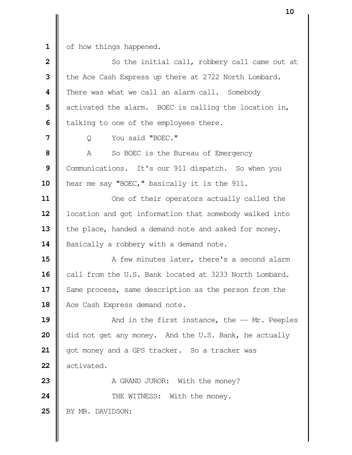1 of how things happened.

| $\overline{\mathbf{2}}$ | So the initial call, robbery call came out at          |
|-------------------------|--------------------------------------------------------|
| 3                       | the Ace Cash Express up there at 2722 North Lombard.   |
| 4                       | There was what we call an alarm call. Somebody         |
| 5                       | activated the alarm. BOEC is calling the location in,  |
| 6                       | talking to one of the employees there.                 |
| 7                       | You said "BOEC."<br>Q                                  |
| 8                       | A<br>So BOEC is the Bureau of Emergency                |
| 9                       | Communications. It's our 911 dispatch. So when you     |
| 10                      | hear me say "BOEC," basically it is the 911.           |
| 11                      | One of their operators actually called the             |
| 12                      | location and got information that somebody walked into |
| 13                      | the place, handed a demand note and asked for money.   |
| 14                      | Basically a robbery with a demand note.                |
| 15                      | A few minutes later, there's a second alarm            |
| 16                      | call from the U.S. Bank located at 3233 North Lombard. |
| 17                      | Same process, same description as the person from the  |
| 18                      | Ace Cash Express demand note.                          |
| 19                      | And in the first instance, the $-$ Mr. Peeples         |
| 20                      | did not get any money. And the U.S. Bank, he actually  |
| 21                      | got money and a GPS tracker. So a tracker was          |
| 22                      | activated.                                             |
| 23                      | A GRAND JUROR: With the money?                         |
| 24                      | THE WITNESS: With the money.                           |
| 25                      | BY MR. DAVIDSON:                                       |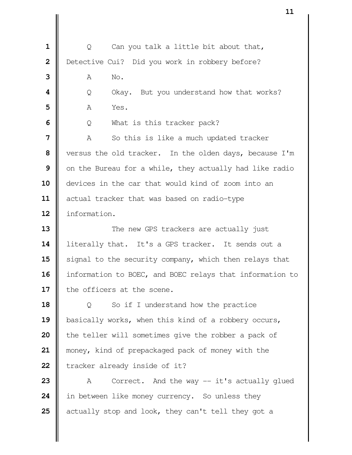Q Can you talk a little bit about that, **|** Detective Cui? Did you work in robbery before? **A** No. **I** Q Okay. But you understand how that works? **A** Yes. | Q What is this tracker pack? A So this is like a much updated tracker versus the old tracker. In the olden days, because I'm | on the Bureau for a while, they actually had like radio devices in the car that would kind of zoom into an 11 | actual tracker that was based on radio-type information.  $\parallel$  The new GPS trackers are actually just **| literally that.** It's a GPS tracker. It sends out a 15 | signal to the security company, which then relays that 16 | information to BOEC, and BOEC relays that information to I the officers at the scene. | Q So if I understand how the practice **b**asically works, when this kind of a robbery occurs, | the teller will sometimes give the robber a pack of money, kind of prepackaged pack of money with the  $\parallel$  tracker already inside of it?  $\parallel$  A Correct. And the way  $-$  it's actually glued **i** in between like money currency. So unless they actually stop and look, they can't tell they got a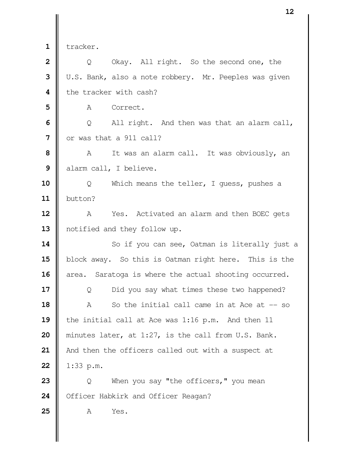tracker.

 | Q Okay. All right. So the second one, the U.S. Bank, also a note robbery. Mr. Peeples was given **b** the tracker with cash?

A Correct.

**6**  $\Box$  **6**  $\Box$  **6** All right. And then was that an alarm call, I or was that a 911 call?

 A It was an alarm call. It was obviously, an | alarm call, I believe.

 Q Which means the teller, I guess, pushes a button?

 A Yes. Activated an alarm and then BOEC gets 13 || notified and they follow up.

 So if you can see, Oatman is literally just a 15 | block away. So this is Oatman right here. This is the 16 area. Saratoga is where the actual shooting occurred.

  $\Box$  Q Did you say what times these two happened? A So the initial call came in at Ace at -- so the initial call at Ace was 1:16 p.m. And then 11 minutes later, at 1:27, is the call from U.S. Bank. | And then the officers called out with a suspect at | 1:33 p.m.

**23**  $\parallel$  Q When you say "the officers," you mean 24 | Officer Habkirk and Officer Reagan?

A Yes.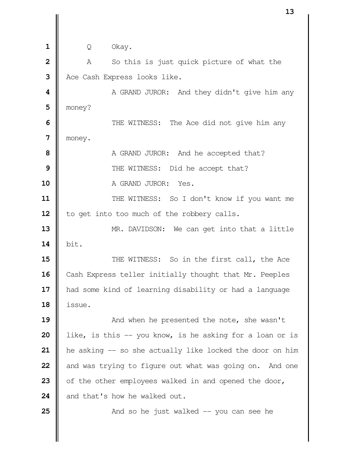| Q Okay. A So this is just quick picture of what the Ace Cash Express looks like.  $\parallel$  **A** GRAND JUROR: And they didn't give him any money? THE WITNESS: The Ace did not give him any money. A GRAND JUROR: And he accepted that?  $\parallel$  THE WITNESS: Did he accept that? A GRAND JUROR: Yes.  $\parallel$  THE WITNESS: So I don't know if you want me | to get into too much of the robbery calls. MR. DAVIDSON: We can get into that a little  $\parallel$  bit.  $\parallel$  THE WITNESS: So in the first call, the Ace 16 | Cash Express teller initially thought that Mr. Peeples had some kind of learning disability or had a language issue.  $\parallel$  And when he presented the note, she wasn't | like, is this -- you know, is he asking for a loan or is **he** asking -- so she actually like locked the door on him and was trying to figure out what was going on. And one 23 | of the other employees walked in and opened the door, **d** and that's how he walked out.  $\parallel$  And so he just walked  $\frac{1}{x}$  you can see he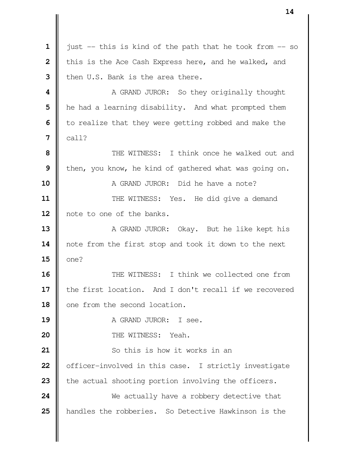just  $-$  this is kind of the path that he took from  $-$  so | this is the Ace Cash Express here, and he walked, and I then U.S. Bank is the area there. **A** GRAND JUROR: So they originally thought **h** he had a learning disability. And what prompted them | to realize that they were getting robbed and make the **7**  $\|$  call?  $\parallel$  THE WITNESS: I think once he walked out and **I** then, you know, he kind of gathered what was going on. **II** A GRAND JUROR: Did he have a note?  $\parallel$  THE WITNESS: Yes. He did give a demand 12 | note to one of the banks. A GRAND JUROR: Okay. But he like kept his 14 | note from the first stop and took it down to the next  $15 \parallel$  one? **I** THE WITNESS: I think we collected one from 17 | the first location. And I don't recall if we recovered 18 || one from the second location. **A** GRAND JUROR: I see. **I** THE WITNESS: Yeah.  $\parallel$  So this is how it works in an **o** officer-involved in this case. I strictly investigate **the actual shooting portion involving the officers.**  We actually have a robbery detective that handles the robberies. So Detective Hawkinson is the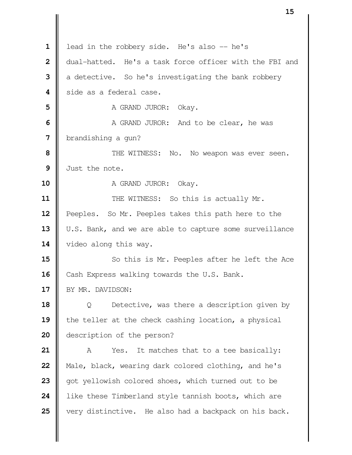|                | LJ                                                      |
|----------------|---------------------------------------------------------|
|                |                                                         |
| $\mathbf{1}$   | lead in the robbery side. He's also -- he's             |
| $\overline{2}$ | dual-hatted. He's a task force officer with the FBI and |
| 3              | a detective. So he's investigating the bank robbery     |
| 4              | side as a federal case.                                 |
| 5              | A GRAND JUROR: Okay.                                    |
| 6              | A GRAND JUROR: And to be clear, he was                  |
| 7              | brandishing a gun?                                      |
| 8              | THE WITNESS: No. No weapon was ever seen.               |
| 9              | Just the note.                                          |
| 10             | A GRAND JUROR: Okay.                                    |
| 11             | THE WITNESS: So this is actually Mr.                    |
| 12             | Peeples. So Mr. Peeples takes this path here to the     |
| 13             | U.S. Bank, and we are able to capture some surveillance |
| 14             | video along this way.                                   |
| 15             | So this is Mr. Peeples after he left the Ace            |
| 16             | Cash Express walking towards the U.S. Bank.             |
| 17             | BY MR. DAVIDSON:                                        |
| 18             | Detective, was there a description given by<br>Q        |
| 19             | the teller at the check cashing location, a physical    |
| 20             | description of the person?                              |
| 21             | It matches that to a tee basically:<br>A<br>Yes.        |
| 22             | Male, black, wearing dark colored clothing, and he's    |
| 23             | got yellowish colored shoes, which turned out to be     |
| 24             | like these Timberland style tannish boots, which are    |
| 25             | very distinctive. He also had a backpack on his back.   |
|                |                                                         |
|                |                                                         |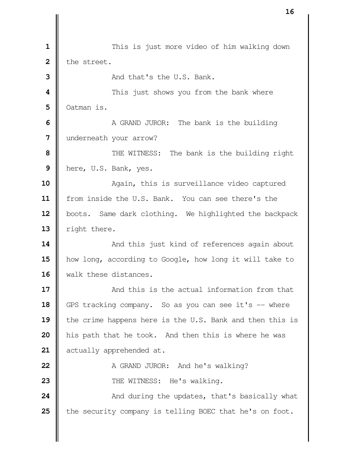$\parallel$  **1** This is just more video of him walking down  $2 \parallel$  the street.  $\parallel$  **And that's the U.S. Bank.**   $\parallel$  This just shows you from the bank where Oatman is. A GRAND JUROR: The bank is the building Underneath your arrow?  $\parallel$  THE WITNESS: The bank is the building right here, U.S. Bank, yes. 10 || Again, this is surveillance video captured 11 | from inside the U.S. Bank. You can see there's the 12 | boots. Same dark clothing. We highlighted the backpack  $\parallel$  right there.  $\parallel$  And this just kind of references again about how long, according to Google, how long it will take to 16 Walk these distances. **And this is the actual information from that**  GPS tracking company. So as you can see it's -- where 19 the crime happens here is the U.S. Bank and then this is his path that he took. And then this is where he was **d** actually apprehended at. A GRAND JUROR: And he's walking?  $\parallel$  THE WITNESS: He's walking.  $\parallel$  And during the updates, that's basically what 25 the security company is telling BOEC that he's on foot.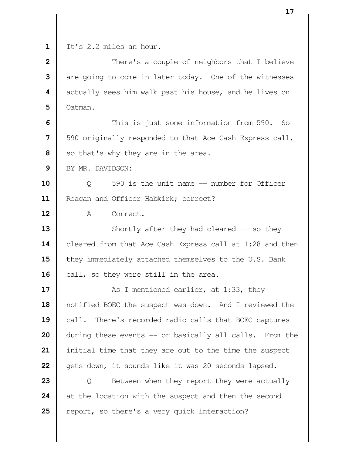It's 2.2 miles an hour.

  $\parallel$  There's a couple of neighbors that I believe are going to come in later today. One of the witnesses  $\parallel$  actually sees him walk past his house, and he lives on Oatman.

**6**  $\parallel$  This is just some information from 590. So | 590 originally responded to that Ace Cash Express call, So that's why they are in the area.

BY MR. DAVIDSON:

**10** |  $\qquad$  0 590 is the unit name -- number for Officer 11 | Reagan and Officer Habkirk; correct?

A Correct.

 Shortly after they had cleared -- so they **cleared from that Ace Cash Express call at 1:28 and then they immediately attached themselves to the U.S. Bank** 16 | call, so they were still in the area.

  $\parallel$  **As I** mentioned earlier, at 1:33, they notified BOEC the suspect was down. And I reviewed the **call.** There's recorded radio calls that BOEC captures during these events -- or basically all calls. From the initial time that they are out to the time the suspect 22 | gets down, it sounds like it was 20 seconds lapsed.

**23**  $\parallel$  Q Between when they report they were actually at the location with the suspect and then the second **P** report, so there's a very quick interaction?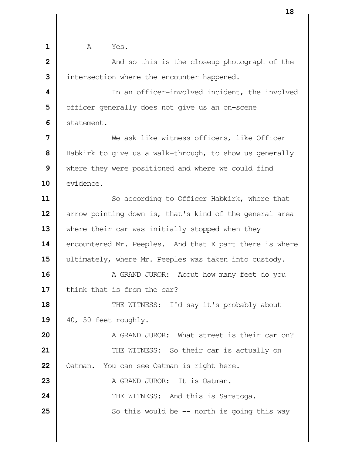**1 1 A** Yes.  $\parallel$  **2** And so this is the closeup photograph of the I intersection where the encounter happened.  $\parallel$  In an officer-involved incident, the involved | officer generally does not give us an on-scene **I** statement. Ne ask like witness officers, like Officer Habkirk to give us a walk-through, to show us generally Where they were positioned and where we could find 10 | evidence. So according to Officer Habkirk, where that arrow pointing down is, that's kind of the general area 13 Where their car was initially stopped when they 14 encountered Mr. Peeples. And that X part there is where 15 | ultimately, where Mr. Peeples was taken into custody. A GRAND JUROR: About how many feet do you I think that is from the car?  $\parallel$  THE WITNESS: I'd say it's probably about | 40, 50 feet roughly.  $\parallel$  **A GRAND JUROR:** What street is their car on?  $\parallel$  THE WITNESS: So their car is actually on | Oatman. You can see Oatman is right here. A GRAND JUROR: It is Oatman.  $\parallel$  **THE WITNESS:** And this is Saratoga.  $\parallel$  So this would be  $-$  north is going this way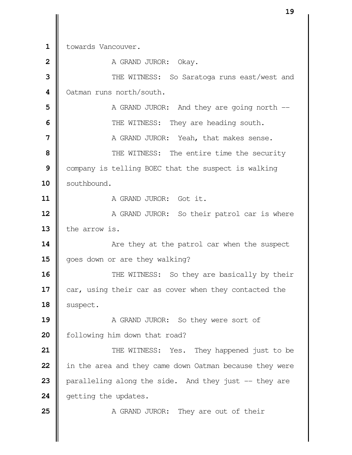1 | towards Vancouver.

 A GRAND JUROR: Okay.  $\parallel$  THE WITNESS: So Saratoga runs east/west and **Oatman runs north/south.**   $\parallel$  A GRAND JUROR: And they are going north --  $\parallel$  THE WITNESS: They are heading south. **A** GRAND JUROR: Yeah, that makes sense.  $\parallel$  THE WITNESS: The entire time the security Company is telling BOEC that the suspect is walking 10 | southbound. **II** A GRAND JUROR: Got it. A GRAND JUROR: So their patrol car is where  $\parallel$  the arrow is.  $\parallel$  Are they at the patrol car when the suspect 15 | goes down or are they walking?  $\parallel$  THE WITNESS: So they are basically by their 17 car, using their car as cover when they contacted the | suspect. A GRAND JUROR: So they were sort of 20 | following him down that road?  $\parallel$  THE WITNESS: Yes. They happened just to be in the area and they came down Oatman because they were **p**aralleling along the side. And they just -- they are **G** getting the updates. A GRAND JUROR: They are out of their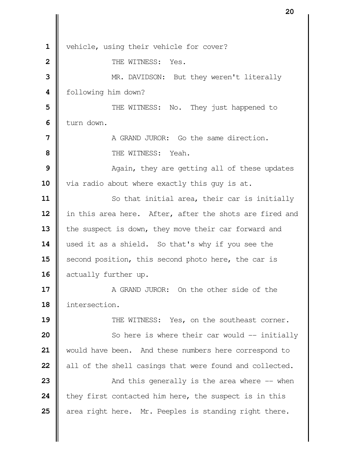1 | vehicle, using their vehicle for cover? **II** THE WITNESS: Yes. MR. DAVIDSON: But they weren't literally following him down?  $\parallel$  THE WITNESS: No. They just happened to I turn down. **I** A GRAND JUROR: Go the same direction.  $\parallel$  THE WITNESS: Yeah.  $\parallel$  Again, they are getting all of these updates 10 | via radio about where exactly this guy is at. So that initial area, their car is initially 12 | in this area here. After, after the shots are fired and 13 | the suspect is down, they move their car forward and 14 used it as a shield. So that's why if you see the 15 | second position, this second photo here, the car is 16 | actually further up. **a** GRAND JUROR: On the other side of the intersection.  $\parallel$  THE WITNESS: Yes, on the southeast corner.  $\parallel$  So here is where their car would -- initially would have been. And these numbers here correspond to all of the shell casings that were found and collected.  $\parallel$  And this generally is the area where  $\frac{1}{2}$  when f they first contacted him here, the suspect is in this area right here. Mr. Peeples is standing right there.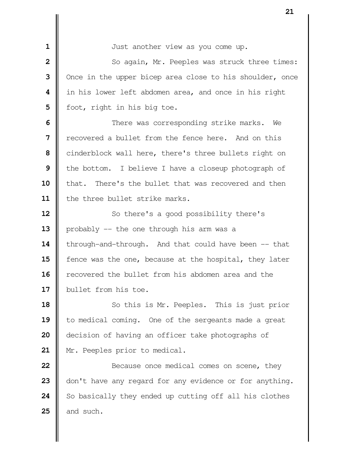| Just another view as you come up.  $\parallel$  So again, Mr. Peeples was struck three times: Once in the upper bicep area close to his shoulder, once in his lower left abdomen area, and once in his right | foot, right in his big toe.  $\parallel$  There was corresponding strike marks. We **I** recovered a bullet from the fence here. And on this cinderblock wall here, there's three bullets right on the bottom. I believe I have a closeup photograph of 10 | that. There's the bullet that was recovered and then the three bullet strike marks. So there's a good possibility there's 13 | probably -- the one through his arm was a **| through-and-through.** And that could have been -- that **f** fence was the one, because at the hospital, they later **r**ecovered the bullet from his abdomen area and the **bullet from his toe.**  So this is Mr. Peeples. This is just prior 19 | to medical coming. One of the sergeants made a great decision of having an officer take photographs of

21 | Mr. Peeples prior to medical.

  $\parallel$  **Because once medical comes on scene, they**  don't have any regard for any evidence or for anything. So basically they ended up cutting off all his clothes  $\parallel$  and such.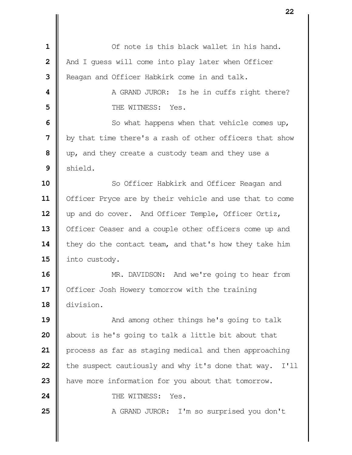| $\mathbf{1}$   | Of note is this black wallet in his hand.                  |
|----------------|------------------------------------------------------------|
| $\overline{2}$ | And I guess will come into play later when Officer         |
| 3              | Reagan and Officer Habkirk come in and talk.               |
| 4              | A GRAND JUROR: Is he in cuffs right there?                 |
| 5              | THE WITNESS: Yes.                                          |
| 6              | So what happens when that vehicle comes up,                |
| 7              | by that time there's a rash of other officers that show    |
| 8              | up, and they create a custody team and they use a          |
| 9              | shield.                                                    |
| 10             | So Officer Habkirk and Officer Reagan and                  |
| 11             | Officer Pryce are by their vehicle and use that to come    |
| 12             | up and do cover. And Officer Temple, Officer Ortiz,        |
| 13             | Officer Ceaser and a couple other officers come up and     |
| 14             | they do the contact team, and that's how they take him     |
| 15             | into custody.                                              |
| 16             | MR. DAVIDSON: And we're going to hear from                 |
| 17             | Officer Josh Howery tomorrow with the training             |
| 18             | division.                                                  |
| 19             | And among other things he's going to talk                  |
| 20             | about is he's going to talk a little bit about that        |
| 21             | process as far as staging medical and then approaching     |
| 22             | the suspect cautiously and why it's done that way.<br>I'11 |
| 23             | have more information for you about that tomorrow.         |
| 24             | THE WITNESS:<br>Yes.                                       |
| 25             | A GRAND JUROR: I'm so surprised you don't                  |
|                |                                                            |
|                |                                                            |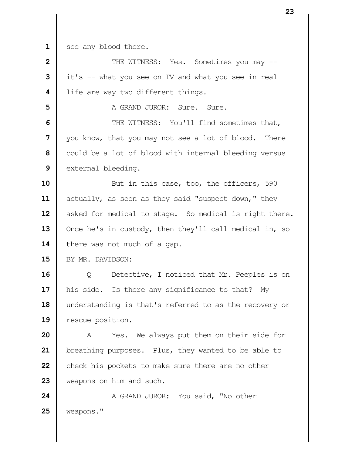see any blood there.

| $\overline{2}$ | THE WITNESS: Yes. Sometimes you may --                           |
|----------------|------------------------------------------------------------------|
| 3              | it's -- what you see on TV and what you see in real              |
| 4              | life are way two different things.                               |
| 5              | A GRAND JUROR: Sure. Sure.                                       |
| 6              | THE WITNESS: You'll find sometimes that,                         |
| 7              | you know, that you may not see a lot of blood. There             |
| 8              | could be a lot of blood with internal bleeding versus            |
| 9              | external bleeding.                                               |
| 10             | But in this case, too, the officers, 590                         |
| 11             | actually, as soon as they said "suspect down," they              |
| 12             | asked for medical to stage. So medical is right there.           |
| 13             | Once he's in custody, then they'll call medical in, so           |
| 14             | there was not much of a gap.                                     |
| 15             | BY MR. DAVIDSON:                                                 |
| 16             | Detective, I noticed that Mr. Peeples is on<br>$Q \qquad \qquad$ |
| 17             | his side. Is there any significance to that? My                  |
| 18             | understanding is that's referred to as the recovery or           |
| 19             | rescue position.                                                 |
| 20             | Yes. We always put them on their side for<br>A                   |
| 21             | breathing purposes. Plus, they wanted to be able to              |
| 22             | check his pockets to make sure there are no other                |
| 23             | weapons on him and such.                                         |
| 24             | A GRAND JUROR: You said, "No other                               |
| 25             | weapons."                                                        |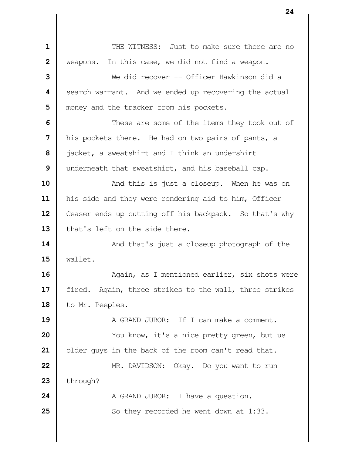**II** THE WITNESS: Just to make sure there are no Weapons. In this case, we did not find a weapon. We did recover -- Officer Hawkinson did a Search warrant. And we ended up recovering the actual | money and the tracker from his pockets.  $\parallel$  These are some of the items they took out of | his pockets there. He had on two pairs of pants, a acket, a sweatshirt and I think an undershirt | underneath that sweatshirt, and his baseball cap.  $\parallel$  **And this is just a closeup.** When he was on his side and they were rendering aid to him, Officer 12 Ceaser ends up cutting off his backpack. So that's why  $\parallel$  that's left on the side there.  $\parallel$  And that's just a closeup photograph of the wallet. **Again, as I mentioned earlier, six shots were** 17 | fired. Again, three strikes to the wall, three strikes 18 | to Mr. Peeples. **A** GRAND JUROR: If I can make a comment.  $\parallel$  You know, it's a nice pretty green, but us 21 | older guys in the back of the room can't read that. MR. DAVIDSON: Okay. Do you want to run | through? A GRAND JUROR: I have a question. So they recorded he went down at 1:33.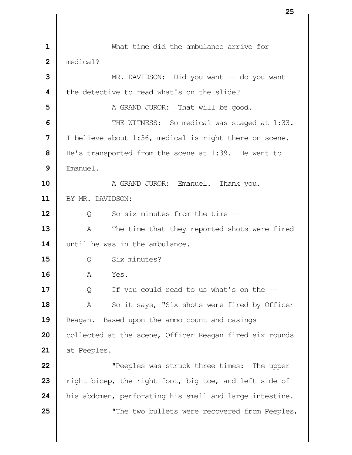What time did the ambulance arrive for medical? MR. DAVIDSON: Did you want -- do you want **I** the detective to read what's on the slide? A GRAND JUROR: That will be good.  $\parallel$  THE WITNESS: So medical was staged at 1:33. I believe about 1:36, medical is right there on scene. | He's transported from the scene at 1:39. He went to Emanuel. A GRAND JUROR: Emanuel. Thank you. BY MR. DAVIDSON: |  $\qquad$  0 So six minutes from the time -- A The time that they reported shots were fired  $\parallel$  until he was in the ambulance. Q Six minutes? A Yes.  $\parallel$  Q If you could read to us what's on the -- A So it says, "Six shots were fired by Officer **Reagan.** Based upon the ammo count and casings 20 | collected at the scene, Officer Reagan fired six rounds at Peeples.  $\parallel$  **"Peeples was struck three times:** The upper 23 Text right bicep, the right foot, big toe, and left side of his abdomen, perforating his small and large intestine.  $\parallel$  **"The two bullets were recovered from Peeples,**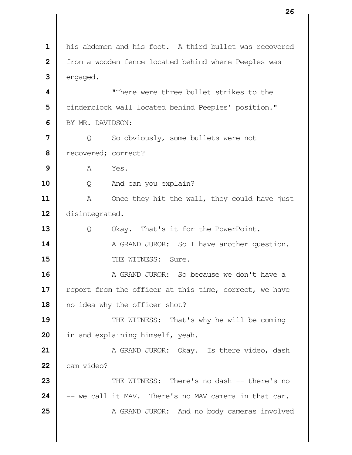his abdomen and his foot. A third bullet was recovered **f** from a wooden fence located behind where Peeples was engaged. "There were three bullet strikes to the Cinderblock wall located behind Peeples' position." BY MR. DAVIDSON: | Q So obviously, some bullets were not recovered; correct? | **A** Yes. Q And can you explain? A Once they hit the wall, they could have just 12 disintegrated. 13 |  $\qquad$  Q Okay. That's it for the PowerPoint. A GRAND JUROR: So I have another question. **II** THE WITNESS: Sure. **A** GRAND JUROR: So because we don't have a 17 | report from the officer at this time, correct, we have 18 || no idea why the officer shot?  $\parallel$  THE WITNESS: That's why he will be coming 20 | in and explaining himself, yeah. A GRAND JUROR: Okay. Is there video, dash  $\parallel$  cam video?  $\parallel$  THE WITNESS: There's no dash -- there's no  $\parallel$  -- we call it MAV. There's no MAV camera in that car. A GRAND JUROR: And no body cameras involved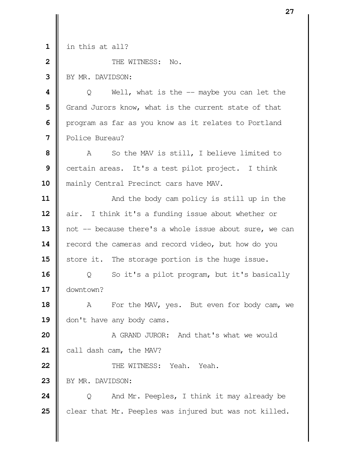in this at all?

**II** THE WITNESS: No.

BY MR. DAVIDSON:

  $\parallel$  Q Well, what is the -- maybe you can let the Grand Jurors know, what is the current state of that | program as far as you know as it relates to Portland Police Bureau?

 A So the MAV is still, I believe limited to Certain areas. It's a test pilot project. I think **| mainly Central Precinct cars have MAV.** 

  $\parallel$  And the body cam policy is still up in the air. I think it's a funding issue about whether or 13 || not -- because there's a whole issue about sure, we can **| record the cameras and record video, but how do you** Store it. The storage portion is the huge issue.

 Q So it's a pilot program, but it's basically downtown?

 A For the MAV, yes. But even for body cam, we 19 || don't have any body cams.

 A GRAND JUROR: And that's what we would **call dash cam, the MAV?** 

**22 ||** THE WITNESS: Yeah. Yeah.

23 | BY MR. DAVIDSON:

**24**  $\parallel$  Q And Mr. Peeples, I think it may already be **c**lear that Mr. Peeples was injured but was not killed.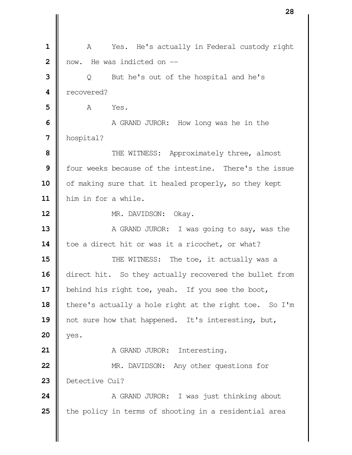A Yes. He's actually in Federal custody right I now. He was indicted on -- | Q But he's out of the hospital and he's recovered? **A** Yes. A GRAND JUROR: How long was he in the hospital?  $\parallel$  THE WITNESS: Approximately three, almost **I** four weeks because of the intestine. There's the issue of making sure that it healed properly, so they kept him in for a while. 12 | MR. DAVIDSON: Okay. A GRAND JUROR: I was going to say, was the 14 | toe a direct hit or was it a ricochet, or what?  $\parallel$  THE WITNESS: The toe, it actually was a  $\parallel$  direct hit. So they actually recovered the bullet from 17 | behind his right toe, yeah. If you see the boot, 18 | there's actually a hole right at the right toe. So I'm 19 || not sure how that happened. It's interesting, but, yes. A GRAND JUROR: Interesting. **MR.** DAVIDSON: Any other questions for Detective Cui? A GRAND JUROR: I was just thinking about **t**he policy in terms of shooting in a residential area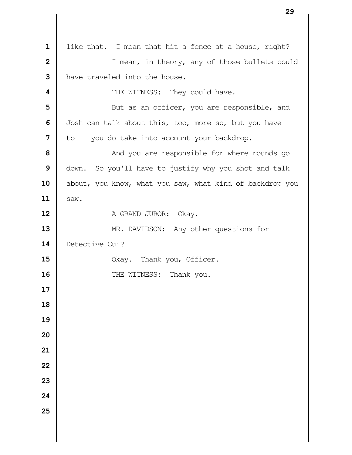like that. I mean that hit a fence at a house, right? I mean, in theory, any of those bullets could **I** have traveled into the house. **4**  $\parallel$  THE WITNESS: They could have. **5**  $\parallel$  But as an officer, you are responsible, and | Josh can talk about this, too, more so, but you have **7**  $\parallel$  to  $\sim$  you do take into account your backdrop. **8**  $\parallel$  **And you are responsible for where rounds go**  down. So you'll have to justify why you shot and talk 10 about, you know, what you saw, what kind of backdrop you  $\parallel$  saw. A GRAND JUROR: Okay. MR. DAVIDSON: Any other questions for Detective Cui? No. Okay. Thank you, Officer. THE WITNESS: Thank you.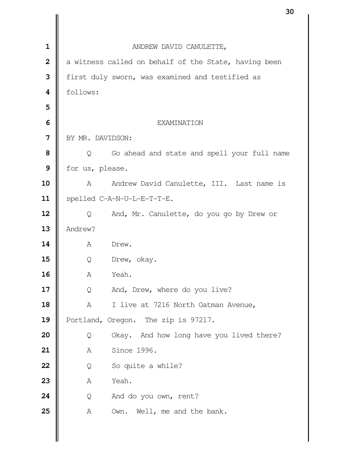|                |                                                            | υc |
|----------------|------------------------------------------------------------|----|
|                |                                                            |    |
| $\mathbf{1}$   | ANDREW DAVID CANULETTE,                                    |    |
| $\overline{2}$ | a witness called on behalf of the State, having been       |    |
| 3              | first duly sworn, was examined and testified as            |    |
| 4              | follows:                                                   |    |
| 5              |                                                            |    |
| 6              | EXAMINATION                                                |    |
| $\overline{7}$ | BY MR. DAVIDSON:                                           |    |
| 8              | Go ahead and state and spell your full name<br>Q           |    |
| 9              | for us, please.                                            |    |
| 10             | Andrew David Canulette, III. Last name is<br>A             |    |
| 11             | spelled C-A-N-U-L-E-T-T-E.                                 |    |
| 12             | And, Mr. Canulette, do you go by Drew or<br>$\overline{Q}$ |    |
| 13             | Andrew?                                                    |    |
| 14             | A<br>Drew.                                                 |    |
| 15             | Q<br>Drew, okay.                                           |    |
| 16             | Yeah.<br>Α                                                 |    |
| 17             | And, Drew, where do you live?<br>Q                         |    |
| 18             | I live at 7216 North Oatman Avenue,<br>A                   |    |
| 19             | Portland, Oregon. The zip is 97217.                        |    |
| 20             | Okay. And how long have you lived there?<br>Q              |    |
| 21             | Since 1996.<br>Α                                           |    |
| 22             | So quite a while?<br>Q                                     |    |
| 23             | Yeah.<br>A                                                 |    |
| 24             | And do you own, rent?<br>Q                                 |    |
| 25             | Own. Well, me and the bank.<br>Α                           |    |
|                |                                                            |    |
|                |                                                            |    |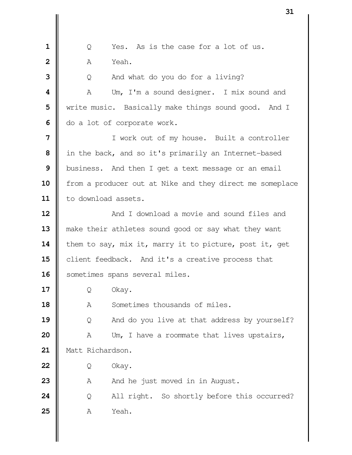|  $\Box$  0 Yes. As is the case for a lot of us. **A** Yeah. Q And what do you do for a living? **II** A Um, I'm a sound designer. I mix sound and We write music. Basically make things sound good. And I  $\Box$  do a lot of corporate work. I work out of my house. Built a controller | in the back, and so it's primarily an Internet-based business. And then I get a text message or an email 10 | from a producer out at Nike and they direct me someplace 11 | to download assets. **And I download a movie and sound files and** 13 || make their athletes sound good or say what they want 14 them to say, mix it, marry it to picture, post it, get **c**lient feedback. And it's a creative process that 16 | sometimes spans several miles. | Q Okay. 18 || A Sometimes thousands of miles.  $\parallel$  Q And do you live at that address by yourself? A Um, I have a roommate that lives upstairs, Matt Richardson. | Q Okay.  $\parallel$  A  $\parallel$  And he just moved in in August. | Q All right. So shortly before this occurred? **A** Yeah.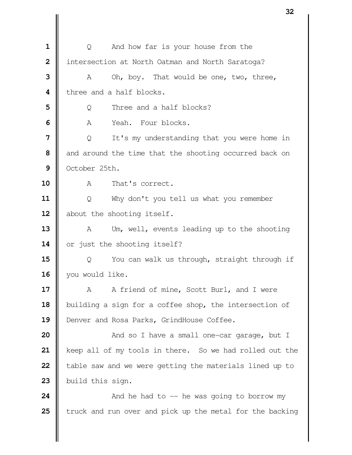|              | ےر                                                       |
|--------------|----------------------------------------------------------|
|              |                                                          |
| 1            | And how far is your house from the<br>Q                  |
| $\mathbf{2}$ | intersection at North Oatman and North Saratoga?         |
| 3            | Oh, boy. That would be one, two, three,<br>A             |
| 4            | three and a half blocks.                                 |
| 5            | Three and a half blocks?<br>Q                            |
| 6            | Α<br>Yeah. Four blocks.                                  |
| 7            | It's my understanding that you were home in<br>Q         |
| 8            | and around the time that the shooting occurred back on   |
| 9            | October 25th.                                            |
| 10           | That's correct.<br>A                                     |
| 11           | Why don't you tell us what you remember<br>Q             |
| 12           | about the shooting itself.                               |
| 13           | Um, well, events leading up to the shooting<br>A         |
| 14           | or just the shooting itself?                             |
| 15           | You can walk us through, straight through if<br>Q        |
| 16           | you would like.                                          |
| 17           | A friend of mine, Scott Burl, and I were<br>A            |
| 18           | building a sign for a coffee shop, the intersection of   |
| 19           | Denver and Rosa Parks, GrindHouse Coffee.                |
| 20           | And so I have a small one-car garage, but I              |
| 21           | keep all of my tools in there. So we had rolled out the  |
| 22           | table saw and we were getting the materials lined up to  |
| 23           | build this sign.                                         |
| 24           | And he had to $-$ he was going to borrow my              |
| 25           | truck and run over and pick up the metal for the backing |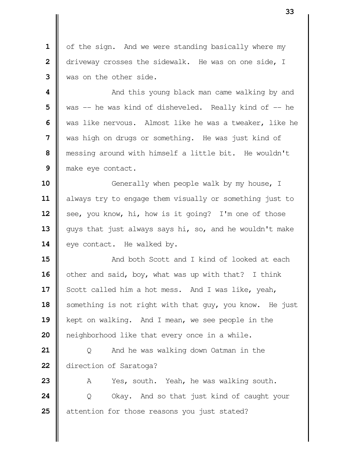1 | of the sign. And we were standing basically where my driveway crosses the sidewalk. He was on one side, I was on the other side.

  $\parallel$  **And this young black man came walking by and**  was -- he was kind of disheveled. Really kind of -- he We was like nervous. Almost like he was a tweaker, like he was high on drugs or something. He was just kind of messing around with himself a little bit. He wouldn't make eye contact.

 Generally when people walk by my house, I always try to engage them visually or something just to See, you know, hi, how is it going? I'm one of those 13 || guys that just always says hi, so, and he wouldn't make 14 | eye contact. He walked by.

 **a** And both Scott and I kind of looked at each other and said, boy, what was up with that? I think Scott called him a hot mess. And I was like, yeah, 18 | something is not right with that guy, you know. He just kept on walking. And I mean, we see people in the **|** neighborhood like that every once in a while.

 | Q And he was walking down Oatman in the direction of Saratoga?

 A Yes, south. Yeah, he was walking south. **24**  $\begin{bmatrix} 0 & 0 & 0 & 0 \\ 0 & 0 & 0 & 0 \\ 0 & 0 & 0 & 0 \end{bmatrix}$  Okay. And so that just kind of caught your attention for those reasons you just stated?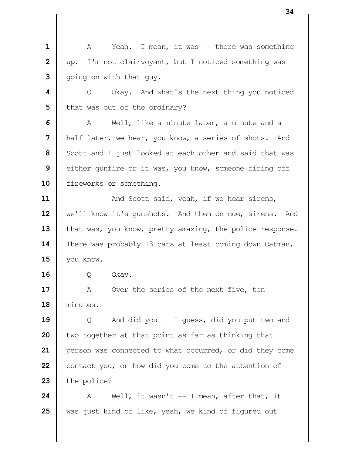1 || A Yeah. I mean, it was -- there was something | up. I'm not clairvoyant, but I noticed something was | going on with that guy.  $\parallel$  Q Okay. And what's the next thing you noticed | that was out of the ordinary? A Well, like a minute later, a minute and a half later, we hear, you know, a series of shots. And Scott and I just looked at each other and said that was either qunfire or it was, you know, someone firing off 10 | fireworks or something.  $\parallel$  And Scott said, yeah, if we hear sirens, 12 | we'll know it's gunshots. And then on cue, sirens. And 13 | that was, you know, pretty amazing, the police response. 14 There was probably 13 cars at least coming down Oatman, you know. Q Okay. A Over the series of the next five, ten minutes.  $\begin{bmatrix} 0 & \cdots & \cdots & \cdots \end{bmatrix}$  And did you -- I guess, did you put two and I two together at that point as far as thinking that person was connected to what occurred, or did they come contact you, or how did you come to the attention of  $\parallel$  the police?  $\parallel$  A Well, it wasn't  $-$  I mean, after that, it was just kind of like, yeah, we kind of figured out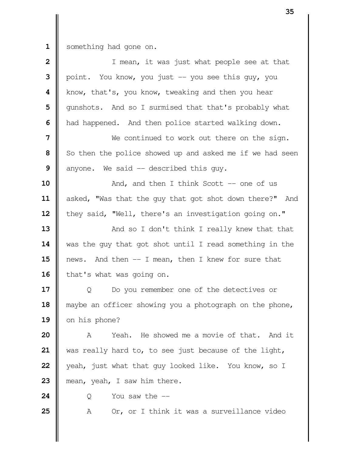1 something had gone on.

| $\overline{\mathbf{2}}$ | I mean, it was just what people see at that              |
|-------------------------|----------------------------------------------------------|
| 3                       | point. You know, you just -- you see this guy, you       |
| 4                       | know, that's, you know, tweaking and then you hear       |
| 5                       | qunshots. And so I surmised that that's probably what    |
| 6                       | had happened. And then police started walking down.      |
| 7                       | We continued to work out there on the sign.              |
| 8                       | So then the police showed up and asked me if we had seen |
| 9                       | anyone. We said -- described this guy.                   |
| 10                      | And, and then I think Scott $-$ one of us                |
| 11                      | asked, "Was that the guy that got shot down there?" And  |
| 12                      | they said, "Well, there's an investigation going on."    |
| 13                      | And so I don't think I really knew that that             |
| 14                      | was the guy that got shot until I read something in the  |
| 15                      | news. And then -- I mean, then I knew for sure that      |
| 16                      | that's what was going on.                                |
| 17                      | Do you remember one of the detectives or<br>Q            |
| 18                      | maybe an officer showing you a photograph on the phone,  |
| 19                      | on his phone?                                            |
| 20                      | He showed me a movie of that. And it<br>Yeah.<br>A       |
| 21                      | was really hard to, to see just because of the light,    |
| 22                      | yeah, just what that guy looked like. You know, so I     |
| 23                      | mean, yeah, I saw him there.                             |
| 24                      | You saw the $-$<br>Q                                     |
| 25                      | Or, or I think it was a surveillance video<br>Α          |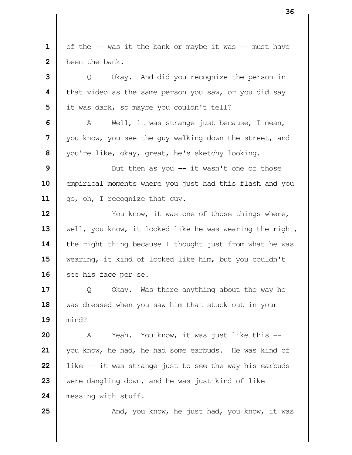| of the  $-$  was it the bank or maybe it was  $-$  must have | been the bank. | Q Okay. And did you recognize the person in **|** that video as the same person you saw, or you did say | it was dark, so maybe you couldn't tell?  $\parallel$  A Well, it was strange just because, I mean, you know, you see the guy walking down the street, and vou're like, okay, great, he's sketchy looking.  $\parallel$  But then as you -- it wasn't one of those **| empirical moments where you just had this flash and you** 11 | go, oh, I recognize that guy.  $\parallel$  You know, it was one of those things where, 13 | well, you know, it looked like he was wearing the right, 14 | the right thing because I thought just from what he was wearing, it kind of looked like him, but you couldn't 16 | see his face per se.  $\parallel$  Q Okay. Was there anything about the way he 18 was dressed when you saw him that stuck out in your mind? A Yeah. You know, it was just like this -- you know, he had, he had some earbuds. He was kind of **l** like -- it was strange just to see the way his earbuds were dangling down, and he was just kind of like **messing with stuff.**  $\parallel$  And, you know, he just had, you know, it was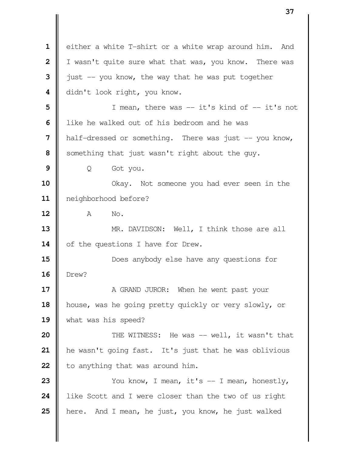either a white T-shirt or a white wrap around him. And | I wasn't quite sure what that was, you know. There was  $\parallel$  just  $\text{-}$  you know, the way that he was put together didn't look right, you know. I mean, there was -- it's kind of -- it's not I like he walked out of his bedroom and he was **h** half-dressed or something. There was just -- you know, Something that just wasn't right about the guy. | Q Got you. Not someone you had ever seen in the neighborhood before? **A** No. **MR.** DAVIDSON: Well, I think those are all 14 | of the questions I have for Drew. **15**  $\parallel$  Drew?  $\parallel$  A GRAND JUROR: When he went past your house, was he going pretty quickly or very slowly, or what was his speed?  $\parallel$  THE WITNESS: He was -- well, it wasn't that he wasn't going fast. It's just that he was oblivious **b** to anything that was around him.  $\parallel$  You know, I mean, it's  $-$  I mean, honestly, like Scott and I were closer than the two of us right **h** here. And I mean, he just, you know, he just walked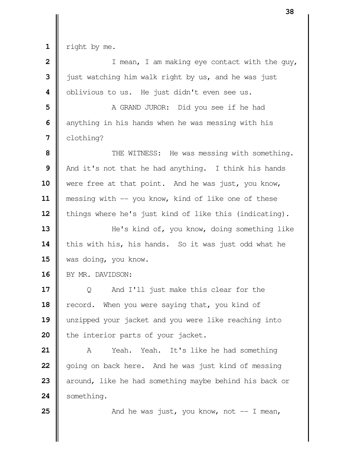$1 \parallel$  right by me.

| $\overline{\mathbf{2}}$ | I mean, I am making eye contact with the guy,          |
|-------------------------|--------------------------------------------------------|
| 3                       | just watching him walk right by us, and he was just    |
| 4                       | oblivious to us. He just didn't even see us.           |
| 5                       | A GRAND JUROR: Did you see if he had                   |
| 6                       | anything in his hands when he was messing with his     |
| 7                       | clothing?                                              |
| 8                       | THE WITNESS: He was messing with something.            |
| 9                       | And it's not that he had anything. I think his hands   |
| 10                      | were free at that point. And he was just, you know,    |
| 11                      | messing with -- you know, kind of like one of these    |
| 12                      | things where he's just kind of like this (indicating). |
| 13                      | He's kind of, you know, doing something like           |
| 14                      | this with his, his hands. So it was just odd what he   |
| 15                      | was doing, you know.                                   |
| 16                      | BY MR. DAVIDSON:                                       |
| 17                      | And I'll just make this clear for the<br>Q             |
| 18                      | record. When you were saying that, you kind of         |
| 19                      | unzipped your jacket and you were like reaching into   |
| 20                      | the interior parts of your jacket.                     |
| 21                      | Yeah. Yeah. It's like he had something<br>A            |
| 22                      | going on back here. And he was just kind of messing    |
| 23                      | around, like he had something maybe behind his back or |
| 24                      | something.                                             |
| 25                      | And he was just, you know, not $-$ I mean,             |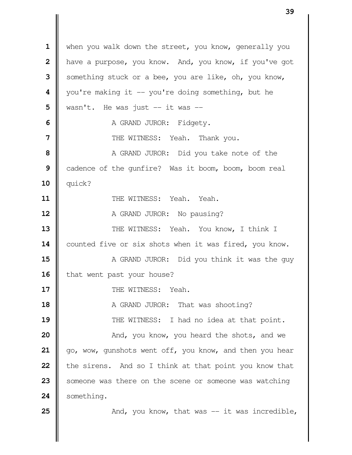when you walk down the street, you know, generally you **|** have a purpose, you know. And, you know, if you've got Something stuck or a bee, you are like, oh, you know, | you're making it -- you're doing something, but he  $\parallel$  wasn't. He was just  $\parallel$  -- it was  $\parallel$ - A GRAND JUROR: Fidgety.  $\parallel$  THE WITNESS: Yeah. Thank you. A GRAND JUROR: Did you take note of the cadence of the gunfire? Was it boom, boom, boom real quick? **II** THE WITNESS: Yeah. Yeah. A GRAND JUROR: No pausing?  $\parallel$  THE WITNESS: Yeah. You know, I think I 14 | counted five or six shots when it was fired, you know.  $\parallel$  A GRAND JUROR: Did you think it was the guy 16 | that went past your house? II THE WITNESS: Yeah. A GRAND JUROR: That was shooting?  $\parallel$  THE WITNESS: I had no idea at that point.  $\parallel$  **And, you know, you heard the shots, and we**  | go, wow, gunshots went off, you know, and then you hear **the sirens.** And so I think at that point you know that Someone was there on the scene or someone was watching 24 | something.  $\parallel$  And, you know, that was  $-$  it was incredible,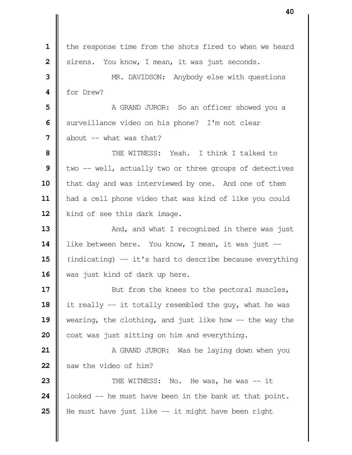1 | the response time from the shots fired to when we heard | sirens. You know, I mean, it was just seconds. MR. DAVIDSON: Anybody else with questions for Drew? A GRAND JUROR: So an officer showed you a Surveillance video on his phone? I'm not clear  $\parallel$  about  $\parallel$  - what was that? **II** THE WITNESS: Yeah. I think I talked to  $\parallel$  two -- well, actually two or three groups of detectives 10 | that day and was interviewed by one. And one of them had a cell phone video that was kind of like you could 12 | kind of see this dark image.  $\parallel$  And, and what I recognized in there was just like between here. You know, I mean, it was just -- (indicating) -- it's hard to describe because everything 16 || was just kind of dark up here.  $\parallel$  But from the knees to the pectoral muscles, it really -- it totally resembled the guy, what he was wearing, the clothing, and just like how -- the way the coat was just sitting on him and everything.  $\parallel$  A GRAND JUROR: Was he laying down when you Saw the video of him?  $\parallel$  THE WITNESS: No. He was, he was  $-$  it **l** looked -- he must have been in the bank at that point. He must have just like -- it might have been right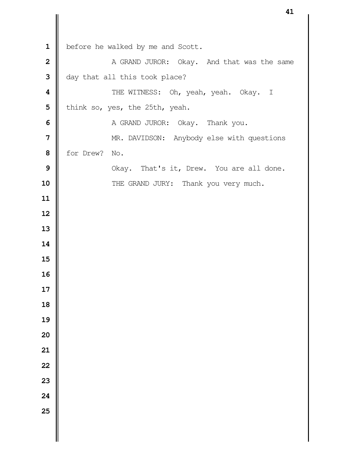1 | before he walked by me and Scott. A GRAND JUROR: Okay. And that was the same day that all this took place? THE WITNESS: Oh, yeah, yeah. Okay. I | think so, yes, the 25th, yeah. A GRAND JUROR: Okay. Thank you. MR. DAVIDSON: Anybody else with questions for Drew? No. Nokay. That's it, Drew. You are all done. THE GRAND JURY: Thank you very much.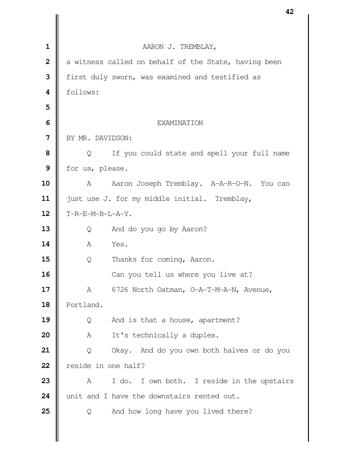|                |                     | 44                                                   |
|----------------|---------------------|------------------------------------------------------|
|                |                     |                                                      |
| $\mathbf 1$    |                     | AARON J. TREMBLAY,                                   |
| $\overline{2}$ |                     | a witness called on behalf of the State, having been |
| 3              |                     | first duly sworn, was examined and testified as      |
| 4              | follows:            |                                                      |
| 5              |                     |                                                      |
| 6              |                     | EXAMINATION                                          |
| 7              | BY MR. DAVIDSON:    |                                                      |
| 8              | Q                   | If you could state and spell your full name          |
| 9              | for us, please.     |                                                      |
| 10             | A                   | Aaron Joseph Tremblay. A-A-R-O-N. You can            |
| 11             |                     | just use J. for my middle initial. Tremblay,         |
| 12             | $T-R-E-M-B-L-A-Y$ . |                                                      |
| 13             | Q                   | And do you go by Aaron?                              |
| 14             | A                   | Yes.                                                 |
| 15             | Q                   | Thanks for coming, Aaron.                            |
| 16             |                     | Can you tell us where you live at?                   |
| 17             | A                   | 6726 North Oatman, O-A-T-M-A-N, Avenue,              |
| 18             | Portland.           |                                                      |
| 19             | Q                   | And is that a house, apartment?                      |
| 20             | Α                   | It's technically a duplex.                           |
| 21             | Q                   | Okay. And do you own both halves or do you           |
| 22             | reside in one half? |                                                      |
| 23             | A                   | I do. I own both. I reside in the upstairs           |
| 24             |                     | unit and I have the downstairs rented out.           |
| 25             | Q                   | And how long have you lived there?                   |
|                |                     |                                                      |
|                |                     |                                                      |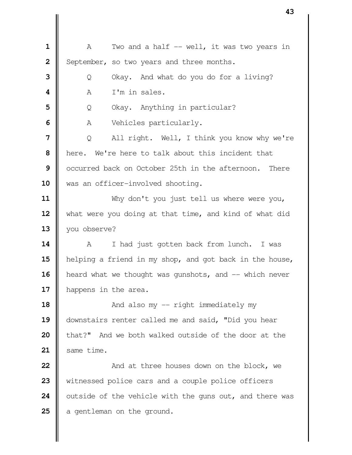|| A Two and a half -- well, it was two years in September, so two years and three months. | Q Okay. And what do you do for a living? **A** I'm in sales. | Q Okay. Anything in particular? A Vehicles particularly. | Q All right. Well, I think you know why we're **h** here. We're here to talk about this incident that **l** occurred back on October 25th in the afternoon. There 10 || was an officer-involved shooting. Why don't you just tell us where were you, 12 what were you doing at that time, and kind of what did you observe? 14 | A I had just gotten back from lunch. I was helping a friend in my shop, and got back in the house, 16 | heard what we thought was gunshots, and -- which never 17 | happens in the area.  $\parallel$  And also my -- right immediately my downstairs renter called me and said, "Did you hear **b** that?" And we both walked outside of the door at the same time.  $\parallel$  **And at three houses down on the block, we**  Witnessed police cars and a couple police officers outside of the vehicle with the guns out, and there was a gentleman on the ground.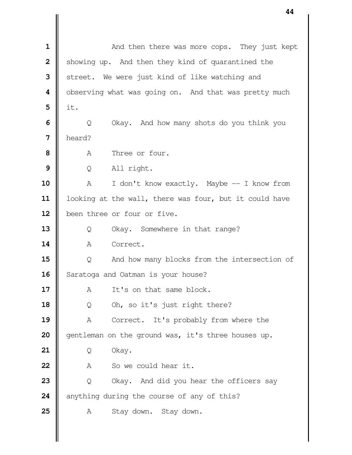|                | 44                                                     |
|----------------|--------------------------------------------------------|
|                |                                                        |
| $\mathbf 1$    | And then there was more cops. They just kept           |
| $\overline{2}$ | showing up. And then they kind of quarantined the      |
| 3              | street. We were just kind of like watching and         |
| 4              | observing what was going on. And that was pretty much  |
| 5              | it.                                                    |
| 6              | Okay. And how many shots do you think you<br>Q         |
| 7              | heard?                                                 |
| 8              | Three or four.<br>Α                                    |
| 9              | All right.<br>Q                                        |
| 10             | I don't know exactly. Maybe -- I know from<br>A        |
| 11             | looking at the wall, there was four, but it could have |
| 12             | been three or four or five.                            |
| 13             | Okay. Somewhere in that range?<br>Q                    |
| 14             | Correct.<br>A                                          |
| 15             | And how many blocks from the intersection of<br>Q      |
| 16             | Saratoga and Oatman is your house?                     |
| 17             | It's on that same block.<br>Α                          |
| 18             | Oh, so it's just right there?<br>Q                     |
| 19             | Correct. It's probably from where the<br>Α             |
| 20             | gentleman on the ground was, it's three houses up.     |
| 21             | Okay.<br>Q                                             |
| 22             | So we could hear it.<br>Α                              |
| 23             | Okay. And did you hear the officers say<br>Q           |
| 24             | anything during the course of any of this?             |
| 25             | Stay down. Stay down.<br>A                             |
|                |                                                        |
|                |                                                        |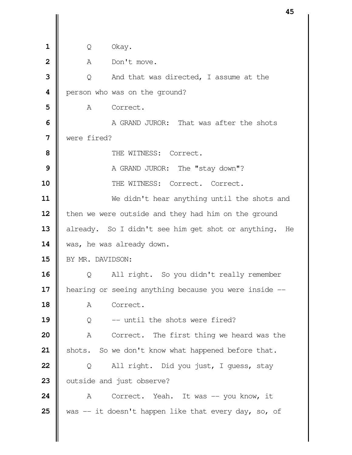| $\mathbf{1}$            | Q                | Okay.                                                 |
|-------------------------|------------------|-------------------------------------------------------|
| $\overline{2}$          | A                | Don't move.                                           |
| 3                       | $\circ$          | And that was directed, I assume at the                |
| $\overline{\mathbf{4}}$ |                  | person who was on the ground?                         |
| 5                       | A                | Correct.                                              |
| 6                       |                  | A GRAND JUROR: That was after the shots               |
| $\overline{7}$          | were fired?      |                                                       |
| 8                       |                  | THE WITNESS: Correct.                                 |
| 9                       |                  | A GRAND JUROR: The "stay down"?                       |
| 10                      |                  | THE WITNESS: Correct. Correct.                        |
| 11                      |                  | We didn't hear anything until the shots and           |
| 12                      |                  | then we were outside and they had him on the ground   |
| 13                      |                  | already. So I didn't see him get shot or anything. He |
| 14                      |                  | was, he was already down.                             |
| 15                      | BY MR. DAVIDSON: |                                                       |
| 16                      | Q                | All right. So you didn't really remember              |
| 17                      |                  | hearing or seeing anything because you were inside -- |
| 18                      | Α                | Correct.                                              |
| 19                      | Q                | -- until the shots were fired?                        |
| 20                      | Α                | Correct. The first thing we heard was the             |
| 21                      | shots.           | So we don't know what happened before that.           |
| 22                      | Q                | All right. Did you just, I guess, stay                |
| 23                      |                  | outside and just observe?                             |
| 24                      | A                | Correct. Yeah. It was -- you know, it                 |
| 25                      |                  | was -- it doesn't happen like that every day, so, of  |
|                         |                  |                                                       |
|                         |                  |                                                       |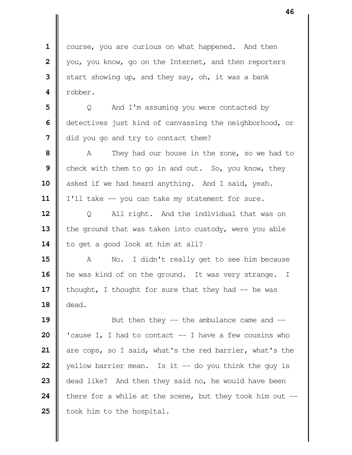course, you are curious on what happened. And then | you, you know, go on the Internet, and then reporters Start showing up, and they say, oh, it was a bank  **4** robber.

**5**  $\parallel$  Q And I'm assuming you were contacted by **6** detectives just kind of canvassing the neighborhood, or **7** did you go and try to contact them?

**8** A They had our house in the zone, so we had to **9** check with them to go in and out. So, you know, they 10 | asked if we had heard anything. And I said, yeah. 11 | I'll take -- you can take my statement for sure.

**12** | Q All right. And the individual that was on 13 the ground that was taken into custody, were you able 14 | to get a good look at him at all?

**15** A No. I didn't really get to see him because 16 | he was kind of on the ground. It was very strange. I 17 | thought, I thought for sure that they had -- he was **18** dead.

  $\parallel$  But then they -- the ambulance came and  $\parallel$   $\parallel$  'cause I, I had to contact  $\parallel$  - I have a few cousins who are cops, so I said, what's the red barrier, what's the yellow barrier mean. Is it  $-$  do you think the guy is dead like? And then they said no, he would have been  $\parallel$  there for a while at the scene, but they took him out  $-$ | took him to the hospital.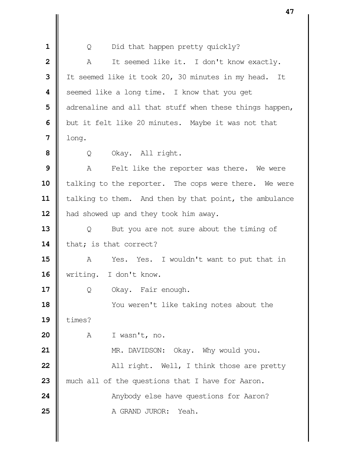| 1              | Did that happen pretty quickly?<br>Q                    |
|----------------|---------------------------------------------------------|
| $\overline{2}$ | It seemed like it. I don't know exactly.<br>Α           |
| 3              | It seemed like it took 20, 30 minutes in my head. It    |
| 4              | seemed like a long time. I know that you get            |
| 5              | adrenaline and all that stuff when these things happen, |
| 6              | but it felt like 20 minutes. Maybe it was not that      |
| 7              | long.                                                   |
| 8              | Okay. All right.<br>Q                                   |
| 9              | Felt like the reporter was there. We were<br>A          |
| 10             | talking to the reporter. The cops were there. We were   |
| 11             | talking to them. And then by that point, the ambulance  |
| 12             | had showed up and they took him away.                   |
| 13             | But you are not sure about the timing of<br>Q           |
| 14             | that; is that correct?                                  |
| 15             | Α<br>Yes. Yes. I wouldn't want to put that in           |
| 16             | writing. I don't know.                                  |
| 17             | Okay. Fair enough.<br>Q                                 |
| 18             | You weren't like taking notes about the                 |
| 19             | times?                                                  |
| 20             | A<br>I wasn't, no.                                      |
| 21             | MR. DAVIDSON: Okay. Why would you.                      |
| 22             | All right. Well, I think those are pretty               |
| 23             | much all of the questions that I have for Aaron.        |
| 24             | Anybody else have questions for Aaron?                  |
| 25             | A GRAND JUROR:<br>Yeah.                                 |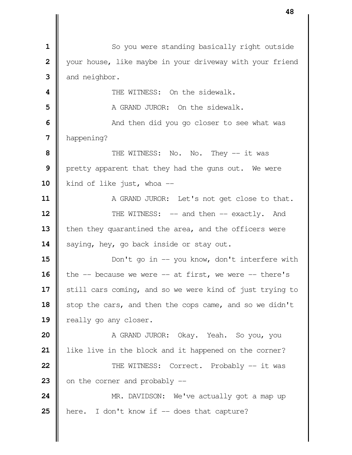So you were standing basically right outside | your house, like maybe in your driveway with your friend and neighbor.  $\parallel$  THE WITNESS: On the sidewalk. **I** A GRAND JUROR: On the sidewalk.  $\parallel$  **6** And then did you go closer to see what was happening? **I** THE WITNESS: No. No. They -- it was **|** pretty apparent that they had the guns out. We were 10 | kind of like just, whoa -- A GRAND JUROR: Let's not get close to that.  $\parallel$  THE WITNESS: -- and then -- exactly. And 13 | then they quarantined the area, and the officers were 14 | saying, hey, go back inside or stay out.  $\parallel$  Don't go in -- you know, don't interfere with  $\parallel$  the  $-$  because we were  $-$  at first, we were  $-$  there's 17 | still cars coming, and so we were kind of just trying to 18 | stop the cars, and then the cops came, and so we didn't 19 | really go any closer. A GRAND JUROR: Okay. Yeah. So you, you | like live in the block and it happened on the corner?  $\parallel$  THE WITNESS: Correct. Probably -- it was  $\parallel$  on the corner and probably  $\parallel$ -  $\parallel$  MR. DAVIDSON: We've actually got a map up **h** here. I don't know if -- does that capture?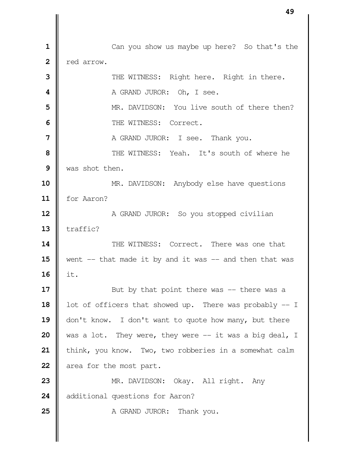Can you show us maybe up here? So that's the **l** red arrow.  $\parallel$  THE WITNESS: Right here. Right in there. **A** GRAND JUROR: Oh, I see.  $\parallel$  MR. DAVIDSON: You live south of there then?  $\blacksquare$  THE WITNESS: Correct. **A** GRAND JUROR: I see. Thank you.  $\parallel$  THE WITNESS: Yeah. It's south of where he Was shot then. MR. DAVIDSON: Anybody else have questions for Aaron? A GRAND JUROR: So you stopped civilian  $\parallel$  traffic?  $\parallel$  THE WITNESS: Correct. There was one that went  $-$  that made it by and it was  $-$  and then that was it. But by that point there was -- there was a 18 | lot of officers that showed up. There was probably -- I 19 | don't know. I don't want to quote how many, but there was a lot. They were, they were -- it was a big deal, I | think, you know. Two, two robberies in a somewhat calm area for the most part. MR. DAVIDSON: Okay. All right. Any 24 | additional questions for Aaron? A GRAND JUROR: Thank you.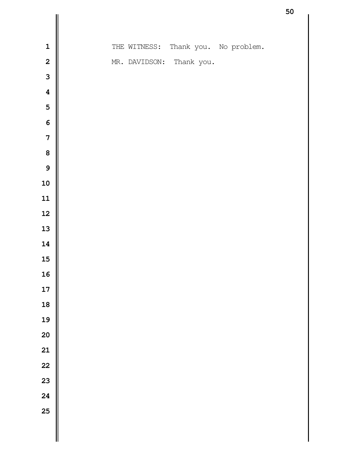|                         |  |              |                          |                        | ၁ပ |
|-------------------------|--|--------------|--------------------------|------------------------|----|
|                         |  |              |                          |                        |    |
| $\mathbf{1}$            |  | THE WITNESS: |                          | Thank you. No problem. |    |
| $\overline{\mathbf{2}}$ |  |              | MR. DAVIDSON: Thank you. |                        |    |
| $\overline{\mathbf{3}}$ |  |              |                          |                        |    |
| $\boldsymbol{4}$        |  |              |                          |                        |    |
| 5                       |  |              |                          |                        |    |
| $\boldsymbol{6}$        |  |              |                          |                        |    |
| $\overline{7}$          |  |              |                          |                        |    |
| 8                       |  |              |                          |                        |    |
| $\mathbf{9}$            |  |              |                          |                        |    |
| 10                      |  |              |                          |                        |    |
| 11                      |  |              |                          |                        |    |
| 12                      |  |              |                          |                        |    |
| 13                      |  |              |                          |                        |    |
| 14                      |  |              |                          |                        |    |
| 15                      |  |              |                          |                        |    |
| 16                      |  |              |                          |                        |    |
| 17                      |  |              |                          |                        |    |
| 18                      |  |              |                          |                        |    |
| 19                      |  |              |                          |                        |    |
| 20                      |  |              |                          |                        |    |
| 21                      |  |              |                          |                        |    |
| 22                      |  |              |                          |                        |    |
| 23                      |  |              |                          |                        |    |
| 24                      |  |              |                          |                        |    |
| 25                      |  |              |                          |                        |    |
|                         |  |              |                          |                        |    |
|                         |  |              |                          |                        |    |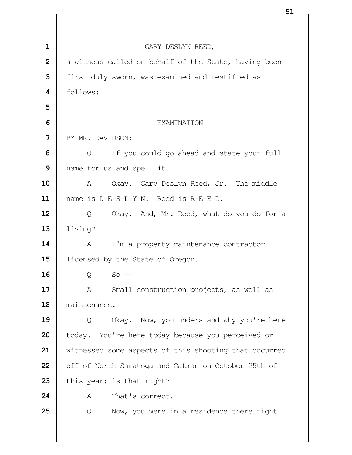| $\mathbf 1$    | GARY DESLYN REED,                                     |
|----------------|-------------------------------------------------------|
| $\overline{2}$ | a witness called on behalf of the State, having been  |
| 3              | first duly sworn, was examined and testified as       |
| 4              | follows:                                              |
| 5              |                                                       |
| 6              | <b>EXAMINATION</b>                                    |
| 7              | BY MR. DAVIDSON:                                      |
| 8              | $\circ$<br>If you could go ahead and state your full  |
| 9              | name for us and spell it.                             |
| 10             | Okay. Gary Deslyn Reed, Jr. The middle<br>A           |
| 11             | name is D-E-S-L-Y-N. Reed is R-E-E-D.                 |
| 12             | Okay. And, Mr. Reed, what do you do for a<br>Q        |
| 13             | living?                                               |
| 14             | I'm a property maintenance contractor<br>A            |
| 15             | licensed by the State of Oregon.                      |
| 16             | $So$ $-$<br>Q                                         |
| 17             | Small construction projects, as well as<br>Α          |
| 18             | maintenance.                                          |
| 19             | Okay. Now, you understand why you're here<br>Q        |
| 20             | You're here today because you perceived or<br>today.  |
| 21             | witnessed some aspects of this shooting that occurred |
| 22             | off of North Saratoga and Oatman on October 25th of   |
| 23             | this year; is that right?                             |
| 24             | That's correct.<br>A                                  |
| 25             | Now, you were in a residence there right<br>Q         |
|                |                                                       |
|                |                                                       |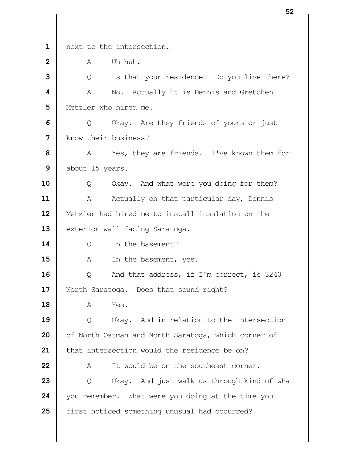|                         |                      |                                                     | ◡▵ |
|-------------------------|----------------------|-----------------------------------------------------|----|
|                         |                      |                                                     |    |
| $\mathbf{1}$            |                      | next to the intersection.                           |    |
| $\overline{2}$          | A                    | Uh-huh.                                             |    |
| 3                       | Q                    | Is that your residence? Do you live there?          |    |
| $\overline{\mathbf{4}}$ | Α                    | No. Actually it is Dennis and Gretchen              |    |
| 5                       |                      | Metzler who hired me.                               |    |
| 6                       | Q                    | Okay. Are they friends of yours or just             |    |
| 7                       | know their business? |                                                     |    |
| 8                       | A                    | Yes, they are friends. I've known them for          |    |
| 9                       | about 15 years.      |                                                     |    |
| 10                      | Q                    | Okay. And what were you doing for them?             |    |
| 11                      | Α                    | Actually on that particular day, Dennis             |    |
| 12                      |                      | Metzler had hired me to install insulation on the   |    |
| 13                      |                      | exterior wall facing Saratoga.                      |    |
| 14                      | Q                    | In the basement?                                    |    |
| 15                      | A                    | In the basement, yes.                               |    |
| 16                      | Q                    | And that address, if I'm correct, is 3240           |    |
| 17                      |                      | North Saratoga. Does that sound right?              |    |
| 18                      | A                    | Yes.                                                |    |
| 19                      | Q                    | Okay. And in relation to the intersection           |    |
| 20                      |                      | of North Oatman and North Saratoga, which corner of |    |
| 21                      |                      | that intersection would the residence be on?        |    |
| 22                      | Α                    | It would be on the southeast corner.                |    |
| 23                      | Q                    | Okay. And just walk us through kind of what         |    |
| 24                      |                      | you remember. What were you doing at the time you   |    |
| 25                      |                      | first noticed something unusual had occurred?       |    |
|                         |                      |                                                     |    |
|                         |                      |                                                     |    |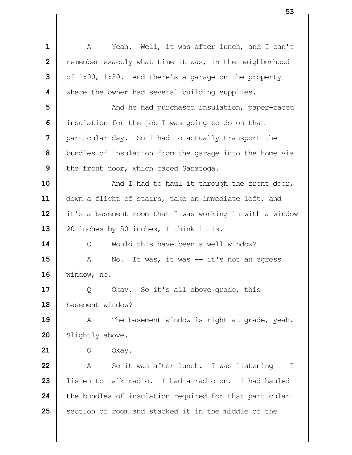| $\mathbf{1}$            | Yeah. Well, it was after lunch, and I can't<br>A         |
|-------------------------|----------------------------------------------------------|
| $\overline{\mathbf{2}}$ | remember exactly what time it was, in the neighborhood   |
| 3                       | of 1:00, 1:30. And there's a garage on the property      |
| 4                       | where the owner had several building supplies.           |
| 5                       | And he had purchased insulation, paper-faced             |
| 6                       | insulation for the job I was going to do on that         |
| 7                       | particular day. So I had to actually transport the       |
| 8                       | bundles of insulation from the garage into the home via  |
| 9                       | the front door, which faced Saratoga.                    |
| 10                      | And I had to haul it through the front door,             |
| 11                      | down a flight of stairs, take an immediate left, and     |
| 12                      | it's a basement room that I was working in with a window |
| 13                      | 20 inches by 50 inches, I think it is.                   |
| 14                      | Would this have been a well window?<br>Q                 |
| 15                      | It was, it was $-$ it's not an egress<br>Α<br>No.        |
| 16                      | window, no.                                              |
| 17                      | Okay. So it's all above grade, this<br>Q                 |
| 18                      | basement window?                                         |
| 19                      | The basement window is right at grade, yeah.<br>A        |
| 20                      | Slightly above.                                          |
| 21                      | Okay.<br>Q                                               |
| 22                      | So it was after lunch. I was listening -- I<br>Α         |
| 23                      | listen to talk radio. I had a radio on. I had hauled     |
| 24                      | the bundles of insulation required for that particular   |
| 25                      | section of room and stacked it in the middle of the      |
|                         |                                                          |
|                         |                                                          |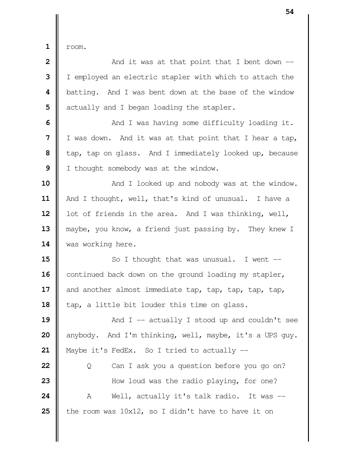$1 \parallel$  room.

  $\parallel$  **2** And it was at that point that I bent down  $\parallel$  I I employed an electric stapler with which to attach the **b**atting. And I was bent down at the base of the window  $\parallel$  actually and I began loading the stapler.  $\parallel$  And I was having some difficulty loading it. I was down. And it was at that point that I hear a tap,  $\parallel$  tap, tap on glass. And I immediately looked up, because I thought somebody was at the window.  $\parallel$  **And I** looked up and nobody was at the window. 11 | And I thought, well, that's kind of unusual. I have a 12 | lot of friends in the area. And I was thinking, well, **| maybe, you know, a friend just passing by. They knew I was working here.**   $\parallel$  So I thought that was unusual. I went --16 continued back down on the ground loading my stapler, and another almost immediate tap, tap, tap, tap, tap, 18 | tap, a little bit louder this time on glass.  $\parallel$  And I -- actually I stood up and couldn't see anybody. And I'm thinking, well, maybe, it's a UPS guy. | Maybe it's FedEx. So I tried to actually -- | Q Can I ask you a question before you go on?  $\parallel$  How loud was the radio playing, for one?  $\parallel$  A Well, actually it's talk radio. It was  $\parallel$  the room was 10x12, so I didn't have to have it on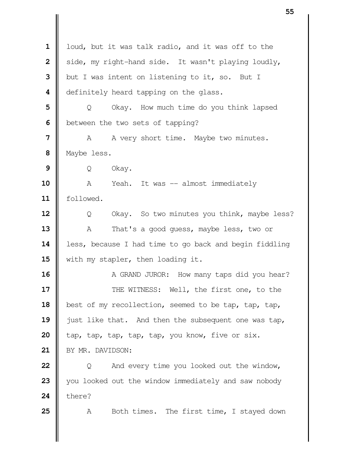|                         | JJ                                                     |
|-------------------------|--------------------------------------------------------|
|                         |                                                        |
| $\mathbf 1$             | loud, but it was talk radio, and it was off to the     |
| $\overline{\mathbf{2}}$ | side, my right-hand side. It wasn't playing loudly,    |
| 3                       | but I was intent on listening to it, so. But I         |
| 4                       | definitely heard tapping on the glass.                 |
| 5                       | Okay. How much time do you think lapsed<br>Q           |
| 6                       | between the two sets of tapping?                       |
| $\overline{7}$          | A very short time. Maybe two minutes.<br>A             |
| 8                       | Maybe less.                                            |
| 9                       | Okay.<br>Q                                             |
| 10                      | Yeah. It was -- almost immediately<br>A                |
| 11                      | followed.                                              |
| 12                      | Okay. So two minutes you think, maybe less?<br>Q       |
| 13                      | That's a good guess, maybe less, two or<br>Α           |
| 14                      | less, because I had time to go back and begin fiddling |
| 15                      | with my stapler, then loading it.                      |
| 16                      | A GRAND JUROR: How many taps did you hear?             |
| 17                      | THE WITNESS: Well, the first one, to the               |
| 18                      | best of my recollection, seemed to be tap, tap, tap,   |
| 19                      | just like that. And then the subsequent one was tap,   |
| 20                      | tap, tap, tap, tap, tap, you know, five or six.        |
| 21                      | BY MR. DAVIDSON:                                       |
| 22                      | And every time you looked out the window,<br>Q         |
| 23                      | you looked out the window immediately and saw nobody   |
| 24                      | there?                                                 |
| 25                      | Both times. The first time, I stayed down<br>Α         |
|                         |                                                        |
|                         |                                                        |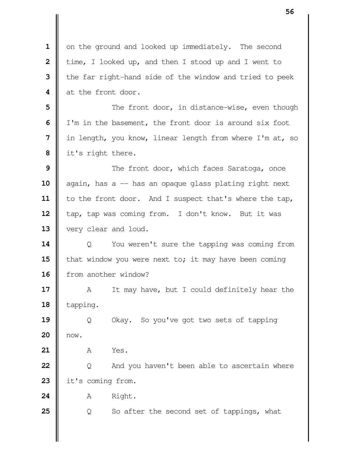**1** on the ground and looked up immediately. The second **2** | time, I looked up, and then I stood up and I went to **3** | the far right-hand side of the window and tried to peek 4 at the front door. **5**  $\parallel$  The front door, in distance-wise, even though **6** I'm in the basement, the front door is around six foot  **7** in length, you know, linear length from where I'm at, so  **8** it's right there. **9**  $\parallel$  The front door, which faces Saratoga, once 10 again, has a -- has an opaque glass plating right next 11 | to the front door. And I suspect that's where the tap, 12 | tap, tap was coming from. I don't know. But it was 13 | very clear and loud. **14**  $\parallel$  Q You weren't sure the tapping was coming from **15 that window you were next to; it may have been coming** 16 from another window? **17** A It may have, but I could definitely hear the 18 | tapping. **19** | Q Okay. So you've got two sets of tapping **20** now. **21 A** Yes. **22** | Q And you haven't been able to ascertain where 23 it's coming from. **24** | A Right. **25**  $\parallel$  Q So after the second set of tappings, what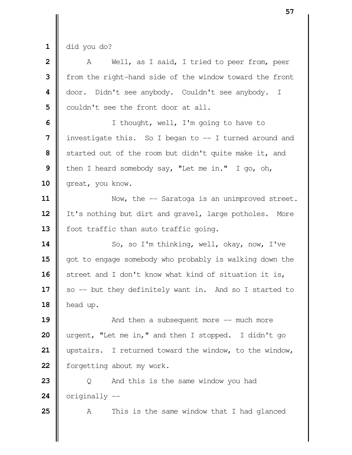$\mathbf{1} \parallel$  did you do?

| $\overline{\mathbf{2}}$ | Well, as I said, I tried to peer from, peer<br>A        |
|-------------------------|---------------------------------------------------------|
| 3                       | from the right-hand side of the window toward the front |
| 4                       | door. Didn't see anybody. Couldn't see anybody. I       |
| 5                       | couldn't see the front door at all.                     |
| 6                       | I thought, well, I'm going to have to                   |
| 7                       | investigate this. So I began to $-$ I turned around and |
| 8                       | started out of the room but didn't quite make it, and   |
| 9                       | then I heard somebody say, "Let me in." I go, oh,       |
| 10                      | great, you know.                                        |
| 11                      | Now, the -- Saratoga is an unimproved street.           |
| 12                      | It's nothing but dirt and gravel, large potholes. More  |
| 13                      | foot traffic than auto traffic going.                   |
| 14                      | So, so I'm thinking, well, okay, now, I've              |
| 15                      | got to engage somebody who probably is walking down the |
| 16                      | street and I don't know what kind of situation it is,   |
| 17                      | so -- but they definitely want in. And so I started to  |
| 18                      | head up.                                                |
| 19                      | And then a subsequent more $--$ much more               |
| 20                      | urgent, "Let me in," and then I stopped. I didn't go    |
| 21                      | upstairs. I returned toward the window, to the window,  |
| 22                      | forgetting about my work.                               |
| 23                      | And this is the same window you had<br>Q                |
| 24                      | originally --                                           |
| 25                      | This is the same window that I had glanced<br>Α         |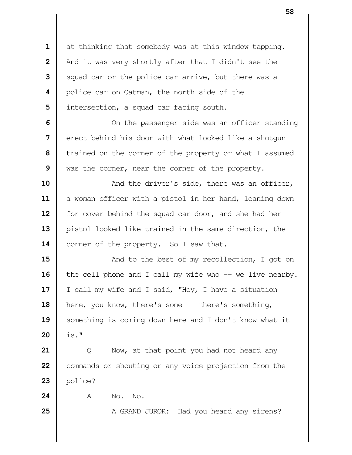at thinking that somebody was at this window tapping. | And it was very shortly after that I didn't see the Squad car or the police car arrive, but there was a **|** police car on Oatman, the north side of the | intersection, a squad car facing south.

  $\parallel$  0n the passenger side was an officer standing **l** erect behind his door with what looked like a shotgun Trained on the corner of the property or what I assumed was the corner, near the corner of the property.

  $\parallel$  And the driver's side, there was an officer, a woman officer with a pistol in her hand, leaning down for cover behind the squad car door, and she had her pistol looked like trained in the same direction, the 14 | corner of the property. So I saw that.

**15**  $\parallel$  And to the best of my recollection, I got on 16 | the cell phone and I call my wife who -- we live nearby. | I call my wife and I said, "Hey, I have a situation 18 | here, you know, there's some -- there's something, 19 Something is coming down here and I don't know what it is."

 | Q Now, at that point you had not heard any Commands or shouting or any voice projection from the | police?

**A** No. No.

A GRAND JUROR: Had you heard any sirens?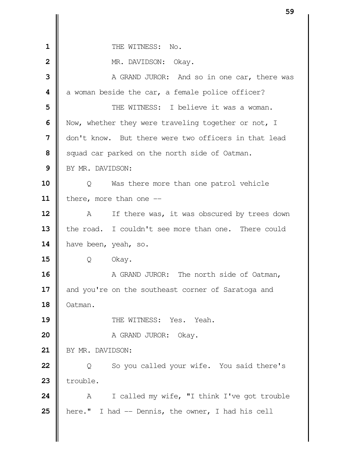| $\mathbf{1}$   | THE WITNESS: No.                                     |
|----------------|------------------------------------------------------|
| $\overline{2}$ | MR. DAVIDSON: Okay.                                  |
| 3              | A GRAND JUROR: And so in one car, there was          |
| 4              | a woman beside the car, a female police officer?     |
| 5              | THE WITNESS: I believe it was a woman.               |
| 6              | Now, whether they were traveling together or not, I  |
| 7              | don't know. But there were two officers in that lead |
| 8              | squad car parked on the north side of Oatman.        |
| 9              | BY MR. DAVIDSON:                                     |
| 10             | Was there more than one patrol vehicle<br>Q          |
| 11             | there, more than one $-$                             |
| 12             | If there was, it was obscured by trees down<br>A     |
| 13             | the road. I couldn't see more than one. There could  |
| 14             | have been, yeah, so.                                 |
| 15             | Okay.<br>Q                                           |
| 16             | A GRAND JUROR: The north side of Oatman,             |
| 17             | and you're on the southeast corner of Saratoga and   |
| 18             | Oatman.                                              |
| 19             | THE WITNESS: Yes. Yeah.                              |
| 20             | A GRAND JUROR: Okay.                                 |
| 21             | BY MR. DAVIDSON:                                     |
| 22             | So you called your wife. You said there's<br>Q       |
| 23             | trouble.                                             |
| 24             | I called my wife, "I think I've got trouble<br>A     |
| 25             | here." I had -- Dennis, the owner, I had his cell    |
|                |                                                      |
|                |                                                      |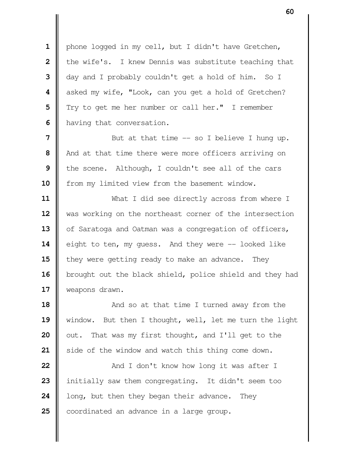1 | phone logged in my cell, but I didn't have Gretchen, | the wife's. I knew Dennis was substitute teaching that day and I probably couldn't get a hold of him. So I  $\parallel$  asked my wife, "Look, can you get a hold of Gretchen? Try to get me her number or call her." I remember **h** having that conversation.

 Nut at that time -- so I believe I hung up. And at that time there were more officers arriving on the scene. Although, I couldn't see all of the cars 10 | from my limited view from the basement window.

 What I did see directly across from where I 12 | was working on the northeast corner of the intersection 13 | of Saratoga and Oatman was a congregation of officers, 14 eight to ten, my quess. And they were -- looked like **i** they were getting ready to make an advance. They 16 | brought out the black shield, police shield and they had **Weapons drawn.** 

  $\parallel$  **And so at that time I turned away from the**  window. But then I thought, well, let me turn the light  $\parallel$  out. That was my first thought, and I'll get to the Side of the window and watch this thing come down.

  $\parallel$  And I don't know how long it was after I initially saw them congregating. It didn't seem too **|** long, but then they began their advance. They **coordinated an advance in a large group.**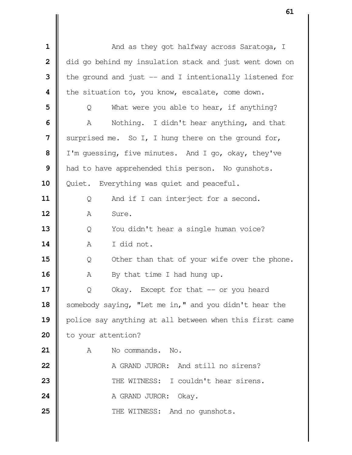| 1                       | And as they got halfway across Saratoga, I               |  |  |  |
|-------------------------|----------------------------------------------------------|--|--|--|
| $\overline{\mathbf{2}}$ | did go behind my insulation stack and just went down on  |  |  |  |
| 3                       | the ground and just $-$ and I intentionally listened for |  |  |  |
| 4                       | the situation to, you know, escalate, come down.         |  |  |  |
| 5                       | What were you able to hear, if anything?<br>Q            |  |  |  |
| 6                       | Nothing. I didn't hear anything, and that<br>A           |  |  |  |
| 7                       | surprised me. So I, I hung there on the ground for,      |  |  |  |
| 8                       | I'm guessing, five minutes. And I go, okay, they've      |  |  |  |
| 9                       | had to have apprehended this person. No gunshots.        |  |  |  |
| 10                      | Quiet. Everything was quiet and peaceful.                |  |  |  |
| 11                      | And if I can interject for a second.<br>Q                |  |  |  |
| 12                      | Sure.<br>Α                                               |  |  |  |
| 13                      | You didn't hear a single human voice?<br>Q               |  |  |  |
| 14                      | I did not.<br>Α                                          |  |  |  |
| 15                      | Other than that of your wife over the phone.<br>Q        |  |  |  |
| 16                      | By that time I had hung up.<br>Α                         |  |  |  |
| 17                      | Okay. Except for that -- or you heard<br>Q               |  |  |  |
| 18                      | somebody saying, "Let me in," and you didn't hear the    |  |  |  |
| 19                      | police say anything at all between when this first came  |  |  |  |
| 20                      | to your attention?                                       |  |  |  |
| 21                      | No commands. No.<br>Α                                    |  |  |  |
| 22                      | A GRAND JUROR: And still no sirens?                      |  |  |  |
| 23                      | THE WITNESS: I couldn't hear sirens.                     |  |  |  |
| 24                      | A GRAND JUROR:<br>Okay.                                  |  |  |  |
| 25                      | THE WITNESS: And no gunshots.                            |  |  |  |
|                         |                                                          |  |  |  |
|                         |                                                          |  |  |  |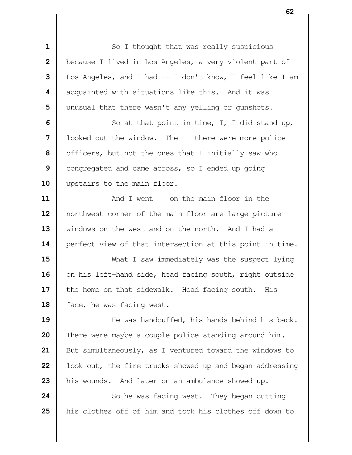| 1            | So I thought that was really suspicious                  |  |  |  |  |
|--------------|----------------------------------------------------------|--|--|--|--|
| $\mathbf{2}$ | because I lived in Los Angeles, a very violent part of   |  |  |  |  |
| 3            | Los Angeles, and I had -- I don't know, I feel like I am |  |  |  |  |
| 4            | acquainted with situations like this. And it was         |  |  |  |  |
| 5            | unusual that there wasn't any yelling or gunshots.       |  |  |  |  |
| 6            | So at that point in time, I, I did stand up,             |  |  |  |  |
| 7            | looked out the window. The -- there were more police     |  |  |  |  |
| 8            | officers, but not the ones that I initially saw who      |  |  |  |  |
| 9            | congregated and came across, so I ended up going         |  |  |  |  |
| 10           | upstairs to the main floor.                              |  |  |  |  |
| 11           | And I went $--$ on the main floor in the                 |  |  |  |  |
| 12           | northwest corner of the main floor are large picture     |  |  |  |  |
| 13           | windows on the west and on the north. And I had a        |  |  |  |  |
| 14           | perfect view of that intersection at this point in time. |  |  |  |  |
| 15           | What I saw immediately was the suspect lying             |  |  |  |  |
| 16           | on his left-hand side, head facing south, right outside  |  |  |  |  |
| 17           | the home on that sidewalk. Head facing south. His        |  |  |  |  |
| 18           | face, he was facing west.                                |  |  |  |  |
| 19           | He was handcuffed, his hands behind his back.            |  |  |  |  |
| 20           | There were maybe a couple police standing around him.    |  |  |  |  |
| 21           | But simultaneously, as I ventured toward the windows to  |  |  |  |  |
| 22           | look out, the fire trucks showed up and began addressing |  |  |  |  |
| 23           | his wounds. And later on an ambulance showed up.         |  |  |  |  |
| 24           | So he was facing west. They began cutting                |  |  |  |  |

I

his clothes off of him and took his clothes off down to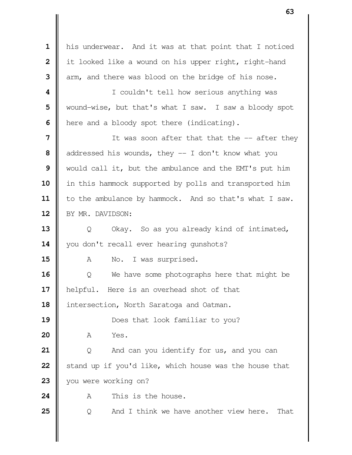his underwear. And it was at that point that I noticed | it looked like a wound on his upper right, right-hand arm, and there was blood on the bridge of his nose. **I** couldn't tell how serious anything was Wound-wise, but that's what I saw. I saw a bloody spot | here and a bloody spot there (indicating). If was soon after that that the -- after they addressed his wounds, they -- I don't know what you would call it, but the ambulance and the EMT's put him 10 || in this hammock supported by polls and transported him 11 | to the ambulance by hammock. And so that's what I saw. 12 | BY MR. DAVIDSON:  $\parallel$  Q Okay. So as you already kind of intimated, 14 | you don't recall ever hearing gunshots? 15 || A No. I was surprised. | Q We have some photographs here that might be helpful. Here is an overhead shot of that 18 | intersection, North Saratoga and Oatman. **Does** that look familiar to you? A Yes. | Q And can you identify for us, and you can Stand up if you'd like, which house was the house that 23 | you were working on? **A** This is the house.  $\parallel$  Q And I think we have another view here. That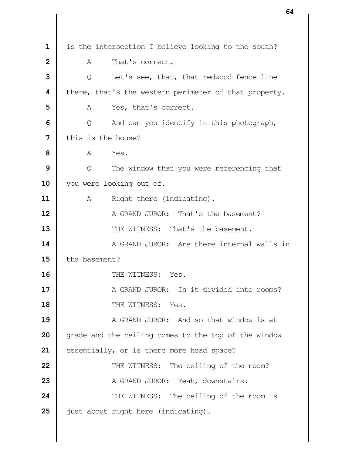is the intersection I believe looking to the south? A That's correct. |  $\bullet$  0 Let's see, that, that redwood fence line **i** there, that's the western perimeter of that property. A Yes, that's correct.  $\Box$  Q And can you identify in this photograph, I this is the house? **8 A** Yes.  $\parallel$  Q The window that you were referencing that 10 | you were looking out of. A Right there (indicating). **A** GRAND JUROR: That's the basement?  $\parallel$  THE WITNESS: That's the basement.  $\parallel$  A GRAND JUROR: Are there internal walls in **I** the basement? **II** THE WITNESS: Yes. **II** A GRAND JUROR: Is it divided into rooms? **18 II** THE WITNESS: Yes. A GRAND JUROR: And so that window is at grade and the ceiling comes to the top of the window 21 | essentially, or is there more head space?  $\parallel$  THE WITNESS: The ceiling of the room? A GRAND JUROR: Yeah, downstairs.  $\parallel$  THE WITNESS: The ceiling of the room is  $\parallel$  just about right here (indicating).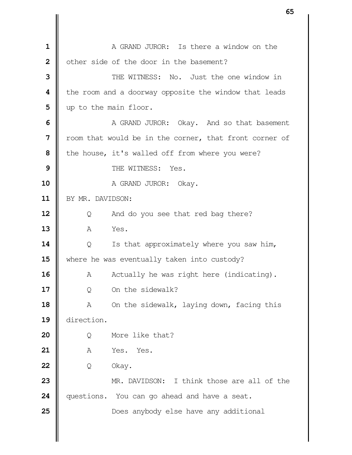**II** A GRAND JUROR: Is there a window on the | other side of the door in the basement?  $\parallel$  **THE WITNESS:** No. Just the one window in **the room and a doorway opposite the window that leads**  | up to the main floor. A GRAND JUROR: Okay. And so that basement | room that would be in the corner, that front corner of | the house, it's walled off from where you were?  $\parallel$  THE WITNESS: Yes. A GRAND JUROR: Okay. BY MR. DAVIDSON: | Q And do you see that red bag there? A Yes.  $\parallel$  Q Is that approximately where you saw him, 15 Where he was eventually taken into custody? A Actually he was right here (indicating). | Q On the sidewalk? A On the sidewalk, laying down, facing this direction. | O More like that? | A Yes. Yes. | Q Okay. MR. DAVIDSON: I think those are all of the questions. You can go ahead and have a seat.  $\parallel$  Does anybody else have any additional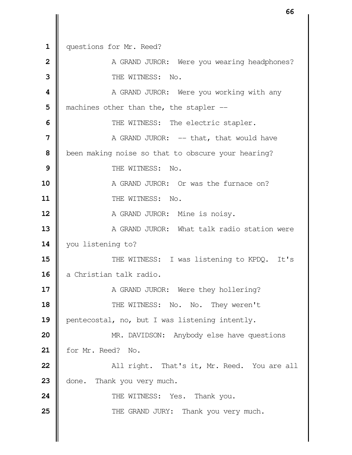1 | questions for Mr. Reed?  $\parallel$  **A** GRAND JUROR: Were you wearing headphones? THE WITNESS: No.  $\parallel$  **A** GRAND JUROR: Were you working with any | machines other than the, the stapler -- THE WITNESS: The electric stapler. N GRAND JUROR: -- that, that would have **been making noise so that to obscure your hearing?**   $\parallel$  THE WITNESS: No.  $\parallel$  A GRAND JUROR: Or was the furnace on? **11 II** THE WITNESS: No. A GRAND JUROR: Mine is noisy.  $\parallel$  A GRAND JUROR: What talk radio station were you listening to?  $\parallel$  THE WITNESS: I was listening to KPDO. It's a Christian talk radio. A GRAND JUROR: Were they hollering? **THE WITNESS: No. No. They weren't P**entecostal, no, but I was listening intently. MR. DAVIDSON: Anybody else have questions for Mr. Reed? No.  $\parallel$  **All right.** That's it, Mr. Reed. You are all 23 | done. Thank you very much.  $\parallel$  THE WITNESS: Yes. Thank you.  $\parallel$  THE GRAND JURY: Thank you very much.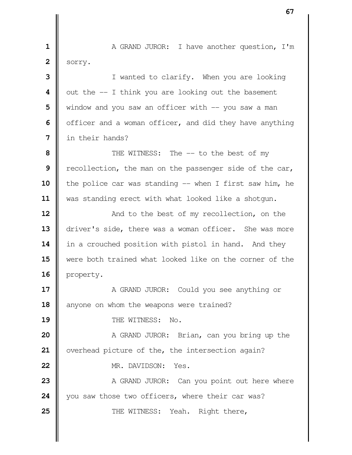**1** A GRAND JUROR: I have another question, I'm  $2 \parallel$  sorry.

 I wanted to clarify. When you are looking  $\parallel$  out the  $-$  I think you are looking out the basement We window and you saw an officer with  $-$  you saw a man **|** officer and a woman officer, and did they have anything in their hands?

  $\parallel$  THE WITNESS: The -- to the best of my Tecollection, the man on the passenger side of the car, **||** the police car was standing -- when I first saw him, he was standing erect with what looked like a shotgun.

**12**  $\parallel$  **And to the best of my recollection, on the** 13 driver's side, there was a woman officer. She was more 14 | in a crouched position with pistol in hand. And they **15** were both trained what looked like on the corner of the 16 | property.

**17**  $\parallel$  A GRAND JUROR: Could you see anything or 18 anyone on whom the weapons were trained?

19 **I** THE WITNESS: No.

**20** A GRAND JUROR: Brian, can you bring up the **21** | overhead picture of the, the intersection again?

22  $\parallel$  MR. DAVIDSON: Yes.

**23** A GRAND JUROR: Can you point out here where **24** you saw those two officers, where their car was? **25**  $\parallel$  THE WITNESS: Yeah. Right there,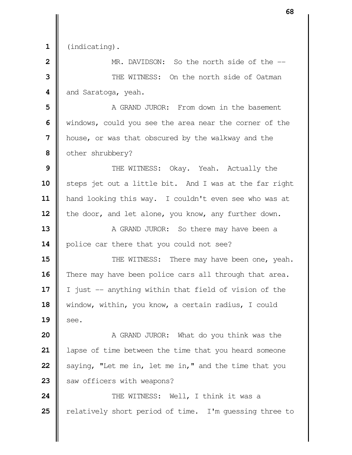**1** (indicating).

**2 I** MR. DAVIDSON: So the north side of the  $-$ **3**  $\parallel$  **THE WITNESS:** On the north side of Oatman 4 and Saratoga, yeah.

 **I** A GRAND JUROR: From down in the basement windows, could you see the area near the corner of the **|** house, or was that obscured by the walkway and the | other shrubbery?

**9**  $\parallel$  THE WITNESS: Okay. Yeah. Actually the 10 | steps jet out a little bit. And I was at the far right 11 | hand looking this way. I couldn't even see who was at 12 | the door, and let alone, you know, any further down.

**13** A GRAND JUROR: So there may have been a 14 | police car there that you could not see?

  $\parallel$  THE WITNESS: There may have been one, yeah. There may have been police cars all through that area. I just -- anything within that field of vision of the window, within, you know, a certain radius, I could  $\parallel$  see.

  $\parallel$  A GRAND JUROR: What do you think was the | lapse of time between the time that you heard someone Saying, "Let me in, let me in," and the time that you 23 | saw officers with weapons?

**24**  $\parallel$  THE WITNESS: Well, I think it was a 25 | relatively short period of time. I'm quessing three to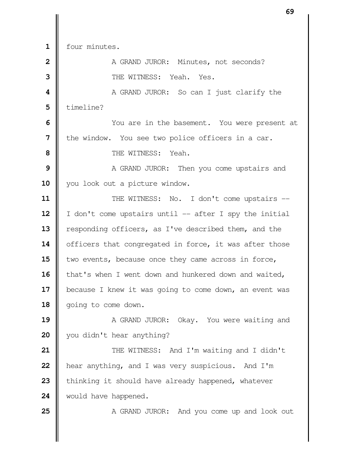four minutes.

 A GRAND JUROR: Minutes, not seconds? **II** THE WITNESS: Yeah. Yes.  $\parallel$  A GRAND JUROR: So can I just clarify the timeline?  $\parallel$  You are in the basement. You were present at I the window. You see two police officers in a car. THE WITNESS: Yeah. A GRAND JUROR: Then you come upstairs and 10 || you look out a picture window.  $\parallel$  THE WITNESS: No. I don't come upstairs -- | I don't come upstairs until -- after I spy the initial **| responding officers, as I've described them, and the** 14 | officers that congregated in force, it was after those two events, because once they came across in force, 16 | that's when I went down and hunkered down and waited, 17 | because I knew it was going to come down, an event was 18 | going to come down.  $\parallel$  A GRAND JUROR: Okay. You were waiting and you didn't hear anything?  $\parallel$  THE WITNESS: And I'm waiting and I didn't **h**ear anything, and I was very suspicious. And I'm thinking it should have already happened, whatever 24 | would have happened. A GRAND JUROR: And you come up and look out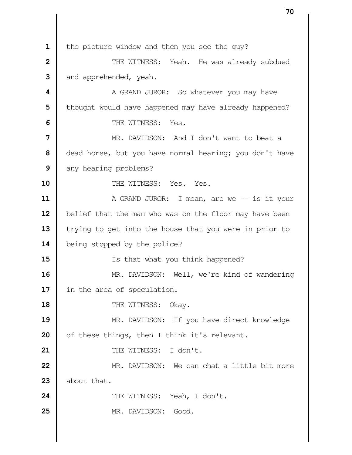the picture window and then you see the guy?  $\parallel$  **111** THE WITNESS: Yeah. He was already subdued and apprehended, yeah.  $\parallel$  **A** GRAND JUROR: So whatever you may have | thought would have happened may have already happened?  $\parallel$  THE WITNESS: Yes. MR. DAVIDSON: And I don't want to beat a dead horse, but you have normal hearing; you don't have any hearing problems? **II** THE WITNESS: Yes. Yes.  $\parallel$  A GRAND JUROR: I mean, are we -- is it your 12 | belief that the man who was on the floor may have been 13 Trying to get into the house that you were in prior to 14 | being stopped by the police? Is that what you think happened? MR. DAVIDSON: Well, we're kind of wandering 17 | in the area of speculation. **I** THE WITNESS: Okay. MR. DAVIDSON: If you have direct knowledge 20 | of these things, then I think it's relevant. 21 || THE WITNESS: I don't.  $\parallel$  MR. DAVIDSON: We can chat a little bit more  $\parallel$  about that. 24 | THE WITNESS: Yeah, I don't.  $\parallel$  MR. DAVIDSON: Good.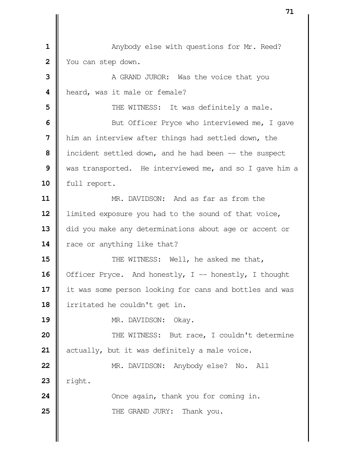Normal Anybody else with questions for Mr. Reed? You can step down. A GRAND JUROR: Was the voice that you | heard, was it male or female?  $\parallel$  THE WITNESS: It was definitely a male. But Officer Pryce who interviewed me, I gave him an interview after things had settled down, the incident settled down, and he had been -- the suspect was transported. He interviewed me, and so I gave him a 10 | full report. MR. DAVIDSON: And as far as from the **l** limited exposure you had to the sound of that voice, 13 did you make any determinations about age or accent or 14 Tace or anything like that?  $\parallel$  THE WITNESS: Well, he asked me that, 16 | Officer Pryce. And honestly, I -- honestly, I thought 17 | it was some person looking for cans and bottles and was 18 | irritated he couldn't get in. 19 || MR. DAVIDSON: Okay.  $\parallel$  THE WITNESS: But race, I couldn't determine actually, but it was definitely a male voice. **MR.** DAVIDSON: Anybody else? No. All  $23$  | right.  $\parallel$  Once again, thank you for coming in. **N** THE GRAND JURY: Thank you.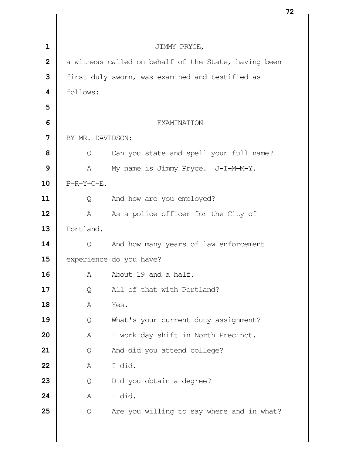|                |                  |                                                      | 74 |
|----------------|------------------|------------------------------------------------------|----|
|                |                  |                                                      |    |
| 1              |                  | JIMMY PRYCE,                                         |    |
| $\overline{2}$ |                  | a witness called on behalf of the State, having been |    |
| 3              |                  | first duly sworn, was examined and testified as      |    |
| 4              | follows:         |                                                      |    |
| 5              |                  |                                                      |    |
| 6              | EXAMINATION      |                                                      |    |
| 7              | BY MR. DAVIDSON: |                                                      |    |
| 8              | Q                | Can you state and spell your full name?              |    |
| 9              | A                | My name is Jimmy Pryce. J-I-M-M-Y.                   |    |
| 10             | $P-R-Y-C-E$ .    |                                                      |    |
| 11             | Q                | And how are you employed?                            |    |
| 12             | $\mathbb A$      | As a police officer for the City of                  |    |
| 13             | Portland.        |                                                      |    |
| 14             | Q                | And how many years of law enforcement                |    |
| 15             |                  | experience do you have?                              |    |
| 16             | Α                | About 19 and a half.                                 |    |
| 17             | Q                | All of that with Portland?                           |    |
| 18             | Α                | Yes.                                                 |    |
| 19             | Q                | What's your current duty assignment?                 |    |
| 20             | Α                | I work day shift in North Precinct.                  |    |
| 21             | Q                | And did you attend college?                          |    |
| 22             | Α                | I did.                                               |    |
| 23             | Q                | Did you obtain a degree?                             |    |
| 24             | Α                | I did.                                               |    |
| 25             | Q                | Are you willing to say where and in what?            |    |
|                |                  |                                                      |    |
|                |                  |                                                      |    |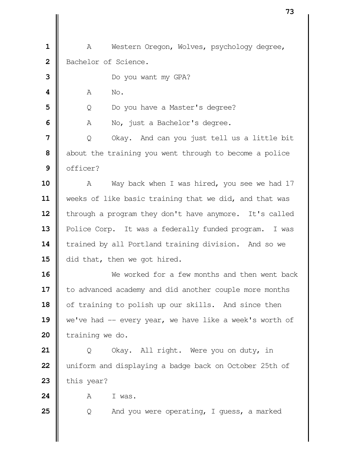1 | A Western Oregon, Wolves, psychology degree, 2 Bachelor of Science.

 Do you want my GPA? **4 A** No. | Q Do you have a Master's degree? A No, just a Bachelor's degree.  $\parallel$  Q Okay. And can you just tell us a little bit about the training you went through to become a police | officer? A Way back when I was hired, you see we had 17 weeks of like basic training that we did, and that was 12 | through a program they don't have anymore. It's called Police Corp. It was a federally funded program. I was 14 | trained by all Portland training division. And so we  $\parallel$  did that, then we got hired. We worked for a few months and then went back 17 | to advanced academy and did another couple more months

**18** of training to polish up our skills. And since then 19 we've had -- every year, we have like a week's worth of 20 training we do.

21 | Q Okay. All right. Were you on duty, in **22** uniform and displaying a badge back on October 25th of  $23$   $\parallel$  this year?

 $24$  **A** I was.

**25**  $\parallel$  Q And you were operating, I guess, a marked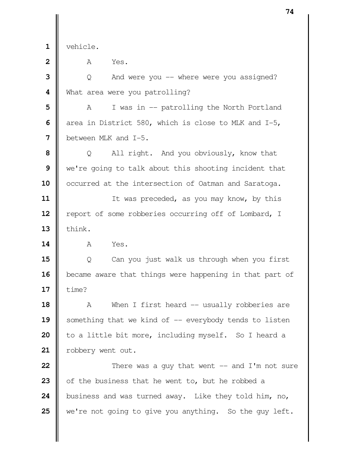vehicle.

**A** Yes.

**3**  $\vert \vert$  Q And were you -- where were you assigned? What area were you patrolling?

 A I was in -- patrolling the North Portland area in District 580, which is close to MLK and I-5, between MLK and I-5.

 | Q All right. And you obviously, know that we're going to talk about this shooting incident that 10 | occurred at the intersection of Oatman and Saratoga.

 If was preceded, as you may know, by this 12 | report of some robberies occurring off of Lombard, I  $\parallel$  think.

**A** Yes.

**15**  $\parallel$  Q Can you just walk us through when you first **b** became aware that things were happening in that part of **17**  $\parallel$  time?

 A When I first heard -- usually robberies are Something that we kind of -- everybody tends to listen | to a little bit more, including myself. So I heard a 21 | robbery went out.

  $\parallel$  There was a guy that went  $\frac{1}{n}$  and I'm not sure of the business that he went to, but he robbed a business and was turned away. Like they told him, no, we're not going to give you anything. So the guy left.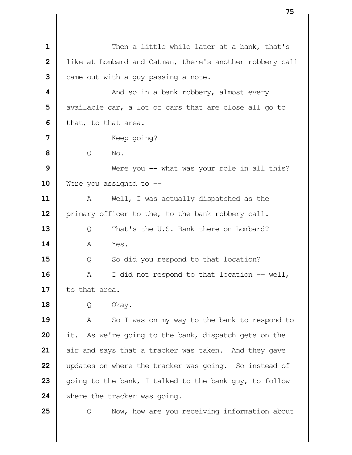| 1                       | Then a little while later at a bank, that's              |
|-------------------------|----------------------------------------------------------|
| $\overline{\mathbf{2}}$ | like at Lombard and Oatman, there's another robbery call |
| 3                       | came out with a guy passing a note.                      |
| 4                       | And so in a bank robbery, almost every                   |
| 5                       | available car, a lot of cars that are close all go to    |
| 6                       | that, to that area.                                      |
| 7                       | Keep going?                                              |
| 8                       | Q<br>No.                                                 |
| 9                       | Were you $-$ what was your role in all this?             |
| 10                      | Were you assigned to $-$                                 |
| 11                      | Well, I was actually dispatched as the<br>A              |
| 12                      | primary officer to the, to the bank robbery call.        |
| 13                      | That's the U.S. Bank there on Lombard?<br>Q              |
| 14                      | Yes.<br>Α                                                |
| 15                      | So did you respond to that location?<br>Q                |
| 16                      | I did not respond to that location -- well,<br>A         |
| 17                      | to that area.                                            |
| 18                      | Okay.<br>Q                                               |
| 19                      | So I was on my way to the bank to respond to<br>Α        |
| 20                      | As we're going to the bank, dispatch gets on the<br>it.  |
| 21                      | air and says that a tracker was taken. And they gave     |
| 22                      | updates on where the tracker was going. So instead of    |
| 23                      | going to the bank, I talked to the bank guy, to follow   |
| 24                      | where the tracker was going.                             |
| 25                      | Now, how are you receiving information about<br>Q        |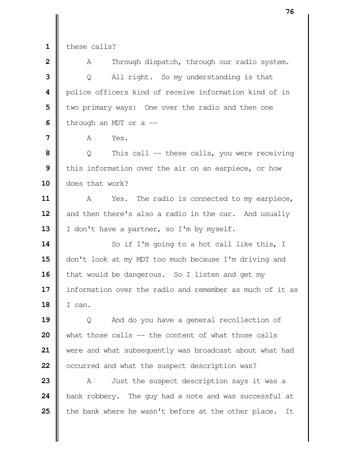these calls?

 | A Through dispatch, through our radio system. | Q All right. So my understanding is that police officers kind of receive information kind of in  $\parallel$  two primary ways: One over the radio and then one  $\parallel$  through an MDT or a  $\parallel$ 

**A** Yes.

 | Q This call -- these calls, you were receiving | this information over the air on an earpiece, or how does that work?

 A Yes. The radio is connected to my earpiece, and then there's also a radio in the car. And usually 13 | I don't have a partner, so I'm by myself.

 So if I'm going to a hot call like this, I 15 | don't look at my MDT too much because I'm driving and 16 | that would be dangerous. So I listen and get my 17 | information over the radio and remember as much of it as I can.

19 | Q And do you have a general recollection of what those calls -- the content of what those calls were and what subsequently was broadcast about what had | occurred and what the suspect description was?

 A Just the suspect description says it was a bank robbery. The guy had a note and was successful at **t** the bank where he wasn't before at the other place. It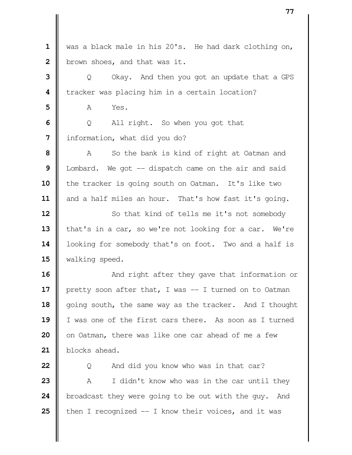was a black male in his 20's. He had dark clothing on, **b**rown shoes, and that was it.

 | Q Okay. And then you got an update that a GPS Tracker was placing him in a certain location?

**A** Yes.

**6**  $\Box$  Q All right. So when you got that I information, what did you do?

 A So the bank is kind of right at Oatman and | Lombard. We got -- dispatch came on the air and said **i** the tracker is going south on Oatman. It's like two 11 | and a half miles an hour. That's how fast it's going.

 So that kind of tells me it's not somebody 13 | that's in a car, so we're not looking for a car. We're 14 | looking for somebody that's on foot. Two and a half is 15 Walking speed.

  $\parallel$  **And right after they gave that information or**  pretty soon after that, I was -- I turned on to Oatman 18 | going south, the same way as the tracker. And I thought I was one of the first cars there. As soon as I turned | on Oatman, there was like one car ahead of me a few blocks ahead.

 | Q And did you know who was in that car? A I didn't know who was in the car until they broadcast they were going to be out with the guy. And  $\parallel$  then I recognized  $-$  I know their voices, and it was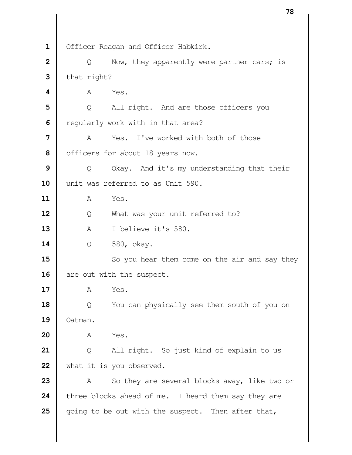1 | Officer Reagan and Officer Habkirk. | Q Now, they apparently were partner cars; is  $\parallel$  that right? **A** Yes. | Q All right. And are those officers you **|** regularly work with in that area? **I** A Yes. I've worked with both of those | officers for about 18 years now. | Q Okay. And it's my understanding that their 10 || unit was referred to as Unit 590. A Yes. | Q What was your unit referred to? A I believe it's 580. Q 580, okay. So you hear them come on the air and say they are out with the suspect. A Yes.  $\begin{bmatrix} 0 & 0 \end{bmatrix}$  You can physically see them south of you on Oatman. A Yes. | Q All right. So just kind of explain to us 22 | what it is you observed. A So they are several blocks away, like two or three blocks ahead of me. I heard them say they are going to be out with the suspect. Then after that,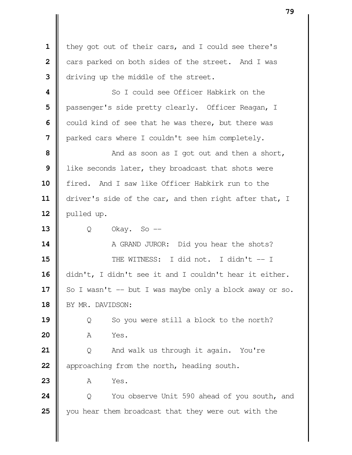1 | they got out of their cars, and I could see there's cars parked on both sides of the street. And I was driving up the middle of the street. **1** So I could see Officer Habkirk on the | passenger's side pretty clearly. Officer Reagan, I  $\parallel$  could kind of see that he was there, but there was **|** parked cars where I couldn't see him completely.  $\parallel$  **And as soon as I got out and then a short,**  like seconds later, they broadcast that shots were fired. And I saw like Officer Habkirk run to the driver's side of the car, and then right after that, I  $\parallel$  pulled up. | Q Okay. So -- A GRAND JUROR: Did you hear the shots? **I** THE WITNESS: I did not. I didn't -- I didn't, I didn't see it and I couldn't hear it either.  $\parallel$  So I wasn't -- but I was maybe only a block away or so. 18 | BY MR. DAVIDSON: |  $\qquad$  0 So you were still a block to the north? A Yes. | Q And walk us through it again. You're approaching from the north, heading south. A Yes.  $\parallel$  Q You observe Unit 590 ahead of you south, and you hear them broadcast that they were out with the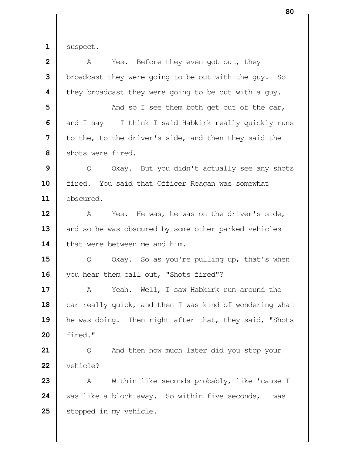$1 \parallel$  suspect.

| $\overline{\mathbf{2}}$ | Yes. Before they even got out, they<br>A                |
|-------------------------|---------------------------------------------------------|
| 3                       | broadcast they were going to be out with the guy. So    |
| 4                       | they broadcast they were going to be out with a guy.    |
| 5                       | And so I see them both get out of the car,              |
| 6                       | and I say -- I think I said Habkirk really quickly runs |
| 7                       | to the, to the driver's side, and then they said the    |
| 8                       | shots were fired.                                       |
| 9                       | Okay. But you didn't actually see any shots<br>Q        |
| 10                      | fired. You said that Officer Reagan was somewhat        |
| 11                      | obscured.                                               |
| 12                      | Yes. He was, he was on the driver's side,<br>A          |
| 13                      | and so he was obscured by some other parked vehicles    |
| 14                      | that were between me and him.                           |
| 15                      | Okay. So as you're pulling up, that's when<br>Q         |
| 16                      | you hear them call out, "Shots fired"?                  |
| 17                      | Yeah. Well, I saw Habkirk run around the<br>A           |
| 18                      | car really quick, and then I was kind of wondering what |
| 19                      | he was doing. Then right after that, they said, "Shots  |
| 20                      | fired."                                                 |
| 21                      | And then how much later did you stop your<br>Q          |
| 22                      | vehicle?                                                |
| 23                      | Within like seconds probably, like 'cause I<br>Α        |
| 24                      | was like a block away. So within five seconds, I was    |
| 25                      | stopped in my vehicle.                                  |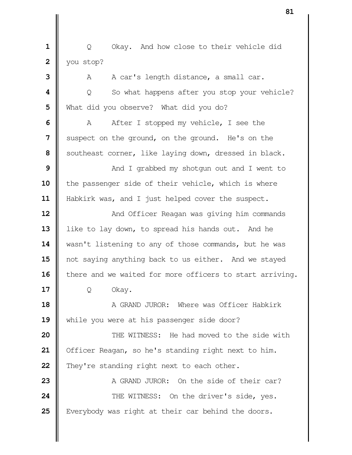**1** | Q Okay. And how close to their vehicle did **2** | you stop?

 A A car's length distance, a small car.  $\parallel$  Q So what happens after you stop your vehicle? What did you observe? What did you do? A After I stopped my vehicle, I see the Suspect on the ground, on the ground. He's on the Southeast corner, like laying down, dressed in black.  $\parallel$  **And I** grabbed my shotgun out and I went to 10 the passenger side of their vehicle, which is where 11 | Habkirk was, and I just helped cover the suspect.  $\parallel$  **And Officer Reagan was giving him commands** 13 | like to lay down, to spread his hands out. And he 14 | wasn't listening to any of those commands, but he was 15 || not saying anything back to us either. And we stayed 16 | there and we waited for more officers to start arriving. | Q Okay. **A** GRAND JUROR: Where was Officer Habkirk 19 While you were at his passenger side door?  $\parallel$  THE WITNESS: He had moved to the side with 21 | Officer Reagan, so he's standing right next to him. They're standing right next to each other. A GRAND JUROR: On the side of their car?  $\parallel$  THE WITNESS: On the driver's side, yes. Everybody was right at their car behind the doors.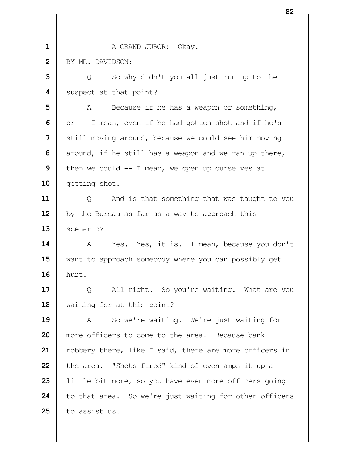|                | ᅆ                                                      |
|----------------|--------------------------------------------------------|
|                |                                                        |
| $\mathbf 1$    | A GRAND JUROR: Okay.                                   |
| $\overline{2}$ | BY MR. DAVIDSON:                                       |
| 3              | So why didn't you all just run up to the<br>Q          |
| 4              | suspect at that point?                                 |
| 5              | Because if he has a weapon or something,<br>A          |
| 6              | or -- I mean, even if he had gotten shot and if he's   |
| 7              | still moving around, because we could see him moving   |
| 8              | around, if he still has a weapon and we ran up there,  |
| 9              | then we could $-$ I mean, we open up ourselves at      |
| 10             | getting shot.                                          |
| 11             | And is that something that was taught to you<br>Q      |
| 12             | by the Bureau as far as a way to approach this         |
| 13             | scenario?                                              |
| 14             | Yes. Yes, it is. I mean, because you don't<br>A        |
| 15             | want to approach somebody where you can possibly get   |
| 16             | hurt.                                                  |
| 17             | All right. So you're waiting. What are you<br>Q        |
| 18             | waiting for at this point?                             |
| 19             | So we're waiting. We're just waiting for<br>A          |
| 20             | more officers to come to the area. Because bank        |
| 21             | robbery there, like I said, there are more officers in |
| 22             | the area. "Shots fired" kind of even amps it up a      |
| 23             | little bit more, so you have even more officers going  |
| 24             | to that area. So we're just waiting for other officers |
| 25             | to assist us.                                          |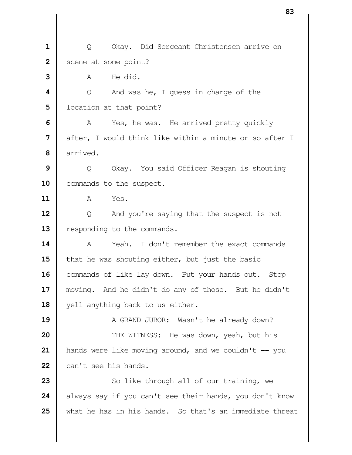| Q Okay. Did Sergeant Christensen arrive on Scene at some point?  $3 \parallel$   $A$  He did.  $\vert \vert$  Q And was he, I guess in charge of the | location at that point? A Yes, he was. He arrived pretty quickly **||** after, I would think like within a minute or so after I arrived. | Q Okay. You said Officer Reagan is shouting 10 | commands to the suspect. A Yes. | Q And you're saying that the suspect is not **P** responding to the commands.  $\parallel$  A Yeah. I don't remember the exact commands I that he was shouting either, but just the basic 16 | commands of like lay down. Put your hands out. Stop moving. And he didn't do any of those. But he didn't 18 || yell anything back to us either.  $\parallel$  A GRAND JUROR: Wasn't he already down?  $\parallel$  THE WITNESS: He was down, yeah, but his | hands were like moving around, and we couldn't -- you **can't** see his hands. So like through all of our training, we always say if you can't see their hands, you don't know what he has in his hands. So that's an immediate threat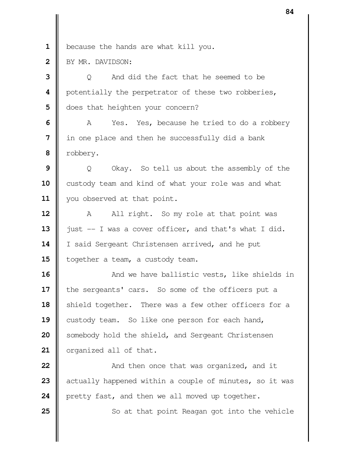**1** because the hands are what kill you.

**2** BY MR. DAVIDSON:

**3** |  $\bullet$  O And did the fact that he seemed to be **4** | potentially the perpetrator of these two robberies, **5**  $\blacksquare$  does that heighten your concern?

**6** A Yes. Yes, because he tried to do a robbery **7** I in one place and then he successfully did a bank  **8** robbery.

**9**  $\parallel$  Q Okay. So tell us about the assembly of the 10 custody team and kind of what your role was and what 11 | you observed at that point.

**12** A All right. So my role at that point was 13  $\parallel$  just -- I was a cover officer, and that's what I did. 14 | I said Sergeant Christensen arrived, and he put 15 | together a team, a custody team.

  $\parallel$  And we have ballistic vests, like shields in 17 | the sergeants' cars. So some of the officers put a Shield together. There was a few other officers for a **C**ustody team. So like one person for each hand, Somebody hold the shield, and Sergeant Christensen | organized all of that.

**22**  $\parallel$  **And then once that was organized, and it 23** actually happened within a couple of minutes, so it was 24 **pretty fast, and then we all moved up together.** 

**25** So at that point Reagan got into the vehicle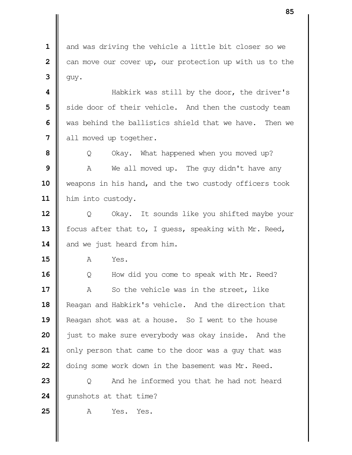and was driving the vehicle a little bit closer so we **2**  $\parallel$  can move our cover up, our protection up with us to the  $3 \parallel$  guy.

  $\parallel$  **Habkirk was still by the door, the driver's**  Side door of their vehicle. And then the custody team We was behind the ballistics shield that we have. Then we all moved up together.

  $\parallel$  Q Okay. What happened when you moved up? A We all moved up. The guy didn't have any weapons in his hand, and the two custody officers took 11 | him into custody.

 | Q Okay. It sounds like you shifted maybe your 13 | focus after that to, I guess, speaking with Mr. Reed, 14 and we just heard from him.

**A** Yes.

16 | Q How did you come to speak with Mr. Reed? A So the vehicle was in the street, like 18 | Reagan and Habkirk's vehicle. And the direction that **|** Reagan shot was at a house. So I went to the house **just to make sure everybody was okay inside.** And the | only person that came to the door was a guy that was doing some work down in the basement was Mr. Reed.

 | Q And he informed you that he had not heard 24 | qunshots at that time?

A Yes. Yes.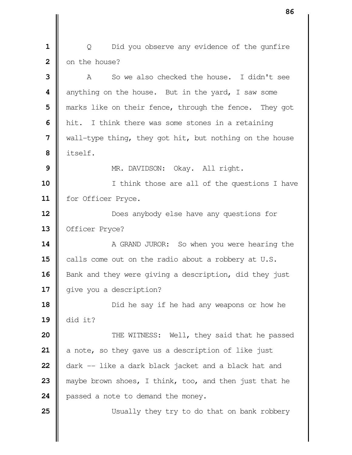| Q Did you observe any evidence of the qunfire **2**  $\blacksquare$  on the house?

 **I** A So we also checked the house. I didn't see anything on the house. But in the yard, I saw some  $\parallel$  marks like on their fence, through the fence. They got | hit. I think there was some stones in a retaining wall-type thing, they got hit, but nothing on the house itself. NR. DAVIDSON: Okay. All right. I think those are all of the questions I have for Officer Pryce. **12**  $\parallel$ 13 | Officer Pryce?  $\parallel$  A GRAND JUROR: So when you were hearing the calls come out on the radio about a robbery at U.S. Bank and they were giving a description, did they just 17 | give you a description?  $\parallel$  Did he say if he had any weapons or how he did it?  $\parallel$  THE WITNESS: Well, they said that he passed a note, so they gave us a description of like just dark -- like a dark black jacket and a black hat and maybe brown shoes, I think, too, and then just that he

24 | passed a note to demand the money.

Usually they try to do that on bank robbery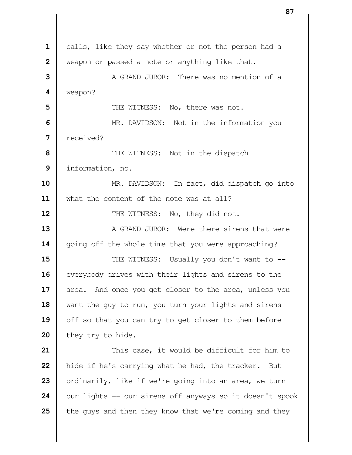calls, like they say whether or not the person had a Weapon or passed a note or anything like that. **II** A GRAND JUROR: There was no mention of a weapon?  $\parallel$  THE WITNESS: No, there was not. MR. DAVIDSON: Not in the information you received? Not in the dispatch information, no. **MR.** DAVIDSON: In fact, did dispatch go into what the content of the note was at all?  $\parallel$  THE WITNESS: No, they did not. A GRAND JUROR: Were there sirens that were 14 | going off the whole time that you were approaching?  $\parallel$  THE WITNESS: Usually you don't want to -- everybody drives with their lights and sirens to the area. And once you get closer to the area, unless you 18 || want the guy to run, you turn your lights and sirens 19 | off so that you can try to get closer to them before they try to hide.  $\parallel$  This case, it would be difficult for him to **h** hide if he's carrying what he had, the tracker. But | ordinarily, like if we're going into an area, we turn  $\parallel$  our lights  $\sim$  our sirens off anyways so it doesn't spook the guys and then they know that we're coming and they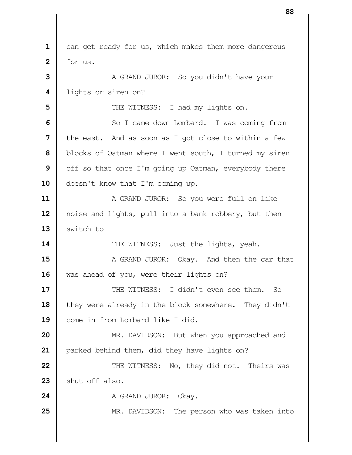can get ready for us, which makes them more dangerous  $2 \parallel$  for us. A GRAND JUROR: So you didn't have your lights or siren on?  $\parallel$  THE WITNESS: I had my lights on. So I came down Lombard. I was coming from **I** the east. And as soon as I got close to within a few blocks of Oatman where I went south, I turned my siren off so that once I'm going up Oatman, everybody there 10 | doesn't know that I'm coming up.  $\parallel$  A GRAND JUROR: So you were full on like 12 || noise and lights, pull into a bank robbery, but then  $\parallel$  switch to  $\parallel$   $\parallel$  THE WITNESS: Just the lights, yeah. **A** GRAND JUROR: Okay. And then the car that 16 | was ahead of you, were their lights on?  $\parallel$  THE WITNESS: I didn't even see them. So 18 they were already in the block somewhere. They didn't **Come** in from Lombard like I did. **MR.** DAVIDSON: But when you approached and 21 | parked behind them, did they have lights on?  $\parallel$  THE WITNESS: No, they did not. Theirs was 23 Shut off also. A GRAND JUROR: Okay.  $\parallel$  MR. DAVIDSON: The person who was taken into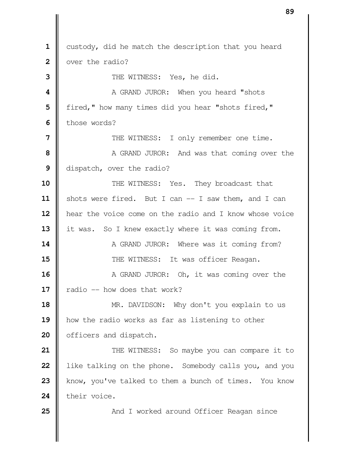custody, did he match the description that you heard **I** over the radio? **I** THE WITNESS: Yes, he did. **1** A GRAND JUROR: When you heard "shots | fired," how many times did you hear "shots fired," I those words?  $\parallel$  THE WITNESS: I only remember one time.  $\parallel$  **A** GRAND JUROR: And was that coming over the dispatch, over the radio? **II** THE WITNESS: Yes. They broadcast that 11 | shots were fired. But I can -- I saw them, and I can 12 | hear the voice come on the radio and I know whose voice 13 | it was. So I knew exactly where it was coming from.  $\parallel$  A GRAND JUROR: Where was it coming from?  $\parallel$  THE WITNESS: It was officer Reagan. A GRAND JUROR: Oh, it was coming over the  $\parallel$  radio -- how does that work? MR. DAVIDSON: Why don't you explain to us how the radio works as far as listening to other 20 | officers and dispatch.  $\parallel$  THE WITNESS: So maybe you can compare it to **l** like talking on the phone. Somebody calls you, and you know, you've talked to them a bunch of times. You know **their** voice.  $\parallel$  **And I** worked around Officer Reagan since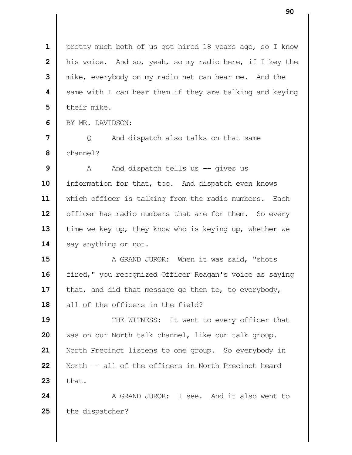1 | pretty much both of us got hired 18 years ago, so I know **|** his voice. And so, yeah, so my radio here, if I key the mike, everybody on my radio net can hear me. And the  $\parallel$  same with I can hear them if they are talking and keying I their mike. I BY MR. DAVIDSON: | Q And dispatch also talks on that same channel?

**9** A And dispatch tells us -- gives us 10 | information for that, too. And dispatch even knows **11** which officer is talking from the radio numbers. Each 12 | officer has radio numbers that are for them. So every 13 time we key up, they know who is keying up, whether we 14 | say anything or not.

 **A** GRAND JUROR: When it was said, "shots 16 | fired," you recognized Officer Reagan's voice as saying **i** that, and did that message go then to, to everybody, **d** all of the officers in the field?

  $\parallel$  THE WITNESS: It went to every officer that was on our North talk channel, like our talk group. 21 | North Precinct listens to one group. So everybody in North -- all of the officers in North Precinct heard  $\parallel$  that.

**24 A** GRAND JUROR: I see. And it also went to 25 the dispatcher?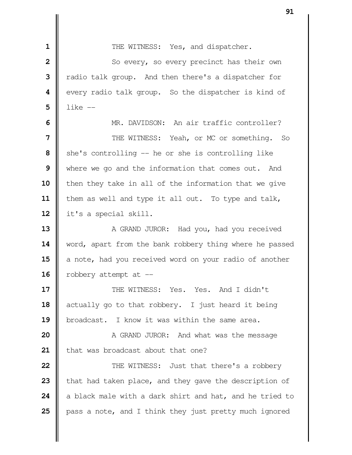| THE WITNESS: Yes, and dispatcher.

 So every, so every precinct has their own Tradio talk group. And then there's a dispatcher for  $\parallel$  every radio talk group. So the dispatcher is kind of  $\mathbf{5}$  | like  $-$ 

 MR. DAVIDSON: An air traffic controller?  $\parallel$  THE WITNESS: Yeah, or MC or something. So She's controlling -- he or she is controlling like Where we go and the information that comes out. And **i** then they take in all of the information that we give 11 | them as well and type it all out. To type and talk, it's a special skill.

 A GRAND JUROR: Had you, had you received 14 | word, apart from the bank robbery thing where he passed a note, had you received word on your radio of another  $\parallel$  robbery attempt at  $\parallel$ 

**17**  $\parallel$  THE WITNESS: Yes. Yes. And I didn't actually go to that robbery. I just heard it being **b** broadcast. I know it was within the same area.

 A GRAND JUROR: And what was the message 21 | that was broadcast about that one?

  $\parallel$  THE WITNESS: Just that there's a robbery that had taken place, and they gave the description of 24 a black male with a dark shirt and hat, and he tried to **p** pass a note, and I think they just pretty much ignored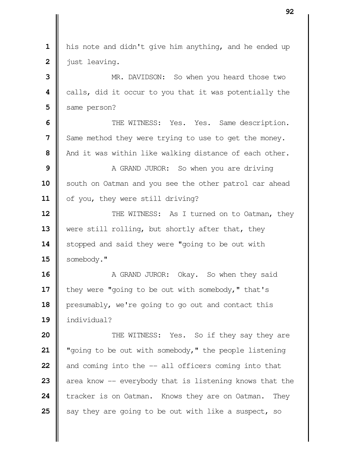his note and didn't give him anything, and he ended up just leaving. MR. DAVIDSON: So when you heard those two calls, did it occur to you that it was potentially the Same person?  $\parallel$  THE WITNESS: Yes. Yes. Same description. Same method they were trying to use to get the money. And it was within like walking distance of each other. A GRAND JUROR: So when you are driving South on Oatman and you see the other patrol car ahead 11 | of you, they were still driving?  $\parallel$  THE WITNESS: As I turned on to Oatman, they 13 Were still rolling, but shortly after that, they 14 | stopped and said they were "going to be out with 15 | somebody." A GRAND JUROR: Okay. So when they said **i** they were "going to be out with somebody," that's **presumably, we're going to go out and contact this**  individual?  $\parallel$  THE WITNESS: Yes. So if they say they are "going to be out with somebody," the people listening  $\parallel$  and coming into the  $-$  all officers coming into that  $\parallel$  area know  $\parallel$  everybody that is listening knows that the **t**racker is on Oatman. Knows they are on Oatman. They  $\parallel$  say they are going to be out with like a suspect, so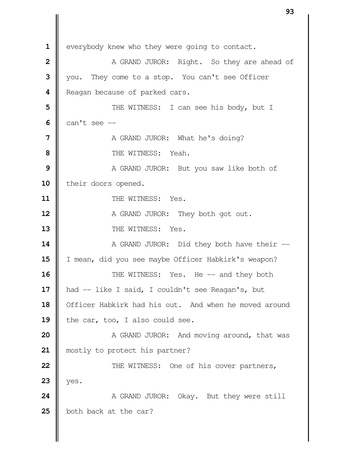everybody knew who they were going to contact. | A GRAND JUROR: Right. So they are ahead of Vou. They come to a stop. You can't see Officer **|** Reagan because of parked cars.  $\parallel$  THE WITNESS: I can see his body, but I  $\blacksquare$  can't see  $\lightharpoonup$  A GRAND JUROR: What he's doing?  $\parallel$  THE WITNESS: Yeah. A GRAND JUROR: But you saw like both of 10 | their doors opened. **11 | THE WITNESS: Yes.**  A GRAND JUROR: They both got out.  $\parallel$  THE WITNESS: Yes. A GRAND JUROR: Did they both have their --15 | I mean, did you see maybe Officer Habkirk's weapon?  $\parallel$  THE WITNESS: Yes. He -- and they both 17 | had -- like I said, I couldn't see Reagan's, but 18 | Officer Habkirk had his out. And when he moved around 19 the car, too, I also could see. A GRAND JUROR: And moving around, that was 21 || mostly to protect his partner?  $\parallel$  THE WITNESS: One of his cover partners,  $23$  | yes. A GRAND JUROR: Okay. But they were still 25 | both back at the car?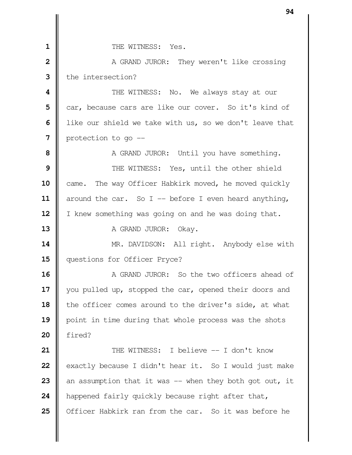**II** THE WITNESS: Yes. A GRAND JUROR: They weren't like crossing II the intersection?  $\parallel$  **THE WITNESS:** No. We always stay at our car, because cars are like our cover. So it's kind of | like our shield we take with us, so we don't leave that | protection to go --  $\parallel$  **A GRAND JUROR:** Until you have something.  $\parallel$  THE WITNESS: Yes, until the other shield 10 came. The way Officer Habkirk moved, he moved quickly 11 | around the car. So I -- before I even heard anything, 12 | I knew something was going on and he was doing that. A GRAND JUROR: Okay. 14 | MR. DAVIDSON: All right. Anybody else with 15 | questions for Officer Pryce? **A** GRAND JUROR: So the two officers ahead of 17 || you pulled up, stopped the car, opened their doors and 18 the officer comes around to the driver's side, at what **|** point in time during that whole process was the shots **20** fired? **II** THE WITNESS: I believe -- I don't know exactly because I didn't hear it. So I would just make  $\parallel$  an assumption that it was  $-$  when they both got out, it **happened fairly quickly because right after that,** 25 | Officer Habkirk ran from the car. So it was before he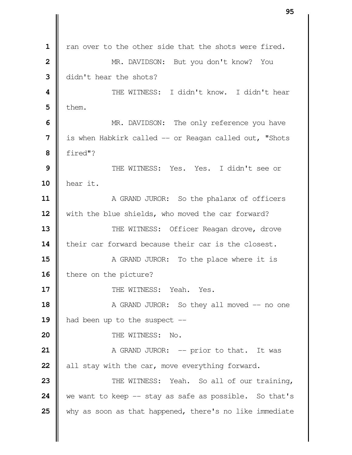an over to the other side that the shots were fired. **MR.** DAVIDSON: But you don't know? You didn't hear the shots?  $\parallel$  THE WITNESS: I didn't know. I didn't hear  $5 \parallel$  them. MR. DAVIDSON: The only reference you have | is when Habkirk called -- or Reagan called out, "Shots fired"? THE WITNESS: Yes. Yes. I didn't see or hear it. A GRAND JUROR: So the phalanx of officers with the blue shields, who moved the car forward? THE WITNESS: Officer Reagan drove, drove **||** their car forward because their car is the closest. A GRAND JUROR: To the place where it is | there on the picture? **I** THE WITNESS: Yeah. Yes. A GRAND JUROR: So they all moved -- no one 19 || had been up to the suspect -- **I** THE WITNESS: No.  $\parallel$  A GRAND JUROR: -- prior to that. It was all stay with the car, move everything forward.  $\parallel$  THE WITNESS: Yeah. So all of our training, we want to keep -- stay as safe as possible. So that's why as soon as that happened, there's no like immediate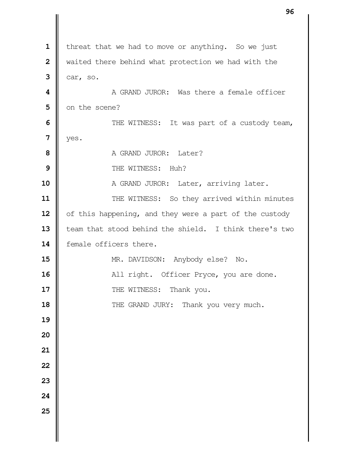| $\mathbf{1}$     | threat that we had to move or anything. So we just     |
|------------------|--------------------------------------------------------|
| $\overline{2}$   | waited there behind what protection we had with the    |
| 3                | car, so.                                               |
| $\boldsymbol{4}$ | A GRAND JUROR: Was there a female officer              |
| 5                | on the scene?                                          |
| 6                | THE WITNESS: It was part of a custody team,            |
| $\overline{7}$   | yes.                                                   |
| 8                | A GRAND JUROR: Later?                                  |
| 9                | THE WITNESS: Huh?                                      |
| 10               | A GRAND JUROR: Later, arriving later.                  |
| 11               | THE WITNESS: So they arrived within minutes            |
| 12               | of this happening, and they were a part of the custody |
| 13               | team that stood behind the shield. I think there's two |
| 14               | female officers there.                                 |
| 15               | MR. DAVIDSON: Anybody else?<br>$\mathbb N$ o.          |
| 16               | All right. Officer Pryce, you are done.                |
| 17               | THE WITNESS:<br>Thank you.                             |
| 18               | THE GRAND JURY: Thank you very much.                   |
| 19               |                                                        |
| 20               |                                                        |
| 21               |                                                        |
| 22               |                                                        |
| 23               |                                                        |
| 24               |                                                        |
| 25               |                                                        |
|                  |                                                        |
|                  |                                                        |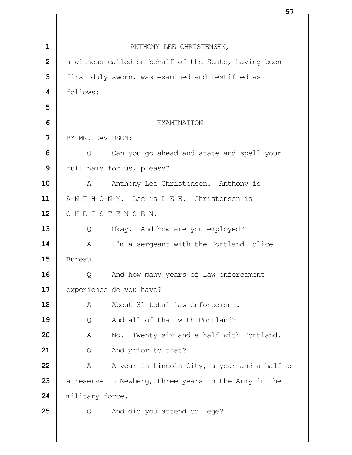|                | ו כ                                                  |  |
|----------------|------------------------------------------------------|--|
|                |                                                      |  |
| $\mathbf 1$    | ANTHONY LEE CHRISTENSEN,                             |  |
| $\overline{2}$ | a witness called on behalf of the State, having been |  |
| 3              | first duly sworn, was examined and testified as      |  |
| 4              | follows:                                             |  |
| 5              |                                                      |  |
| 6              | <b>EXAMINATION</b>                                   |  |
| 7              | BY MR. DAVIDSON:                                     |  |
| 8              | Can you go ahead and state and spell your<br>Q       |  |
| 9              | full name for us, please?                            |  |
| 10             | Anthony Lee Christensen. Anthony is<br>A             |  |
| 11             | A-N-T-H-O-N-Y. Lee is L E E. Christensen is          |  |
| 12             | C-H-R-I-S-T-E-N-S-E-N.                               |  |
| 13             | Okay. And how are you employed?<br>Q                 |  |
| 14             | I'm a sergeant with the Portland Police<br>A         |  |
| 15             | Bureau.                                              |  |
| 16             | And how many years of law enforcement<br>Q           |  |
| 17             | experience do you have?                              |  |
| 18             | About 31 total law enforcement.<br>Α                 |  |
| 19             | And all of that with Portland?<br>Q                  |  |
| 20             | Twenty-six and a half with Portland.<br>Α<br>No.     |  |
| 21             | And prior to that?<br>Q                              |  |
| 22             | A year in Lincoln City, a year and a half as<br>Α    |  |
| 23             | a reserve in Newberg, three years in the Army in the |  |
| 24             | military force.                                      |  |
| 25             | And did you attend college?<br>Q                     |  |
|                |                                                      |  |
|                |                                                      |  |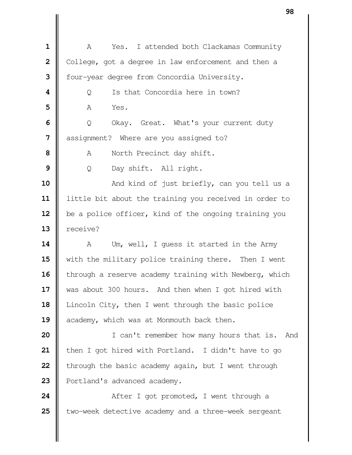| $\mathbf 1$    | Yes. I attended both Clackamas Community<br>Α          |
|----------------|--------------------------------------------------------|
| $\overline{2}$ | College, got a degree in law enforcement and then a    |
| 3              | four-year degree from Concordia University.            |
| 4              | Is that Concordia here in town?<br>Q                   |
| 5              | Yes.<br>A                                              |
| 6              | Okay. Great. What's your current duty<br>Q             |
| 7              | assignment? Where are you assigned to?                 |
| 8              | North Precinct day shift.<br>Α                         |
| 9              | Day shift. All right.<br>Q                             |
| 10             | And kind of just briefly, can you tell us a            |
| 11             | little bit about the training you received in order to |
| 12             | be a police officer, kind of the ongoing training you  |
| 13             | receive?                                               |
| 14             | Um, well, I quess it started in the Army<br>A          |
| 15             | with the military police training there. Then I went   |
| 16             | through a reserve academy training with Newberg, which |
| 17             | was about 300 hours. And then when I got hired with    |
| 18             | Lincoln City, then I went through the basic police     |
| 19             | academy, which was at Monmouth back then.              |
| 20             | I can't remember how many hours that is. And           |
| 21             | then I got hired with Portland. I didn't have to go    |
| 22             | through the basic academy again, but I went through    |
| 23             | Portland's advanced academy.                           |
| 24             | After I got promoted, I went through a                 |
| 25             | two-week detective academy and a three-week sergeant   |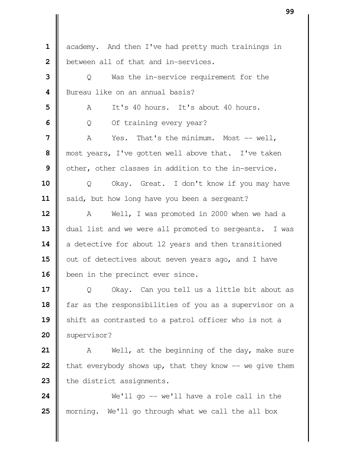1 | academy. And then I've had pretty much trainings in **b**etween all of that and in-services. | Q Was the in-service requirement for the **I** Bureau like on an annual basis? A It's 40 hours. It's about 40 hours.  $\Box$  Q Of training every year?  $\parallel$  A Yes. That's the minimum. Most -- well, | most years, I've gotten well above that. I've taken | other, other classes in addition to the in-service. | O Okay. Great. I don't know if you may have 11 | said, but how long have you been a sergeant? 12 | A Well, I was promoted in 2000 when we had a 13 | dual list and we were all promoted to sergeants. I was 14 a detective for about 12 years and then transitioned out of detectives about seven years ago, and I have 16 | been in the precinct ever since. | Q Okay. Can you tell us a little bit about as 18 | far as the responsibilities of you as a supervisor on a 19 || shift as contrasted to a patrol officer who is not a 20 | supervisor? A Well, at the beginning of the day, make sure  $\parallel$  that everybody shows up, that they know  $\parallel$ - we give them **the district assignments.**   $\parallel$  We'll go -- we'll have a role call in the morning. We'll go through what we call the all box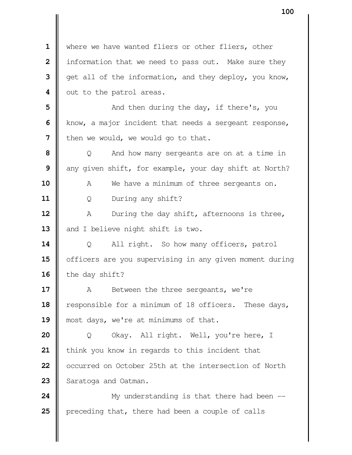where we have wanted fliers or other fliers, other | information that we need to pass out. Make sure they | get all of the information, and they deploy, you know, | out to the patrol areas.  $\parallel$  **and then during the day, if there's, you**  Know, a major incident that needs a sergeant response, I then we would, we would go to that.  $\vert$  Q And how many sergeants are on at a time in any given shift, for example, your day shift at North? A We have a minimum of three sergeants on. Q During any shift? A During the day shift, afternoons is three, 13 and I believe night shift is two. Q All right. So how many officers, patrol 15 | officers are you supervising in any given moment during 16 the day shift? A Between the three sergeants, we're 18 | responsible for a minimum of 18 officers. These days, **||** most days, we're at minimums of that. Q Okay. All right. Well, you're here, I | think you know in regards to this incident that | occurred on October 25th at the intersection of North 23 | Saratoga and Oatman.  $\parallel$  My understanding is that there had been --

**p**receding that, there had been a couple of calls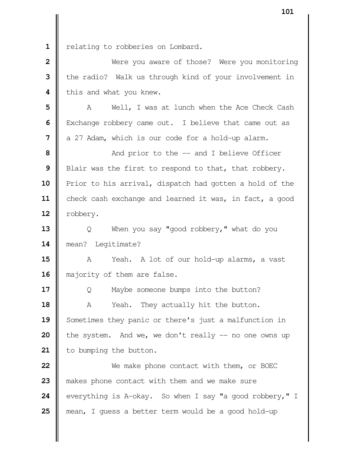1 | relating to robberies on Lombard.

 Nere you aware of those? Were you monitoring the radio? Walk us through kind of your involvement in **|** this and what you knew.

 | A Well, I was at lunch when the Ace Check Cash Exchange robbery came out. I believe that came out as a 27 Adam, which is our code for a hold-up alarm.

**8**  $\parallel$  And prior to the -- and I believe Officer Blair was the first to respond to that, that robbery. **P**rior to his arrival, dispatch had gotten a hold of the 11 | check cash exchange and learned it was, in fact, a good 12 | robbery.

 | Q When you say "good robbery," what do you mean? Legitimate?

 A Yeah. A lot of our hold-up alarms, a vast 16 | majority of them are false.

**17**  $\Box$  Q Maybe someone bumps into the button? A Yeah. They actually hit the button. 19 Sometimes they panic or there's just a malfunction in the system. And we, we don't really -- no one owns up 21 | to bumping the button.

 We make phone contact with them, or BOEC 23 || makes phone contact with them and we make sure everything is A-okay. So when I say "a good robbery," I mean, I guess a better term would be a good hold-up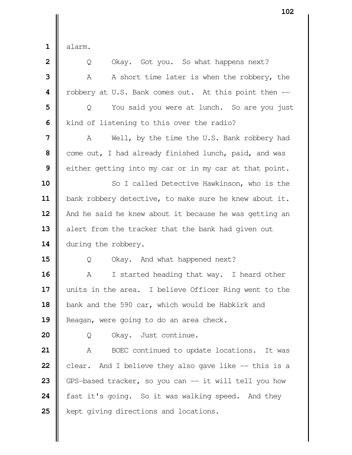$1 \parallel$  alarm.

| $\overline{\mathbf{2}}$ | Okay. Got you. So what happens next?<br>Q              |
|-------------------------|--------------------------------------------------------|
| 3                       | A short time later is when the robbery, the<br>A       |
| 4                       | robbery at U.S. Bank comes out. At this point then --  |
| 5                       | You said you were at lunch. So are you just<br>Q       |
| 6                       | kind of listening to this over the radio?              |
| 7                       | Well, by the time the U.S. Bank robbery had<br>A       |
| 8                       | come out, I had already finished lunch, paid, and was  |
| 9                       | either getting into my car or in my car at that point. |
| 10                      | So I called Detective Hawkinson, who is the            |
| 11                      | bank robbery detective, to make sure he knew about it. |
| 12                      | And he said he knew about it because he was getting an |
| 13                      | alert from the tracker that the bank had given out     |
| 14                      | during the robbery.                                    |
| 15                      | Okay. And what happened next?<br>Q                     |
| 16                      | I started heading that way. I heard other<br>Α         |
| 17                      | units in the area. I believe Officer Ring went to the  |
| 18                      | bank and the 590 car, which would be Habkirk and       |
| 19                      | Reagan, were going to do an area check.                |
| 20                      | Okay. Just continue.<br>Q                              |
| 21                      | BOEC continued to update locations. It was<br>A        |
| 22                      | clear. And I believe they also gave like -- this is a  |
| 23                      | GPS-based tracker, so you can -- it will tell you how  |
| 24                      | fast it's going. So it was walking speed. And they     |
| 25                      | kept giving directions and locations.                  |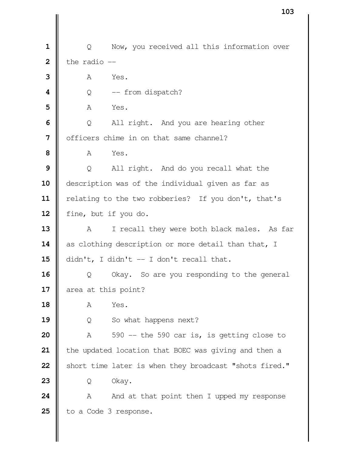| Q Now, you received all this information over  $\parallel$  the radio  $\parallel$ **3 A** Yes.  $\begin{bmatrix} 0 & -\end{bmatrix}$  from dispatch? **5 A** Yes.  $\Box$  Q All right. And you are hearing other | officers chime in on that same channel?  $\mathbf{8}$   $\blacksquare$   $\blacksquare$   $\blacksquare$   $\blacksquare$   $\blacksquare$   $\blacksquare$   $\blacksquare$   $\blacksquare$   $\blacksquare$   $\blacksquare$   $\blacksquare$   $\blacksquare$   $\blacksquare$   $\blacksquare$   $\blacksquare$   $\blacksquare$   $\blacksquare$   $\blacksquare$   $\blacksquare$   $\blacksquare$   $\blacksquare$   $\blacksquare$   $\blacksquare$   $\blacksquare$   $\blacksquare$   $\blacksquare$   $\blacksquare$   $\blacksquare$   $\blacksquare$   $\blacksquare$   $\$  | Q All right. And do you recall what the description was of the individual given as far as 11 | relating to the two robberies? If you don't, that's 12 | fine, but if you do. A I recall they were both black males. As far 14 as clothing description or more detail than that, I didn't, I didn't -- I don't recall that.  $\parallel$  Q Okay. So are you responding to the general 17 area at this point?  $\parallel$   $\qquad \qquad \wedge$   $\qquad \qquad$  Yes. 19 | Q So what happens next?  $\parallel$  A 590 -- the 590 car is, is getting close to | the updated location that BOEC was giving and then a Short time later is when they broadcast "shots fired." **23** Q Okay.  $\parallel$  A And at that point then I upped my response | to a Code 3 response.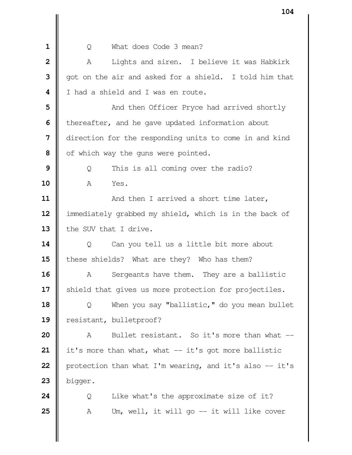| O What does Code 3 mean? | A Lights and siren. I believe it was Habkirk | got on the air and asked for a shield. I told him that I had a shield and I was en route.  $\parallel$  **and then Officer Pryce had arrived shortly i** thereafter, and he gave updated information about direction for the responding units to come in and kind | of which way the guns were pointed. | Q This is all coming over the radio? A Yes.  $\parallel$  And then I arrived a short time later, immediately grabbed my shield, which is in the back of 13 the SUV that I drive. | Q Can you tell us a little bit more about 15 these shields? What are they? Who has them? A Sergeants have them. They are a ballistic 17 | shield that gives us more protection for projectiles.  $\parallel$  Q When you say "ballistic," do you mean bullet resistant, bulletproof? A Bullet resistant. So it's more than what -- it's more than what, what -- it's got more ballistic  $\parallel$  protection than what I'm wearing, and it's also  $-$  it's bigger.  $\parallel$  Q Like what's the approximate size of it?  $\parallel$  A Um, well, it will go  $-$  it will like cover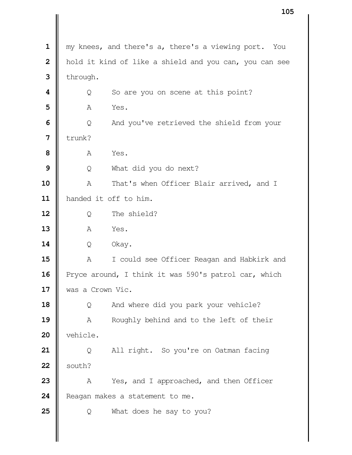my knees, and there's a, there's a viewing port. You | hold it kind of like a shield and you can, you can see | through.  $\vert \vert$  Q So are you on scene at this point? **A** Yes.  $\Box$  Q And you've retrieved the shield from your  $\parallel$  trunk? **A** Yes. | Q What did you do next? A That's when Officer Blair arrived, and I handed it off to him. Q The shield? **A** Yes. Q Okay. A I could see Officer Reagan and Habkirk and 16 Pryce around, I think it was 590's patrol car, which was a Crown Vic.  $\Box$  Q And where did you park your vehicle? A Roughly behind and to the left of their 20 | vehicle. | Q All right. So you're on Oatman facing  $22 \parallel$  south? A Yes, and I approached, and then Officer **Reagan makes a statement to me.** Q What does he say to you?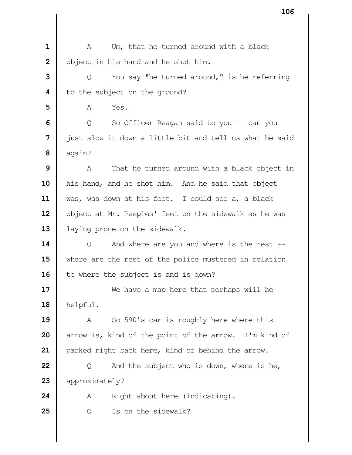A Um, that he turned around with a black | object in his hand and he shot him. | Q You say "he turned around," is he referring **i** to the subject on the ground? **A** Yes.  $\vert \vert$  Q So Officer Reagan said to you -- can you just slow it down a little bit and tell us what he said  $8 \parallel$  again? A That he turned around with a black object in 10 | his hand, and he shot him. And he said that object was, was down at his feet. I could see a, a black 12 | object at Mr. Peeples' feet on the sidewalk as he was 13 | laying prone on the sidewalk.  $\parallel$  Q And where are you and where is the rest -- where are the rest of the police mustered in relation 16 to where the subject is and is down? We have a map here that perhaps will be helpful. A So 590's car is roughly here where this arrow is, kind of the point of the arrow. I'm kind of 21 | parked right back here, kind of behind the arrow.  $\parallel$  Q And the subject who is down, where is he, 23 | approximately? A Right about here (indicating). | Q Is on the sidewalk?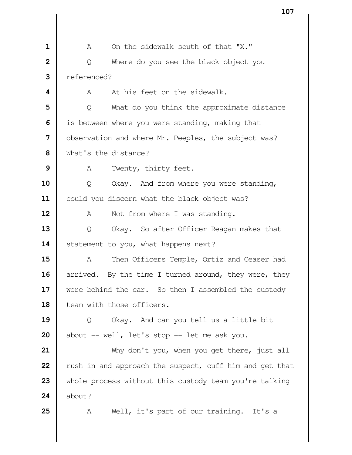A On the sidewalk south of that "X." | Q Where do you see the black object you referenced?  $\parallel$  A At his feet on the sidewalk. | Q What do you think the approximate distance | is between where you were standing, making that | observation and where Mr. Peeples, the subject was? What's the distance? A Twenty, thirty feet.  $\parallel$  Q Okay. And from where you were standing, 11 | could you discern what the black object was? A Not from where I was standing. | Q Okay. So after Officer Reagan makes that 14 Statement to you, what happens next?  $\parallel$  A Then Officers Temple, Ortiz and Ceaser had arrived. By the time I turned around, they were, they were behind the car. So then I assembled the custody **II** team with those officers. Q Okay. And can you tell us a little bit  $\parallel$  about -- well, let's stop -- let me ask you. Why don't you, when you get there, just all xush in and approach the suspect, cuff him and get that whole process without this custody team you're talking  $\blacksquare$  about? 25 | A Well, it's part of our training. It's a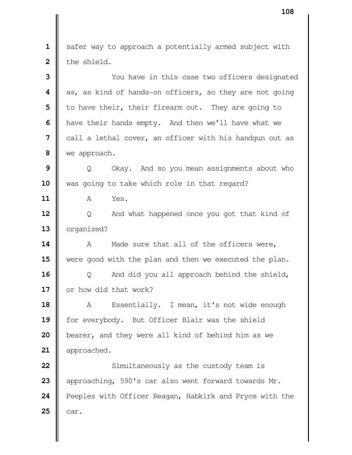safer way to approach a potentially armed subject with 2 the shield. You have in this case two officers designated as, as kind of hands-on officers, so they are not going | to have their, their firearm out. They are going to **h** have their hands empty. And then we'll have what we call a lethal cover, an officer with his handgun out as we approach.  $\parallel$  0 Okay. And so you mean assignments about who 10 || was going to take which role in that regard? A Yes. | Q And what happened once you got that kind of 13 | organized? A Made sure that all of the officers were, were good with the plan and then we executed the plan. | Q And did you all approach behind the shield, **I** or how did that work? 18 | A Essentially. I mean, it's not wide enough 19 | for everybody. But Officer Blair was the shield **b**earer, and they were all kind of behind him as we 21 | approached. Simultaneously as the custody team is approaching, 590's car also went forward towards Mr. **Peeples with Officer Reagan, Habkirk and Pryce with the**  $\parallel$  car.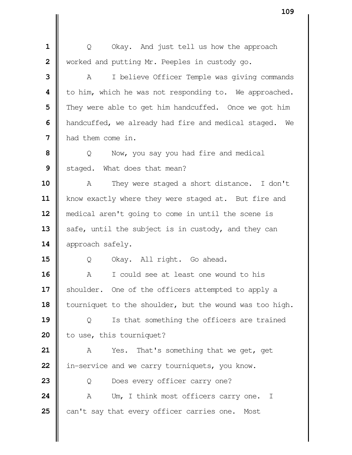| Q Okay. And just tell us how the approach Worked and putting Mr. Peeples in custody go. A I believe Officer Temple was giving commands | to him, which he was not responding to. We approached. They were able to get him handcuffed. Once we got him **h** handcuffed, we already had fire and medical staged. We had them come in.  $\parallel$  Q Now, you say you had fire and medical Staged. What does that mean? A They were staged a short distance. I don't 11 | know exactly where they were staged at. But fire and medical aren't going to come in until the scene is safe, until the subject is in custody, and they can **approach safely.** 15 | O Okay. All right. Go ahead. A I could see at least one wound to his 17 | shoulder. One of the officers attempted to apply a 18 | tourniquet to the shoulder, but the wound was too high. | Q Is that something the officers are trained | to use, this tourniquet? A Yes. That's something that we get, get **i** in-service and we carry tourniquets, you know. | Q Does every officer carry one? 24 | A Um, I think most officers carry one. I 25 | can't say that every officer carries one. Most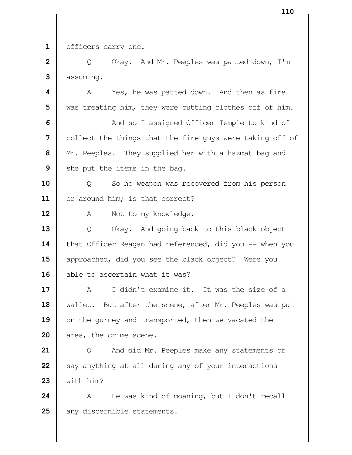1 | officers carry one.

**2**  $\parallel$  Q Okay. And Mr. Peeples was patted down, I'm assuming.

 **A** A Yes, he was patted down. And then as fire We was treating him, they were cutting clothes off of him.

  $\parallel$  And so I assigned Officer Temple to kind of collect the things that the fire guys were taking off of Mr. Peeples. They supplied her with a hazmat bag and She put the items in the bag.

 | Q So no weapon was recovered from his person 11 | or around him; is that correct?

12 | A Not to my knowledge.

 Q Okay. And going back to this black object 14 | that Officer Reagan had referenced, did you -- when you approached, did you see the black object? Were you 16 || able to ascertain what it was?

 A I didn't examine it. It was the size of a wallet. But after the scene, after Mr. Peeples was put 19 on the gurney and transported, then we vacated the area, the crime scene.

 | Q And did Mr. Peeples make any statements or Say anything at all during any of your interactions  $\parallel$  with him?

 A He was kind of moaning, but I don't recall 25 || any discernible statements.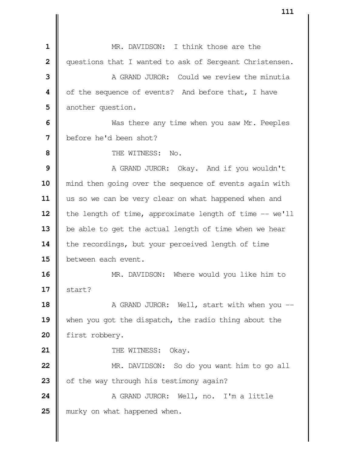MR. DAVIDSON: I think those are the questions that I wanted to ask of Sergeant Christensen. **II** A GRAND JUROR: Could we review the minutia of the sequence of events? And before that, I have another question. Nas there any time when you saw Mr. Peeples before he'd been shot? THE WITNESS: No. A GRAND JUROR: Okay. And if you wouldn't mind then going over the sequence of events again with us so we can be very clear on what happened when and 12 | the length of time, approximate length of time -- we'll 13 | be able to get the actual length of time when we hear 14 the recordings, but your perceived length of time **b**etween each event. MR. DAVIDSON: Where would you like him to  $\parallel$  start?  $\parallel$  A GRAND JUROR: Well, start with when you -- when you got the dispatch, the radio thing about the 20 first robbery. **I** THE WITNESS: Okay. MR. DAVIDSON: So do you want him to go all of the way through his testimony again? 24 | A GRAND JUROR: Well, no. I'm a little **murky** on what happened when.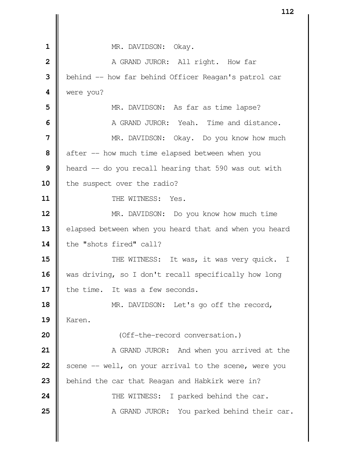**I** MR. DAVIDSON: Okay. A GRAND JUROR: All right. How far | behind -- how far behind Officer Reagan's patrol car were you? NR. DAVIDSON: As far as time lapse? **I** A GRAND JUROR: Yeah. Time and distance. MR. DAVIDSON: Okay. Do you know how much after -- how much time elapsed between when you **|** heard -- do you recall hearing that 590 was out with 10 | the suspect over the radio? 11 || THE WITNESS: Yes. MR. DAVIDSON: Do you know how much time 13 | elapsed between when you heard that and when you heard 14 | the "shots fired" call?  $\parallel$  THE WITNESS: It was, it was very quick. I 16 | was driving, so I don't recall specifically how long **I** the time. It was a few seconds. MR. DAVIDSON: Let's go off the record, Karen. **I** (Off-the-record conversation.)  $\parallel$  A GRAND JUROR: And when you arrived at the  $\parallel$  scene -- well, on your arrival to the scene, were you **b**ehind the car that Reagan and Habkirk were in?  $\parallel$  THE WITNESS: I parked behind the car. A GRAND JUROR: You parked behind their car.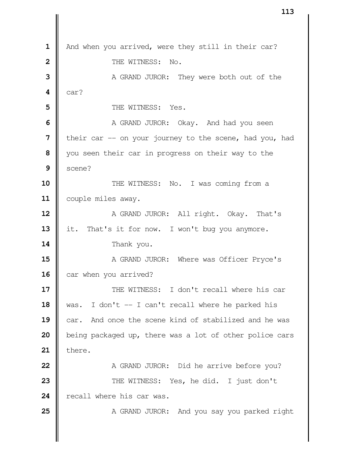| And when you arrived, were they still in their car? **II** THE WITNESS: No. A GRAND JUROR: They were both out of the  $4 \parallel \text{car?}$   $\parallel$  THE WITNESS: Yes. A GRAND JUROR: Okay. And had you seen **I** their car -- on your journey to the scene, had you, had you seen their car in progress on their way to the  $9 \parallel$  scene?  $\parallel$  THE WITNESS: No. I was coming from a 11 | couple miles away. A GRAND JUROR: All right. Okay. That's 13 | it. That's it for now. I won't bug you anymore. Thank you.  $\parallel$  A GRAND JUROR: Where was Officer Pryce's car when you arrived?  $\parallel$  THE WITNESS: I don't recall where his car 18 | was. I don't -- I can't recall where he parked his **car.** And once the scene kind of stabilized and he was being packaged up, there was a lot of other police cars **21** there. A GRAND JUROR: Did he arrive before you?  $\parallel$  THE WITNESS: Yes, he did. I just don't **| recall where his car was.**  $\parallel$  A GRAND JUROR: And you say you parked right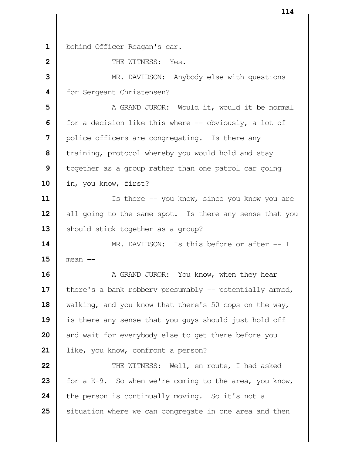behind Officer Reagan's car. **I** THE WITNESS: Yes. MR. DAVIDSON: Anybody else with questions | for Sergeant Christensen? | A GRAND JUROR: Would it, would it be normal for a decision like this where -- obviously, a lot of | police officers are congregating. Is there any training, protocol whereby you would hold and stay | together as a group rather than one patrol car going in, you know, first? Is there -- you know, since you know you are 12 | all going to the same spot. Is there any sense that you 13 | should stick together as a group?  $\parallel$  MR. DAVIDSON: Is this before or after -- I mean -- A GRAND JUROR: You know, when they hear | there's a bank robbery presumably -- potentially armed, walking, and you know that there's 50 cops on the way, is there any sense that you guys should just hold off and wait for everybody else to get there before you 21 | like, you know, confront a person?  $\parallel$  THE WITNESS: Well, en route, I had asked  $\parallel$  for a K-9. So when we're coming to the area, you know, the person is continually moving. So it's not a Situation where we can congregate in one area and then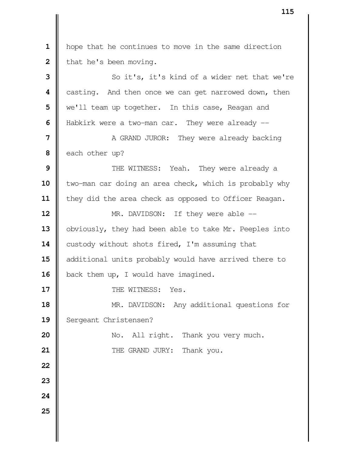hope that he continues to move in the same direction  $\parallel$  that he's been moving. So it's, it's kind of a wider net that we're casting. And then once we can get narrowed down, then We'll team up together. In this case, Reagan and **H** Habkirk were a two-man car. They were already --  $\parallel$  A GRAND JUROR: They were already backing each other up?  $\parallel$  THE WITNESS: Yeah. They were already a 10 | two-man car doing an area check, which is probably why 11 | they did the area check as opposed to Officer Reagan. **MR.** DAVIDSON: If they were able --13 | obviously, they had been able to take Mr. Peeples into 14 | custody without shots fired, I'm assuming that 15 || additional units probably would have arrived there to 16 | back them up, I would have imagined.

**17**  $\parallel$  THE WITNESS: Yes.

**18** MR. DAVIDSON: Any additional questions for 19 | Sergeant Christensen?

**20** No. All right. Thank you very much. **21 THE GRAND JURY:** Thank you.

- **22**
- **23**
- **24**
- **25**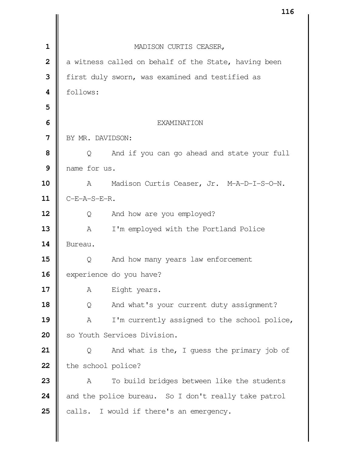|                | TTQ                                                   |
|----------------|-------------------------------------------------------|
|                |                                                       |
| $\mathbf{1}$   | MADISON CURTIS CEASER,                                |
| $\overline{2}$ | a witness called on behalf of the State, having been  |
| 3              | first duly sworn, was examined and testified as       |
| 4              | follows:                                              |
| 5              |                                                       |
| 6              | <b>EXAMINATION</b>                                    |
| 7              | BY MR. DAVIDSON:                                      |
| 8              | And if you can go ahead and state your full<br>Q      |
| 9              | name for us.                                          |
| 10             | Madison Curtis Ceaser, Jr. M-A-D-I-S-O-N.<br>A        |
| 11             | $C-E-A-S-E-R$ .                                       |
| 12             | And how are you employed?<br>Q                        |
| 13             | $\mathbb{A}$<br>I'm employed with the Portland Police |
| 14             | Bureau.                                               |
| 15             | And how many years law enforcement<br>Q               |
| 16             | experience do you have?                               |
| 17             | Eight years.<br>A                                     |
| 18             | And what's your current duty assignment?<br>Q         |
| 19             | Α<br>I'm currently assigned to the school police,     |
| 20             | so Youth Services Division.                           |
| 21             | And what is the, I quess the primary job of<br>Q      |
| 22             | the school police?                                    |
| 23             | To build bridges between like the students<br>A       |
| 24             | and the police bureau. So I don't really take patrol  |
| 25             | calls. I would if there's an emergency.               |
|                |                                                       |
|                |                                                       |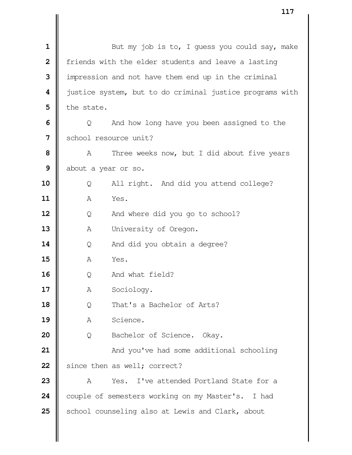| $\mathbf 1$             |            | But my job is to, I guess you could say, make            |
|-------------------------|------------|----------------------------------------------------------|
| $\overline{\mathbf{2}}$ |            | friends with the elder students and leave a lasting      |
| 3                       |            | impression and not have them end up in the criminal      |
| 4                       |            | justice system, but to do criminal justice programs with |
| 5                       | the state. |                                                          |
| 6                       | Q          | And how long have you been assigned to the               |
| 7                       |            | school resource unit?                                    |
| 8                       | A          | Three weeks now, but I did about five years              |
| 9                       |            | about a year or so.                                      |
| 10                      | Q          | All right. And did you attend college?                   |
| 11                      | Α          | Yes.                                                     |
| 12                      | Q          | And where did you go to school?                          |
| 13                      | Α          | University of Oregon.                                    |
| 14                      | Q          | And did you obtain a degree?                             |
| 15                      | Α          | Yes.                                                     |
| 16                      | Q          | And what field?                                          |
| 17                      | А          | Sociology.                                               |
| 18                      | Q          | That's a Bachelor of Arts?                               |
| 19                      | Α          | Science.                                                 |
| 20                      | Q          | Bachelor of Science. Okay.                               |
| 21                      |            | And you've had some additional schooling                 |
| 22                      |            | since then as well; correct?                             |
| 23                      | Α          | I've attended Portland State for a<br>Yes.               |
| 24                      |            | couple of semesters working on my Master's. I had        |
| 25                      |            | school counseling also at Lewis and Clark, about         |
|                         |            |                                                          |
|                         |            |                                                          |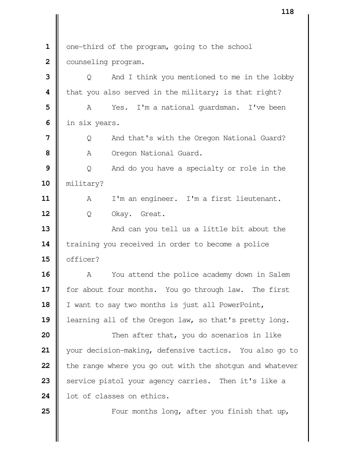1 | one-third of the program, going to the school Counseling program. |  $\bullet$  0 And I think you mentioned to me in the lobby **i** that you also served in the military; is that right? A Yes. I'm a national quardsman. I've been | in six years. | Q And that's with the Oregon National Guard? A Oregon National Guard.  $\vert$  Q And do you have a specialty or role in the military? 11 | A I'm an engineer. I'm a first lieutenant. Q Okay. Great. And can you tell us a little bit about the 14 Training you received in order to become a police 15 | officer? A You attend the police academy down in Salem for about four months. You go through law. The first 18 | I want to say two months is just all PowerPoint, learning all of the Oregon law, so that's pretty long.  $\parallel$  Then after that, you do scenarios in like your decision-making, defensive tactics. You also go to **the range where you go out with the shotgun and whatever**  Service pistol your agency carries. Then it's like a 24 let of classes on ethics. **Four months long, after you finish that up,**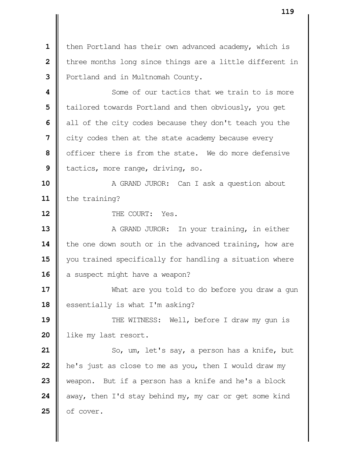then Portland has their own advanced academy, which is | three months long since things are a little different in Portland and in Multnomah County.

 **1** Some of our tactics that we train to is more | tailored towards Portland and then obviously, you get all of the city codes because they don't teach you the city codes then at the state academy because every | officer there is from the state. We do more defensive | tactics, more range, driving, so.

 A GRAND JUROR: Can I ask a question about 11 | the training?

**II** THE COURT: Yes.

 A GRAND JUROR: In your training, in either 14 the one down south or in the advanced training, how are  $\parallel$  you trained specifically for handling a situation where a suspect might have a weapon?

 What are you told to do before you draw a gun 18 | essentially is what I'm asking?

**19**  $\parallel$  THE WITNESS: Well, before I draw my qun is 20 | like my last resort.

 So, um, let's say, a person has a knife, but **h** he's just as close to me as you, then I would draw my weapon. But if a person has a knife and he's a block  $\parallel$  away, then I'd stay behind my, my car or get some kind | of cover.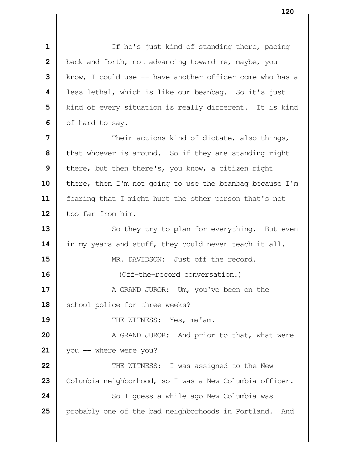If he's just kind of standing there, pacing **b**ack and forth, not advancing toward me, maybe, you | know, I could use -- have another officer come who has a less lethal, which is like our beanbag. So it's just | kind of every situation is really different. It is kind of hard to say.  $\parallel$  Their actions kind of dictate, also things, **I** that whoever is around. So if they are standing right **b** there, but then there's, you know, a citizen right **i** there, then I'm not going to use the beanbag because I'm fearing that I might hurt the other person that's not 12 | too far from him. So they try to plan for everything. But even 14 | in my years and stuff, they could never teach it all. **MR.** DAVIDSON: Just off the record. **i** (Off-the-record conversation.)  $\parallel$  A GRAND JUROR: Um, you've been on the 18 | school police for three weeks? **I** THE WITNESS: Yes, ma'am.  $\parallel$  A GRAND JUROR: And prior to that, what were  $\parallel$  you -- where were you? **22 | THE WITNESS:** I was assigned to the New 23 | Columbia neighborhood, so I was a New Columbia officer. So I quess a while ago New Columbia was **p**robably one of the bad neighborhoods in Portland. And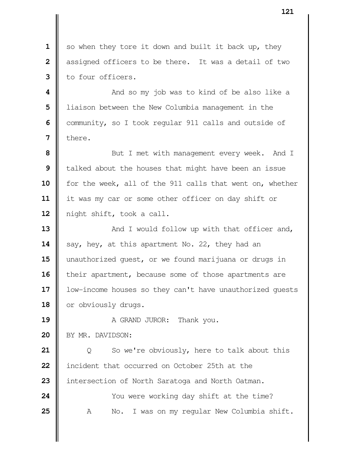so when they tore it down and built it back up, they | assigned officers to be there. It was a detail of two I to four officers. **A** And so my job was to kind of be also like a | liaison between the New Columbia management in the Community, so I took regular 911 calls and outside of

 **8** But I met with management every week. And I | talked about the houses that might have been an issue 10 | for the week, all of the 911 calls that went on, whether it was my car or some other officer on day shift or night shift, took a call.

**7**  $\blacksquare$  there.

**13**  $\parallel$  And I would follow up with that officer and, **14**  $\parallel$  say, hey, at this apartment No. 22, they had an 15 | unauthorized quest, or we found marijuana or drugs in 16 | their apartment, because some of those apartments are 17 | low-income houses so they can't have unauthorized quests 18 or obviously drugs.

 **A** GRAND JUROR: Thank you. 20 BY MR. DAVIDSON: | Q So we're obviously, here to talk about this

 incident that occurred on October 25th at the **i** intersection of North Saratoga and North Oatman.

 Xou were working day shift at the time? A No. I was on my regular New Columbia shift.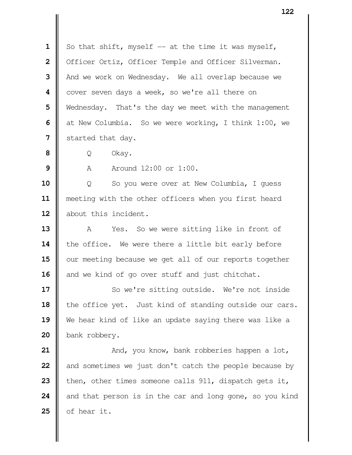So that shift, myself  $-$  at the time it was myself, 2 | Officer Ortiz, Officer Temple and Officer Silverman. And we work on Wednesday. We all overlap because we | cover seven days a week, so we're all there on Wednesday. That's the day we meet with the management at New Columbia. So we were working, I think 1:00, we Started that day.

 **8** Q Okay.

**9**  $\parallel$  A Around 12:00 or 1:00.

**10** Q So you were over at New Columbia, I guess **11** meeting with the other officers when you first heard 12 about this incident.

**13** A Yes. So we were sitting like in front of 14 **| the office.** We were there a little bit early before 15 | our meeting because we get all of our reports together 16 and we kind of go over stuff and just chitchat.

17 || So we're sitting outside. We're not inside 18 the office yet. Just kind of standing outside our cars. **19** We hear kind of like an update saying there was like a 20 | bank robbery.

  $\parallel$  And, you know, bank robberies happen a lot, and sometimes we just don't catch the people because by 23 then, other times someone calls 911, dispatch gets it, and that person is in the car and long gone, so you kind  $\parallel$  of hear it.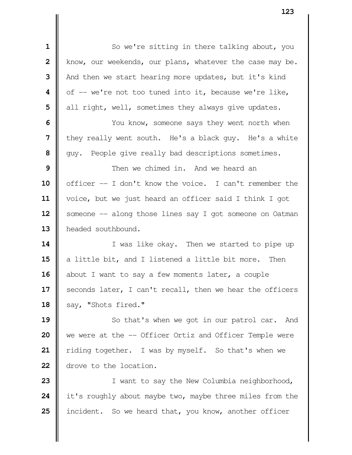So we're sitting in there talking about, you | know, our weekends, our plans, whatever the case may be. And then we start hearing more updates, but it's kind | of -- we're not too tuned into it, because we're like, all right, well, sometimes they always give updates.  $\parallel$  You know, someone says they went north when **I** they really went south. He's a black guy. He's a white  $\parallel$  guy. People give really bad descriptions sometimes. **I** Then we chimed in. And we heard an 10 | officer -- I don't know the voice. I can't remember the voice, but we just heard an officer said I think I got 12 | someone -- along those lines say I got someone on Oatman **headed southbound.**   $\parallel$  **I** was like okay. Then we started to pipe up a little bit, and I listened a little bit more. Then 16 | about I want to say a few moments later, a couple 17 | seconds later, I can't recall, then we hear the officers

18 | say, "Shots fired."

 So that's when we got in our patrol car. And We were at the -- Officer Ortiz and Officer Temple were | riding together. I was by myself. So that's when we drove to the location.

 I want to say the New Columbia neighborhood, it's roughly about maybe two, maybe three miles from the incident. So we heard that, you know, another officer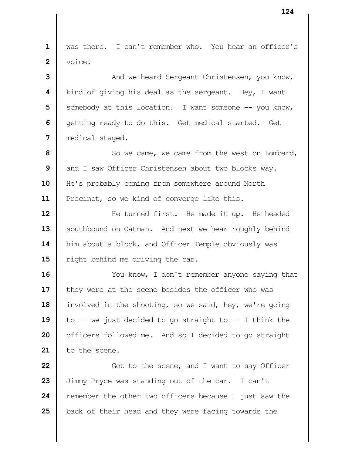was there. I can't remember who. You hear an officer's  $\blacksquare$  voice.  $\parallel$  **3** And we heard Sergeant Christensen, you know, **I** kind of giving his deal as the sergeant. Hey, I want Somebody at this location. I want someone -- you know, | getting ready to do this. Get medical started. Get medical staged.  $\parallel$  So we came, we came from the west on Lombard, and I saw Officer Christensen about two blocks way. He's probably coming from somewhere around North 11 | Precinct, so we kind of converge like this.  $\parallel$  He turned first. He made it up. He headed 13 | southbound on Oatman. And next we hear roughly behind 14 | him about a block, and Officer Temple obviously was  $\parallel$  right behind me driving the car. You know, I don't remember anyone saying that I they were at the scene besides the officer who was involved in the shooting, so we said, hey, we're going  $\parallel$  to -- we just decided to go straight to -- I think the | officers followed me. And so I decided to go straight 21 | to the scene.  $\parallel$  Got to the scene, and I want to say Officer Jimmy Pryce was standing out of the car. I can't

**24 P** remember the other two officers because I just saw the **25** back of their head and they were facing towards the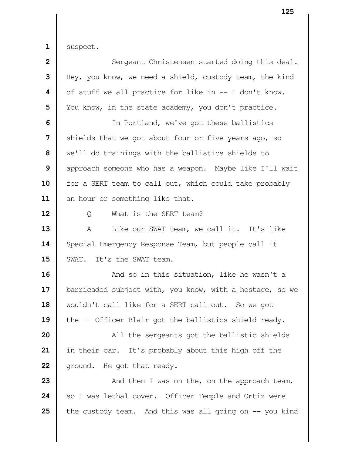$1 \parallel$  suspect.

| $\overline{\mathbf{2}}$ | Sergeant Christensen started doing this deal.            |
|-------------------------|----------------------------------------------------------|
| 3                       | Hey, you know, we need a shield, custody team, the kind  |
| 4                       | of stuff we all practice for like in -- I don't know.    |
| 5                       | You know, in the state academy, you don't practice.      |
| 6                       | In Portland, we've got these ballistics                  |
| 7                       | shields that we got about four or five years ago, so     |
| 8                       | we'll do trainings with the ballistics shields to        |
| 9                       | approach someone who has a weapon. Maybe like I'll wait  |
| 10                      | for a SERT team to call out, which could take probably   |
| 11                      | an hour or something like that.                          |
| 12                      | What is the SERT team?<br>Q                              |
| 13                      | A<br>Like our SWAT team, we call it. It's like           |
| 14                      | Special Emergency Response Team, but people call it      |
| 15                      | SWAT. It's the SWAT team.                                |
| 16                      | And so in this situation, like he wasn't a               |
| 17                      | barricaded subject with, you know, with a hostage, so we |
| 18                      | wouldn't call like for a SERT call-out. So we got        |
| 19                      | the -- Officer Blair got the ballistics shield ready.    |
| 20                      | All the sergeants got the ballistic shields              |
| 21                      | in their car. It's probably about this high off the      |
| 22                      | ground. He got that ready.                               |
| 23                      | And then I was on the, on the approach team,             |
| 24                      | so I was lethal cover. Officer Temple and Ortiz were     |
| 25                      | the custody team. And this was all going on -- you kind  |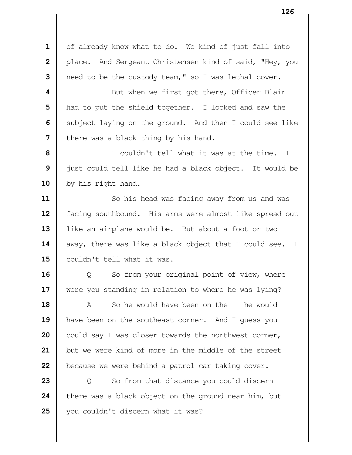| of already know what to do. We kind of just fall into **|** place. And Sergeant Christensen kind of said, "Hey, you | need to be the custody team," so I was lethal cover.

 **1** But when we first got there, Officer Blair | had to put the shield together. I looked and saw the Subject laying on the ground. And then I could see like I there was a black thing by his hand.

 | I couldn't tell what it was at the time. I just could tell like he had a black object. It would be 10 | by his right hand.

 So his head was facing away from us and was 12 | facing southbound. His arms were almost like spread out like an airplane would be. But about a foot or two 14 | away, there was like a black object that I could see. I 15  $\parallel$  couldn't tell what it was.

 | Q So from your original point of view, where Were you standing in relation to where he was lying?

 **A** So he would have been on the -- he would 19 || have been on the southeast corner. And I guess you could say I was closer towards the northwest corner, but we were kind of more in the middle of the street **b**ecause we were behind a patrol car taking cover.

 | Q So from that distance you could discern **t** there was a black object on the ground near him, but 25 || you couldn't discern what it was?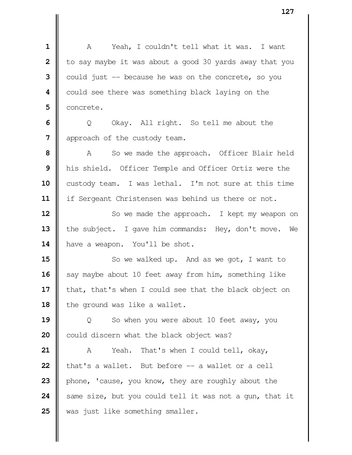A Yeah, I couldn't tell what it was. I want | to say maybe it was about a good 30 yards away that you  $\parallel$  could just  $\parallel$  because he was on the concrete, so you could see there was something black laying on the | concrete.

**6**  $\Box$  Q Okay. All right. So tell me about the **7** | approach of the custody team.

 A So we made the approach. Officer Blair held his shield. Officer Temple and Officer Ortiz were the 10 custody team. I was lethal. I'm not sure at this time if Sergeant Christensen was behind us there or not.

**12** So we made the approach. I kept my weapon on 13 the subject. I gave him commands: Hey, don't move. We 14 | have a weapon. You'll be shot.

**15**  $\parallel$  So we walked up. And as we got, I want to 16 | say maybe about 10 feet away from him, something like 17 | that, that's when I could see that the black object on 18 | the ground was like a wallet.

**19**  $\begin{bmatrix} 0 & 0 \end{bmatrix}$  So when you were about 10 feet away, you **20** could discern what the black object was?

 A Yeah. That's when I could tell, okay,  $\parallel$  that's a wallet. But before  $\parallel$  - a wallet or a cell phone, 'cause, you know, they are roughly about the  $\parallel$  same size, but you could tell it was not a gun, that it 25 was just like something smaller.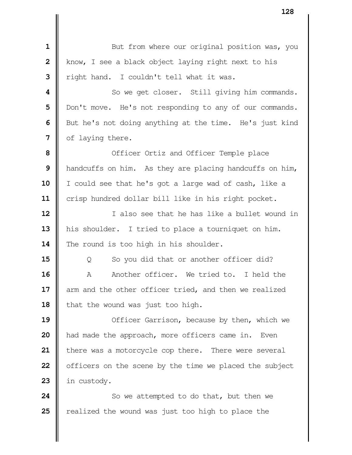But from where our original position was, you | know, I see a black object laying right next to his **I** right hand. I couldn't tell what it was.  $\parallel$  So we get closer. Still giving him commands. | Don't move. He's not responding to any of our commands. But he's not doing anything at the time. He's just kind | of laying there. **1** Officer Ortiz and Officer Temple place | handcuffs on him. As they are placing handcuffs on him, I could see that he's got a large wad of cash, like a 11 | crisp hundred dollar bill like in his right pocket. **I 1** also see that he has like a bullet wound in 13 | his shoulder. I tried to place a tourniquet on him. 14 The round is too high in his shoulder. |  $\Box$  0 So you did that or another officer did? A Another officer. We tried to. I held the 17 || arm and the other officer tried, and then we realized 18 | that the wound was just too high.  $\parallel$  **19** Officer Garrison, because by then, which we And made the approach, more officers came in. Even | there was a motorcycle cop there. There were several | officers on the scene by the time we placed the subject in custody. So we attempted to do that, but then we **e** realized the wound was just too high to place the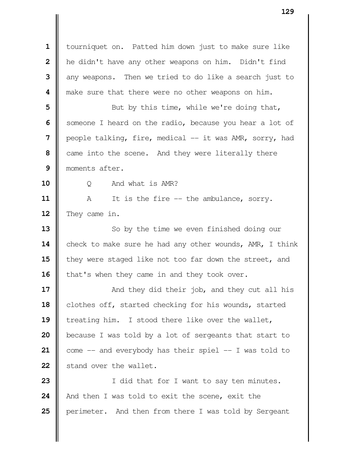tourniquet on. Patted him down just to make sure like **h** he didn't have any other weapons on him. Didn't find any weapons. Then we tried to do like a search just to **||** make sure that there were no other weapons on him.

 Sut by this time, while we're doing that, Someone I heard on the radio, because you hear a lot of **|** people talking, fire, medical -- it was AMR, sorry, had came into the scene. And they were literally there moments after.

Q And what is AMR?

 A It is the fire -- the ambulance, sorry. 12 They came in.

 So by the time we even finished doing our 14 check to make sure he had any other wounds, AMR, I think **they were staged like not too far down the street, and** 16 | that's when they came in and they took over.

  $\parallel$  And they did their job, and they cut all his 18 | clothes off, started checking for his wounds, started 19 treating him. I stood there like over the wallet, **b**ecause I was told by a lot of sergeants that start to come -- and everybody has their spiel -- I was told to Stand over the wallet.

 I did that for I want to say ten minutes. And then I was told to exit the scene, exit the **p**erimeter. And then from there I was told by Sergeant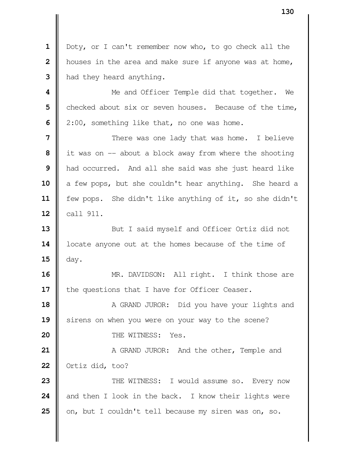Doty, or I can't remember now who, to go check all the | houses in the area and make sure if anyone was at home, | had they heard anything.

 Me and Officer Temple did that together. We checked about six or seven houses. Because of the time, | 2:00, something like that, no one was home.

  $\parallel$  There was one lady that was home. I believe I it was on -- about a block away from where the shooting **h** had occurred. And all she said was she just heard like 10 a few pops, but she couldn't hear anything. She heard a 11 | few pops. She didn't like anything of it, so she didn't | call 911.

 But I said myself and Officer Ortiz did not 14 | locate anyone out at the homes because of the time of  $\parallel$  day.

 MR. DAVIDSON: All right. I think those are 17 | the questions that I have for Officer Ceaser.

 A GRAND JUROR: Did you have your lights and 19 || sirens on when you were on your way to the scene? **I** THE WITNESS: Yes.

**21**  $\parallel$  A GRAND JUROR: And the other, Temple and **Ortiz did, too?** 

**23**  $\parallel$  THE WITNESS: I would assume so. Every now and then I look in the back. I know their lights were 25 | on, but I couldn't tell because my siren was on, so.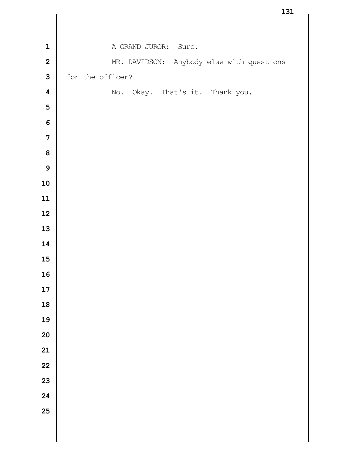|                         | T2T                                       |
|-------------------------|-------------------------------------------|
|                         |                                           |
| $\mathbf{1}$            | A GRAND JUROR:<br>Sure.                   |
| $\overline{\mathbf{2}}$ | MR. DAVIDSON: Anybody else with questions |
| $\overline{\mathbf{3}}$ | for the officer?                          |
| $\overline{\mathbf{4}}$ | No. Okay. That's it. Thank you.           |
| 5                       |                                           |
| 6                       |                                           |
| $\overline{7}$          |                                           |
| 8                       |                                           |
| 9                       |                                           |
| 10                      |                                           |
| 11                      |                                           |
| 12                      |                                           |
| 13                      |                                           |
| 14                      |                                           |
| 15                      |                                           |
| 16                      |                                           |
| 17                      |                                           |
| 18                      |                                           |
| 19                      |                                           |
| 20                      |                                           |
| 21                      |                                           |
| 22                      |                                           |
| 23                      |                                           |
| 24                      |                                           |
| 25                      |                                           |
|                         |                                           |
|                         |                                           |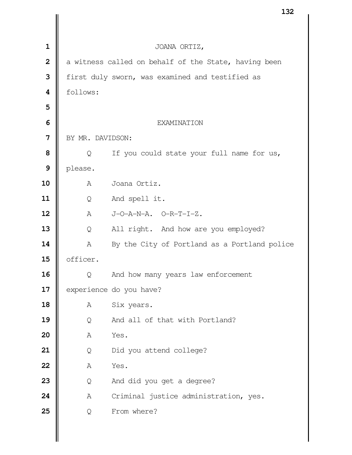|                         |                  | 727                                                  |
|-------------------------|------------------|------------------------------------------------------|
|                         |                  |                                                      |
| $\mathbf 1$             |                  | JOANA ORTIZ,                                         |
| $\overline{\mathbf{2}}$ |                  | a witness called on behalf of the State, having been |
| 3                       |                  | first duly sworn, was examined and testified as      |
| 4                       | follows:         |                                                      |
| 5                       |                  |                                                      |
| 6                       |                  | <b>EXAMINATION</b>                                   |
| 7                       | BY MR. DAVIDSON: |                                                      |
| 8                       | Q                | If you could state your full name for us,            |
| 9                       | please.          |                                                      |
| 10                      | A                | Joana Ortiz.                                         |
| 11                      | Q                | And spell it.                                        |
| 12                      | $\mathbb{A}$     | $J-O-A-N-A.$ $O-R-T-I-Z.$                            |
| 13                      | Q                | All right. And how are you employed?                 |
| 14                      | A                | By the City of Portland as a Portland police         |
| 15                      | officer.         |                                                      |
| 16                      | Q                | And how many years law enforcement                   |
| 17                      |                  | experience do you have?                              |
| 18                      | Α                | Six years.                                           |
| 19                      | Q                | And all of that with Portland?                       |
| 20                      | Α                | Yes.                                                 |
| 21                      | Q                | Did you attend college?                              |
| 22                      | Α                | Yes.                                                 |
| 23                      | Q                | And did you get a degree?                            |
| 24                      | Α                | Criminal justice administration, yes.                |
| 25                      | Q                | From where?                                          |
|                         |                  |                                                      |
|                         |                  |                                                      |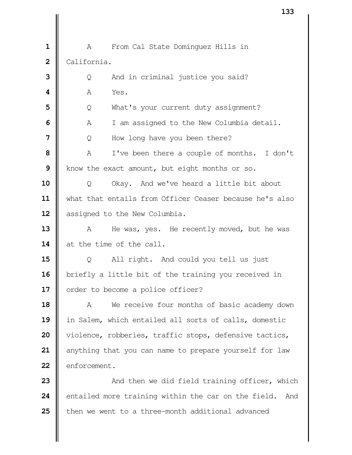A From Cal State Dominguez Hills in California. |  $\bullet$  0 And in criminal justice you said? **A** Yes. | Q What's your current duty assignment? A I am assigned to the New Columbia detail. | Q How long have you been there?  $\parallel$  A I've been there a couple of months. I don't Know the exact amount, but eight months or so. | Q Okay. And we've heard a little bit about 11 | what that entails from Officer Ceaser because he's also 12 | assigned to the New Columbia. A He was, yes. He recently moved, but he was at the time of the call. |  $\qquad \qquad$  0 All right. And could you tell us just briefly a little bit of the training you received in 17 | order to become a police officer? A We receive four months of basic academy down in Salem, which entailed all sorts of calls, domestic 20 | violence, robberies, traffic stops, defensive tactics, anything that you can name to prepare yourself for law 22 | enforcement.  $\parallel$  **And then we did field training officer, which** entailed more training within the car on the field. And

**then we went to a three-month additional advanced**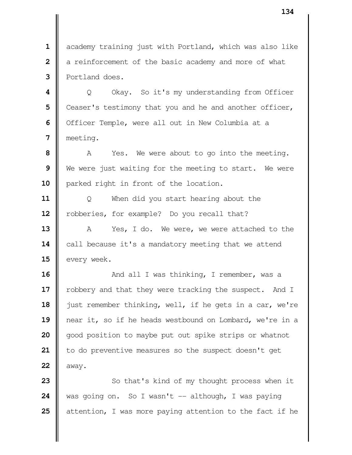academy training just with Portland, which was also like a reinforcement of the basic academy and more of what Portland does.

  $\parallel$  Q Okay. So it's my understanding from Officer Ceaser's testimony that you and he and another officer, | Officer Temple, were all out in New Columbia at a meeting.

 A Yes. We were about to go into the meeting. We were just waiting for the meeting to start. We were **|** parked right in front of the location.

 | Q When did you start hearing about the 12 | robberies, for example? Do you recall that?

13 || A Yes, I do. We were, we were attached to the **call because it's a mandatory meeting that we attend every** week.

**16**  $\parallel$  And all I was thinking, I remember, was a 17 | robbery and that they were tracking the suspect. And I 18  $\parallel$  just remember thinking, well, if he gets in a car, we're near it, so if he heads westbound on Lombard, we're in a good position to maybe put out spike strips or whatnot 21 | to do preventive measures so the suspect doesn't get | away.

 So that's kind of my thought process when it was going on. So I wasn't -- although, I was paying detention, I was more paying attention to the fact if he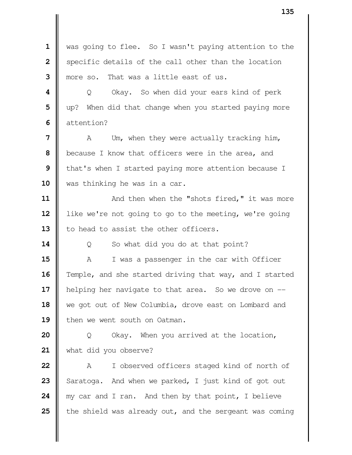|                | ⊥၁၁                                                     |
|----------------|---------------------------------------------------------|
|                |                                                         |
| $\mathbf 1$    | was going to flee. So I wasn't paying attention to the  |
| $\overline{2}$ | specific details of the call other than the location    |
| 3              | more so. That was a little east of us.                  |
| 4              | Okay. So when did your ears kind of perk<br>Q           |
| 5              | up? When did that change when you started paying more   |
| 6              | attention?                                              |
| 7              | Um, when they were actually tracking him,<br>A          |
| 8              | because I know that officers were in the area, and      |
| 9              | that's when I started paying more attention because I   |
| 10             | was thinking he was in a car.                           |
| 11             | And then when the "shots fired," it was more            |
| 12             | like we're not going to go to the meeting, we're going  |
| 13             | to head to assist the other officers.                   |
| 14             | So what did you do at that point?<br>Q                  |
| 15             | Α<br>I was a passenger in the car with Officer          |
| 16             | Temple, and she started driving that way, and I started |
| 17             | helping her navigate to that area. So we drove on --    |
| 18             | we got out of New Columbia, drove east on Lombard and   |
| 19             | then we went south on Oatman.                           |
| 20             | Okay. When you arrived at the location,<br>Q            |
| 21             | what did you observe?                                   |
| 22             | I observed officers staged kind of north of<br>А        |
| 23             | Saratoga. And when we parked, I just kind of got out    |
| 24             | my car and I ran. And then by that point, I believe     |
| 25             | the shield was already out, and the sergeant was coming |
|                |                                                         |
|                |                                                         |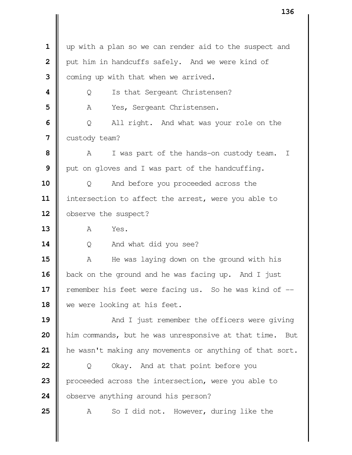up with a plan so we can render aid to the suspect and | put him in handcuffs safely. And we were kind of Coming up with that when we arrived. | Q Is that Sergeant Christensen? | A Yes, Sergeant Christensen.  $\Box$  Q All right. And what was your role on the **custody team?**  A I was part of the hands-on custody team. I | put on gloves and I was part of the handcuffing.  $\parallel$  Q And before you proceeded across the intersection to affect the arrest, were you able to 12 | observe the suspect?  $\parallel$  A Yes. Q And what did you see? A He was laying down on the ground with his 16 | back on the ground and he was facing up. And I just **e**member his feet were facing us. So he was kind of  $-$ 18 || we were looking at his feet.  $\parallel$  And I just remember the officers were giving him commands, but he was unresponsive at that time. But he wasn't making any movements or anything of that sort. | Q Okay. And at that point before you 23 | proceeded across the intersection, were you able to **o**bserve anything around his person? A So I did not. However, during like the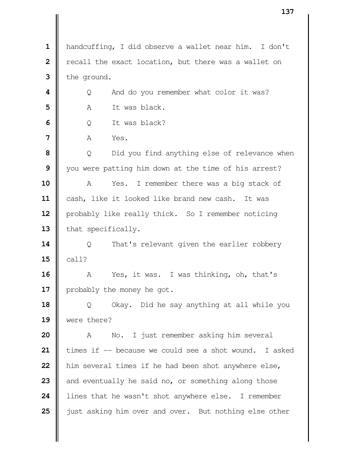handcuffing, I did observe a wallet near him. I don't **|** recall the exact location, but there was a wallet on the ground.  $\parallel$  Q And do you remember what color it was? A It was black. | O It was black? **A** Yes. | Q Did you find anything else of relevance when you were patting him down at the time of his arrest? A Yes. I remember there was a big stack of cash, like it looked like brand new cash. It was 12 | probably like really thick. So I remember noticing 13 | that specifically.  $\parallel$  Q That's relevant given the earlier robbery  $15 \parallel$  call? A Yes, it was. I was thinking, oh, that's 17 | probably the money he got. | Q Okay. Did he say anything at all while you were there? A No. I just remember asking him several imes if -- because we could see a shot wound. I asked **h**im several times if he had been shot anywhere else, and eventually he said no, or something along those lines that he wasn't shot anywhere else. I remember **j** just asking him over and over. But nothing else other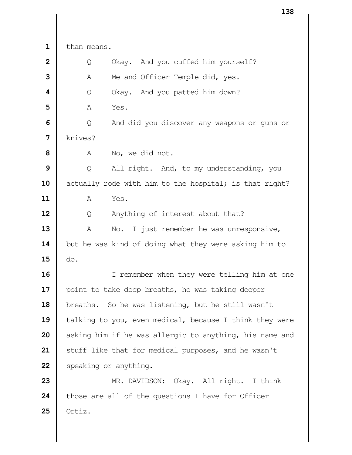than moans.  $\parallel$  Q Okay. And you cuffed him yourself? A Me and Officer Temple did, yes.  $\vert$  Q Okay. And you patted him down? **A** Yes.  $\Box$  Q And did you discover any weapons or guns or | knives? A No, we did not. | Q All right. And, to my understanding, you 10 | actually rode with him to the hospital; is that right? A Yes.  $\Box$  Q Anything of interest about that? A No. I just remember he was unresponsive, 14 | but he was kind of doing what they were asking him to  $\parallel$  do. I remember when they were telling him at one point to take deep breaths, he was taking deeper 18 | breaths. So he was listening, but he still wasn't talking to you, even medical, because I think they were asking him if he was allergic to anything, his name and Stuff like that for medical purposes, and he wasn't Speaking or anything. MR. DAVIDSON: Okay. All right. I think those are all of the questions I have for Officer Ortiz.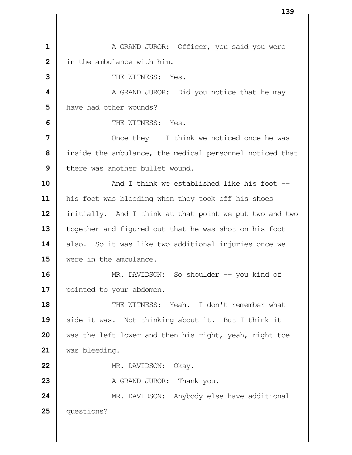A GRAND JUROR: Officer, you said you were **i** in the ambulance with him.  $\parallel$  THE WITNESS: Yes.  $\parallel$  **A** GRAND JUROR: Did you notice that he may **h** have had other wounds?  $\parallel$  THE WITNESS: Yes.  $\parallel$  Once they -- I think we noticed once he was | inside the ambulance, the medical personnel noticed that I there was another bullet wound.  $\parallel$  **And I think we established like his foot** --11 | his foot was bleeding when they took off his shoes 12 | initially. And I think at that point we put two and two 13 | together and figured out that he was shot on his foot 14 also. So it was like two additional injuries once we were in the ambulance. MR. DAVIDSON: So shoulder -- you kind of 17 | pointed to your abdomen. **I** THE WITNESS: Yeah. I don't remember what **||** side it was. Not thinking about it. But I think it was the left lower and then his right, yeah, right toe was bleeding. MR. DAVIDSON: Okay. A GRAND JUROR: Thank you.  $\parallel$  MR. DAVIDSON: Anybody else have additional questions?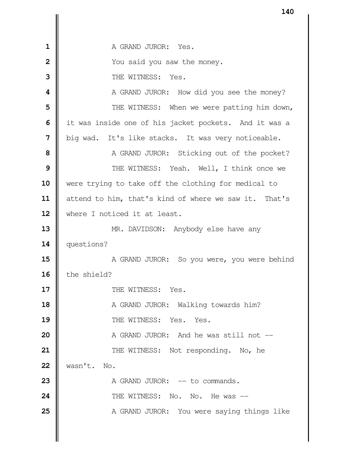A GRAND JUROR: Yes. **1** You said you saw the money. THE WITNESS: Yes.  $\parallel$  A GRAND JUROR: How did you see the money?  $\parallel$  THE WITNESS: When we were patting him down, it was inside one of his jacket pockets. And it was a big wad. It's like stacks. It was very noticeable. A GRAND JUROR: Sticking out of the pocket? Number of THE WITNESS: Yeah. Well, I think once we were trying to take off the clothing for medical to attend to him, that's kind of where we saw it. That's where I noticed it at least. MR. DAVIDSON: Anybody else have any questions? A GRAND JUROR: So you were, you were behind 16 I the shield?  $\parallel$  THE WITNESS: Yes. A GRAND JUROR: Walking towards him?  $\parallel$  THE WITNESS: Yes. Yes. A GRAND JUROR: And he was still not --  $\parallel$  THE WITNESS: Not responding. No, he wasn't. No.  $\parallel$  A GRAND JUROR:  $-$  to commands.  $\parallel$  THE WITNESS: No. No. He was  $\equiv$ A GRAND JUROR: You were saying things like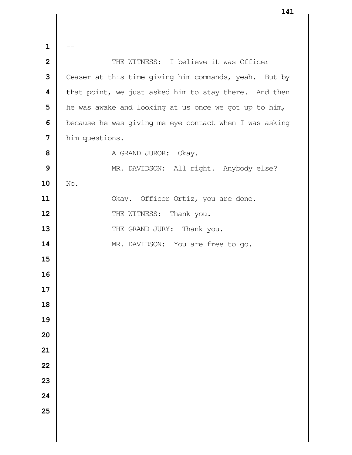$\mathbf{1}$  **1** THE WITNESS: I believe it was Officer Ceaser at this time giving him commands, yeah. But by **t** that point, we just asked him to stay there. And then **h** he was awake and looking at us once we got up to him, **b** because he was giving me eye contact when I was asking him questions. A GRAND JUROR: Okay. MR. DAVIDSON: All right. Anybody else? | No. 11 | Okay. Officer Ortiz, you are done. THE WITNESS: Thank you. THE GRAND JURY: Thank you. 14 | MR. DAVIDSON: You are free to go.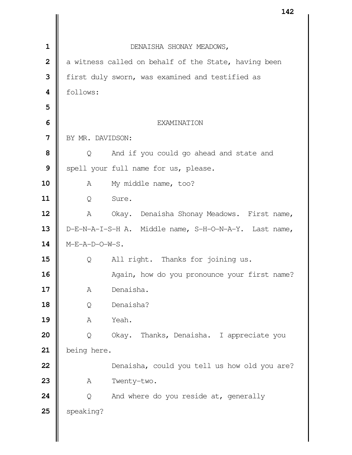|                |                  | 142                                                   |
|----------------|------------------|-------------------------------------------------------|
|                |                  |                                                       |
| $\mathbf{1}$   |                  | DENAISHA SHONAY MEADOWS,                              |
| $\overline{2}$ |                  | a witness called on behalf of the State, having been  |
| 3              |                  | first duly sworn, was examined and testified as       |
| 4              | follows:         |                                                       |
| 5              |                  |                                                       |
| 6              |                  | <b>EXAMINATION</b>                                    |
| $\overline{7}$ | BY MR. DAVIDSON: |                                                       |
| 8              | Q                | And if you could go ahead and state and               |
| 9              |                  | spell your full name for us, please.                  |
| 10             | A                | My middle name, too?                                  |
| 11             | Q                | Sure.                                                 |
| 12             | A                | Okay. Denaisha Shonay Meadows. First name,            |
| 13             |                  | D-E-N-A-I-S-H A. Middle name, S-H-O-N-A-Y. Last name, |
| 14             | M-E-A-D-O-W-S.   |                                                       |
| 15             | Q                | All right. Thanks for joining us.                     |
| 16             |                  | Again, how do you pronounce your first name?          |
| 17             | Α                | Denaisha.                                             |
| 18             | Q                | Denaisha?                                             |
| 19             | Α                | Yeah.                                                 |
| 20             | Q                | Okay. Thanks, Denaisha. I appreciate you              |
| 21             | being here.      |                                                       |
| 22             |                  | Denaisha, could you tell us how old you are?          |
| 23             | Α                | Twenty-two.                                           |
| 24             | Q                | And where do you reside at, generally                 |
| 25             | speaking?        |                                                       |
|                |                  |                                                       |
|                |                  |                                                       |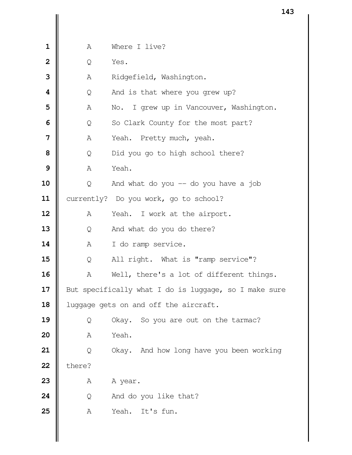| $\mathbf 1$             | A      | Where I live?                                         |
|-------------------------|--------|-------------------------------------------------------|
| $\overline{2}$          | Q      | Yes.                                                  |
| 3                       | Α      | Ridgefield, Washington.                               |
| $\overline{\mathbf{4}}$ | Q      | And is that where you grew up?                        |
| 5                       | Α      | No. I grew up in Vancouver, Washington.               |
| 6                       | Q      | So Clark County for the most part?                    |
| 7                       | Α      | Yeah. Pretty much, yeah.                              |
| 8                       | Q      | Did you go to high school there?                      |
| 9                       | A      | Yeah.                                                 |
| 10                      | Q      | And what do you $-$ do you have a job                 |
| 11                      |        | currently? Do you work, go to school?                 |
| 12                      | A      | Yeah. I work at the airport.                          |
| 13                      | Q      | And what do you do there?                             |
| 14                      | A      | I do ramp service.                                    |
| 15                      | Q      | All right. What is "ramp service"?                    |
| 16                      | Α      | Well, there's a lot of different things.              |
| 17                      |        | But specifically what I do is luggage, so I make sure |
| 18                      |        | luggage gets on and off the aircraft.                 |
| 19                      | Q      | Okay. So you are out on the tarmac?                   |
| 20                      | Α      | Yeah.                                                 |
| 21                      | Q      | Okay. And how long have you been working              |
| 22                      | there? |                                                       |
| 23                      | Α      | A year.                                               |
| 24                      | Q      | And do you like that?                                 |
| 25                      | Α      | Yeah.<br>It's fun.                                    |
|                         |        |                                                       |
|                         |        |                                                       |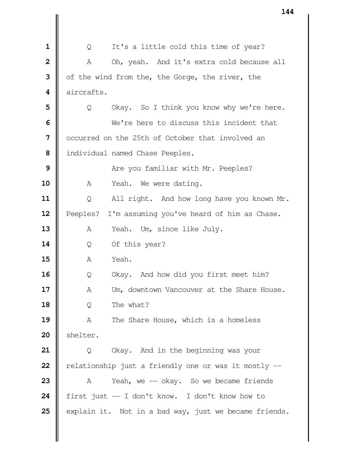| 1                       | Q          | It's a little cold this time of year?                 |
|-------------------------|------------|-------------------------------------------------------|
| $\overline{2}$          | Α          | Oh, yeah. And it's extra cold because all             |
| 3                       |            | of the wind from the, the Gorge, the river, the       |
| $\overline{\mathbf{4}}$ | aircrafts. |                                                       |
| 5                       | Q          | Okay. So I think you know why we're here.             |
| 6                       |            | We're here to discuss this incident that              |
| $\overline{7}$          |            | occurred on the 25th of October that involved an      |
| 8                       |            | individual named Chase Peeples.                       |
| 9                       |            | Are you familiar with Mr. Peeples?                    |
| 10                      | A          | Yeah. We were dating.                                 |
| 11                      | Q          | All right. And how long have you known Mr.            |
| 12                      | Peeples?   | I'm assuming you've heard of him as Chase.            |
| 13                      | Α          | Yeah. Um, since like July.                            |
| 14                      | Q          | Of this year?                                         |
| 15                      | Α          | Yeah.                                                 |
| 16                      | Q          | Okay. And how did you first meet him?                 |
| 17                      | Α          | Um, downtown Vancouver at the Share House.            |
| 18                      | Q          | The what?                                             |
| 19                      | Α          | The Share House, which is a homeless                  |
| 20                      | shelter.   |                                                       |
| 21                      | Q          | Okay. And in the beginning was your                   |
| 22                      |            | relationship just a friendly one or was it mostly --  |
| 23                      | A          | Yeah, we -- okay. So we became friends                |
| 24                      |            | first just -- I don't know. I don't know how to       |
| 25                      |            | explain it. Not in a bad way, just we became friends. |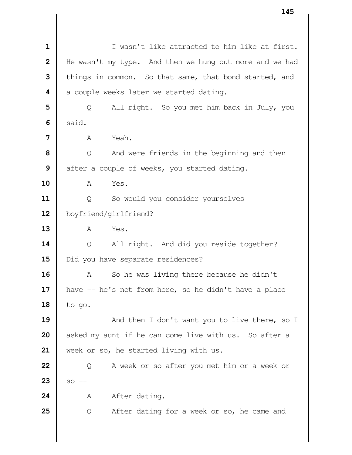I wasn't like attracted to him like at first. He wasn't my type. And then we hung out more and we had things in common. So that same, that bond started, and a couple weeks later we started dating. | Q All right. So you met him back in July, you  $6 \parallel$  said. **I A** Yeah.  $\vert$  Q And were friends in the beginning and then after a couple of weeks, you started dating. A Yes. 11 | Q So would you consider yourselves boyfriend/girlfriend? A Yes. | Q All right. And did you reside together? 15 | Did you have separate residences? A So he was living there because he didn't 17 | have -- he's not from here, so he didn't have a place  $\parallel$  to go.  $\parallel$  And then I don't want you to live there, so I asked my aunt if he can come live with us. So after a 21 | week or so, he started living with us. | Q A week or so after you met him or a week or **23**  $\|$  so  $-$  A After dating.  $\parallel$  Q After dating for a week or so, he came and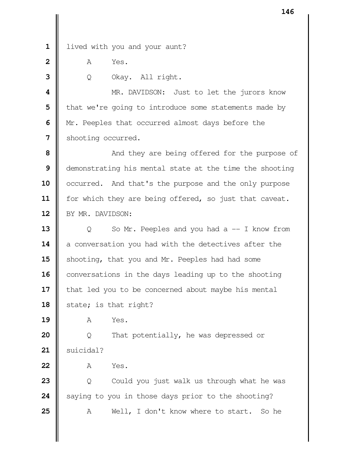1 | lived with you and your aunt?

**A** Yes.

Q Okay. All right.

 MR. DAVIDSON: Just to let the jurors know | that we're going to introduce some statements made by Mr. Peeples that occurred almost days before the Shooting occurred.

 And they are being offered for the purpose of demonstrating his mental state at the time the shooting 10 | occurred. And that's the purpose and the only purpose 11 | for which they are being offered, so just that caveat. 12 | BY MR. DAVIDSON:

 | Q So Mr. Peeples and you had a -- I know from 14 a conversation you had with the detectives after the 15 | shooting, that you and Mr. Peeples had had some conversations in the days leading up to the shooting | that led you to be concerned about maybe his mental  $\parallel$  state; is that right?

A Yes.

 | Q That potentially, he was depressed or 21 | suicidal?

A Yes.

 | Q Could you just walk us through what he was Saying to you in those days prior to the shooting? A Well, I don't know where to start. So he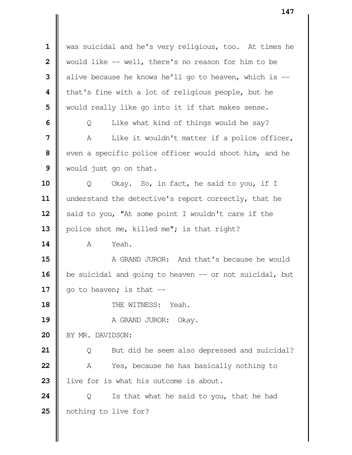was suicidal and he's very religious, too. At times he Would like -- well, there's no reason for him to be  $\parallel$  alive because he knows he'll go to heaven, which is  $-$  **|** that's fine with a lot of religious people, but he Would really like go into it if that makes sense.  $\Box$  Q Like what kind of things would he say? A Like it wouldn't matter if a police officer, even a specific police officer would shoot him, and he would just go on that. Q Okay. So, in fact, he said to you, if I understand the detective's report correctly, that he Said to you, "At some point I wouldn't care if the 13 | police shot me, killed me"; is that right? **A** Yeah.  $\parallel$  A GRAND JUROR: And that's because he would **b** be suicidal and going to heaven -- or not suicidal, but  $\parallel$  go to heaven; is that  $\parallel$  **II** THE WITNESS: Yeah. A GRAND JUROR: Okay. 20 BY MR. DAVIDSON: | Q But did he seem also depressed and suicidal? A Yes, because he has basically nothing to 23 let live for is what his outcome is about.  $\parallel$  Q Is that what he said to you, that he had 25 | nothing to live for?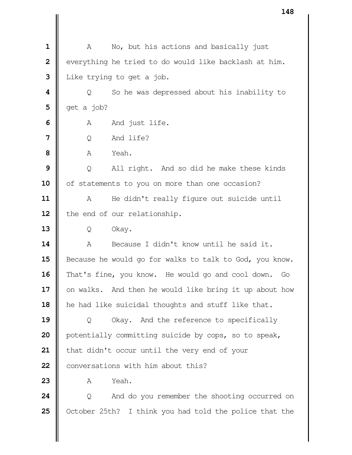A No, but his actions and basically just | everything he tried to do would like backlash at him. I Like trying to get a job.  $\parallel$  Q So he was depressed about his inability to  $\parallel$  get a job? A And just life. | O And life? A Yeah. |  $\bullet$  Q All right. And so did he make these kinds 10 | of statements to you on more than one occasion? A He didn't really figure out suicide until 12 | the end of our relationship. Q Okay. A Because I didn't know until he said it. 15 | Because he would go for walks to talk to God, you know. 16 That's fine, you know. He would go and cool down. Go 17 | on walks. And then he would like bring it up about how 18 | he had like suicidal thoughts and stuff like that. | Q Okay. And the reference to specifically | potentially committing suicide by cops, so to speak, | that didn't occur until the very end of your **22 II** conversations with him about this?  $\parallel$   $\uparrow$   $\uparrow$   $\uparrow$   $\downarrow$   $\downarrow$   $\downarrow$   $\downarrow$   $\downarrow$   $\downarrow$   $\downarrow$   $\downarrow$   $\downarrow$   $\downarrow$   $\downarrow$   $\downarrow$   $\downarrow$   $\downarrow$   $\downarrow$   $\downarrow$   $\downarrow$   $\downarrow$   $\downarrow$   $\downarrow$   $\downarrow$   $\downarrow$   $\downarrow$   $\downarrow$   $\downarrow$   $\downarrow$   $\downarrow$   $\downarrow$   $\downarrow$   $\downarrow$   $\downarrow$   $\downarrow$   $\parallel$  Q And do you remember the shooting occurred on October 25th? I think you had told the police that the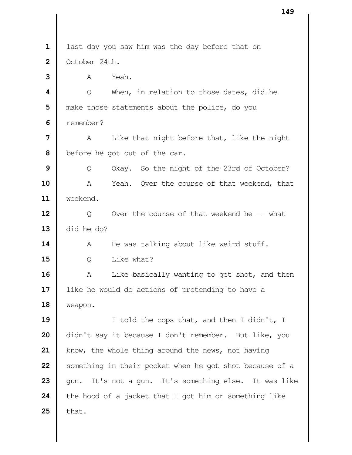| 1            | last day you saw him was the day before that on            |  |  |
|--------------|------------------------------------------------------------|--|--|
| $\mathbf{2}$ | October 24th.                                              |  |  |
| 3            | Yeah.<br>A                                                 |  |  |
| 4            | $\overline{Q}$<br>When, in relation to those dates, did he |  |  |
| 5            | make those statements about the police, do you             |  |  |
| 6            | remember?                                                  |  |  |
| 7            | Like that night before that, like the night<br>A           |  |  |
| 8            | before he got out of the car.                              |  |  |
| 9            | Okay. So the night of the 23rd of October?<br>Q            |  |  |
| 10           | Yeah. Over the course of that weekend, that<br>A           |  |  |
| 11           | weekend.                                                   |  |  |
| 12           | Q<br>Over the course of that weekend he -- what            |  |  |
| 13           | did he do?                                                 |  |  |
| 14           | He was talking about like weird stuff.<br>A                |  |  |
| 15           | Like what?<br>Q                                            |  |  |
| 16           | Like basically wanting to get shot, and then<br>A          |  |  |
| 17           | like he would do actions of pretending to have a           |  |  |
| 18           | weapon.                                                    |  |  |
| 19           | I told the cops that, and then I didn't, I                 |  |  |
| 20           | didn't say it because I don't remember. But like, you      |  |  |
| 21           | know, the whole thing around the news, not having          |  |  |
| 22           | something in their pocket when he got shot because of a    |  |  |
| 23           | It's not a gun. It's something else. It was like<br>qun.   |  |  |
| 24           | the hood of a jacket that I got him or something like      |  |  |
| 25           | that.                                                      |  |  |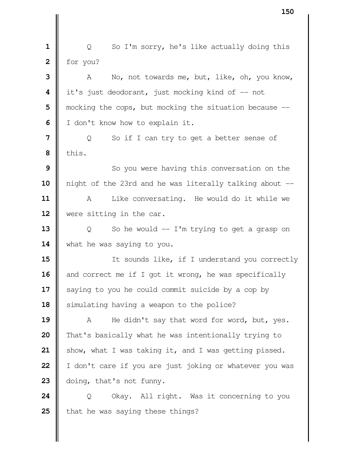| Q So I'm sorry, he's like actually doing this  $2 \parallel$  for you? A No, not towards me, but, like, oh, you know, it's just deodorant, just mocking kind of -- not | mocking the cops, but mocking the situation because  $-$  | I don't know how to explain it. | Q So if I can try to get a better sense of  $\parallel$  this. So you were having this conversation on the night of the 23rd and he was literally talking about -- 11 | A Like conversating. He would do it while we were sitting in the car.  $\vert$  Q So he would -- I'm trying to get a grasp on 14 | what he was saying to you. II Isounds like, if I understand you correctly 16 and correct me if I got it wrong, he was specifically Saying to you he could commit suicide by a cop by Simulating having a weapon to the police? 19 | A He didn't say that word for word, but, yes. That's basically what he was intentionally trying to 21 | show, what I was taking it, and I was getting pissed. | I don't care if you are just joking or whatever you was **doing**, that's not funny. | Q Okay. All right. Was it concerning to you That he was saying these things?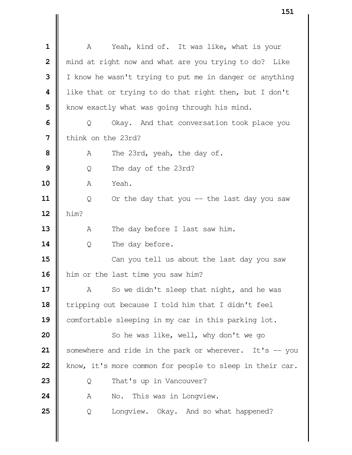A Yeah, kind of. It was like, what is your | mind at right now and what are you trying to do? Like I I know he wasn't trying to put me in danger or anything like that or trying to do that right then, but I don't | know exactly what was going through his mind.  $\Box$  Q Okay. And that conversation took place you think on the 23rd? A The 23rd, yeah, the day of. | Q The day of the 23rd? A Yeah. | Q Or the day that you -- the last day you saw him? A The day before I last saw him.  $\parallel$  Q The day before. Can you tell us about the last day you saw 16 | him or the last time you saw him? A So we didn't sleep that night, and he was Tripping out because I told him that I didn't feel **Comfortable sleeping in my car in this parking lot.**   $\parallel$  So he was like, well, why don't we go Somewhere and ride in the park or wherever. It's -- you know, it's more common for people to sleep in their car. Q That's up in Vancouver? A No. This was in Longview.  $\begin{bmatrix} 0 & \text{Longview.} \\ 0 & \text{diagview.} \end{bmatrix}$  and so what happened?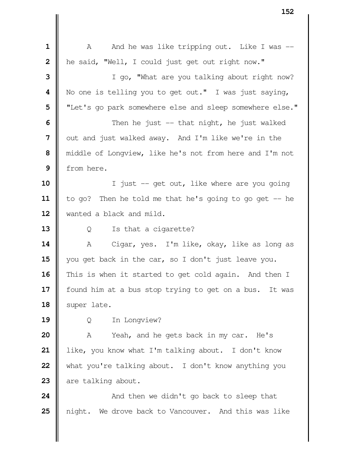| 1            | And he was like tripping out. Like I was --<br>A          |  |  |  |
|--------------|-----------------------------------------------------------|--|--|--|
| $\mathbf{2}$ | he said, "Well, I could just get out right now."          |  |  |  |
| 3            | I go, "What are you talking about right now?              |  |  |  |
| 4            | No one is telling you to get out." I was just saying,     |  |  |  |
| 5            | "Let's go park somewhere else and sleep somewhere else."  |  |  |  |
| 6            | Then he just $-$ that night, he just walked               |  |  |  |
| 7            | out and just walked away. And I'm like we're in the       |  |  |  |
| 8            | middle of Longview, like he's not from here and I'm not   |  |  |  |
| 9            | from here.                                                |  |  |  |
| 10           | I just -- get out, like where are you going               |  |  |  |
| 11           | to go? Then he told me that he's going to go get -- he    |  |  |  |
| 12           | wanted a black and mild.                                  |  |  |  |
| 13           | Q<br>Is that a cigarette?                                 |  |  |  |
| 14           | Cigar, yes. I'm like, okay, like as long as<br>A          |  |  |  |
| 15           | you get back in the car, so I don't just leave you.       |  |  |  |
| 16           | This is when it started to get cold again. And then I     |  |  |  |
| 17           | found him at a bus stop trying to get on a bus.<br>It was |  |  |  |
| 18           | super late.                                               |  |  |  |
| 19           | In Longview?<br>Q                                         |  |  |  |
| 20           | Yeah, and he gets back in my car. He's<br>Α               |  |  |  |
| 21           | like, you know what I'm talking about. I don't know       |  |  |  |
| 22           | what you're talking about. I don't know anything you      |  |  |  |
| 23           | are talking about.                                        |  |  |  |
| 24           | And then we didn't go back to sleep that                  |  |  |  |
| 25           | night.<br>We drove back to Vancouver. And this was like   |  |  |  |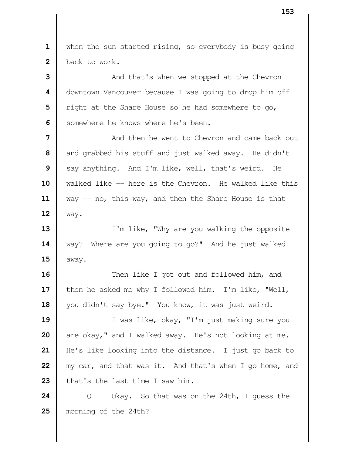1 | when the sun started rising, so everybody is busy going **back** to work.

 And that's when we stopped at the Chevron | downtown Vancouver because I was going to drop him off | right at the Share House so he had somewhere to go, Somewhere he knows where he's been.

 **II** And then he went to Chevron and came back out and grabbed his stuff and just walked away. He didn't Say anything. And I'm like, well, that's weird. He walked like -- here is the Chevron. He walked like this way -- no, this way, and then the Share House is that way.

 I'm like, "Why are you walking the opposite way? Where are you going to go?" And he just walked | away.

**16**  $\parallel$  Then like I got out and followed him, and 17 | then he asked me why I followed him. I'm like, "Well, 18 | you didn't say bye." You know, it was just weird.

 I was like, okay, "I'm just making sure you are okay," and I walked away. He's not looking at me. He's like looking into the distance. I just go back to **m**y car, and that was it. And that's when I go home, and  $\parallel$  that's the last time I saw him.

**24**  $\parallel$  Q Okay. So that was on the 24th, I quess the morning of the 24th?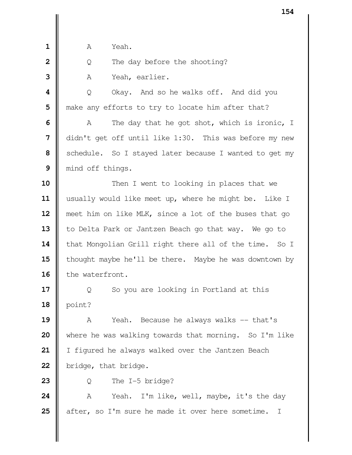| $\mathbf{1}$   | Yeah.<br>А                                                        |  |  |  |
|----------------|-------------------------------------------------------------------|--|--|--|
| $\overline{2}$ | The day before the shooting?<br>Q                                 |  |  |  |
| 3              |                                                                   |  |  |  |
|                | Yeah, earlier.<br>Α                                               |  |  |  |
| 4              | Q<br>Okay. And so he walks off. And did you                       |  |  |  |
| 5              | make any efforts to try to locate him after that?                 |  |  |  |
| 6              | The day that he got shot, which is ironic, I<br>A                 |  |  |  |
| $\overline{7}$ | didn't get off until like 1:30. This was before my new            |  |  |  |
| 8              | schedule. So I stayed later because I wanted to get my            |  |  |  |
| 9              | mind off things.                                                  |  |  |  |
| 10             | Then I went to looking in places that we                          |  |  |  |
| 11             | usually would like meet up, where he might be. Like I             |  |  |  |
| 12             | meet him on like MLK, since a lot of the buses that go            |  |  |  |
| 13             | to Delta Park or Jantzen Beach go that way. We go to              |  |  |  |
| 14             | that Mongolian Grill right there all of the time. So I            |  |  |  |
| 15             | thought maybe he'll be there. Maybe he was downtown by            |  |  |  |
| 16             | the waterfront.                                                   |  |  |  |
| 17             | So you are looking in Portland at this<br>Q                       |  |  |  |
| 18             | point?                                                            |  |  |  |
| 19             | Because he always walks -- that's<br>Yeah.<br>Α                   |  |  |  |
| 20             | where he was walking towards that morning. So I'm like            |  |  |  |
| 21             | I figured he always walked over the Jantzen Beach                 |  |  |  |
| 22             | bridge, that bridge.                                              |  |  |  |
| 23             | The I-5 bridge?<br>Q                                              |  |  |  |
| 24             | I'm like, well, maybe, it's the day<br>Α<br>Yeah.                 |  |  |  |
| 25             | after, so I'm sure he made it over here sometime.<br>$\mathbb{I}$ |  |  |  |
|                |                                                                   |  |  |  |
|                |                                                                   |  |  |  |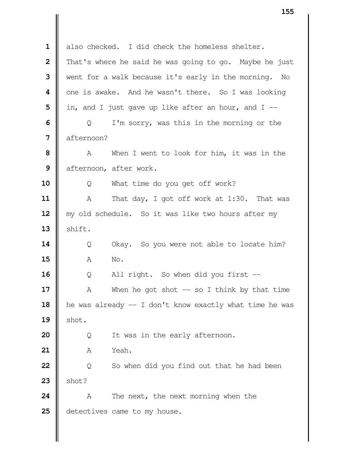1 also checked. I did check the homeless shelter. That's where he said he was going to go. Maybe he just Went for a walk because it's early in the morning. No one is awake. And he wasn't there. So I was looking  $\parallel$  in, and I just gave up like after an hour, and I  $\Box$  Q I'm sorry, was this in the morning or the **d** afternoon? A When I went to look for him, it was in the **d** afternoon, after work. | Q What time do you get off work? A That day, I got off work at 1:30. That was 12 || my old schedule. So it was like two hours after my  $\parallel$  shift. | Q Okay. So you were not able to locate him? **A** No. | Q All right. So when did you first -- A When he got shot -- so I think by that time 18 | he was already -- I don't know exactly what time he was  $\parallel$  shot. | Q It was in the early afternoon. A Yeah. | Q So when did you find out that he had been  $\parallel$  shot? A The next, the next morning when the **d** detectives came to my house.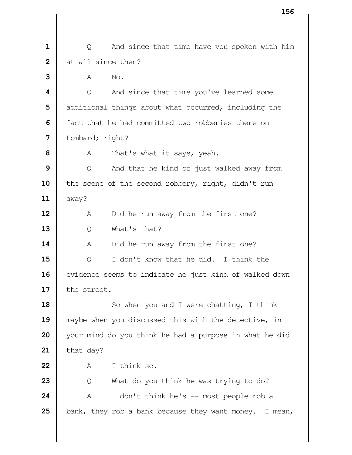| Q And since that time have you spoken with him I at all since then? **A** No.  $\vert \vert$  Q And since that time you've learned some **d** additional things about what occurred, including the **f** fact that he had committed two robberies there on Lombard; right? A That's what it says, yeah. | Q And that he kind of just walked away from 10 | the scene of the second robbery, right, didn't run  $\parallel$  away? A Did he run away from the first one? Q What's that? A Did he run away from the first one? Q I don't know that he did. I think the 16 | evidence seems to indicate he just kind of walked down 17 | the street. So when you and I were chatting, I think maybe when you discussed this with the detective, in your mind do you think he had a purpose in what he did  $\parallel$  that day?  $\blacksquare$   $\uparrow$   $\uparrow$  think so. | Q What do you think he was trying to do?  $\parallel$  A I don't think he's  $-$  most people rob a  $\parallel$  bank, they rob a bank because they want money. I mean,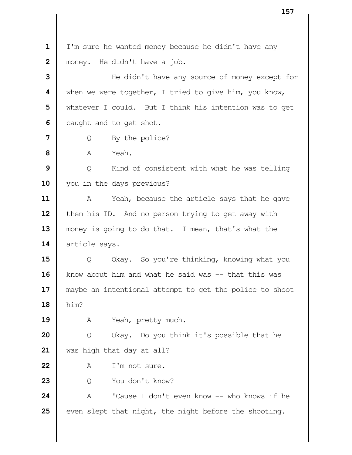I'm sure he wanted money because he didn't have any **|** money. He didn't have a job. He didn't have any source of money except for When we were together, I tried to give him, you know, Whatever I could. But I think his intention was to get caught and to get shot. | Q By the police?  $\mathbf{8}$   $\mathbf{R}$   $\mathbf{A}$   $\mathbf{Y}_{\mathbf{P}}$   $\mathbf{A}$   $\mathbf{Y}_{\mathbf{P}}$  | Q Kind of consistent with what he was telling 10 | you in the days previous? A Yeah, because the article says that he gave 12 | them his ID. And no person trying to get away with 13 | money is going to do that. I mean, that's what the 14 article says.  $\parallel$  0 Okay. So you're thinking, knowing what you know about him and what he said was -- that this was 17 || maybe an intentional attempt to get the police to shoot him? A Yeah, pretty much. | Q Okay. Do you think it's possible that he was high that day at all? 22 A I'm not sure. Q You don't know?  $\parallel$  A <sup>'</sup>Cause I don't even know -- who knows if he even slept that night, the night before the shooting.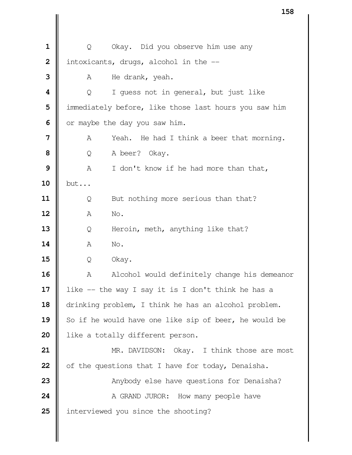| $\mathbf 1$             | Q                                                     | Okay. Did you observe him use any                    |  |
|-------------------------|-------------------------------------------------------|------------------------------------------------------|--|
| $\overline{\mathbf{2}}$ |                                                       | intoxicants, drugs, alcohol in the --                |  |
| 3                       | Α                                                     | He drank, yeah.                                      |  |
| 4                       | Q                                                     | I quess not in general, but just like                |  |
| 5                       | immediately before, like those last hours you saw him |                                                      |  |
| 6                       | or maybe the day you saw him.                         |                                                      |  |
| 7                       | A                                                     | Yeah.<br>He had I think a beer that morning.         |  |
| 8                       | A beer?<br>Q<br>Okay.                                 |                                                      |  |
| 9                       | A                                                     | I don't know if he had more than that,               |  |
| 10                      | but                                                   |                                                      |  |
| 11                      | Q                                                     | But nothing more serious than that?                  |  |
| 12                      | Α                                                     | No.                                                  |  |
| 13                      | Q                                                     | Heroin, meth, anything like that?                    |  |
| 14                      | Α                                                     | No.                                                  |  |
| 15                      | Q                                                     | Okay.                                                |  |
| 16                      | Α                                                     | Alcohol would definitely change his demeanor         |  |
| 17                      |                                                       | like -- the way I say it is I don't think he has a   |  |
| 18                      |                                                       | drinking problem, I think he has an alcohol problem. |  |
| 19                      | So if he would have one like sip of beer, he would be |                                                      |  |
| 20                      | like a totally different person.                      |                                                      |  |
| 21                      |                                                       | MR. DAVIDSON: Okay. I think those are most           |  |
| 22                      | of the questions that I have for today, Denaisha.     |                                                      |  |
| 23                      | Anybody else have questions for Denaisha?             |                                                      |  |
| 24                      |                                                       | A GRAND JUROR: How many people have                  |  |
| 25                      |                                                       | interviewed you since the shooting?                  |  |
|                         |                                                       |                                                      |  |
|                         |                                                       |                                                      |  |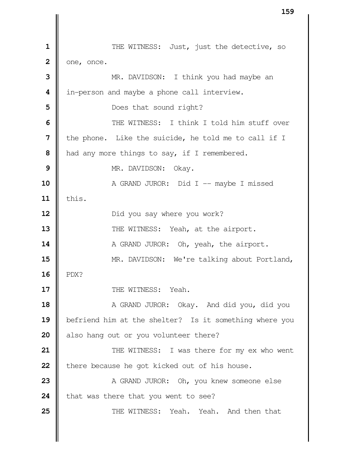THE WITNESS: Just, just the detective, so  $2 \parallel$  one, once. MR. DAVIDSON: I think you had maybe an | in-person and maybe a phone call interview. Does that sound right?  $\parallel$  THE WITNESS: I think I told him stuff over I the phone. Like the suicide, he told me to call if I | had any more things to say, if I remembered. NR. DAVIDSON: Okay. A GRAND JUROR: Did I -- maybe I missed this. **Did you say where you work?**   $\parallel$  THE WITNESS: Yeah, at the airport.  $\parallel$  A GRAND JUROR: Oh, yeah, the airport. **MR.** DAVIDSON: We're talking about Portland, PDX? **II** THE WITNESS: Yeah. A GRAND JUROR: Okay. And did you, did you befriend him at the shelter? Is it something where you also hang out or you volunteer there?  $\parallel$  THE WITNESS: I was there for my ex who went **h** there because he got kicked out of his house. A GRAND JUROR: Oh, you knew someone else **that was there that you went to see?**  $\parallel$  THE WITNESS: Yeah. Yeah. And then that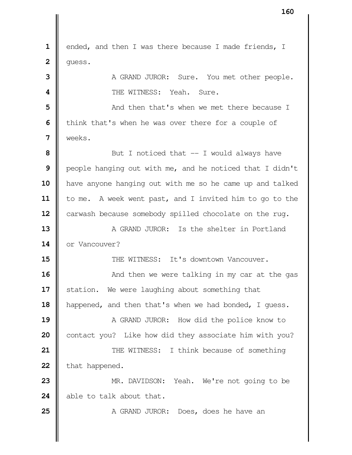1 | ended, and then I was there because I made friends, I  $2 \parallel$  guess. A GRAND JUROR: Sure. You met other people. **I** THE WITNESS: Yeah. Sure. And then that's when we met there because I | think that's when he was over there for a couple of weeks. But I noticed that  $-$  I would always have **|** people hanging out with me, and he noticed that I didn't have anyone hanging out with me so he came up and talked 11 | to me. A week went past, and I invited him to go to the 12 | carwash because somebody spilled chocolate on the rug. **A** GRAND JUROR: Is the shelter in Portland 14 | or Vancouver? **II** THE WITNESS: It's downtown Vancouver.  $\parallel$  **And then we were talking in my car at the gas**  Station. We were laughing about something that 18 | happened, and then that's when we had bonded, I guess. A GRAND JUROR: How did the police know to contact you? Like how did they associate him with you?  $\parallel$  THE WITNESS: I think because of something 22 that happened. MR. DAVIDSON: Yeah. We're not going to be able to talk about that. A GRAND JUROR: Does, does he have an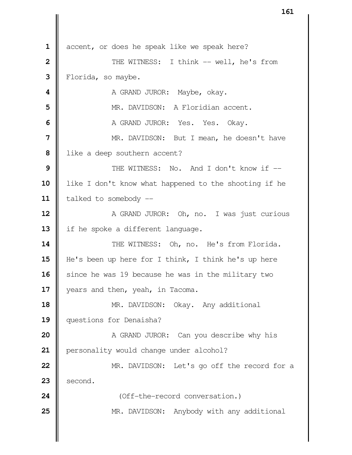accent, or does he speak like we speak here?  $\parallel$  THE WITNESS: I think -- well, he's from Florida, so maybe. **A** GRAND JUROR: Maybe, okay. **I** MR. DAVIDSON: A Floridian accent. A GRAND JUROR: Yes. Yes. Okay. NR. DAVIDSON: But I mean, he doesn't have lacktritude is a deep southern accent?  $\parallel$  THE WITNESS: No. And I don't know if --10 | like I don't know what happened to the shooting if he 11 | talked to somebody -- A GRAND JUROR: Oh, no. I was just curious 13 | if he spoke a different language. 14 || THE WITNESS: Oh, no. He's from Florida. He's been up here for I think, I think he's up here Since he was 19 because he was in the military two 17 | years and then, yeah, in Tacoma. 18 | MR. DAVIDSON: Okay. Any additional questions for Denaisha? A GRAND JUROR: Can you describe why his 21 | personality would change under alcohol? **MR.** DAVIDSON: Let's go off the record for a second. **|** (Off-the-record conversation.) MR. DAVIDSON: Anybody with any additional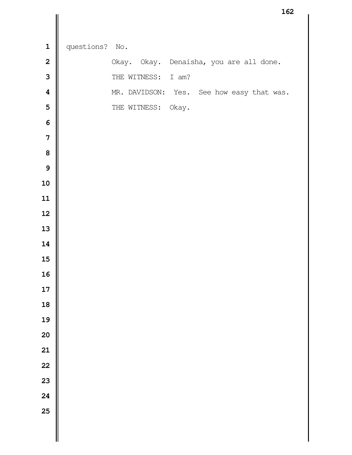|                         |            |                    | TQT                                       |
|-------------------------|------------|--------------------|-------------------------------------------|
|                         |            |                    |                                           |
| $\mathbf 1$             | questions? | No.                |                                           |
| $\overline{\mathbf{2}}$ |            |                    | Okay. Okay. Denaisha, you are all done.   |
| $\overline{3}$          |            | THE WITNESS: I am? |                                           |
| $\overline{\mathbf{4}}$ |            |                    | MR. DAVIDSON: Yes. See how easy that was. |
| 5                       |            | THE WITNESS: Okay. |                                           |
| $\boldsymbol{6}$        |            |                    |                                           |
| $\overline{\mathbf{7}}$ |            |                    |                                           |
| 8                       |            |                    |                                           |
| $\mathbf{9}$            |            |                    |                                           |
| 10                      |            |                    |                                           |
| 11                      |            |                    |                                           |
| 12                      |            |                    |                                           |
| 13                      |            |                    |                                           |
| 14                      |            |                    |                                           |
| 15                      |            |                    |                                           |
| 16                      |            |                    |                                           |
| 17                      |            |                    |                                           |
| 18                      |            |                    |                                           |
| 19                      |            |                    |                                           |
| 20                      |            |                    |                                           |
| 21                      |            |                    |                                           |
| 22                      |            |                    |                                           |
| 23                      |            |                    |                                           |
| 24                      |            |                    |                                           |
| 25                      |            |                    |                                           |
|                         |            |                    |                                           |
|                         |            |                    |                                           |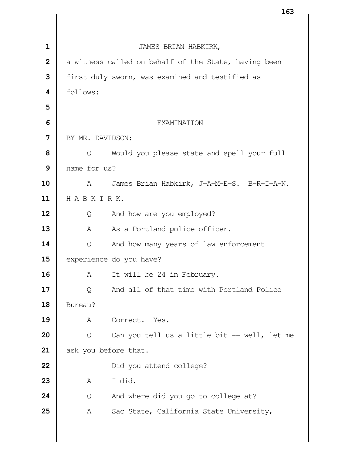|                |                         | エロつ                                                  |  |  |
|----------------|-------------------------|------------------------------------------------------|--|--|
|                |                         |                                                      |  |  |
| $\mathbf{1}$   | JAMES BRIAN HABKIRK,    |                                                      |  |  |
| $\overline{2}$ |                         | a witness called on behalf of the State, having been |  |  |
| 3              |                         | first duly sworn, was examined and testified as      |  |  |
| 4              | follows:                |                                                      |  |  |
| 5              |                         |                                                      |  |  |
| 6              |                         | <b>EXAMINATION</b>                                   |  |  |
| 7              | BY MR. DAVIDSON:        |                                                      |  |  |
| 8              | Q                       | Would you please state and spell your full           |  |  |
| 9              | name for us?            |                                                      |  |  |
| 10             | A                       | James Brian Habkirk, J-A-M-E-S. B-R-I-A-N.           |  |  |
| 11             | H-A-B-K-I-R-K.          |                                                      |  |  |
| 12             | Q                       | And how are you employed?                            |  |  |
| 13             | Α                       | As a Portland police officer.                        |  |  |
| 14             | Q                       | And how many years of law enforcement                |  |  |
| 15             | experience do you have? |                                                      |  |  |
| 16             | Α                       | It will be 24 in February.                           |  |  |
| 17             | Q                       | And all of that time with Portland Police            |  |  |
| 18             | Bureau?                 |                                                      |  |  |
| 19             | Α                       | Correct. Yes.                                        |  |  |
| 20             | Q                       | Can you tell us a little bit -- well, let me         |  |  |
| 21             | ask you before that.    |                                                      |  |  |
| 22             |                         | Did you attend college?                              |  |  |
| 23             | Α                       | I did.                                               |  |  |
| 24             | Q                       | And where did you go to college at?                  |  |  |
| 25             | Α                       | Sac State, California State University,              |  |  |
|                |                         |                                                      |  |  |
|                |                         |                                                      |  |  |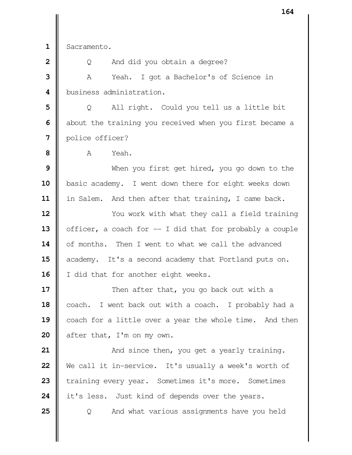**1** Sacramento.

**2**  $\parallel$  Q And did you obtain a degree? **3** A Yeah. I got a Bachelor's of Science in 4 | business administration.

**5** | Q All right. Could you tell us a little bit **6** about the training you received when you first became a  **7** police officer?

 $\mathbf{8}$   $\blacksquare$   $\uparrow$   $\uparrow$   $\uparrow$   $\uparrow$   $\uparrow$   $\uparrow$   $\uparrow$   $\uparrow$   $\uparrow$   $\uparrow$   $\uparrow$   $\uparrow$   $\uparrow$   $\uparrow$   $\uparrow$   $\uparrow$   $\uparrow$   $\uparrow$   $\uparrow$   $\uparrow$   $\uparrow$   $\uparrow$   $\uparrow$   $\uparrow$   $\uparrow$   $\uparrow$   $\uparrow$   $\uparrow$   $\uparrow$   $\uparrow$   $\uparrow$   $\uparrow$   $\uparrow$   $\uparrow$ 

**9** Nhen you first get hired, you go down to the 10 | basic academy. I went down there for eight weeks down **11** in Salem. And then after that training, I came back.

**12**  $\parallel$  You work with what they call a field training **13** officer, a coach for  $-$  I did that for probably a couple **14** | of months. Then I went to what we call the advanced 15 academy. It's a second academy that Portland puts on. 16 | I did that for another eight weeks.

**17**  $\parallel$  Then after that, you go back out with a 18 | coach. I went back out with a coach. I probably had a 19 coach for a little over a year the whole time. And then 20 | after that, I'm on my own.

  $\parallel$  And since then, you get a yearly training. We call it in-service. It's usually a week's worth of 23 training every year. Sometimes it's more. Sometimes **i** it's less. Just kind of depends over the years.

**25**  $\Box$  Q And what various assignments have you held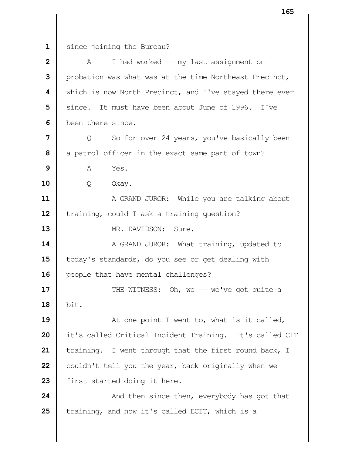since joining the Bureau?

| $\overline{2}$ | I had worked -- my last assignment on<br>A              |  |  |
|----------------|---------------------------------------------------------|--|--|
| 3              | probation was what was at the time Northeast Precinct,  |  |  |
| 4              | which is now North Precinct, and I've stayed there ever |  |  |
| 5              | since. It must have been about June of 1996. I've       |  |  |
| 6              | been there since.                                       |  |  |
| 7              | So for over 24 years, you've basically been<br>Q        |  |  |
| 8              | a patrol officer in the exact same part of town?        |  |  |
| 9              | Yes.<br>A                                               |  |  |
| 10             | Q<br>Okay.                                              |  |  |
| 11             | A GRAND JUROR: While you are talking about              |  |  |
| 12             | training, could I ask a training question?              |  |  |
| 13             | MR. DAVIDSON: Sure.                                     |  |  |
| 14             | A GRAND JUROR: What training, updated to                |  |  |
| 15             | today's standards, do you see or get dealing with       |  |  |
| 16             | people that have mental challenges?                     |  |  |
| 17             | THE WITNESS: Oh, we -- we've got quite a                |  |  |
| 18             | bit.                                                    |  |  |
| 19             | At one point I went to, what is it called,              |  |  |
| 20             | it's called Critical Incident Training. It's called CIT |  |  |
| 21             | training. I went through that the first round back, I   |  |  |
| 22             | couldn't tell you the year, back originally when we     |  |  |
| 23             | first started doing it here.                            |  |  |
| 24             | And then since then, everybody has got that             |  |  |
| 25             | training, and now it's called ECIT, which is a          |  |  |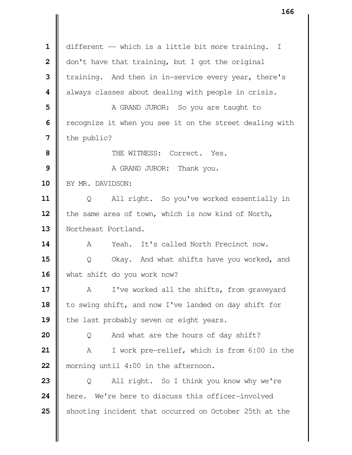1 | different -- which is a little bit more training. I | don't have that training, but I got the original training. And then in in-service every year, there's  $\parallel$  always classes about dealing with people in crisis. A GRAND JUROR: So you are taught to Tecognize it when you see it on the street dealing with  $\parallel$  the public?  $\parallel$  THE WITNESS: Correct. Yes. A GRAND JUROR: Thank you. 10 BY MR. DAVIDSON: | Q All right. So you've worked essentially in 12 | the same area of town, which is now kind of North, Northeast Portland. A Yeah. It's called North Precinct now. Q Okay. And what shifts have you worked, and 16 what shift do you work now? A I've worked all the shifts, from graveyard 18 | to swing shift, and now I've landed on day shift for 19 the last probably seven or eight years. | Q And what are the hours of day shift? A I work pre-relief, which is from 6:00 in the morning until 4:00 in the afternoon. Q All right. So I think you know why we're 24 here. We're here to discuss this officer-involved Shooting incident that occurred on October 25th at the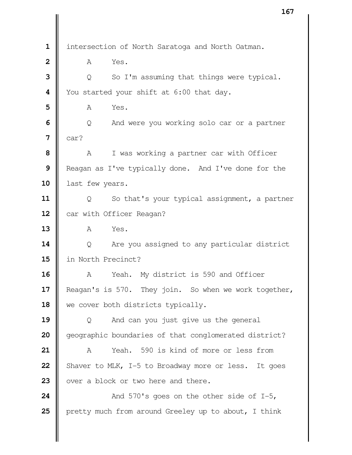intersection of North Saratoga and North Oatman. **A** Yes. | Q So I'm assuming that things were typical. You started your shift at 6:00 that day. **A** Yes.  $\Box$  Q And were you working solo car or a partner **7**  $\|$  car? A I was working a partner car with Officer Reagan as I've typically done. And I've done for the **last few years.**  | Q So that's your typical assignment, a partner 12 | car with Officer Reagan? **A** Yes.  $\begin{bmatrix} 0 & \text{Area} \\ 0 & \text{Area} \end{bmatrix}$  are you assigned to any particular district in North Precinct? A Yeah. My district is 590 and Officer 17 | Reagan's is 570. They join. So when we work together, 18 We cover both districts typically. Q And can you just give us the general **geographic boundaries of that conglomerated district?**  A Yeah. 590 is kind of more or less from Shaver to MLK,  $I-5$  to Broadway more or less. It goes  $\parallel$  over a block or two here and there.  $\parallel$  And 570's goes on the other side of I-5, **pretty much from around Greeley up to about, I think**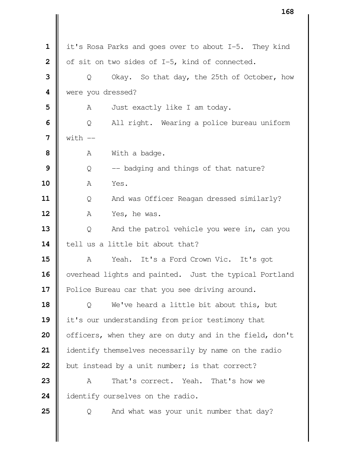| $\mathbf 1$             | it's Rosa Parks and goes over to about I-5. They kind   |  |  |
|-------------------------|---------------------------------------------------------|--|--|
| $\overline{\mathbf{2}}$ | of sit on two sides of I-5, kind of connected.          |  |  |
| 3                       | Okay. So that day, the 25th of October, how<br>Q        |  |  |
| $\overline{\mathbf{4}}$ | were you dressed?                                       |  |  |
| 5                       | Just exactly like I am today.<br>A                      |  |  |
| 6                       | All right. Wearing a police bureau uniform<br>Q         |  |  |
| 7                       | $with$ $-$                                              |  |  |
| 8                       | With a badge.<br>Α                                      |  |  |
| 9                       | -- badging and things of that nature?<br>Q              |  |  |
| 10                      | Α<br>Yes.                                               |  |  |
| 11                      | And was Officer Reagan dressed similarly?<br>Q          |  |  |
| 12                      | Α<br>Yes, he was.                                       |  |  |
| 13                      | And the patrol vehicle you were in, can you<br>Q        |  |  |
| 14                      | tell us a little bit about that?                        |  |  |
| 15                      | Yeah. It's a Ford Crown Vic. It's got<br>Α              |  |  |
| 16                      | overhead lights and painted. Just the typical Portland  |  |  |
| 17                      | Police Bureau car that you see driving around.          |  |  |
| 18                      | We've heard a little bit about this, but<br>Q           |  |  |
| 19                      | it's our understanding from prior testimony that        |  |  |
| 20                      | officers, when they are on duty and in the field, don't |  |  |
| 21                      | identify themselves necessarily by name on the radio    |  |  |
| 22                      | but instead by a unit number; is that correct?          |  |  |
| 23                      | That's correct. Yeah. That's how we<br>Α                |  |  |
| 24                      | identify ourselves on the radio.                        |  |  |
| 25                      | And what was your unit number that day?<br>Q            |  |  |
|                         |                                                         |  |  |
|                         |                                                         |  |  |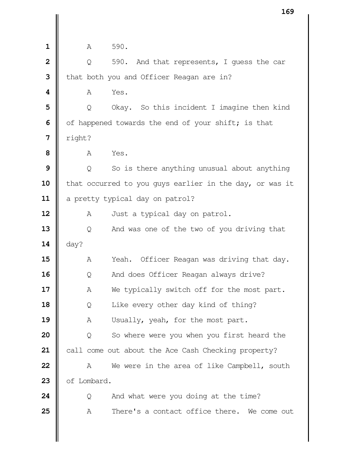| $\mathbf 1$             | A                                                       | 590.                                                |  |
|-------------------------|---------------------------------------------------------|-----------------------------------------------------|--|
| $\overline{\mathbf{c}}$ | Q                                                       | 590. And that represents, I guess the car           |  |
| 3                       |                                                         | that both you and Officer Reagan are in?            |  |
| $\boldsymbol{4}$        | A                                                       | Yes.                                                |  |
| 5                       | Q                                                       | Okay. So this incident I imagine then kind          |  |
| 6                       |                                                         | of happened towards the end of your shift; is that  |  |
| 7                       | right?                                                  |                                                     |  |
| 8                       | Α                                                       | Yes.                                                |  |
| 9                       | Q                                                       | So is there anything unusual about anything         |  |
| 10                      | that occurred to you guys earlier in the day, or was it |                                                     |  |
| 11                      | a pretty typical day on patrol?                         |                                                     |  |
| 12                      | A                                                       | Just a typical day on patrol.                       |  |
| 13                      | Q                                                       | And was one of the two of you driving that          |  |
| 14                      | day?                                                    |                                                     |  |
| 15                      | Α                                                       | Yeah.<br>Officer Reagan was driving that day.       |  |
| 16                      | Q                                                       | And does Officer Reagan always drive?               |  |
| 17                      | Α                                                       | We typically switch off for the most part.          |  |
| 18                      | Q                                                       | Like every other day kind of thing?                 |  |
| 19                      | Α                                                       | Usually, yeah, for the most part.                   |  |
| 20                      | Q                                                       | So where were you when you first heard the          |  |
| 21                      |                                                         | call come out about the Ace Cash Checking property? |  |
| 22                      | A                                                       | We were in the area of like Campbell, south         |  |
| 23                      | of Lombard.                                             |                                                     |  |
| 24                      | Q                                                       | And what were you doing at the time?                |  |
| 25                      | Α                                                       | There's a contact office there. We come out         |  |
|                         |                                                         |                                                     |  |
|                         |                                                         |                                                     |  |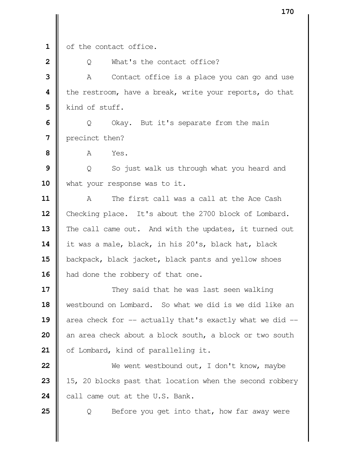1 | of the contact office.

**2**  $\parallel$  0 What's the contact office?

**3** A Contact office is a place you can go and use **4 |** the restroom, have a break, write your reports, do that **5** Kind of stuff.

**6**  $\Box$  Q Okay. But it's separate from the main **7 I** precinct then?

**8 A** Yes.

**9** | Q So just walk us through what you heard and 10 | what your response was to it.

**11** A The first call was a call at the Ace Cash 12 | Checking place. It's about the 2700 block of Lombard. 13 The call came out. And with the updates, it turned out **14** it was a male, black, in his 20's, black hat, black 15 | backpack, black jacket, black pants and yellow shoes 16 | had done the robbery of that one.

  $\parallel$  They said that he was last seen walking westbound on Lombard. So what we did is we did like an  $\parallel$  area check for -- actually that's exactly what we did -- an area check about a block south, a block or two south 21 | of Lombard, kind of paralleling it.

**22** We went westbound out, I don't know, maybe **23** 15, 20 blocks past that location when the second robbery  $24$   $\parallel$  call came out at the U.S. Bank.

**25**  $\vert$  Q Before you get into that, how far away were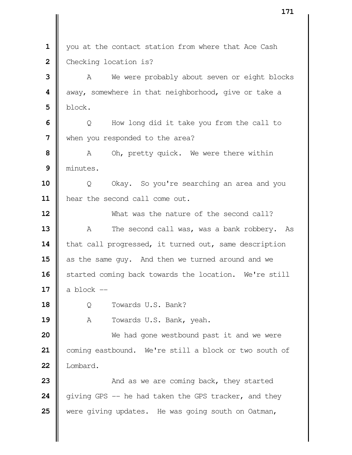1 | you at the contact station from where that Ace Cash Checking location is? A We were probably about seven or eight blocks  $\parallel$  away, somewhere in that neighborhood, give or take a block.  $\Box$  Q How long did it take you from the call to when you responded to the area? A Oh, pretty quick. We were there within minutes.  $\parallel$  Q Okay. So you're searching an area and you hear the second call come out. What was the nature of the second call? A The second call was, was a bank robbery. As 14 | that call progressed, it turned out, same description as the same guy. And then we turned around and we 16 | started coming back towards the location. We're still  $\parallel$  a block  $\parallel$  Q Towards U.S. Bank? 19 | A Towards U.S. Bank, yeah. We had gone westbound past it and we were coming eastbound. We're still a block or two south of Lombard.  $\parallel$  And as we are coming back, they started  $\parallel$  giving GPS -- he had taken the GPS tracker, and they were giving updates. He was going south on Oatman,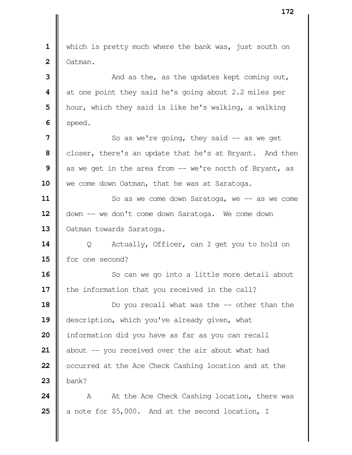which is pretty much where the bank was, just south on Oatman. And as the, as the updates kept coming out, at one point they said he's going about 2.2 miles per | hour, which they said is like he's walking, a walking  $6 \parallel$  speed.  $\parallel$  So as we're going, they said  $\sim$  as we get closer, there's an update that he's at Bryant. And then as we get in the area from -- we're north of Bryant, as 10 | we come down Oatman, that he was at Saratoga.  $\parallel$  So as we come down Saratoga, we -- as we come 12 | down -- we don't come down Saratoga. We come down 13 | Oatman towards Saratoga. Q Actually, Officer, can I get you to hold on for one second? So can we go into a little more detail about **i** the information that you received in the call?  $\parallel$  Do you recall what was the -- other than the **description, which you've already given, what**  | information did you have as far as you can recall about -- you received over the air about what had **o** cocurred at the Ace Check Cashing location and at the bank? A At the Ace Check Cashing location, there was  $\parallel$  a note for \$5,000. And at the second location, I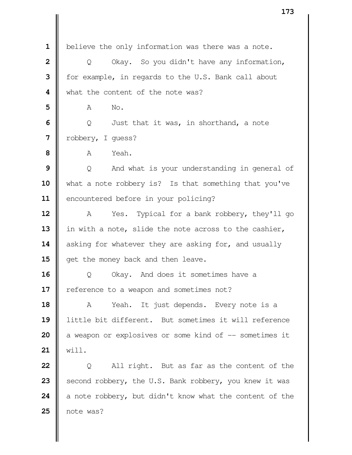believe the only information was there was a note. | Q Okay. So you didn't have any information, | for example, in regards to the U.S. Bank call about What the content of the note was? **A** No.  $\Box$  Q Just that it was, in shorthand, a note robbery, I guess?  $\mathbf{8}$   $\mathbf{R}$   $\mathbf{A}$   $\mathbf{Y}_{\mathbf{P}}$   $\mathbf{A}$   $\mathbf{Y}_{\mathbf{P}}$  | Q And what is your understanding in general of 10 what a note robbery is? Is that something that you've 11 | encountered before in your policing? A Yes. Typical for a bank robbery, they'll go 13 | in with a note, slide the note across to the cashier, asking for whatever they are asking for, and usually **||** get the money back and then leave. | Q Okay. And does it sometimes have a 17 | reference to a weapon and sometimes not? 18 | A Yeah. It just depends. Every note is a little bit different. But sometimes it will reference a weapon or explosives or some kind of -- sometimes it will. | Q All right. But as far as the content of the Second robbery, the U.S. Bank robbery, you knew it was  $\parallel$  a note robbery, but didn't know what the content of the note was?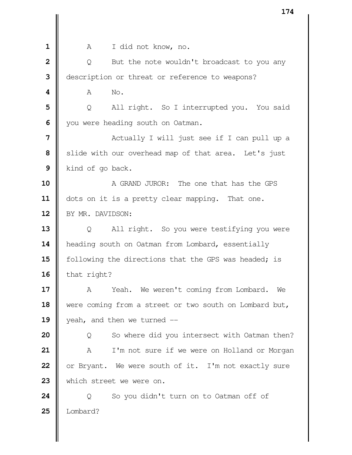| $\mathbf 1$             | A<br>I did not know, no.                               |  |  |
|-------------------------|--------------------------------------------------------|--|--|
| $\overline{\mathbf{2}}$ | But the note wouldn't broadcast to you any<br>Q        |  |  |
| 3                       | description or threat or reference to weapons?         |  |  |
| 4                       | Α<br>No.                                               |  |  |
| 5                       | All right. So I interrupted you. You said<br>Q         |  |  |
| 6                       | you were heading south on Oatman.                      |  |  |
| 7                       | Actually I will just see if I can pull up a            |  |  |
| 8                       | slide with our overhead map of that area. Let's just   |  |  |
| 9                       | kind of go back.                                       |  |  |
| 10                      | A GRAND JUROR: The one that has the GPS                |  |  |
| 11                      | dots on it is a pretty clear mapping. That one.        |  |  |
| 12                      | BY MR. DAVIDSON:                                       |  |  |
| 13                      | All right. So you were testifying you were<br>Q        |  |  |
| 14                      | heading south on Oatman from Lombard, essentially      |  |  |
| 15                      | following the directions that the GPS was headed; is   |  |  |
| 16                      | that right?                                            |  |  |
| 17                      | Yeah. We weren't coming from Lombard. We<br>A          |  |  |
| 18                      | were coming from a street or two south on Lombard but, |  |  |
| 19                      | yeah, and then we turned --                            |  |  |
| 20                      | So where did you intersect with Oatman then?<br>Q      |  |  |
| 21                      | I'm not sure if we were on Holland or Morgan<br>Α      |  |  |
| 22                      | or Bryant. We were south of it. I'm not exactly sure   |  |  |
| 23                      | which street we were on.                               |  |  |
| 24                      | So you didn't turn on to Oatman off of<br>Q            |  |  |
| 25                      | Lombard?                                               |  |  |
|                         |                                                        |  |  |
|                         |                                                        |  |  |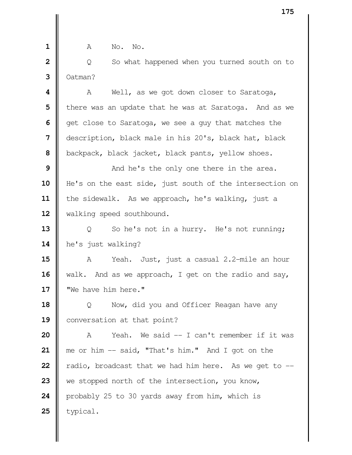**A** No. No. | Q So what happened when you turned south on to  $3 \parallel$  Oatman?  $\parallel$  A Well, as we got down closer to Saratoga, **I** there was an update that he was at Saratoga. And as we get close to Saratoga, we see a guy that matches the description, black male in his 20's, black hat, black backpack, black jacket, black pants, yellow shoes.  $\parallel$  And he's the only one there in the area. 10 | He's on the east side, just south of the intersection on the sidewalk. As we approach, he's walking, just a 12 | walking speed southbound. | Q So he's not in a hurry. He's not running; **he's** just walking? A Yeah. Just, just a casual 2.2-mile an hour walk. And as we approach, I get on the radio and say, "We have him here." | Q Now, did you and Officer Reagan have any 19 | conversation at that point? A Yeah. We said -- I can't remember if it was me or him -- said, "That's him." And I got on the  $\parallel$  radio, broadcast that we had him here. As we get to  $-$ 23 we stopped north of the intersection, you know, 24 | probably 25 to 30 yards away from him, which is | typical.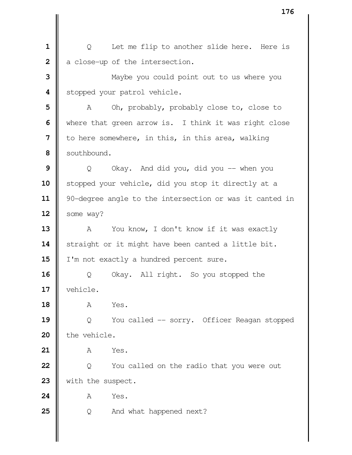| Q Let me flip to another slide here. Here is a close-up of the intersection. Maybe you could point out to us where you Stopped your patrol vehicle. A Oh, probably, probably close to, close to Where that green arrow is. I think it was right close | to here somewhere, in this, in this area, walking southbound.  $\Box$  Q Okay. And did you, did you -- when you Stopped your vehicle, did you stop it directly at a 11 | 90-degree angle to the intersection or was it canted in | some way? 13 | A You know, I don't know if it was exactly 14 | straight or it might have been canted a little bit. 15 | I'm not exactly a hundred percent sure. | Q Okay. All right. So you stopped the vehicle. **A** Yes. | Q You called -- sorry. Officer Reagan stopped 20 | the vehicle. A Yes. | Q You called on the radio that you were out 23 With the suspect. **A** Yes.  $\begin{bmatrix} 0 & 0 \end{bmatrix}$  and what happened next?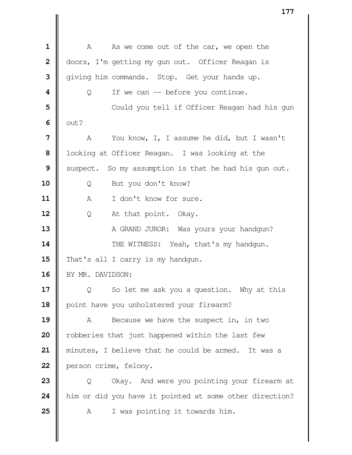A As we come out of the car, we open the | doors, I'm getting my gun out. Officer Reagan is  $\parallel$  giving him commands. Stop. Get your hands up.  $\parallel$  Q If we can -- before you continue.  $\parallel$  **Could you tell if Officer Reagan had his gun**   $\parallel$  out? A You know, I, I assume he did, but I wasn't | looking at Officer Reagan. I was looking at the Suspect. So my assumption is that he had his gun out. Q But you don't know? **A** I don't know for sure. Q At that point. Okay. A GRAND JUROR: Was yours your handgun?  $\parallel$  THE WITNESS: Yeah, that's my handgun. 15 That's all I carry is my handgun. 16 | BY MR. DAVIDSON:  $\parallel$  Q So let me ask you a question. Why at this 18 | point have you unholstered your firearm? A Because we have the suspect in, in two **P** robberies that just happened within the last few minutes, I believe that he could be armed. It was a 22 | person crime, felony.  $\parallel$  Q Okay. And were you pointing your firearm at him or did you have it pointed at some other direction? A I was pointing it towards him.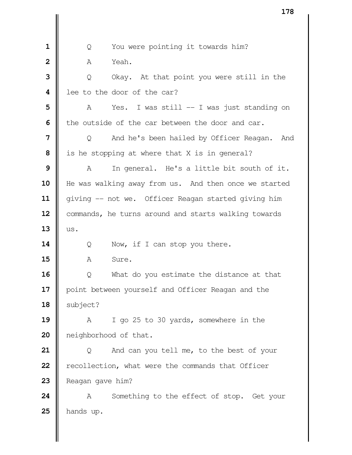| Q You were pointing it towards him? **A** Yeah. | Q Okay. At that point you were still in the lee to the door of the car? A Yes. I was still -- I was just standing on **I** the outside of the car between the door and car.  $\parallel$  Q And he's been hailed by Officer Reagan. And is he stopping at where that X is in general? A In general. He's a little bit south of it. 10 | He was walking away from us. And then once we started 11 | giving -- not we. Officer Reagan started giving him 12 | commands, he turns around and starts walking towards  $13 \parallel$  us. Q Now, if I can stop you there. A Sure.  $\parallel$  Q What do you estimate the distance at that 17 | point between yourself and Officer Reagan and the  $\parallel$  subject? A I go 25 to 30 yards, somewhere in the **|** neighborhood of that. | Q And can you tell me, to the best of your **P** recollection, what were the commands that Officer Reagan gave him? A Something to the effect of stop. Get your hands up.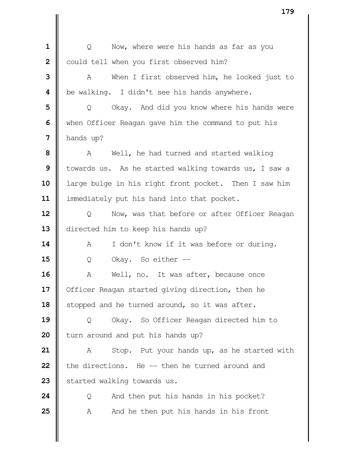| Q Now, where were his hands as far as you could tell when you first observed him? A When I first observed him, he looked just to **b**e walking. I didn't see his hands anywhere.  $\parallel$  Q Okay. And did you know where his hands were when Officer Reagan gave him the command to put his hands up? A Well, he had turned and started walking | towards us. As he started walking towards us, I saw a large bulge in his right front pocket. Then I saw him immediately put his hand into that pocket. | Q Now, was that before or after Officer Reagan  $\parallel$  directed him to keep his hands up? 14 | A I don't know if it was before or during.  $\parallel$  0 Okay. So either  $\parallel$  A Well, no. It was after, because once | Officer Reagan started giving direction, then he 18 | stopped and he turned around, so it was after. | Q Okay. So Officer Reagan directed him to | turn around and put his hands up? A Stop. Put your hands up, as he started with **the directions.** He -- then he turned around and Started walking towards us.  $\parallel$  Q And then put his hands in his pocket? A And he then put his hands in his front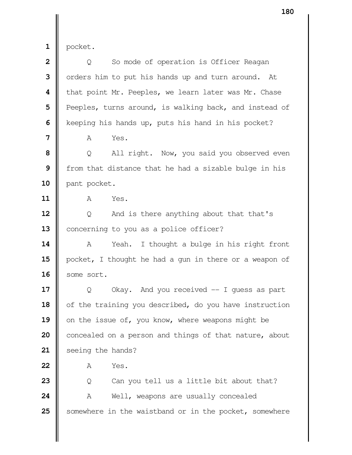| ×<br>۰, |  |
|---------|--|
|         |  |

 pocket. | Q So mode of operation is Officer Reagan | orders him to put his hands up and turn around. At **|** that point Mr. Peeples, we learn later was Mr. Chase Peeples, turns around, is walking back, and instead of Keeping his hands up, puts his hand in his pocket? A Yes. | Q All right. Now, you said you observed even | from that distance that he had a sizable bulge in his 10 | pant pocket. A Yes. | Q And is there anything about that that's 13 | concerning to you as a police officer? A Yeah. I thought a bulge in his right front 15 | pocket, I thought he had a gun in there or a weapon of 16 | some sort. Q Okay. And you received -- I guess as part 18 | of the training you described, do you have instruction 19 | on the issue of, you know, where weapons might be concealed on a person and things of that nature, about 21 | seeing the hands? A Yes. | Q Can you tell us a little bit about that? A Well, weapons are usually concealed Somewhere in the waistband or in the pocket, somewhere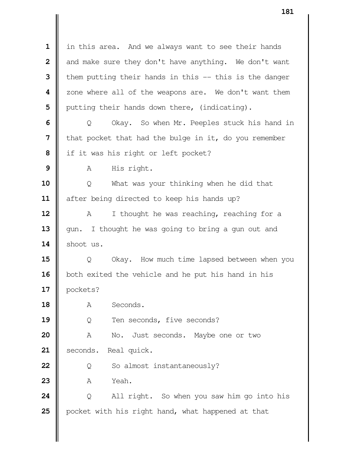| in this area. And we always want to see their hands and make sure they don't have anything. We don't want | them putting their hands in this -- this is the danger  $\parallel$  zone where all of the weapons are. We don't want them | putting their hands down there, (indicating).  $\Box$  Q Okay. So when Mr. Peeples stuck his hand in **I** that pocket that had the bulge in it, do you remember if it was his right or left pocket? A His right. Q What was your thinking when he did that  $\parallel$  after being directed to keep his hands up? A I thought he was reaching, reaching for a 13 || gun. I thought he was going to bring a gun out and 14 | shoot us.  $\parallel$  Q Okay. How much time lapsed between when you both exited the vehicle and he put his hand in his pockets? 18 | A Seconds. |  $\qquad \qquad$  0 Ten seconds, five seconds? A No. Just seconds. Maybe one or two 21 | seconds. Real quick. | Q So almost instantaneously?  $\parallel$   $\vee$  A Yeah. | Q All right. So when you saw him go into his **p**ocket with his right hand, what happened at that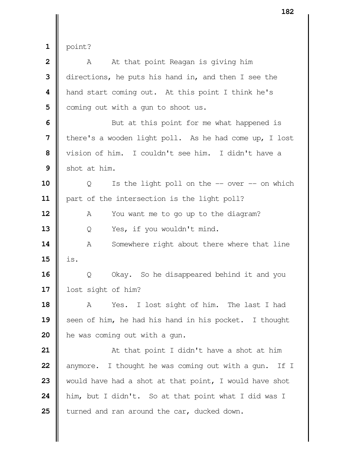$1 \parallel$  point?

| $\overline{2}$ | At that point Reagan is giving him<br>A                |
|----------------|--------------------------------------------------------|
|                |                                                        |
| 3              | directions, he puts his hand in, and then I see the    |
| 4              | hand start coming out. At this point I think he's      |
| 5              | coming out with a gun to shoot us.                     |
| 6              | But at this point for me what happened is              |
| $\overline{7}$ | there's a wooden light poll. As he had come up, I lost |
| 8              | vision of him. I couldn't see him. I didn't have a     |
| 9              | shot at him.                                           |
| 10             | Is the light poll on the $-$ over $-$ on which<br>Q    |
| 11             | part of the intersection is the light poll?            |
| 12             | You want me to go up to the diagram?<br>A              |
| 13             | Yes, if you wouldn't mind.<br>Q                        |
| 14             | Somewhere right about there where that line<br>Α       |
| 15             | is.                                                    |
| 16             | Okay. So he disappeared behind it and you<br>Q         |
| 17             | lost sight of him?                                     |
| 18             | Yes. I lost sight of him. The last I had<br>A          |
| 19             | seen of him, he had his hand in his pocket. I thought  |
| 20             | he was coming out with a gun.                          |
| 21             | At that point I didn't have a shot at him              |
| 22             | anymore. I thought he was coming out with a gun. If I  |
| 23             | would have had a shot at that point, I would have shot |
| 24             | him, but I didn't. So at that point what I did was I   |
| 25             | turned and ran around the car, ducked down.            |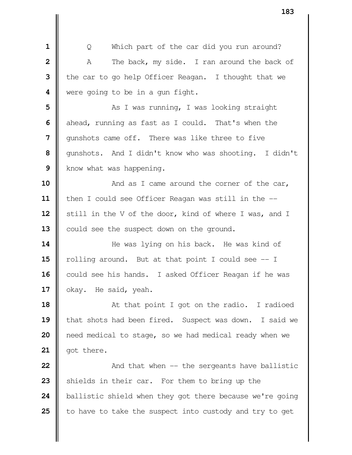| Q Which part of the car did you run around? A The back, my side. I ran around the back of the car to go help Officer Reagan. I thought that we were going to be in a gun fight.  $\parallel$  **As I** was running, I was looking straight ahead, running as fast as I could. That's when the  $\parallel$  qunshots came off. There was like three to five gunshots. And I didn't know who was shooting. I didn't Know what was happening.  $\parallel$  And as I came around the corner of the car, | then I could see Officer Reagan was still in the --12 | still in the V of the door, kind of where I was, and I 13 | could see the suspect down on the ground.  $\parallel$  He was lying on his back. He was kind of **l** rolling around. But at that point I could see  $-1$  could see his hands. I asked Officer Reagan if he was 17 | okay. He said, yeah. At that point I got on the radio. I radioed **| that shots had been fired.** Suspect was down. I said we **n**eed medical to stage, so we had medical ready when we | got there.  $\parallel$  And that when -- the sergeants have ballistic Shields in their car. For them to bring up the

| to have to take the suspect into custody and try to get

ballistic shield when they got there because we're going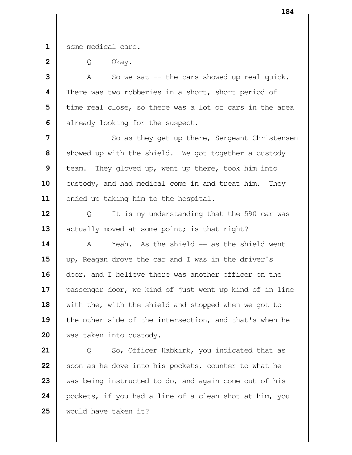1 | some medical care.

| Q Okay.

 A So we sat -- the cars showed up real quick. There was two robberies in a short, short period of | time real close, so there was a lot of cars in the area already looking for the suspect.

 So as they get up there, Sergeant Christensen Showed up with the shield. We got together a custody **b** team. They gloved up, went up there, took him into 10 custody, and had medical come in and treat him. They 11 | ended up taking him to the hospital.

**12**  $\parallel$  Q It is my understanding that the 590 car was actually moved at some point; is that right?

 A Yeah. As the shield -- as the shield went up, Reagan drove the car and I was in the driver's  $\parallel$  door, and I believe there was another officer on the passenger door, we kind of just went up kind of in line 18 | with the, with the shield and stopped when we got to **|** the other side of the intersection, and that's when he was taken into custody.

 | Q So, Officer Habkirk, you indicated that as Soon as he dove into his pockets, counter to what he 23 Wedex as being instructed to do, and again come out of his pockets, if you had a line of a clean shot at him, you would have taken it?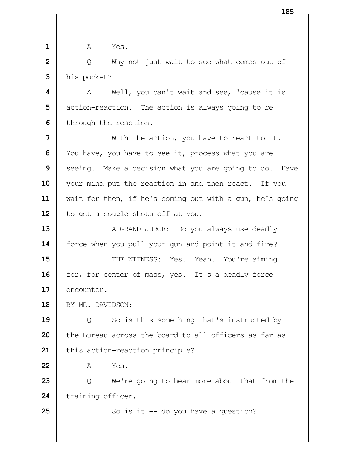**1 1 A** Yes. **2** | Q Why not just wait to see what comes out of  **3** his pocket? **4** A Well, you can't wait and see, 'cause it is **5**  $\parallel$  action-reaction. The action is always going to be **6** | through the reaction. **7**  $\parallel$  With the action, you have to react to it. **8** You have, you have to see it, process what you are **9** Seeing. Make a decision what you are going to do. Have 10 || your mind put the reaction in and then react. If you **11** wait for then, if he's coming out with a gun, he's going 12 | to get a couple shots off at you. **13** A GRAND JUROR: Do you always use deadly 14 | force when you pull your gun and point it and fire? **15**  $\parallel$  THE WITNESS: Yes. Yeah. You're aiming 16 | for, for center of mass, yes. It's a deadly force 17 | encounter. 18 | BY MR. DAVIDSON: **19**  $\parallel$  0 So is this something that's instructed by **20 b** the Bureau across the board to all officers as far as 21 | this action-reaction principle? **22** A Yes. **23**  $\parallel$  Q We're going to hear more about that from the 24 training officer. **25**  $\parallel$  So is it  $-$  do you have a question?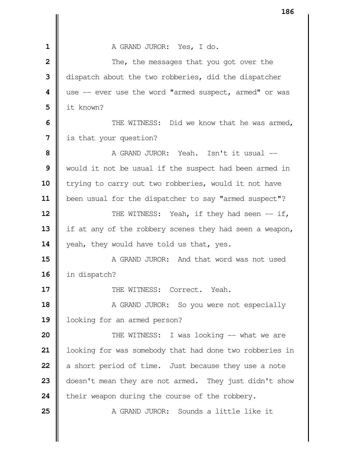A GRAND JUROR: Yes, I do.  $\parallel$  The, the messages that you got over the dispatch about the two robberies, did the dispatcher  $\parallel$  use -- ever use the word "armed suspect, armed" or was it known?  $\parallel$  THE WITNESS: Did we know that he was armed, is that your question?  $\parallel$  **A GRAND JUROR:** Yeah. Isn't it usual -- Would it not be usual if the suspect had been armed in 10 | trying to carry out two robberies, would it not have been usual for the dispatcher to say "armed suspect"?  $\parallel$  THE WITNESS: Yeah, if they had seen -- if, 13 | if at any of the robbery scenes they had seen a weapon, 14 veah, they would have told us that, yes. **A** GRAND JUROR: And that word was not used in dispatch?  $\parallel$  THE WITNESS: Correct. Yeah.  $\parallel$  A GRAND JUROR: So you were not especially looking for an armed person?  $\parallel$  THE WITNESS: I was looking -- what we are | looking for was somebody that had done two robberies in a short period of time. Just because they use a note doesn't mean they are not armed. They just didn't show **their weapon during the course of the robbery. 25 ||** A GRAND JUROR: Sounds a little like it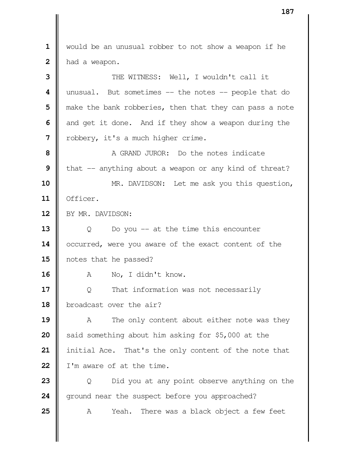would be an unusual robber to not show a weapon if he 2 | had a weapon.  $\parallel$  THE WITNESS: Well, I wouldn't call it unusual. But sometimes -- the notes -- people that do  $\parallel$  make the bank robberies, then that they can pass a note and get it done. And if they show a weapon during the | robbery, it's a much higher crime. **II** A GRAND JUROR: Do the notes indicate **I** that -- anything about a weapon or any kind of threat? MR. DAVIDSON: Let me ask you this question, Officer. 12 | BY MR. DAVIDSON:  $\begin{bmatrix} 0 & 0 & 0 \end{bmatrix}$  Do you -- at the time this encounter 14 | occurred, were you aware of the exact content of the notes that he passed? 16 || A No, I didn't know.  $\Box$  Q That information was not necessarily broadcast over the air? A The only content about either note was they | said something about him asking for \$5,000 at the initial Ace. That's the only content of the note that I I'm aware of at the time.  $\parallel$  Q Did you at any point observe anything on the ground near the suspect before you approached? A Yeah. There was a black object a few feet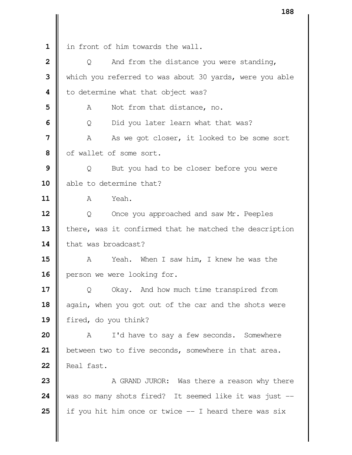| $\mathbf 1$  | in front of him towards the wall.                       |
|--------------|---------------------------------------------------------|
| $\mathbf{2}$ | And from the distance you were standing,<br>Q           |
| 3            | which you referred to was about 30 yards, were you able |
| 4            | to determine what that object was?                      |
| 5            | Not from that distance, no.<br>A                        |
| 6            | Did you later learn what that was?<br>Q                 |
| 7            | As we got closer, it looked to be some sort<br>Α        |
| 8            | of wallet of some sort.                                 |
| 9            | But you had to be closer before you were<br>Q           |
| 10           | able to determine that?                                 |
| 11           | Yeah.<br>A                                              |
| 12           | Q<br>Once you approached and saw Mr. Peeples            |
| 13           | there, was it confirmed that he matched the description |
| 14           | that was broadcast?                                     |
| 15           | Yeah.<br>When I saw him, I knew he was the<br>A         |
| 16           | person we were looking for.                             |
| 17           | Okay. And how much time transpired from<br>Q            |
| 18           | again, when you got out of the car and the shots were   |
| 19           | fired, do you think?                                    |
| 20           | I'd have to say a few seconds. Somewhere<br>Α           |
| 21           | between two to five seconds, somewhere in that area.    |
| 22           | Real fast.                                              |
| 23           | A GRAND JUROR: Was there a reason why there             |
| 24           | was so many shots fired? It seemed like it was just --  |
| 25           | if you hit him once or twice -- I heard there was six   |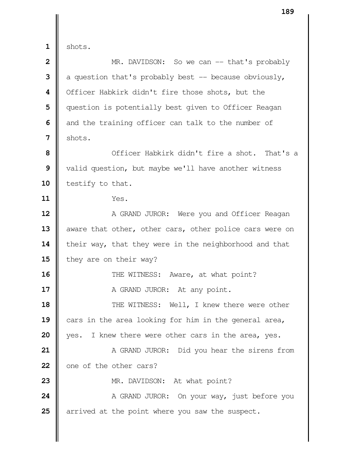**1** shots. **MR.** DAVIDSON: So we can -- that's probably  $\parallel$  a question that's probably best -- because obviously, | Officer Habkirk didn't fire those shots, but the | question is potentially best given to Officer Reagan and the training officer can talk to the number of  $\parallel$  shots. **I** Officer Habkirk didn't fire a shot. That's a valid question, but maybe we'll have another witness 10 testify to that. **11** Yes.  $\parallel$  A GRAND JUROR: Were you and Officer Reagan  $\parallel$  aware that other, other cars, other police cars were on 14 their way, that they were in the neighborhood and that  $\parallel$  they are on their way?  $\parallel$  THE WITNESS: Aware, at what point? A GRAND JUROR: At any point.  $\parallel$  THE WITNESS: Well, I knew there were other cars in the area looking for him in the general area, 20 || yes. I knew there were other cars in the area, yes.  $\parallel$  A GRAND JUROR: Did you hear the sirens from one of the other cars? MR. DAVIDSON: At what point? A GRAND JUROR: On your way, just before you arrived at the point where you saw the suspect.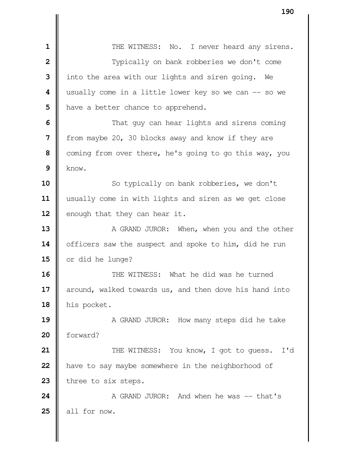| THE WITNESS: No. I never heard any sirens.  $\parallel$  **Typically on bank robberies we don't come**  into the area with our lights and siren going. We  $\parallel$  usually come in a little lower key so we can -- so we | have a better chance to apprehend.  $\parallel$  That guy can hear lights and sirens coming from maybe 20, 30 blocks away and know if they are Coming from over there, he's going to go this way, you  $9 \parallel$  know. So typically on bank robberies, we don't usually come in with lights and siren as we get close 12 | enough that they can hear it. A GRAND JUROR: When, when you and the other 14 | officers saw the suspect and spoke to him, did he run 15 or did he lunge? **II** THE WITNESS: What he did was he turned around, walked towards us, and then dove his hand into his pocket. A GRAND JUROR: How many steps did he take 20 | forward?  $\parallel$  THE WITNESS: You know, I got to guess. I'd **h** have to say maybe somewhere in the neighborhood of 23 three to six steps.  $\parallel$  **A GRAND JUROR:** And when he was  $-$  that's  $\parallel$  all for now.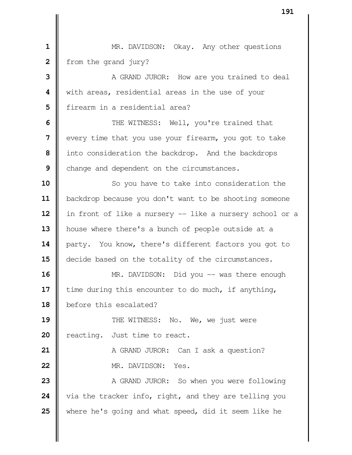MR. DAVIDSON: Okay. Any other questions **f** from the grand jury?  $\parallel$  A GRAND JUROR: How are you trained to deal with areas, residential areas in the use of your **I** firearm in a residential area?  $\parallel$  THE WITNESS: Well, you're trained that every time that you use your firearm, you got to take into consideration the backdrop. And the backdrops Change and dependent on the circumstances. So you have to take into consideration the 11 | backdrop because you don't want to be shooting someone 12 | in front of like a nursery -- like a nursery school or a house where there's a bunch of people outside at a **| party.** You know, there's different factors you got to  $\parallel$  decide based on the totality of the circumstances. MR. DAVIDSON: Did you -- was there enough 17 | time during this encounter to do much, if anything, before this escalated?  $\parallel$  THE WITNESS: No. We, we just were 20 | reacting. Just time to react. A GRAND JUROR: Can I ask a question? 22 | MR. DAVIDSON: Yes.  $\parallel$  A GRAND JUROR: So when you were following via the tracker info, right, and they are telling you where he's going and what speed, did it seem like he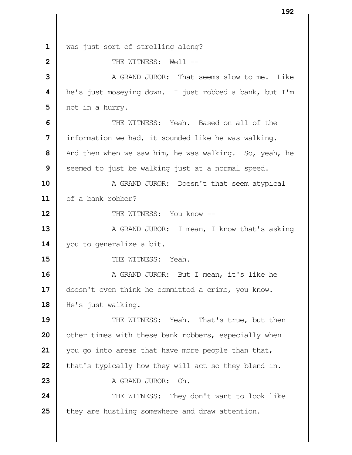1 was just sort of strolling along? **II** THE WITNESS: Well -- **II** A GRAND JUROR: That seems slow to me. Like **||** he's just moseying down. I just robbed a bank, but I'm | not in a hurry. THE WITNESS: Yeah. Based on all of the | information we had, it sounded like he was walking. And then when we saw him, he was walking. So, yeah, he Seemed to just be walking just at a normal speed. A GRAND JUROR: Doesn't that seem atypical 11 | of a bank robber? **II** THE WITNESS: You know -- A GRAND JUROR: I mean, I know that's asking 14 | you to generalize a bit. **II** THE WITNESS: Yeah. A GRAND JUROR: But I mean, it's like he 17 | doesn't even think he committed a crime, you know. 18 | He's just walking.  $\parallel$  THE WITNESS: Yeah. That's true, but then | other times with these bank robbers, especially when you go into areas that have more people than that, **t**hat's typically how they will act so they blend in. **I** A GRAND JUROR: Oh.  $\parallel$  THE WITNESS: They don't want to look like they are hustling somewhere and draw attention.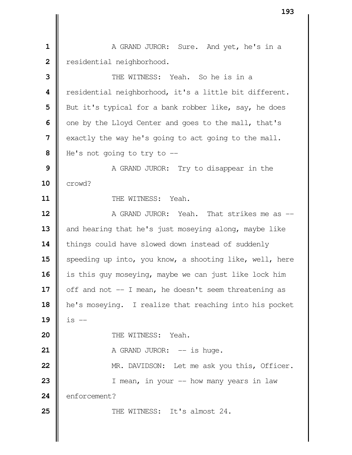A GRAND JUROR: Sure. And yet, he's in a **|** residential neighborhood. **I** THE WITNESS: Yeah. So he is in a residential neighborhood, it's a little bit different. But it's typical for a bank robber like, say, he does | one by the Lloyd Center and goes to the mall, that's exactly the way he's going to act going to the mall. He's not going to try to -- A GRAND JUROR: Try to disappear in the crowd? **II** THE WITNESS: Yeah. **A** GRAND JUROR: Yeah. That strikes me as -- and hearing that he's just moseying along, maybe like 14 | things could have slowed down instead of suddenly Speeding up into, you know, a shooting like, well, here 16 | is this guy moseying, maybe we can just like lock him  $\parallel$  off and not  $\parallel$  - I mean, he doesn't seem threatening as he's moseying. I realize that reaching into his pocket **19**  $\|$  is  $-$  **I** THE WITNESS: Yeah.  $\parallel$  A GRAND JUROR:  $\leftarrow$  is huge. **MR.** DAVIDSON: Let me ask you this, Officer. I mean, in your -- how many years in law 24 enforcement? **25 ||** THE WITNESS: It's almost 24.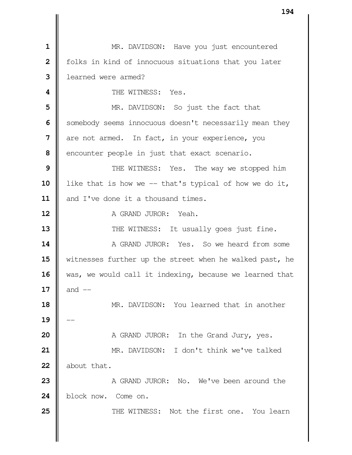MR. DAVIDSON: Have you just encountered | folks in kind of innocuous situations that you later learned were armed? **I** THE WITNESS: Yes. MR. DAVIDSON: So just the fact that Somebody seems innocuous doesn't necessarily mean they are not armed. In fact, in your experience, you encounter people in just that exact scenario.  $\parallel$  THE WITNESS: Yes. The way we stopped him 10 | like that is how we -- that's typical of how we do it, **I** and I've done it a thousand times. **I** A GRAND JUROR: Yeah.  $\parallel$  THE WITNESS: It usually goes just fine. **A** GRAND JUROR: Yes. So we heard from some witnesses further up the street when he walked past, he 16 | was, we would call it indexing, because we learned that **17**  $\|$  and  $\|$  MR. DAVIDSON: You learned that in another -- A GRAND JUROR: In the Grand Jury, yes. MR. DAVIDSON: I don't think we've talked **I** about that. A GRAND JUROR: No. We've been around the block now. Come on.  $\parallel$  THE WITNESS: Not the first one. You learn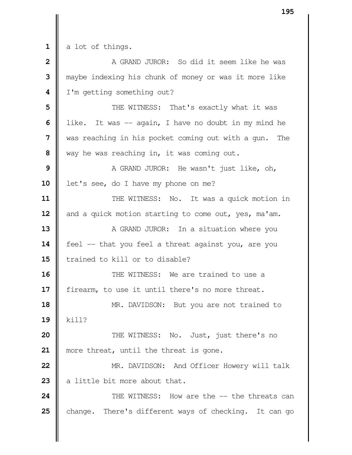a lot of things.

 **I** A GRAND JUROR: So did it seem like he was maybe indexing his chunk of money or was it more like | I'm getting something out?

  $\parallel$  THE WITNESS: That's exactly what it was lacktriangleright like. It was -- again, I have no doubt in my mind he was reaching in his pocket coming out with a gun. The way he was reaching in, it was coming out.

**9**  $\parallel$  A GRAND JUROR: He wasn't just like, oh, 10 | let's see, do I have my phone on me?

**11**  $\parallel$  THE WITNESS: No. It was a quick motion in and a quick motion starting to come out, yes, ma'am.

 A GRAND JUROR: In a situation where you 14 | feel -- that you feel a threat against you, are you I trained to kill or to disable?

 **II** THE WITNESS: We are trained to use a 17 | firearm, to use it until there's no more threat.

 MR. DAVIDSON: But you are not trained to kill?

**20**  $\parallel$  THE WITNESS: No. Just, just there's no 21 || more threat, until the threat is gone.

 **MR.** DAVIDSON: And Officer Howery will talk **23**  $\parallel$  a little bit more about that.

**24 I** THE WITNESS: How are the -- the threats can change. There's different ways of checking. It can go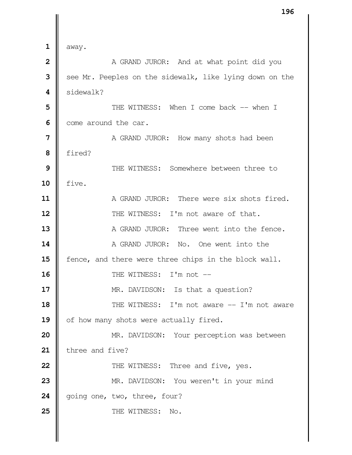|                         | エフロ                                                     |
|-------------------------|---------------------------------------------------------|
|                         |                                                         |
| 1                       | away.                                                   |
| $\overline{\mathbf{2}}$ | A GRAND JUROR: And at what point did you                |
| 3                       | see Mr. Peeples on the sidewalk, like lying down on the |
| 4                       | sidewalk?                                               |
| 5                       | THE WITNESS: When I come back -- when I                 |
| 6                       | come around the car.                                    |
| 7                       | A GRAND JUROR: How many shots had been                  |
| 8                       | fired?                                                  |
| 9                       | THE WITNESS: Somewhere between three to                 |
| 10                      | five.                                                   |
| 11                      | A GRAND JUROR: There were six shots fired.              |
| 12                      | THE WITNESS: I'm not aware of that.                     |
| 13                      | A GRAND JUROR: Three went into the fence.               |
| 14                      | A GRAND JUROR: No. One went into the                    |
| 15                      | fence, and there were three chips in the block wall.    |
| 16                      | THE WITNESS: I'm not --                                 |
| 17                      | MR. DAVIDSON: Is that a question?                       |
| 18                      | THE WITNESS: I'm not aware -- I'm not aware             |
| 19                      | of how many shots were actually fired.                  |
| 20                      | MR. DAVIDSON: Your perception was between               |
| 21                      | three and five?                                         |
| 22                      | THE WITNESS: Three and five, yes.                       |
| 23                      | MR. DAVIDSON: You weren't in your mind                  |
| 24                      | going one, two, three, four?                            |
| 25                      | THE WITNESS: No.                                        |
|                         |                                                         |
|                         |                                                         |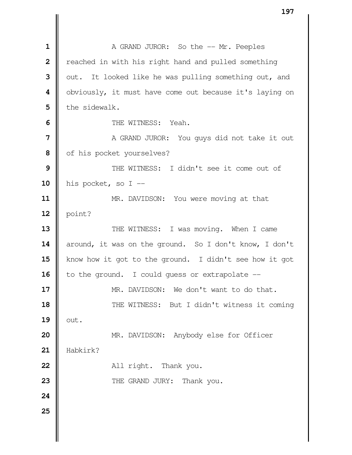**A** GRAND JUROR: So the -- Mr. Peeples **|** reached in with his right hand and pulled something | out. It looked like he was pulling something out, and | obviously, it must have come out because it's laying on I the sidewalk. **II** THE WITNESS: Yeah. | A GRAND JUROR: You guys did not take it out | of his pocket yourselves?  $\parallel$  THE WITNESS: I didn't see it come out of his pocket, so I -- MR. DAVIDSON: You were moving at that  $12 \parallel$  point?  $\parallel$  THE WITNESS: I was moving. When I came 14 around, it was on the ground. So I don't know, I don't 15 | know how it got to the ground. I didn't see how it got to the ground. I could guess or extrapolate --  $\parallel$  MR. DAVIDSON: We don't want to do that.  $\parallel$  THE WITNESS: But I didn't witness it coming  $\parallel$  out. **MR.** DAVIDSON: Anybody else for Officer Habkirk? All right. Thank you. THE GRAND JURY: Thank you.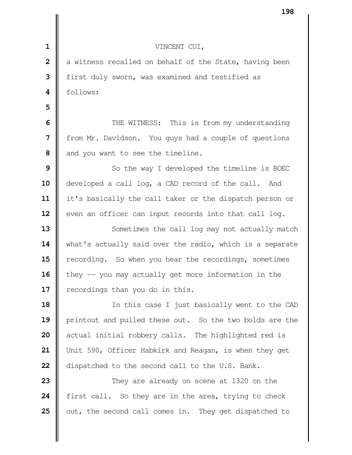|                | エンロ                                                      |
|----------------|----------------------------------------------------------|
|                |                                                          |
| $\mathbf{1}$   | VINCENT CUI,                                             |
| $\overline{2}$ | a witness recalled on behalf of the State, having been   |
| 3              | first duly sworn, was examined and testified as          |
| 4              | follows:                                                 |
| 5              |                                                          |
| 6              | THE WITNESS: This is from my understanding               |
| 7              | from Mr. Davidson. You guys had a couple of questions    |
| 8              | and you want to see the timeline.                        |
| 9              | So the way I developed the timeline is BOEC              |
| 10             | developed a call log, a CAD record of the call. And      |
| 11             | it's basically the call taker or the dispatch person or  |
| 12             | even an officer can input records into that call log.    |
| 13             | Sometimes the call log may not actually match            |
| 14             | what's actually said over the radio, which is a separate |
| 15             | recording. So when you hear the recordings, sometimes    |
| 16             | they $-$ you may actually get more information in the    |
| 17             | recordings than you do in this.                          |
| 18             | In this case I just basically went to the CAD            |
| 19             | printout and pulled these out. So the two bolds are the  |
| 20             | actual initial robbery calls. The highlighted red is     |
| 21             | Unit 590, Officer Habkirk and Reagan, is when they get   |
| 22             | dispatched to the second call to the U.S. Bank.          |
| 23             | They are already on scene at 1320 on the                 |
| 24             | first call. So they are in the area, trying to check     |
| 25             | out, the second call comes in. They get dispatched to    |
|                |                                                          |
|                |                                                          |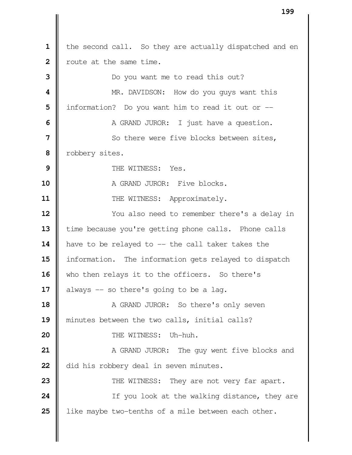|              | エンン                                                     |
|--------------|---------------------------------------------------------|
|              |                                                         |
| $\mathbf 1$  | the second call. So they are actually dispatched and en |
| $\mathbf{2}$ | route at the same time.                                 |
| 3            | Do you want me to read this out?                        |
| 4            | MR. DAVIDSON: How do you guys want this                 |
| 5            | information? Do you want him to read it out or --       |
| 6            | A GRAND JUROR: I just have a question.                  |
| 7            | So there were five blocks between sites,                |
| 8            | robbery sites.                                          |
| 9            | THE WITNESS: Yes.                                       |
| 10           | A GRAND JUROR: Five blocks.                             |
| 11           | THE WITNESS: Approximately.                             |
| 12           | You also need to remember there's a delay in            |
| 13           | time because you're getting phone calls. Phone calls    |
| 14           | have to be relayed to -- the call taker takes the       |
| 15           | information. The information gets relayed to dispatch   |
| 16           | who then relays it to the officers. So there's          |
| 17           | always -- so there's going to be a lag.                 |
| 18           | A GRAND JUROR: So there's only seven                    |
| 19           | minutes between the two calls, initial calls?           |
| 20           | THE WITNESS: Uh-huh.                                    |
| 21           | A GRAND JUROR: The guy went five blocks and             |
| 22           | did his robbery deal in seven minutes.                  |
| 23           | THE WITNESS: They are not very far apart.               |
| 24           | If you look at the walking distance, they are           |
| 25           | like maybe two-tenths of a mile between each other.     |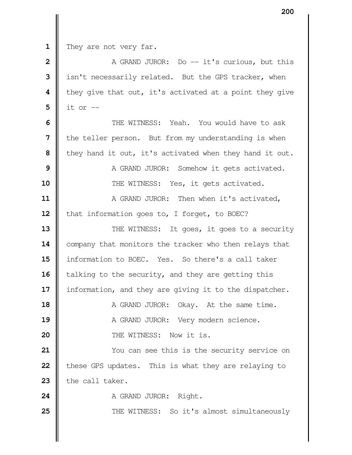They are not very far.

 **A** GRAND JUROR: Do -- it's curious, but this isn't necessarily related. But the GPS tracker, when **|** they give that out, it's activated at a point they give it or --  $\parallel$  THE WITNESS: Yeah. You would have to ask the teller person. But from my understanding is when | they hand it out, it's activated when they hand it out. A GRAND JUROR: Somehow it gets activated.  $\parallel$  THE WITNESS: Yes, it gets activated.  $\parallel$  A GRAND JUROR: Then when it's activated, 12 | that information goes to, I forget, to BOEC?  $\parallel$  THE WITNESS: It goes, it goes to a security 14 | company that monitors the tracker who then relays that 15 | information to BOEC. Yes. So there's a call taker **i** talking to the security, and they are getting this information, and they are giving it to the dispatcher.  $\parallel$  A GRAND JUROR: Okay. At the same time. A GRAND JUROR: Very modern science. **I** THE WITNESS: Now it is.

**21**  $\parallel$  You can see this is the security service on **t** these GPS updates. This is what they are relaying to  $\parallel$  the call taker.

24 | A GRAND JUROR: Right.

**25**  $\parallel$  THE WITNESS: So it's almost simultaneously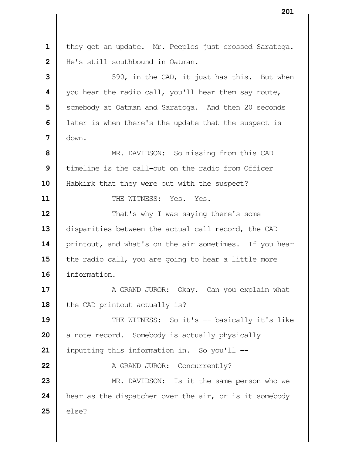1 they get an update. Mr. Peeples just crossed Saratoga. | He's still southbound in Oatman.  $\parallel$  590, in the CAD, it just has this. But when you hear the radio call, you'll hear them say route, Somebody at Oatman and Saratoga. And then 20 seconds **l** later is when there's the update that the suspect is down. **M** MR. DAVIDSON: So missing from this CAD I timeline is the call-out on the radio from Officer 10 | Habkirk that they were out with the suspect? **I** THE WITNESS: Yes. Yes.  $\parallel$  That's why I was saying there's some 13 disparities between the actual call record, the CAD 14 | printout, and what's on the air sometimes. If you hear the radio call, you are going to hear a little more information.  $\parallel$  A GRAND JUROR: Okay. Can you explain what | the CAD printout actually is? THE WITNESS: So it's -- basically it's like a note record. Somebody is actually physically | inputting this information in. So you'll -- A GRAND JUROR: Concurrently? MR. DAVIDSON: Is it the same person who we **h** hear as the dispatcher over the air, or is it somebody  $\parallel$  else?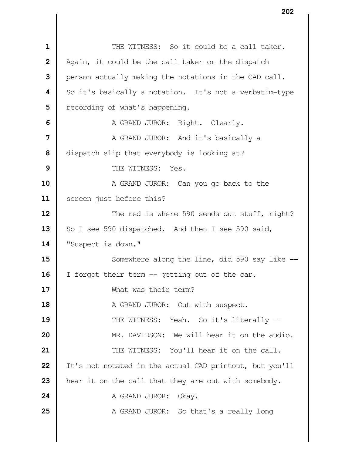THE WITNESS: So it could be a call taker. Again, it could be the call taker or the dispatch **person actually making the notations in the CAD call.**  So it's basically a notation. It's not a verbatim-type **|** recording of what's happening. A GRAND JUROR: Right. Clearly. A GRAND JUROR: And it's basically a dispatch slip that everybody is looking at?  $\parallel$  THE WITNESS: Yes. A GRAND JUROR: Can you go back to the 11 | screen just before this?  $\parallel$  The red is where 590 sends out stuff, right? 13 So I see 590 dispatched. And then I see 590 said, 14 | "Suspect is down."  $\parallel$  Somewhere along the line, did 590 say like  $\parallel$  I forgot their term -- getting out of the car. What was their term? A GRAND JUROR: Out with suspect.  $\parallel$  THE WITNESS: Yeah. So it's literally --  $\parallel$  MR. DAVIDSON: We will hear it on the audio. **II** THE WITNESS: You'll hear it on the call. 22 | It's not notated in the actual CAD printout, but you'll **h**ear it on the call that they are out with somebody. A GRAND JUROR: Okay. A GRAND JUROR: So that's a really long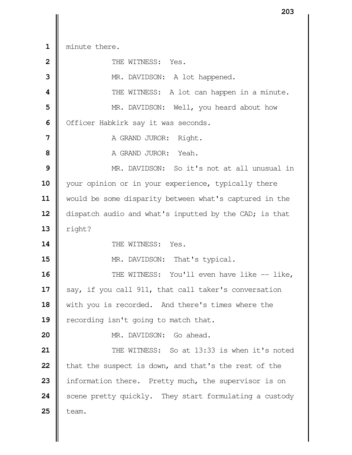minute there.

| $\overline{2}$ | THE WITNESS: Yes.                                      |
|----------------|--------------------------------------------------------|
| 3              | MR. DAVIDSON: A lot happened.                          |
| 4              | THE WITNESS: A lot can happen in a minute.             |
| 5              | MR. DAVIDSON: Well, you heard about how                |
| 6              | Officer Habkirk say it was seconds.                    |
| 7              | A GRAND JUROR: Right.                                  |
| 8              | A GRAND JUROR: Yeah.                                   |
| 9              | MR. DAVIDSON: So it's not at all unusual in            |
| 10             | your opinion or in your experience, typically there    |
| 11             | would be some disparity between what's captured in the |
| 12             | dispatch audio and what's inputted by the CAD; is that |
| 13             | right?                                                 |
|                |                                                        |
| 14             | THE WITNESS: Yes.                                      |
| 15             | MR. DAVIDSON: That's typical.                          |
| 16             | THE WITNESS: You'll even have like -- like,            |
| 17             | say, if you call 911, that call taker's conversation   |
| 18             | with you is recorded. And there's times where the      |
| 19             | recording isn't going to match that.                   |
| 20             | MR. DAVIDSON: Go ahead.                                |
| 21             | THE WITNESS: So at 13:33 is when it's noted            |
| 22             | that the suspect is down, and that's the rest of the   |
| 23             | information there. Pretty much, the supervisor is on   |
| 24             | scene pretty quickly. They start formulating a custody |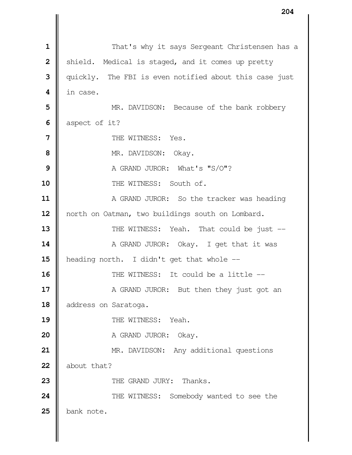|                | 204                                                    |
|----------------|--------------------------------------------------------|
|                |                                                        |
| $\mathbf 1$    | That's why it says Sergeant Christensen has a          |
| $\overline{2}$ | shield. Medical is staged, and it comes up pretty      |
| 3              | quickly. The FBI is even notified about this case just |
| 4              | in case.                                               |
| 5              | MR. DAVIDSON: Because of the bank robbery              |
| 6              | aspect of it?                                          |
| $\overline{7}$ | THE WITNESS: Yes.                                      |
| 8              | MR. DAVIDSON: Okay.                                    |
| 9              | A GRAND JUROR: What's "S/O"?                           |
| 10             | THE WITNESS: South of.                                 |
| 11             | A GRAND JUROR: So the tracker was heading              |
| 12             | north on Oatman, two buildings south on Lombard.       |
| 13             | THE WITNESS: Yeah. That could be just --               |
| 14             | A GRAND JUROR: Okay. I get that it was                 |
| 15             | heading north. I didn't get that whole --              |
| 16             | THE WITNESS: It could be a little --                   |
| 17             | A GRAND JUROR: But then they just got an               |
| 18             | address on Saratoga.                                   |
| 19             | THE WITNESS:<br>Yeah.                                  |
| 20             | A GRAND JUROR:<br>Okay.                                |
| 21             | MR. DAVIDSON: Any additional questions                 |
| 22             | about that?                                            |
| 23             | THE GRAND JURY: Thanks.                                |
| 24             | THE WITNESS: Somebody wanted to see the                |
| 25             | bank note.                                             |
|                |                                                        |
|                |                                                        |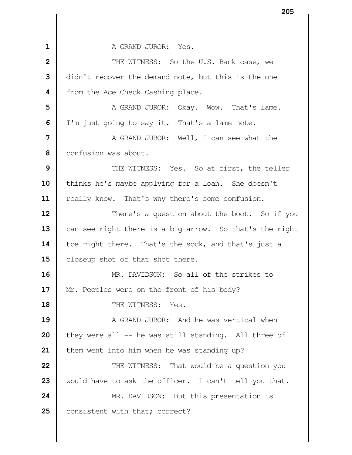**I** A GRAND JUROR: Yes. **1** THE WITNESS: So the U.S. Bank case, we didn't recover the demand note, but this is the one **f** from the Ace Check Cashing place. A GRAND JUROR: Okay. Wow. That's lame. I'm just going to say it. That's a lame note.  $\parallel$  A GRAND JUROR: Well, I can see what the Confusion was about.  $\parallel$  THE WITNESS: Yes. So at first, the teller 10 | thinks he's maybe applying for a loan. She doesn't 11 | really know. That's why there's some confusion.  $\parallel$  There's a question about the boot. So if you 13 can see right there is a big arrow. So that's the right 14 | toe right there. That's the sock, and that's just a **closeup shot of that shot there.**  MR. DAVIDSON: So all of the strikes to 17 | Mr. Peeples were on the front of his body? **II** THE WITNESS: Yes.  $\parallel$  **A** GRAND JUROR: And he was vertical when | they were all -- he was still standing. All three of | them went into him when he was standing up?  $\parallel$  THE WITNESS: That would be a question you 23 | would have to ask the officer. I can't tell you that. MR. DAVIDSON: But this presentation is 25 | consistent with that; correct?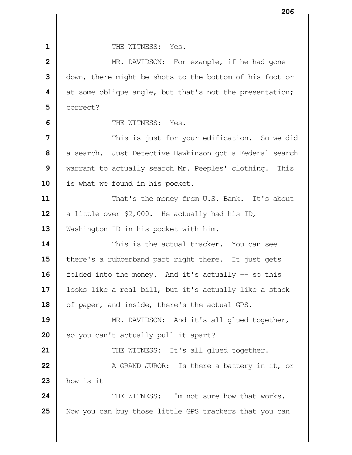**II** THE WITNESS: Yes. MR. DAVIDSON: For example, if he had gone | down, there might be shots to the bottom of his foot or at some oblique angle, but that's not the presentation; correct?  $\blacksquare$  THE WITNESS: Yes. | This is just for your edification. So we did a search. Just Detective Hawkinson got a Federal search Warrant to actually search Mr. Peeples' clothing. This 10 | is what we found in his pocket.  $\parallel$  That's the money from U.S. Bank. It's about  $\parallel$  a little over \$2,000. He actually had his ID, 13 | Washington ID in his pocket with him. This is the actual tracker. You can see There's a rubberband part right there. It just gets **f** folded into the money. And it's actually -- so this | looks like a real bill, but it's actually like a stack 18 | of paper, and inside, there's the actual GPS. MR. DAVIDSON: And it's all glued together, So you can't actually pull it apart?  $\parallel$  THE WITNESS: It's all glued together.  $\parallel$  A GRAND JUROR: Is there a battery in it, or how is it -- **24 I** THE WITNESS: I'm not sure how that works. Now you can buy those little GPS trackers that you can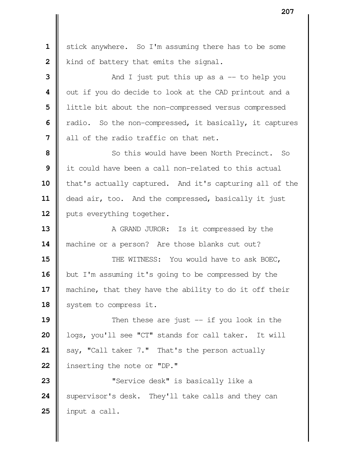stick anywhere. So I'm assuming there has to be some | kind of battery that emits the signal.  $\parallel$  And I just put this up as a  $-$  to help you | out if you do decide to look at the CAD printout and a | little bit about the non-compressed versus compressed Tradio. So the non-compressed, it basically, it captures I all of the radio traffic on that net.  $\parallel$  So this would have been North Precinct. So it could have been a call non-related to this actual 10 | that's actually captured. And it's capturing all of the 11 | dead air, too. And the compressed, basically it just 12 | puts everything together. A GRAND JUROR: Is it compressed by the **| machine or a person?** Are those blanks cut out?  $\parallel$  THE WITNESS: You would have to ask BOEC, but I'm assuming it's going to be compressed by the 17 || machine, that they have the ability to do it off their 18 | system to compress it. **I** Then these are just -- if you look in the | logs, you'll see "CT" stands for call taker. It will say, "Call taker 7." That's the person actually 22 | inserting the note or "DP."  $\parallel$  **"Service desk"** is basically like a Supervisor's desk. They'll take calls and they can input a call.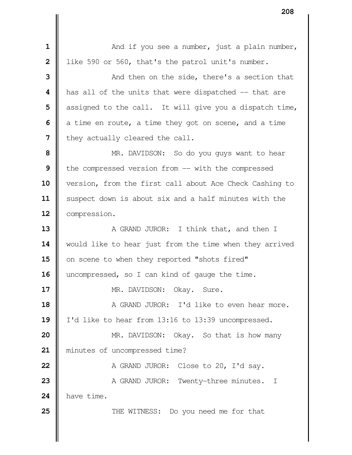$\parallel$  **1** And if you see a number, just a plain number, | like 590 or 560, that's the patrol unit's number.  $\parallel$  **3** And then on the side, there's a section that **h** has all of the units that were dispatched -- that are | assigned to the call. It will give you a dispatch time, a time en route, a time they got on scene, and a time | they actually cleared the call. MR. DAVIDSON: So do you guys want to hear the compressed version from -- with the compressed version, from the first call about Ace Check Cashing to 11 | suspect down is about six and a half minutes with the **Compression.**  A GRAND JUROR: I think that, and then I 14 | would like to hear just from the time when they arrived 15 on scene to when they reported "shots fired" 16 | uncompressed, so I can kind of gauge the time. MR. DAVIDSON: Okay. Sure. **A** GRAND JUROR: I'd like to even hear more. 19 | I'd like to hear from 13:16 to 13:39 uncompressed. MR. DAVIDSON: Okay. So that is how many minutes of uncompressed time?  $\parallel$  A GRAND JUROR: Close to 20, I'd say. A GRAND JUROR: Twenty-three minutes. I have time.  $\parallel$  THE WITNESS: Do you need me for that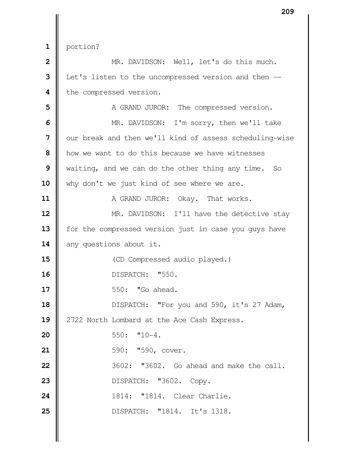portion?

 **M** MR. DAVIDSON: Well, let's do this much. Let's listen to the uncompressed version and then  $-$  | the compressed version.  $\parallel$  A GRAND JUROR: The compressed version. MR. DAVIDSON: I'm sorry, then we'll take  $\parallel$  our break and then we'll kind of assess scheduling-wise **h** how we want to do this because we have witnesses waiting, and we can do the other thing any time. So 10 why don't we just kind of see where we are. **A** GRAND JUROR: Okay. That works. MR. DAVIDSON: I'll have the detective stay 13 | for the compressed version just in case you guys have 14 any questions about it. CD Compressed audio played.) DISPATCH: "550. **I** 550: "Go ahead. DISPATCH: "For you and 590, it's 27 Adam, 19 || 2722 North Lombard at the Ace Cash Express.  $\parallel$  550:  $\texttt{"10-4}.$  **1** 590: **"**590, cover. **1** 3602: "3602. Go ahead and make the call. **DISPATCH:** "3602. Copy. 1814: "1814. Clear Charlie. DISPATCH: "1814. It's 1318.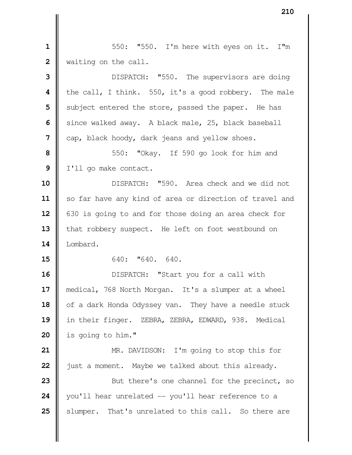|| 550: "550. I'm here with eyes on it. I'm | waiting on the call. **||** DISPATCH: "550. The supervisors are doing

 **|** the call, I think. 550, it's a good robbery. The male Subject entered the store, passed the paper. He has Since walked away. A black male, 25, black baseball cap, black hoody, dark jeans and yellow shoes.

**8**  $\parallel$  550: "Okay. If 590 go look for him and | I'll go make contact.

 DISPATCH: "590. Area check and we did not 11 | so far have any kind of area or direction of travel and 630 is going to and for those doing an area check for 13 | that robbery suspect. He left on foot westbound on Lombard.

**iii** 640: **"**640. 640.

 DISPATCH: "Start you for a call with medical, 768 North Morgan. It's a slumper at a wheel 18 | of a dark Honda Odyssey van. They have a needle stuck in their finger. ZEBRA, ZEBRA, EDWARD, 938. Medical is going to him."

 **MR.** DAVIDSON: I'm going to stop this for **j** just a moment. Maybe we talked about this already. But there's one channel for the precinct, so

 you'll hear unrelated -- you'll hear reference to a Slumper. That's unrelated to this call. So there are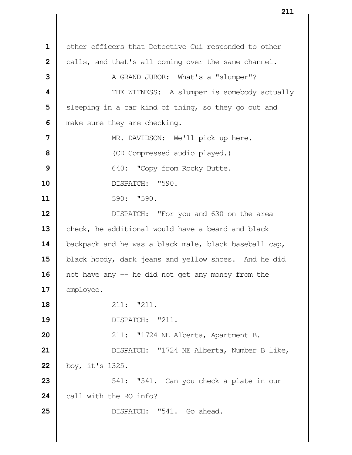1 | other officers that Detective Cui responded to other calls, and that's all coming over the same channel. A GRAND JUROR: What's a "slumper"?  $\parallel$  THE WITNESS: A slumper is somebody actually Sleeping in a car kind of thing, so they go out and make sure they are checking. NR. DAVIDSON: We'll pick up here. CD Compressed audio played.)  $\parallel$  640: "Copy from Rocky Butte. DISPATCH: "590. **11** 590: **"**590. **DISPATCH:** "For you and 630 on the area 13 check, he additional would have a beard and black **backpack and he was a black male, black baseball cap,** 15 black hoody, dark jeans and yellow shoes. And he did 16 | not have any -- he did not get any money from the 17 | employee. **18 18 18 18 18 19 11: 1211.**  DISPATCH: "211. | 211: "1724 NE Alberta, Apartment B. 21 | DISPATCH: "1724 NE Alberta, Number B like, boy, it's 1325.  $\parallel$  541: "541. Can you check a plate in our call with the RO info? **DISPATCH:** "541. Go ahead.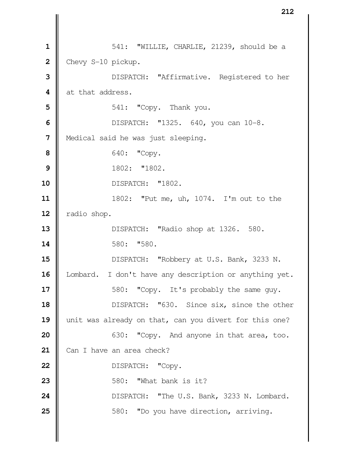| 541: "WILLIE, CHARLIE, 21239, should be a 2 Chevy S-10 pickup. DISPATCH: "Affirmative. Registered to her 4 at that address. **1** 541: **"**Copy. Thank you. DISPATCH: "1325. 640, you can 10-8. | Medical said he was just sleeping. **640:** "Copy. 1802: "1802. DISPATCH: "1802. 1802: "Put me, uh, 1074. I'm out to the **Tadio shop.**  DISPATCH: "Radio shop at 1326. 580. **14 14 14 14 14 1580.**  DISPATCH: "Robbery at U.S. Bank, 3233 N. 16 | Lombard. I don't have any description or anything yet.  $\parallel$  580: "Copy. It's probably the same guy. **DISPATCH:** "630. Since six, since the other 19 unit was already on that, can you divert for this one?  $\parallel$  630: "Copy. And anyone in that area, too. 21 | Can I have an area check? 22 | DISPATCH: "Copy. **6** 580: "What bank is it? 24 | DISPATCH: "The U.S. Bank, 3233 N. Lombard.  $\parallel$  580: "Do you have direction, arriving.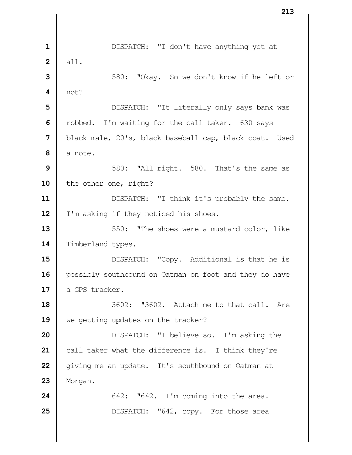**1** | DISPATCH: "I don't have anything yet at  **2** all. **3**  $\parallel$  580: "Okay. So we don't know if he left or  $4 \parallel \text{not?}$ **5** | DISPATCH: "It literally only says bank was **6** | robbed. I'm waiting for the call taker. 630 says **7** black male, 20's, black baseball cap, black coat. Used  $8 \parallel$  a note. **9**  $\parallel$  580: "All right. 580. That's the same as 10 | the other one, right? **11**  $\parallel$  DISPATCH: "I think it's probably the same. 12 | I'm asking if they noticed his shoes. **13**  $\parallel$  550: "The shoes were a mustard color, like 14 Timberland types. **15 DISPATCH:** "Copy. Additional is that he is 16 | possibly southbound on Oatman on foot and they do have 17 || a GPS tracker. **18** 3602: "3602. Attach me to that call. Are 19 We getting updates on the tracker? **20 DISPATCH:** "I believe so. I'm asking the **21** call taker what the difference is. I think they're **22** | giving me an update. It's southbound on Oatman at **23** Morgan. **24**  $\parallel$  642:  $\sqrt{642}$ . I'm coming into the area. **25**  $\parallel$  DISPATCH: "642, copy. For those area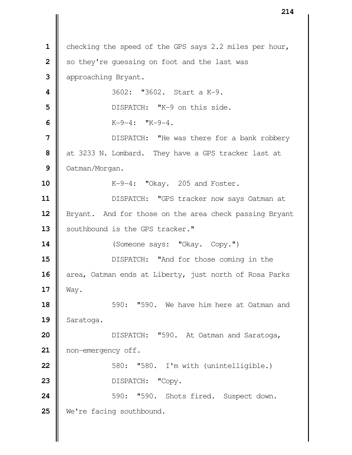|                | 214                                                    |
|----------------|--------------------------------------------------------|
|                |                                                        |
| $\mathbf{1}$   | checking the speed of the GPS says 2.2 miles per hour, |
| $\overline{2}$ | so they're quessing on foot and the last was           |
| 3              | approaching Bryant.                                    |
| 4              | 3602: "3602. Start a K-9.                              |
| 5              | DISPATCH: "K-9 on this side.                           |
| 6              | $K-9-4$ : " $K-9-4$ .                                  |
| $\overline{7}$ | DISPATCH: "He was there for a bank robbery             |
| 8              | at 3233 N. Lombard. They have a GPS tracker last at    |
| 9              | Oatman/Morgan.                                         |
| 10             | K-9-4: "Okay. 205 and Foster.                          |
| 11             | DISPATCH: "GPS tracker now says Oatman at              |
| 12             | Bryant. And for those on the area check passing Bryant |
| 13             | southbound is the GPS tracker."                        |
| 14             | (Someone says: "Okay. Copy.")                          |
| 15             | DISPATCH: "And for those coming in the                 |
| 16             | area, Oatman ends at Liberty, just north of Rosa Parks |
| 17             | Way.                                                   |
| 18             | 590: "590. We have him here at Oatman and              |
| 19             | Saratoga.                                              |
| 20             | DISPATCH: "590. At Oatman and Saratoga,                |
| 21             | non-emergency off.                                     |
| 22             | 580: "580. I'm with (unintelligible.)                  |
| 23             | DISPATCH:<br>"Copy.                                    |
| 24             | "590. Shots fired. Suspect down.<br>590:               |
| 25             | We're facing southbound.                               |
|                |                                                        |
|                |                                                        |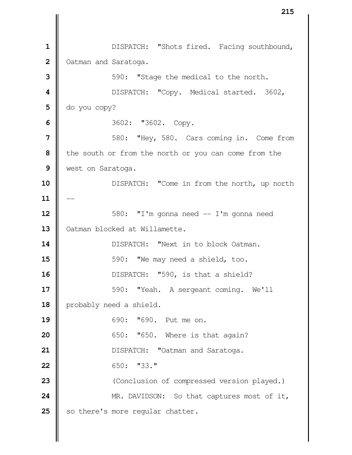1 | DISPATCH: "Shots fired. Facing southbound, | Oatman and Saratoga.  $\parallel$  590: "Stage the medical to the north.  $\parallel$  DISPATCH: "Copy. Medical started. 3602,  $\Box$  do you copy? **1** 3602: **"**3602. Copy.  $\parallel$  580: "Hey, 580. Cars coming in. Come from the south or from the north or you can come from the west on Saratoga. DISPATCH: "Come in from the north, up north  $11$   $\parallel$  580: "I'm gonna need  $\text{--}$  I'm gonna need  $\parallel$  Oatman blocked at Willamette. DISPATCH: "Next in to block Oatman.  $\parallel$  590: "We may need a shield, too. **DISPATCH:** "590, is that a shield?  $\parallel$  590: "Yeah. A sergeant coming. We'll 18 | probably need a shield. 690: "690. Put me on. **650: "650.** Where is that again? **DISPATCH:** "Oatman and Saratoga. **i** 650: "33." Conclusion of compressed version played.) MR. DAVIDSON: So that captures most of it, 25 | so there's more regular chatter.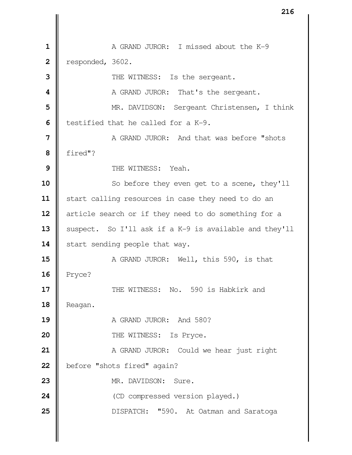**I** A GRAND JUROR: I missed about the K-9 | responded, 3602. THE WITNESS: Is the sergeant.  $\parallel$  A GRAND JUROR: That's the sergeant.  $\parallel$  MR. DAVIDSON: Sergeant Christensen, I think **b** testified that he called for a K-9.  $\parallel$  A GRAND JUROR: And that was before "shots  **8** fired"?  $\parallel$  THE WITNESS: Yeah. So before they even get to a scene, they'll 11 | start calling resources in case they need to do an article search or if they need to do something for a 13 Suspect. So I'll ask if a K-9 is available and they'll 14 | start sending people that way. **A** GRAND JUROR: Well, this 590, is that **16** Pryce?  $\parallel$  **THE WITNESS:** No. 590 is Habkirk and 18 | Reagan. **19 ||** A GRAND JUROR: And 580? **I** THE WITNESS: Is Pryce. A GRAND JUROR: Could we hear just right 22 | before "shots fired" again?  $\parallel$  MR. DAVIDSON: Sure. CD compressed version played.) **DISPATCH:** "590. At Oatman and Saratoga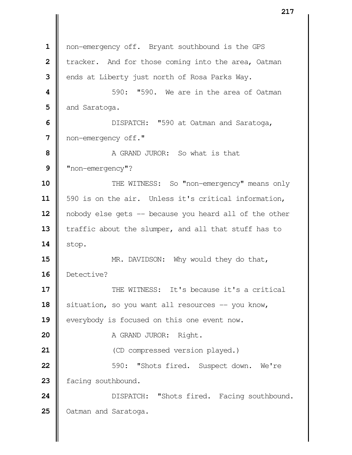1 | non-emergency off. Bryant southbound is the GPS **i** tracker. And for those coming into the area, Oatman ends at Liberty just north of Rosa Parks Way. **1** 590: "590. We are in the area of Oatman and Saratoga.  $\parallel$  **DISPATCH:** "590 at Oatman and Saratoga, non-emergency off." **1** A GRAND JUROR: So what is that "non-emergency"?  $\parallel$  THE WITNESS: So "non-emergency" means only 11 | 590 is on the air. Unless it's critical information, 12 | nobody else gets -- because you heard all of the other 13 Traffic about the slumper, and all that stuff has to  $14$  | stop. **MR.** DAVIDSON: Why would they do that, Detective?  $\parallel$  THE WITNESS: It's because it's a critical Situation, so you want all resources -- you know, **e**verybody is focused on this one event now. A GRAND JUROR: Right. **dec** (CD compressed version played.)  $\parallel$  590: "Shots fired. Suspect down. We're 23 | facing southbound. 24 | DISPATCH: "Shots fired. Facing southbound. 25 | Oatman and Saratoga.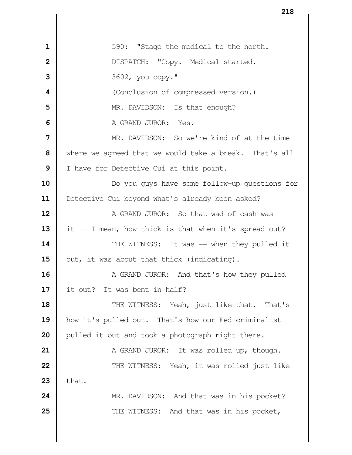|| 590: "Stage the medical to the north. DISPATCH: "Copy. Medical started. 3602, you copy." **I** (Conclusion of compressed version.) **MR.** DAVIDSON: Is that enough? **II** A GRAND JUROR: Yes. MR. DAVIDSON: So we're kind of at the time where we agreed that we would take a break. That's all I have for Detective Cui at this point.  $\parallel$  Do you guys have some follow-up questions for 11 | Detective Cui beyond what's already been asked? **A** GRAND JUROR: So that wad of cash was it  $-$  I mean, how thick is that when it's spread out?  $\parallel$  THE WITNESS: It was -- when they pulled it  $\parallel$  out, it was about that thick (indicating). A GRAND JUROR: And that's how they pulled it out? It was bent in half?  $\parallel$  THE WITNESS: Yeah, just like that. That's how it's pulled out. That's how our Fed criminalist **pulled it out and took a photograph right there.**   $\parallel$  A GRAND JUROR: It was rolled up, though. **22 | THE WITNESS:** Yeah, it was rolled just like  $\parallel$  that. MR. DAVIDSON: And that was in his pocket?  $\parallel$  THE WITNESS: And that was in his pocket,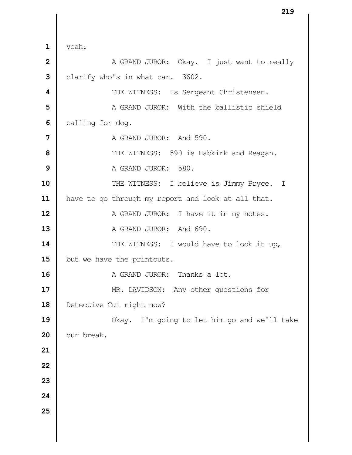$1 \parallel$  yeah. **A** GRAND JUROR: Okay. I just want to really **clarify who's in what car.** 3602. THE WITNESS: Is Sergeant Christensen. | A GRAND JUROR: With the ballistic shield **calling for dog.**   $\parallel$  A GRAND JUROR: And 590.  $\parallel$  THE WITNESS: 590 is Habkirk and Reagan. A GRAND JUROR: 580. 10 || THE WITNESS: I believe is Jimmy Pryce. I 11 | have to go through my report and look at all that. A GRAND JUROR: I have it in my notes. A GRAND JUROR: And 690.  $\parallel$  THE WITNESS: I would have to look it up, 15 | but we have the printouts. A GRAND JUROR: Thanks a lot. MR. DAVIDSON: Any other questions for Detective Cui right now? Okay. I'm going to let him go and we'll take  $\parallel$  our break.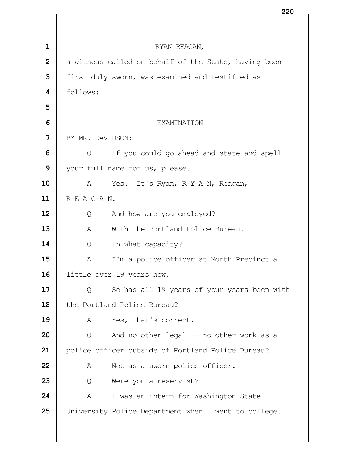|                |                  |                                                      | ZZU |
|----------------|------------------|------------------------------------------------------|-----|
|                |                  |                                                      |     |
| $\mathbf 1$    |                  | RYAN REAGAN,                                         |     |
| $\overline{2}$ |                  | a witness called on behalf of the State, having been |     |
| 3              |                  | first duly sworn, was examined and testified as      |     |
| 4              | follows:         |                                                      |     |
| 5              |                  |                                                      |     |
| 6              |                  | EXAMINATION                                          |     |
| 7              | BY MR. DAVIDSON: |                                                      |     |
| 8              | Q                | If you could go ahead and state and spell            |     |
| 9              |                  | your full name for us, please.                       |     |
| 10             | A                | Yes. It's Ryan, R-Y-A-N, Reagan,                     |     |
| 11             | R-E-A-G-A-N.     |                                                      |     |
| 12             | Q                | And how are you employed?                            |     |
| 13             | $\mathbb{A}$     | With the Portland Police Bureau.                     |     |
| 14             | Q                | In what capacity?                                    |     |
| 15             | А                | I'm a police officer at North Precinct a             |     |
| 16             |                  | little over 19 years now.                            |     |
| 17             | Q                | So has all 19 years of your years been with          |     |
| 18             |                  | the Portland Police Bureau?                          |     |
| 19             | A                | Yes, that's correct.                                 |     |
| 20             | Q                | And no other legal -- no other work as a             |     |
| 21             |                  | police officer outside of Portland Police Bureau?    |     |
| 22             | A                | Not as a sworn police officer.                       |     |
| 23             | Q                | Were you a reservist?                                |     |
| 24             | A                | I was an intern for Washington State                 |     |
| 25             |                  | University Police Department when I went to college. |     |
|                |                  |                                                      |     |
|                |                  |                                                      |     |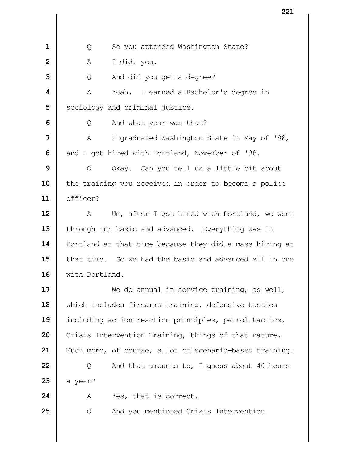| Q So you attended Washington State?  $\parallel$  A I did, yes. | Q And did you get a degree? A Yeah. I earned a Bachelor's degree in Sociology and criminal justice.  $\Box$  Q And what year was that?  $\parallel$  A I graduated Washington State in May of '98, and I got hired with Portland, November of '98. | Q Okay. Can you tell us a little bit about **i** the training you received in order to become a police officer? A Um, after I got hired with Portland, we went 13 | through our basic and advanced. Everything was in Portland at that time because they did a mass hiring at **||** that time. So we had the basic and advanced all in one with Portland. We do annual in-service training, as well, 18 | which includes firearms training, defensive tactics including action-reaction principles, patrol tactics, 20 Crisis Intervention Training, things of that nature. Much more, of course, a lot of scenario-based training. Q And that amounts to, I guess about 40 hours  $\parallel$  a year? A Yes, that is correct.  $\begin{bmatrix} 0 & 0 \end{bmatrix}$  And you mentioned Crisis Intervention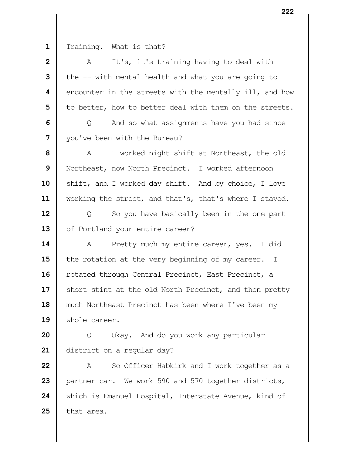1 Training. What is that?

| $\mathbf{2}$ | It's, it's training having to deal with<br>A            |
|--------------|---------------------------------------------------------|
| 3            | the -- with mental health and what you are going to     |
| 4            | encounter in the streets with the mentally ill, and how |
| 5            | to better, how to better deal with them on the streets. |
| 6            | And so what assignments have you had since<br>Q         |
| 7            | you've been with the Bureau?                            |
| 8            | I worked night shift at Northeast, the old<br>A         |
| 9            | Northeast, now North Precinct. I worked afternoon       |
| 10           | shift, and I worked day shift. And by choice, I love    |
| 11           | working the street, and that's, that's where I stayed.  |
| 12           | So you have basically been in the one part<br>Q         |
| 13           | of Portland your entire career?                         |
| 14           | Pretty much my entire career, yes. I did<br>A           |
| 15           | the rotation at the very beginning of my career. I      |
| 16           | rotated through Central Precinct, East Precinct, a      |
| 17           | short stint at the old North Precinct, and then pretty  |
| 18           | much Northeast Precinct has been where I've been my     |
| 19           | whole career.                                           |
| 20           | Okay. And do you work any particular<br>Q               |
| 21           | district on a regular day?                              |
| 22           | So Officer Habkirk and I work together as a<br>A        |
| 23           | partner car. We work 590 and 570 together districts,    |
| 24           | which is Emanuel Hospital, Interstate Avenue, kind of   |
| 25           | that area.                                              |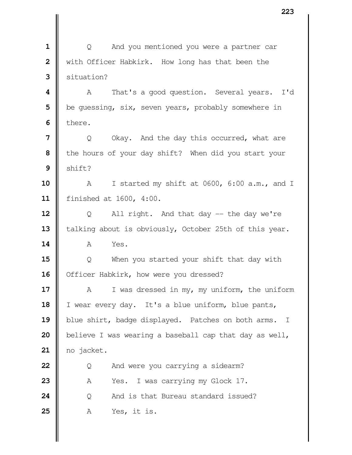|  $\qquad$  Q And you mentioned you were a partner car With Officer Habkirk. How long has that been the situation?  $\parallel$  A That's a good question. Several years. I'd | be guessing, six, seven years, probably somewhere in  $\blacksquare$  there. | Q Okay. And the day this occurred, what are the hours of your day shift? When did you start your  $\parallel$  shift? A I started my shift at 0600, 6:00 a.m., and I finished at 1600, 4:00. | Q All right. And that day -- the day we're 13 | talking about is obviously, October 25th of this year. **A** Yes.  $\parallel$  Q When you started your shift that day with 16 | Officer Habkirk, how were you dressed? A I was dressed in my, my uniform, the uniform I wear every day. It's a blue uniform, blue pants, 19 blue shirt, badge displayed. Patches on both arms. I believe I was wearing a baseball cap that day as well, no jacket.  $\parallel$  Q And were you carrying a sidearm? 23 A Yes. I was carrying my Glock 17.  $\parallel$  0 And is that Bureau standard issued? A Yes, it is.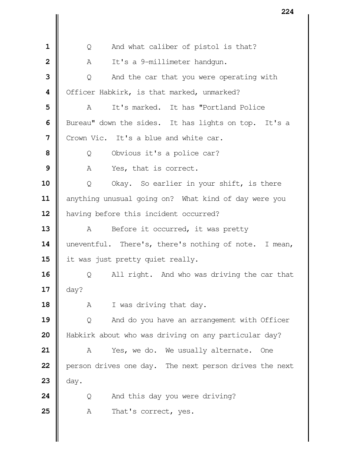Q And what caliber of pistol is that? A It's a 9-millimeter handgun. | Q And the car that you were operating with | Officer Habkirk, is that marked, unmarked? A It's marked. It has "Portland Police Bureau" down the sides. It has lights on top. It's a I Crown Vic. It's a blue and white car. | Q Obvious it's a police car? A Yes, that is correct. | Q Okay. So earlier in your shift, is there 11 | anything unusual going on? What kind of day were you 12 | having before this incident occurred? 13 | A Before it occurred, it was pretty uneventful. There's, there's nothing of note. I mean, 15 | it was just pretty quiet really. | Q All right. And who was driving the car that  $\parallel$  day? A I was driving that day.  $\vert$  Q And do you have an arrangement with Officer Habkirk about who was driving on any particular day? | A Yes, we do. We usually alternate. One **person drives one day.** The next person drives the next  $\parallel$  day.  $\begin{bmatrix} 0 & 0 \end{bmatrix}$  And this day you were driving? 25 A That's correct, yes.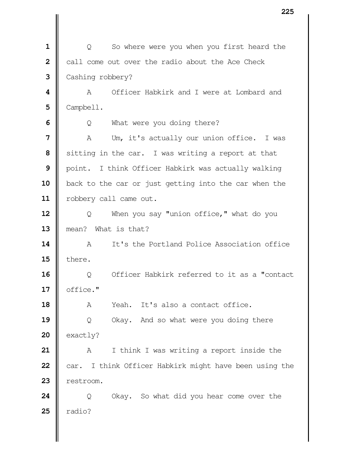| Q So where were you when you first heard the call come out over the radio about the Ace Check Cashing robbery? **I** A Officer Habkirk and I were at Lombard and Campbell.  $\Box$  Q What were you doing there? A Um, it's actually our union office. I was Sitting in the car. I was writing a report at that | point. I think Officer Habkirk was actually walking back to the car or just getting into the car when the 11 | robbery call came out. | Q When you say "union office," what do you mean? What is that?  $\parallel$  A It's the Portland Police Association office  $\parallel$  there. | Q Officer Habkirk referred to it as a "contact  $17 \parallel$  office." **A** Yeah. It's also a contact office. | Q Okay. And so what were you doing there  $\parallel$  exactly? A I think I was writing a report inside the car. I think Officer Habkirk might have been using the **I** restroom.  $\parallel$  Q Okay. So what did you hear come over the  $\parallel$  radio?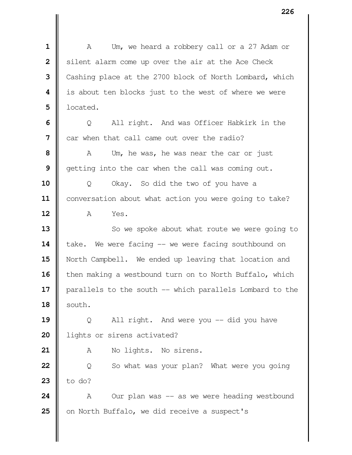A Um, we heard a robbery call or a 27 Adam or Silent alarm come up over the air at the Ace Check Cashing place at the 2700 block of North Lombard, which | is about ten blocks just to the west of where we were | located.  $\Box$  Q All right. And was Officer Habkirk in the car when that call came out over the radio? A Um, he was, he was near the car or just  $\parallel$  getting into the car when the call was coming out. Q Okay. So did the two of you have a 11 | conversation about what action you were going to take? A Yes. So we spoke about what route we were going to 14 | take. We were facing -- we were facing southbound on North Campbell. We ended up leaving that location and | then making a westbound turn on to North Buffalo, which 17 || parallels to the south -- which parallels Lombard to the  $\parallel$  south. | Q All right. And were you -- did you have 20 | lights or sirens activated? 21 | A No lights. No sirens. | Q So what was your plan? What were you going  $\parallel$  to do? A Our plan was -- as we were heading westbound on North Buffalo, we did receive a suspect's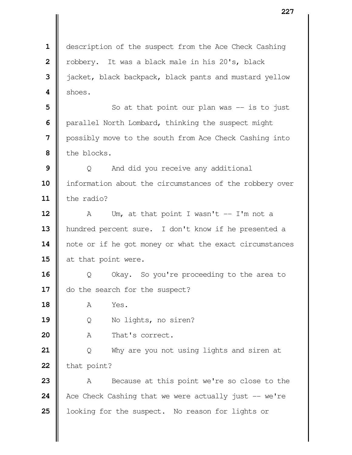description of the suspect from the Ace Check Cashing | robbery. It was a black male in his 20's, black | jacket, black backpack, black pants and mustard yellow  $4 \parallel$  shoes.  $\parallel$  So at that point our plan was -- is to just | parallel North Lombard, thinking the suspect might possibly move to the south from Ace Check Cashing into the blocks.  $\parallel$  Q And did you receive any additional 10 | information about the circumstances of the robbery over the radio?  $\parallel$  A Um, at that point I wasn't  $-$  I'm not a hundred percent sure. I don't know if he presented a 14 | note or if he got money or what the exact circumstances 15 at that point were.  $\parallel$  Q Okay. So you're proceeding to the area to 17 | do the search for the suspect? **18 A** Yes. Q No lights, no siren? 20 | A That's correct. | Q Why are you not using lights and siren at  $\parallel$  that point? A Because at this point we're so close to the Ace Check Cashing that we were actually just  $-$  we're 25 | looking for the suspect. No reason for lights or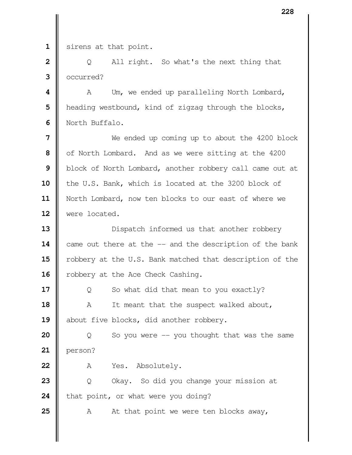1 | sirens at that point.

 | Q All right. So what's the next thing that occurred?

**4**  $\parallel$  A Um, we ended up paralleling North Lombard, **h** heading westbound, kind of zigzag through the blocks, North Buffalo.

 Ne ended up coming up to about the 4200 block of North Lombard. And as we were sitting at the 4200 block of North Lombard, another robbery call came out at 10 the U.S. Bank, which is located at the 3200 block of North Lombard, now ten blocks to our east of where we were located.

 Dispatch informed us that another robbery 14 came out there at the -- and the description of the bank 15 | robbery at the U.S. Bank matched that description of the 16 | robbery at the Ace Check Cashing.

**17**  $\parallel$  Q So what did that mean to you exactly? A It meant that the suspect walked about, 19 about five blocks, did another robbery.

 | Q So you were -- you thought that was the same person?

A Yes. Absolutely.

**23**  $\parallel$  Q Okay. So did you change your mission at **that point, or what were you doing?** 

**25**  $\parallel$  A At that point we were ten blocks away,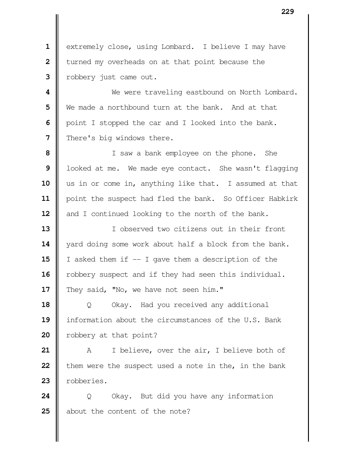1 | extremely close, using Lombard. I believe I may have I turned my overheads on at that point because the robbery just came out.

  $\parallel$  We were traveling eastbound on North Lombard. We made a northbound turn at the bank. And at that | point I stopped the car and I looked into the bank. | There's big windows there.

 I saw a bank employee on the phone. She | looked at me. We made eye contact. She wasn't flagging us in or come in, anything like that. I assumed at that 11 | point the suspect had fled the bank. So Officer Habkirk and I continued looking to the north of the bank.

 I observed two citizens out in their front 14 yard doing some work about half a block from the bank. **15** I asked them if  $-$  I gave them a description of the 16 | robbery suspect and if they had seen this individual. 17 They said, "No, we have not seen him."

 | Q Okay. Had you received any additional information about the circumstances of the U.S. Bank | robbery at that point?

 A I believe, over the air, I believe both of **them were the suspect used a note in the, in the bank** robberies.

**24**  $\parallel$  Q Okay. But did you have any information about the content of the note?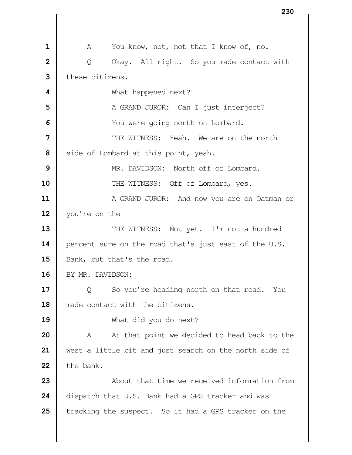A You know, not, not that I know of, no. | Q Okay. All right. So you made contact with these citizens. **I** What happened next? A GRAND JUROR: Can I just interject?  $\parallel$  You were going north on Lombard. **II** THE WITNESS: Yeah. We are on the north Side of Lombard at this point, yeah. MR. DAVIDSON: North off of Lombard.  $\parallel$  THE WITNESS: Off of Lombard, yes.  $\parallel$  A GRAND JUROR: And now you are on Oatman or | you're on the  $-$  THE WITNESS: Not yet. I'm not a hundred **percent sure on the road that's just east of the U.S.** 15 | Bank, but that's the road. 16 | BY MR. DAVIDSON: | Q So you're heading north on that road. You  $\parallel$  made contact with the citizens. What did you do next? A At that point we decided to head back to the west a little bit and just search on the north side of  $\parallel$  the bank.  $\parallel$  **COVENT** About that time we received information from 24 dispatch that U.S. Bank had a GPS tracker and was Tracking the suspect. So it had a GPS tracker on the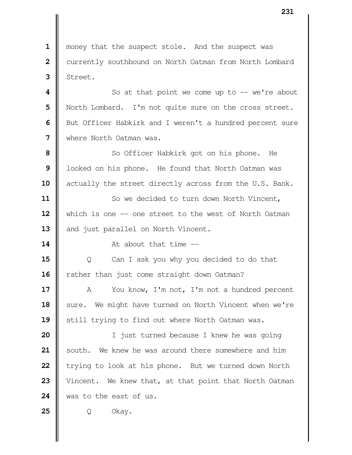| money that the suspect stole. And the suspect was Currently southbound on North Oatman from North Lombard | Street.  $\parallel$  So at that point we come up to -- we're about North Lombard. I'm not quite sure on the cross street. **|** But Officer Habkirk and I weren't a hundred percent sure where North Oatman was. So Officer Habkirk got on his phone. He | looked on his phone. He found that North Oatman was 10 | actually the street directly across from the U.S. Bank. So we decided to turn down North Vincent, 12 | which is one -- one street to the west of North Oatman 13 and just parallel on North Vincent. **I** At about that time  $\parallel$  Q Can I ask you why you decided to do that Tather than just come straight down Oatman? A You know, I'm not, I'm not a hundred percent 18 | sure. We might have turned on North Vincent when we're 19 || still trying to find out where North Oatman was. | I just turned because I knew he was going South. We knew he was around there somewhere and him **t**rying to look at his phone. But we turned down North 23 Vincent. We knew that, at that point that North Oatman was to the east of us. Q Okay.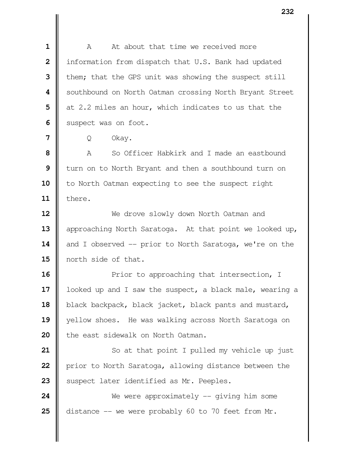**I** A At about that time we received more | information from dispatch that U.S. Bank had updated **I** them; that the GPS unit was showing the suspect still Southbound on North Oatman crossing North Bryant Street at 2.2 miles an hour, which indicates to us that the Suspect was on foot.

Q Okay.

 **I** A So Officer Habkirk and I made an eastbound turn on to North Bryant and then a southbound turn on 10 | to North Oatman expecting to see the suspect right there.

 We drove slowly down North Oatman and 13 | approaching North Saratoga. At that point we looked up, 14 and I observed -- prior to North Saratoga, we're on the **I** north side of that.

 Prior to approaching that intersection, I 17 | looked up and I saw the suspect, a black male, wearing a 18 black backpack, black jacket, black pants and mustard, yellow shoes. He was walking across North Saratoga on **l** the east sidewalk on North Oatman.

 So at that point I pulled my vehicle up just **p**rior to North Saratoga, allowing distance between the 23 || suspect later identified as Mr. Peeples.

**24** We were approximately  $-$  giving him some **25** distance  $-$  we were probably 60 to 70 feet from Mr.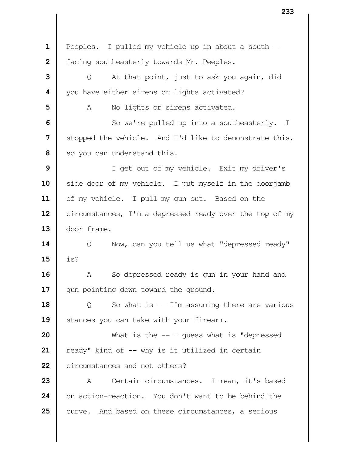Peeples. I pulled my vehicle up in about a south  $-$ 2 | facing southeasterly towards Mr. Peeples. | Q At that point, just to ask you again, did | you have either sirens or lights activated? A No lights or sirens activated. So we're pulled up into a southeasterly. I Stopped the vehicle. And I'd like to demonstrate this, so you can understand this. I get out of my vehicle. Exit my driver's side door of my vehicle. I put myself in the doorjamb 11 | of my vehicle. I pull my gun out. Based on the 12 | circumstances, I'm a depressed ready over the top of my door frame.  $\parallel$  Q Now, can you tell us what "depressed ready" **15**  $\|$  is? A So depressed ready is gun in your hand and 17 || gun pointing down toward the ground.  $\parallel$  Q So what is -- I'm assuming there are various 19 || stances you can take with your firearm.  $\parallel$  What is the -- I guess what is "depressed  $\parallel$  ready" kind of  $-$  why is it utilized in certain **22 II** circumstances and not others? A Certain circumstances. I mean, it's based on action-reaction. You don't want to be behind the curve. And based on these circumstances, a serious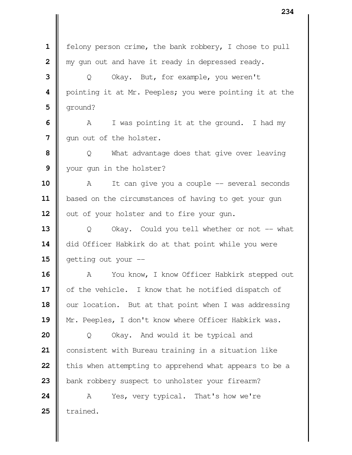felony person crime, the bank robbery, I chose to pull | my gun out and have it ready in depressed ready. | Q Okay. But, for example, you weren't pointing it at Mr. Peeples; you were pointing it at the  $\mathbf{5}$  ||  $\alpha$  ground? A I was pointing it at the ground. I had my | qun out of the holster. | Q What advantage does that give over leaving your gun in the holster? A It can give you a couple -- several seconds 11 | based on the circumstances of having to get your gun | out of your holster and to fire your gun. | Q Okay. Could you tell whether or not -- what  $\parallel$  did Officer Habkirk do at that point while you were **G** getting out your -- A You know, I know Officer Habkirk stepped out 17 | of the vehicle. I know that he notified dispatch of 18 | our location. But at that point when I was addressing 19 || Mr. Peeples, I don't know where Officer Habkirk was. | Q Okay. And would it be typical and consistent with Bureau training in a situation like **this when attempting to apprehend what appears to be a bank robbery suspect to unholster your firearm?**  A Yes, very typical. That's how we're  $\parallel$  trained.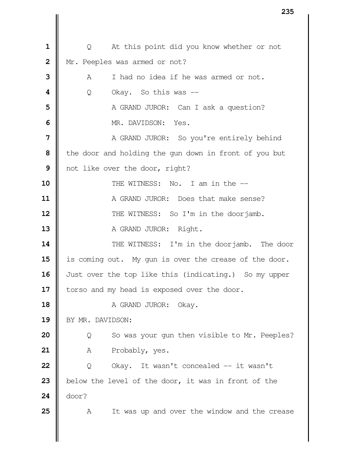| Q At this point did you know whether or not Mr. Peeples was armed or not?  $\parallel$  A I had no idea if he was armed or not. Q Okay. So this was -- A GRAND JUROR: Can I ask a question? MR. DAVIDSON: Yes. | A GRAND JUROR: So you're entirely behind **I** the door and holding the gun down in front of you but | not like over the door, right? **I** THE WITNESS: No. I am in the  $-$  **A** GRAND JUROR: Does that make sense?  $\parallel$  **THE WITNESS:** So I'm in the doorjamb. A GRAND JUROR: Right.  $\parallel$  THE WITNESS: I'm in the doorjamb. The door 15 | is coming out. My gun is over the crease of the door. 16 | Just over the top like this (indicating.) So my upper | torso and my head is exposed over the door. A GRAND JUROR: Okay. 19 | BY MR. DAVIDSON: | Q So was your gun then visible to Mr. Peeples? 21 | A Probably, yes. | Q Okay. It wasn't concealed -- it wasn't 23 below the level of the door, it was in front of the door? A It was up and over the window and the crease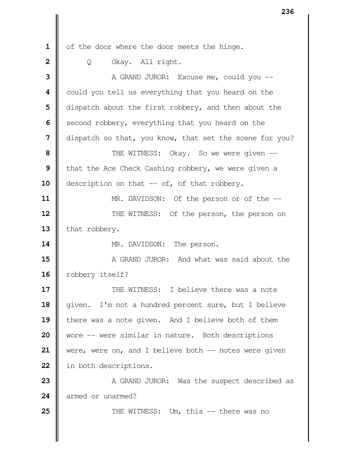1 | of the door where the door meets the hinge. Q Okay. All right. A GRAND JUROR: Excuse me, could you -- could you tell us everything that you heard on the dispatch about the first robbery, and then about the Second robbery, everything that you heard on the dispatch so that, you know, that set the scene for you?  $\parallel$  THE WITNESS: Okay. So we were given -- **t**hat the Ace Check Cashing robbery, we were given a **description on that -- of, of that robbery.**  MR. DAVIDSON: Of the person or of the  $-$  **THE WITNESS:** Of the person, the person on 13 that robbery. MR. DAVIDSON: The person.  $\parallel$  A GRAND JUROR: And what was said about the 16 | robbery itself?  $\parallel$  THE WITNESS: I believe there was a note 18 || given. I'm not a hundred percent sure, but I believe 19 there was a note given. And I believe both of them Wore -- were similar in nature. Both descriptions were, were on, and I believe both -- notes were given 22 | in both descriptions.  $\parallel$  A GRAND JUROR: Was the suspect described as 24 armed or unarmed?  $\parallel$  THE WITNESS: Um, this -- there was no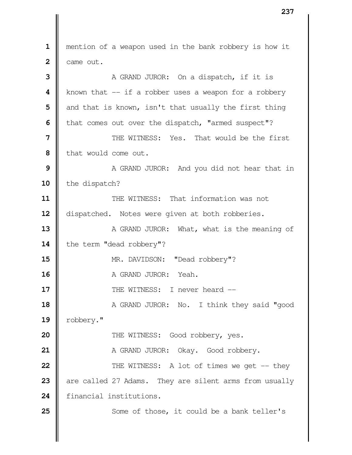mention of a weapon used in the bank robbery is how it  $2 \parallel$  came out. A GRAND JUROR: On a dispatch, if it is | known that -- if a robber uses a weapon for a robbery and that is known, isn't that usually the first thing | that comes out over the dispatch, "armed suspect"?  $\parallel$  THE WITNESS: Yes. That would be the first I that would come out. A GRAND JUROR: And you did not hear that in 10 the dispatch? THE WITNESS: That information was not 12 | dispatched. Notes were given at both robberies. A GRAND JUROR: What, what is the meaning of 14 | the term "dead robbery"?  $\parallel$  MR. DAVIDSON: "Dead robbery"? **I** A GRAND JUROR: Yeah.  $\parallel$  THE WITNESS: I never heard -- A GRAND JUROR: No. I think they said "good 19 | robbery."  $\parallel$  THE WITNESS: Good robbery, yes. A GRAND JUROR: Okay. Good robbery.  $\parallel$  THE WITNESS: A lot of times we get -- they are called 27 Adams. They are silent arms from usually financial institutions. Some of those, it could be a bank teller's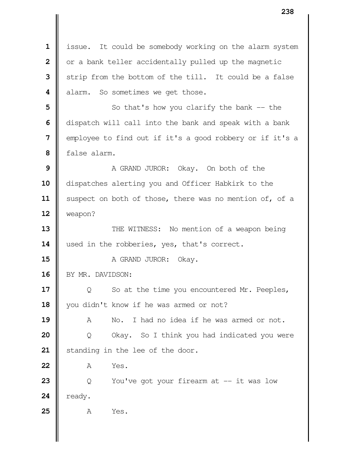1 | issue. It could be somebody working on the alarm system **2** | or a bank teller accidentally pulled up the magnetic **3** Strip from the bottom of the till. It could be a false **4 d** alarm. So sometimes we get those. **5** So that's how you clarify the bank -- the **6** dispatch will call into the bank and speak with a bank **7**  $\parallel$  employee to find out if it's a good robbery or if it's a  **8** false alarm. **9** A GRAND JUROR: Okay. On both of the 10  $\parallel$  dispatches alerting you and Officer Habkirk to the 11 | suspect on both of those, there was no mention of, of a **12** weapon? **13**  $\parallel$  THE WITNESS: No mention of a weapon being 14 used in the robberies, yes, that's correct. **15 A** GRAND JUROR: Okay. 16 | BY MR. DAVIDSON: **17**  $\parallel$  Q So at the time you encountered Mr. Peeples, 18 | you didn't know if he was armed or not? **19** A No. I had no idea if he was armed or not. **20** | Q Okay. So I think you had indicated you were 21 | standing in the lee of the door. **22** A Yes. **23**  $\parallel$  Q You've got your firearm at  $-$  it was low  $24$  | ready. **25** A Yes.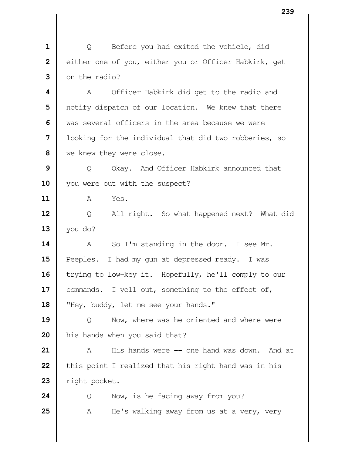**1** | Q Before you had exited the vehicle, did **2** | either one of you, either you or Officer Habkirk, get **3**  $\blacksquare$  on the radio?

 A Officer Habkirk did get to the radio and | notify dispatch of our location. We knew that there We was several officers in the area because we were | looking for the individual that did two robberies, so we knew they were close.

**9** | Q Okay. And Officer Habkirk announced that 10 || you were out with the suspect?

**11** A Yes.

12 | Q All right. So what happened next? What did **13**  $\parallel$  you do?

**14** A So I'm standing in the door. I see Mr. 15 | Peeples. I had my gun at depressed ready. I was 16 trying to low-key it. Hopefully, he'll comply to our 17 | commands. I yell out, something to the effect of, 18 **W** "Hey, buddy, let me see your hands."

**19**  $\parallel$  Q Now, where was he oriented and where were 20 | his hands when you said that?

**21** A His hands were -- one hand was down. And at **22** | this point I realized that his right hand was in his 23 | right pocket.

**24**  $\parallel$  Q Now, is he facing away from you? **25** A He's walking away from us at a very, very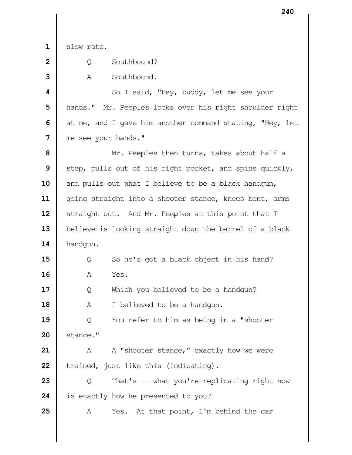slow rate.

| $2 \parallel$ | Southbound? |
|---------------|-------------|
|               |             |

A Southbound.

  $\parallel$  So I said, "Hey, buddy, let me see your hands." Mr. Peeples looks over his right shoulder right at me, and I gave him another command stating, "Hey, let me see your hands."

 Mr. Peeples then turns, takes about half a Step, pulls out of his right pocket, and spins quickly, and pulls out what I believe to be a black handgun, 11 | going straight into a shooter stance, knees bent, arms 12 | straight out. And Mr. Peeples at this point that I 13 | believe is looking straight down the barrel of a black handgun.

 | Q So he's got a black object in his hand? **A** Yes.

 $\parallel$  Q Which you believed to be a handgun?

A I believed to be a handgun.

 | Q You refer to him as being in a "shooter | stance."

 A A "shooter stance," exactly how we were **22**  $\parallel$  trained, just like this (indicating).

**23**  $\parallel$  0 That's -- what you're replicating right now is exactly how he presented to you?

A Yes. At that point, I'm behind the car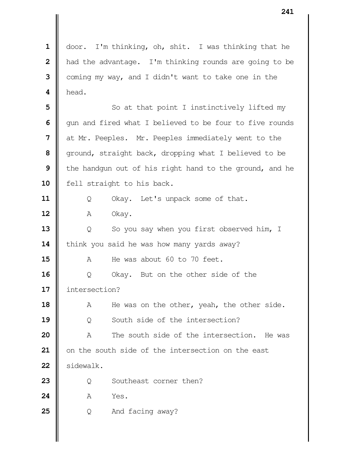1 | door. I'm thinking, oh, shit. I was thinking that he **h** had the advantage. I'm thinking rounds are going to be coming my way, and I didn't want to take one in the  $\mathbf 4 \parallel \mathbf h$ ead.

 So at that point I instinctively lifted my  $\parallel$  gun and fired what I believed to be four to five rounds at Mr. Peeples. Mr. Peeples immediately went to the ground, straight back, dropping what I believed to be **I** the handgun out of his right hand to the ground, and he 10 | fell straight to his back.

11 | Q Okay. Let's unpack some of that.

**A** Okay.

**13**  $\parallel$  Q So you say when you first observed him, I 14 | think you said he was how many yards away?

A He was about 60 to 70 feet.

 | Q Okay. But on the other side of the intersection?

 A He was on the other, yeah, the other side. Q South side of the intersection?

 A The south side of the intersection. He was | on the south side of the intersection on the east 22 | sidewalk.

**23**  $\parallel$  0 Southeast corner then?

**A** Yes.

Q And facing away?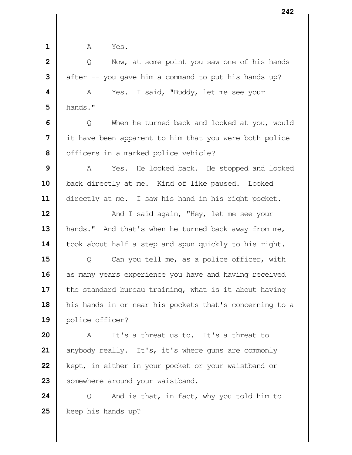- 
- **1 A** Yes.

 | Q Now, at some point you saw one of his hands  $\parallel$  after -- you gave him a command to put his hands up? **A** Yes. I said, "Buddy, let me see your hands."  $\Box$  Q When he turned back and looked at you, would If it have been apparent to him that you were both police | officers in a marked police vehicle? A Yes. He looked back. He stopped and looked 10 | back directly at me. Kind of like paused. Looked 11 | directly at me. I saw his hand in his right pocket.  $\parallel$  **And I** said again, "Hey, let me see your 13 | hands." And that's when he turned back away from me, 14 | took about half a step and spun quickly to his right.  $\parallel$  Q Can you tell me, as a police officer, with as many years experience you have and having received **i** the standard bureau training, what is it about having his hands in or near his pockets that's concerning to a police officer? 20 || A It's a threat us to. It's a threat to anybody really. It's, it's where guns are commonly **k**ept, in either in your pocket or your waistband or 23 Somewhere around your waistband.

**24**  $\parallel$  Q And is that, in fact, why you told him to keep his hands up?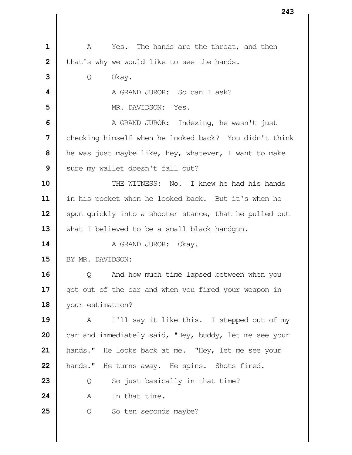| $\mathbf 1$    | The hands are the threat, and then<br>A<br>Yes.        |  |
|----------------|--------------------------------------------------------|--|
| $\overline{2}$ | that's why we would like to see the hands.             |  |
| 3              | Q<br>Okay.                                             |  |
| 4              | A GRAND JUROR: So can I ask?                           |  |
| 5              | MR. DAVIDSON: Yes.                                     |  |
| 6              | A GRAND JUROR: Indexing, he wasn't just                |  |
| 7              | checking himself when he looked back? You didn't think |  |
| 8              | he was just maybe like, hey, whatever, I want to make  |  |
| 9              | sure my wallet doesn't fall out?                       |  |
| 10             | THE WITNESS: No. I knew he had his hands               |  |
| 11             | in his pocket when he looked back. But it's when he    |  |
| 12             | spun quickly into a shooter stance, that he pulled out |  |
| 13             | what I believed to be a small black handgun.           |  |
| 14             | A GRAND JUROR:<br>Okay.                                |  |
| 15             | BY MR. DAVIDSON:                                       |  |
| 16             | And how much time lapsed between when you<br>Q         |  |
| 17             | got out of the car and when you fired your weapon in   |  |
| 18             | your estimation?                                       |  |
| 19             | I'll say it like this. I stepped out of my<br>A        |  |
| 20             | car and immediately said, "Hey, buddy, let me see your |  |
| 21             | hands." He looks back at me. "Hey, let me see your     |  |
| 22             | hands." He turns away. He spins. Shots fired.          |  |
| 23             | So just basically in that time?<br>Q                   |  |
| 24             | In that time.<br>Α                                     |  |
| 25             | So ten seconds maybe?<br>Q                             |  |
|                |                                                        |  |
|                |                                                        |  |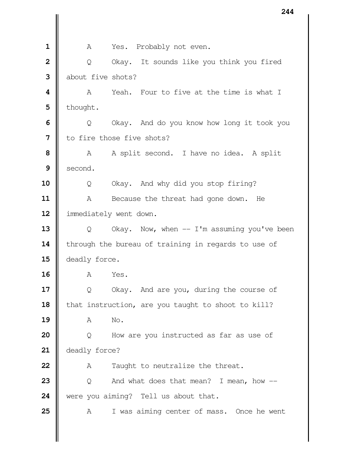**A** Yes. Probably not even. | Q Okay. It sounds like you think you fired about five shots? A Yeah. Four to five at the time is what I  $5 \parallel$  thought.  $\Box$  Q Okay. And do you know how long it took you I to fire those five shots? A A split second. I have no idea. A split Second. Q Okay. And why did you stop firing? 11 | A Because the threat had gone down. He 12 | immediately went down.  $\parallel$  Q Okay. Now, when -- I'm assuming you've been 14 through the bureau of training in regards to use of 15 | deadly force. A Yes.  $\begin{bmatrix} 0 & 0 & 0 & 0 \\ 0 & 0 & 0 & 0 \\ 0 & 0 & 0 & 0 \end{bmatrix}$  and are you, during the course of **h** that instruction, are you taught to shoot to kill? **A** No. | Q How are you instructed as far as use of **deadly** force? A Taught to neutralize the threat.  $\parallel$  Q And what does that mean? I mean, how  $\parallel$  were you aiming? Tell us about that. A I was aiming center of mass. Once he went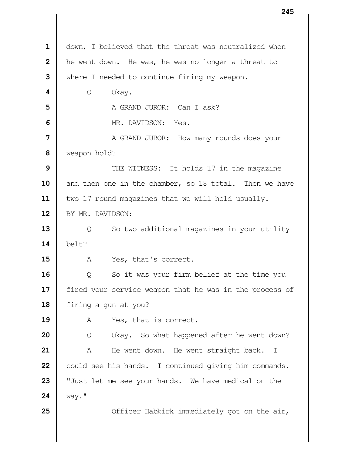|                | 243                                                     |
|----------------|---------------------------------------------------------|
|                |                                                         |
| $\mathbf 1$    | down, I believed that the threat was neutralized when   |
| $\overline{2}$ | he went down. He was, he was no longer a threat to      |
| 3              | where I needed to continue firing my weapon.            |
| 4              | Okay.<br>Q                                              |
| 5              | A GRAND JUROR: Can I ask?                               |
| 6              | MR. DAVIDSON: Yes.                                      |
| 7              | A GRAND JUROR: How many rounds does your                |
| 8              | weapon hold?                                            |
| 9              | THE WITNESS: It holds 17 in the magazine                |
| 10             | and then one in the chamber, so 18 total. Then we have  |
| 11             | two 17-round magazines that we will hold usually.       |
| 12             | BY MR. DAVIDSON:                                        |
| 13             | So two additional magazines in your utility<br>Q        |
| 14             | belt?                                                   |
| 15             | A<br>Yes, that's correct.                               |
| 16             | So it was your firm belief at the time you<br>Q         |
| 17             | fired your service weapon that he was in the process of |
| 18             | firing a gun at you?                                    |
| 19             | Yes, that is correct.<br>A                              |
| 20             | Okay. So what happened after he went down?<br>Q         |
| 21             | He went down. He went straight back. I<br>Α             |
| 22             | could see his hands. I continued giving him commands.   |
| 23             | "Just let me see your hands. We have medical on the     |
| 24             | way."                                                   |
| 25             | Officer Habkirk immediately got on the air,             |
|                |                                                         |
|                |                                                         |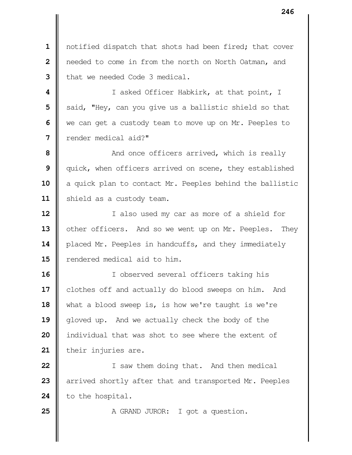**1** notified dispatch that shots had been fired; that cover  **2** needed to come in from the north on North Oatman, and **3** I that we needed Code 3 medical.

 | I asked Officer Habkirk, at that point, I Said, "Hey, can you give us a ballistic shield so that we can get a custody team to move up on Mr. Peeples to render medical aid?"

**8**  $\parallel$  **and once officers arrived, which is really 9**  $\parallel$  quick, when officers arrived on scene, they established 10 a quick plan to contact Mr. Peeples behind the ballistic 11 | shield as a custody team.

**12** I also used my car as more of a shield for 13 | other officers. And so we went up on Mr. Peeples. They 14 | placed Mr. Peeples in handcuffs, and they immediately **15 II** rendered medical aid to him.

**16** I observed several officers taking his 17 | clothes off and actually do blood sweeps on him. And 18 what a blood sweep is, is how we're taught is we're 19 || gloved up. And we actually check the body of the **20 i** individual that was shot to see where the extent of 21 | their injuries are.

**22** I saw them doing that. And then medical **23** arrived shortly after that and transported Mr. Peeples 24 to the hospital.

**25** A GRAND JUROR: I got a question.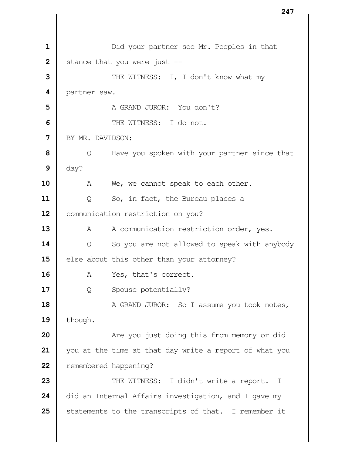|| Did your partner see Mr. Peeples in that  $\parallel$  stance that you were just  $\parallel$  THE WITNESS: I, I don't know what my 4 | partner saw. N A GRAND JUROR: You don't?  $\blacksquare$  THE WITNESS: I do not. BY MR. DAVIDSON:  $\parallel$  Q Have you spoken with your partner since that  $\parallel$  day? 10 | A We, we cannot speak to each other. | Q So, in fact, the Bureau places a 12 | communication restriction on you? A A communication restriction order, yes.  $\parallel$  Q So you are not allowed to speak with anybody else about this other than your attorney? A Yes, that's correct. Q Spouse potentially? A GRAND JUROR: So I assume you took notes, | though.  $\parallel$  **Are you just doing this from memory or did**  you at the time at that day write a report of what you **P** remembered happening? THE WITNESS: I didn't write a report. I 24 did an Internal Affairs investigation, and I gave my 25 Statements to the transcripts of that. I remember it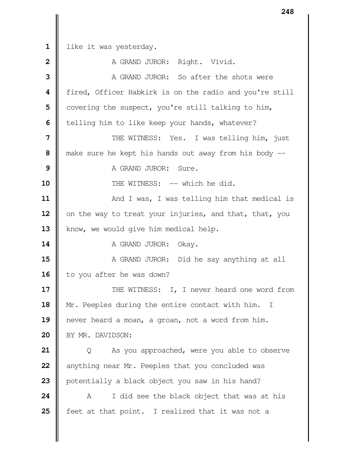like it was yesterday. **A** GRAND JUROR: Right. Vivid. **II** A GRAND JUROR: So after the shots were fired, Officer Habkirk is on the radio and you're still | covering the suspect, you're still talking to him, | telling him to like keep your hands, whatever?  $\parallel$  THE WITNESS: Yes. I was telling him, just  $\parallel$  make sure he kept his hands out away from his body -- A GRAND JUROR: Sure. **II** THE WITNESS: -- which he did.  $\parallel$  And I was, I was telling him that medical is 12 | on the way to treat your injuries, and that, that, you 13 | know, we would give him medical help. A GRAND JUROR: Okay.  $\parallel$  A GRAND JUROR: Did he say anything at all 16 | to you after he was down?  $\parallel$  THE WITNESS: I, I never heard one word from 18 | Mr. Peeples during the entire contact with him. I never heard a moan, a groan, not a word from him. 20 | BY MR. DAVIDSON: | Q As you approached, were you able to observe anything near Mr. Peeples that you concluded was **p**otentially a black object you saw in his hand? A I did see the black object that was at his **f** feet at that point. I realized that it was not a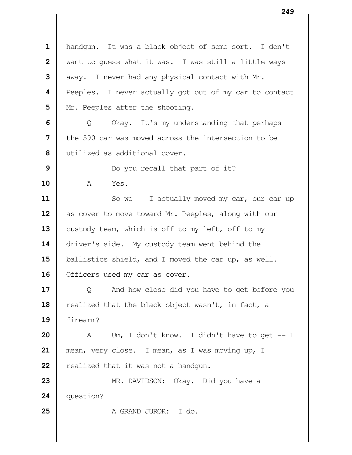handgun. It was a black object of some sort. I don't When to guess what it was. I was still a little ways  $\parallel$  away. I never had any physical contact with Mr. **Peeples.** I never actually got out of my car to contact | Mr. Peeples after the shooting.  $\Box$  Q Okay. It's my understanding that perhaps **I** the 590 car was moved across the intersection to be utilized as additional cover. Do you recall that part of it? A Yes. So we -- I actually moved my car, our car up as cover to move toward Mr. Peeples, along with our 13 custody team, which is off to my left, off to my 14 driver's side. My custody team went behind the ballistics shield, and I moved the car up, as well. 16 | Officers used my car as cover.  $\parallel$  Q And how close did you have to get before you 18 | realized that the black object wasn't, in fact, a firearm? A Um, I don't know. I didn't have to get -- I mean, very close. I mean, as I was moving up, I **P** realized that it was not a handgun. MR. DAVIDSON: Okay. Did you have a question? **I** A GRAND JUROR: I do.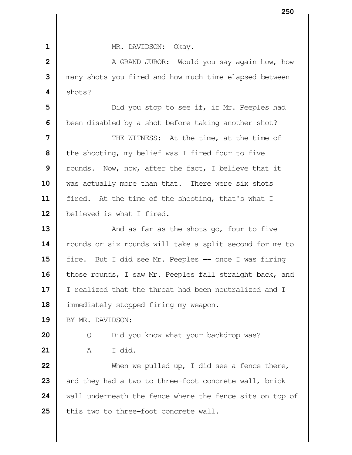**1 II** MR. DAVIDSON: Okay. **2 ||** A GRAND JUROR: Would you say again how, how  **3** many shots you fired and how much time elapsed between  $4 \parallel$  shots? **5**  $\parallel$  Did you stop to see if, if Mr. Peeples had **6 b**een disabled by a shot before taking another shot? **7**  $\parallel$  THE WITNESS: At the time, at the time of **8** | the shooting, my belief was I fired four to five **9** Trounds. Now, now, after the fact, I believe that it 10 Was actually more than that. There were six shots 11 | fired. At the time of the shooting, that's what I 12 | believed is what I fired. **13** And as far as the shots go, four to five 14 | rounds or six rounds will take a split second for me to **15** fire. But I did see Mr. Peeples -- once I was firing 16 | those rounds, I saw Mr. Peeples fall straight back, and 17 | I realized that the threat had been neutralized and I 18  $\parallel$  immediately stopped firing my weapon. 19 | BY MR. DAVIDSON: **20** | Q Did you know what your backdrop was? **21** A I did. **22**  $\parallel$  When we pulled up, I did see a fence there, **23** and they had a two to three-foot concrete wall, brick 24 | wall underneath the fence where the fence sits on top of 25 | this two to three-foot concrete wall.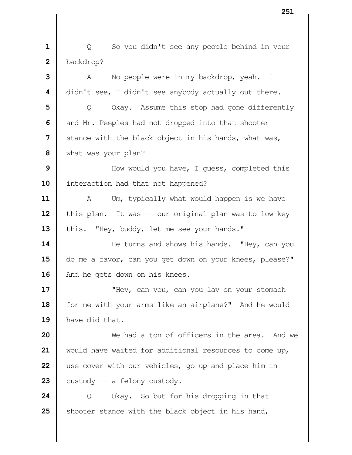**1** | Q So you didn't see any people behind in your  **2** backdrop?

 A No people were in my backdrop, yeah. I didn't see, I didn't see anybody actually out there.  $\parallel$  Q Okay. Assume this stop had gone differently and Mr. Peeples had not dropped into that shooter Stance with the black object in his hands, what was, what was your plan? Now would you have, I quess, completed this 10 | interaction had that not happened? A Um, typically what would happen is we have 12 | this plan. It was -- our original plan was to low-key 13 | this. "Hey, buddy, let me see your hands."  $\parallel$  He turns and shows his hands. "Hey, can you 15 | do me a favor, can you get down on your knees, please?" 16 | And he gets down on his knees.  $\parallel$  **"**Hey, can you, can you lay on your stomach 18 | for me with your arms like an airplane?" And he would have did that.  $\parallel$  We had a ton of officers in the area. And we would have waited for additional resources to come up, use cover with our vehicles, go up and place him in

**23**  $\parallel$  custody  $\parallel$  -- a felony custody.

**24** | Q Okay. So but for his dropping in that **25** Shooter stance with the black object in his hand,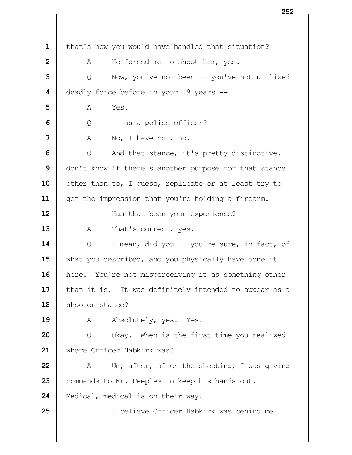| that's how you would have handled that situation? A He forced me to shoot him, yes. | Q Now, you've not been -- you've not utilized **d**eadly force before in your 19 years -- **A** Yes.  $\vert \hspace{.08cm} \vert$  **0** -- as a police officer? A No, I have not, no. | Q And that stance, it's pretty distinctive. I | don't know if there's another purpose for that stance 10 | other than to, I quess, replicate or at least try to get the impression that you're holding a firearm.  $\parallel$  Has that been your experience? 13 A That's correct, yes. Q I mean, did you -- you're sure, in fact, of 15 what you described, and you physically have done it **here.** You're not misperceiving it as something other | than it is. It was definitely intended to appear as a 18 Shooter stance? 19 A Absolutely, yes. Yes. | Q Okay. When is the first time you realized 21 | where Officer Habkirk was? A Um, after, after the shooting, I was giving 23 | commands to Mr. Peeples to keep his hands out. 24 | Medical, medical is on their way. I believe Officer Habkirk was behind me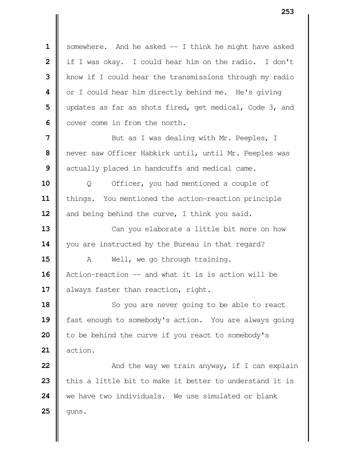1 | somewhere. And he asked -- I think he might have asked | if I was okay. I could hear him on the radio. I don't Know if I could hear the transmissions through my radio | or I could hear him directly behind me. He's giving updates as far as shots fired, get medical, Code 3, and Cover come in from the north.

 Nut as I was dealing with Mr. Peeples, I never saw Officer Habkirk until, until Mr. Peeples was actually placed in handcuffs and medical came.

 | Q Officer, you had mentioned a couple of things. You mentioned the action-reaction principle and being behind the curve, I think you said.

 Can you elaborate a little bit more on how 14 | you are instructed by the Bureau in that regard?

**15**  $\parallel$  A Well, we go through training. Action-reaction -- and what it is is action will be 17 | always faster than reaction, right.

 So you are never going to be able to react **6** fast enough to somebody's action. You are always going | to be behind the curve if you react to somebody's action.

  $\parallel$  **And the way we train anyway, if I can explain**  I this a little bit to make it better to understand it is we have two individuals. We use simulated or blank | quns.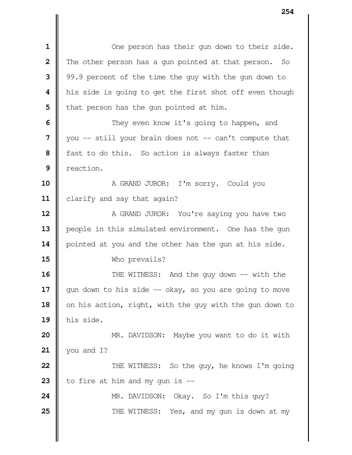| One person has their gun down to their side. The other person has a gun pointed at that person. So 99.9 percent of the time the guy with the gun down to his side is going to get the first shot off even though | that person has the gun pointed at him.  $\parallel$  They even know it's going to happen, and you -- still your brain does not -- can't compute that **f** fast to do this. So action is always faster than reaction. A GRAND JUROR: I'm sorry. Could you 11 | clarify and say that again? A GRAND JUROR: You're saying you have two 13 | people in this simulated environment. One has the gun 14 | pointed at you and the other has the gun at his side. Who prevails?  $\parallel$  THE WITNESS: And the guy down -- with the  $\parallel$  gun down to his side  $\sim$  okay, so you are going to move 18 | on his action, right, with the guy with the gun down to his side.  $\parallel$  MR. DAVIDSON: Maybe you want to do it with you and I?  $\parallel$  THE WITNESS: So the guy, he knows I'm going  $\parallel$  to fire at him and my gun is  $\parallel$  MR. DAVIDSON: Okay. So I'm this guy?  $\parallel$  THE WITNESS: Yes, and my gun is down at my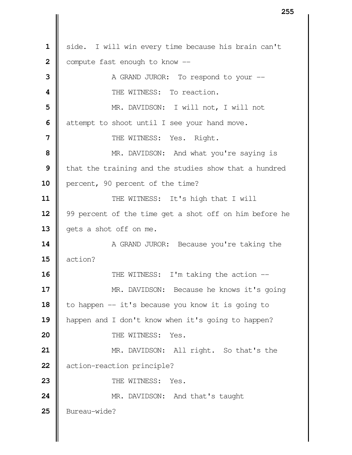1 | side. I will win every time because his brain can't  $\parallel$  compute fast enough to know  $\parallel$   $\parallel$  A GRAND JUROR: To respond to your  $\parallel$  **I** THE WITNESS: To reaction. MR. DAVIDSON: I will not, I will not attempt to shoot until I see your hand move. | THE WITNESS: Yes. Right. MR. DAVIDSON: And what you're saying is **I** that the training and the studies show that a hundred **percent,** 90 percent of the time?  $\parallel$  THE WITNESS: It's high that I will 99 percent of the time get a shot off on him before he 13 | gets a shot off on me. A GRAND JUROR: Because you're taking the action?  $\parallel$  THE WITNESS: I'm taking the action --  $\parallel$  MR. DAVIDSON: Because he knows it's going 18 | to happen -- it's because you know it is going to **happen and I don't know when it's going to happen? I** THE WITNESS: Yes. MR. DAVIDSON: All right. So that's the **d** action-reaction principle?  $\parallel$  THE WITNESS: Yes. MR. DAVIDSON: And that's taught 25 | Bureau-wide?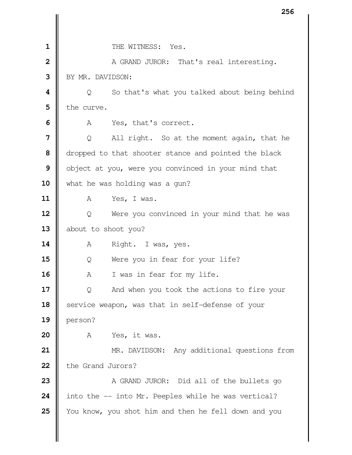|                         | ∠ວ໐                                                  |
|-------------------------|------------------------------------------------------|
|                         |                                                      |
| $\mathbf 1$             | THE WITNESS: Yes.                                    |
| $\overline{\mathbf{2}}$ | A GRAND JUROR: That's real interesting.              |
| 3                       | BY MR. DAVIDSON:                                     |
| 4                       | So that's what you talked about being behind<br>Q    |
| 5                       | the curve.                                           |
| 6                       | Yes, that's correct.<br>A                            |
| $\overline{7}$          | All right. So at the moment again, that he<br>Q      |
| 8                       | dropped to that shooter stance and pointed the black |
| 9                       | object at you, were you convinced in your mind that  |
| 10                      | what he was holding was a gun?                       |
| 11                      | A<br>Yes, I was.                                     |
| 12                      | Were you convinced in your mind that he was<br>Q     |
| 13                      | about to shoot you?                                  |
| 14                      | Right. I was, yes.<br>A                              |
| 15                      | Were you in fear for your life?<br>Q                 |
| 16                      | I was in fear for my life.<br>Α                      |
| 17                      | And when you took the actions to fire your<br>Q      |
| 18                      | service weapon, was that in self-defense of your     |
| 19                      | person?                                              |
| 20                      | Yes, it was.<br>А                                    |
| 21                      | MR. DAVIDSON: Any additional questions from          |
| 22                      | the Grand Jurors?                                    |
| 23                      | A GRAND JUROR: Did all of the bullets go             |
| 24                      | into the -- into Mr. Peeples while he was vertical?  |
| 25                      | You know, you shot him and then he fell down and you |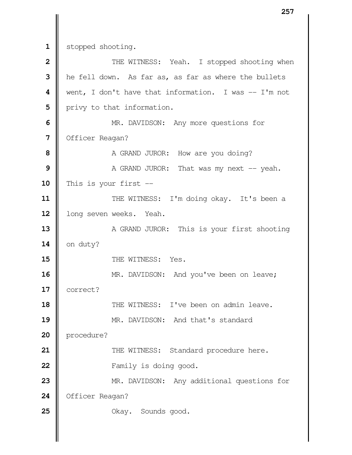1 stopped shooting.

| $\overline{2}$ | THE WITNESS: Yeah. I stopped shooting when             |
|----------------|--------------------------------------------------------|
| 3              | he fell down. As far as, as far as where the bullets   |
| 4              | went, I don't have that information. I was $-$ I'm not |
| 5              | privy to that information.                             |
| 6              | MR. DAVIDSON: Any more questions for                   |
| 7              | Officer Reagan?                                        |
| 8              | A GRAND JUROR: How are you doing?                      |
| 9              | A GRAND JUROR: That was my next -- yeah.               |
| 10             | This is your first $-$                                 |
| 11             | THE WITNESS: I'm doing okay. It's been a               |
| 12             | long seven weeks. Yeah.                                |
| 13             | A GRAND JUROR: This is your first shooting             |
| 14             | on duty?                                               |
| 15             | THE WITNESS: Yes.                                      |
| 16             | MR. DAVIDSON: And you've been on leave;                |
| 17             | correct?                                               |
| 18             | THE WITNESS: I've been on admin leave.                 |
| 19             | MR. DAVIDSON: And that's standard                      |
| 20             | procedure?                                             |
| 21             | THE WITNESS: Standard procedure here.                  |
| 22             | Family is doing good.                                  |
| 23             | MR. DAVIDSON: Any additional questions for             |
| 24             | Officer Reagan?                                        |
| 25             | Okay. Sounds good.                                     |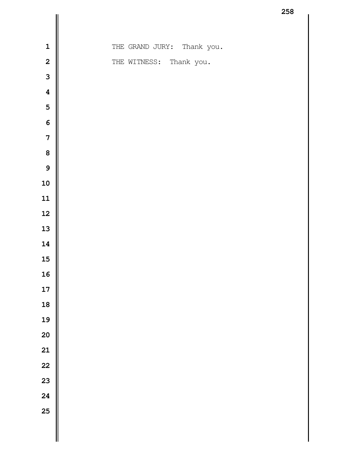| $\mathbf 1$             | THE GRAND JURY: Thank you. |
|-------------------------|----------------------------|
| $\mathbf{2}$            | THE WITNESS: Thank you.    |
| 3                       |                            |
| $\overline{\mathbf{4}}$ |                            |
| $\overline{\mathbf{5}}$ |                            |
| $\boldsymbol{6}$        |                            |
| $\overline{\mathbf{7}}$ |                            |
| 8                       |                            |
| 9                       |                            |
| 10                      |                            |
| 11                      |                            |
| 12                      |                            |
| 13                      |                            |
| 14                      |                            |
| 15                      |                            |
| 16                      |                            |
| 17                      |                            |
| 18                      |                            |
| 19                      |                            |
| 20                      |                            |
| 21                      |                            |
| 22                      |                            |
| 23                      |                            |
| 24                      |                            |
| 25                      |                            |
|                         |                            |
|                         |                            |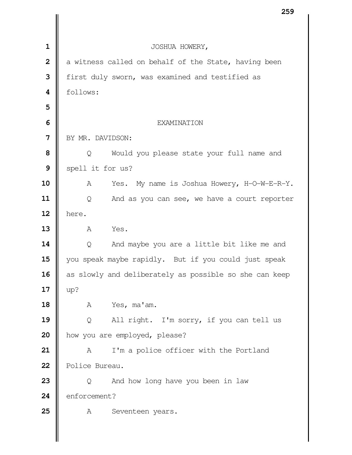|                         | 239                                                    |
|-------------------------|--------------------------------------------------------|
|                         |                                                        |
| $\mathbf 1$             | JOSHUA HOWERY,                                         |
| $\overline{2}$          | a witness called on behalf of the State, having been   |
| 3                       | first duly sworn, was examined and testified as        |
| $\overline{\mathbf{4}}$ | follows:                                               |
| 5                       |                                                        |
| 6                       | EXAMINATION                                            |
| 7                       | BY MR. DAVIDSON:                                       |
| 8                       | Would you please state your full name and<br>Q         |
| 9                       | spell it for us?                                       |
| 10                      | Yes. My name is Joshua Howery, H-O-W-E-R-Y.<br>A       |
| 11                      | And as you can see, we have a court reporter<br>Q      |
| 12                      | here.                                                  |
| 13                      | Yes.<br>A                                              |
| 14                      | And maybe you are a little bit like me and<br>Q        |
| 15                      | you speak maybe rapidly. But if you could just speak   |
| 16                      | as slowly and deliberately as possible so she can keep |
| 17                      | up?                                                    |
| 18                      | Yes, ma'am.<br>Α                                       |
| 19                      | All right. I'm sorry, if you can tell us<br>Q          |
| 20                      | how you are employed, please?                          |
| 21                      | I'm a police officer with the Portland<br>Α            |
| 22                      | Police Bureau.                                         |
| 23                      | And how long have you been in law<br>Q                 |
| 24                      | enforcement?                                           |
| 25                      | Α<br>Seventeen years.                                  |
|                         |                                                        |
|                         |                                                        |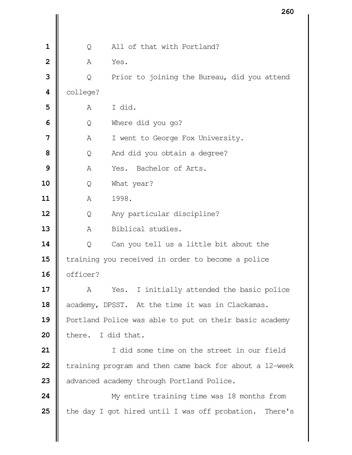|                         |                    | ∠๐∪                                                     |
|-------------------------|--------------------|---------------------------------------------------------|
|                         |                    |                                                         |
| $\mathbf 1$             | Q                  | All of that with Portland?                              |
| $\overline{\mathbf{2}}$ | Α                  | Yes.                                                    |
| 3                       | Q                  | Prior to joining the Bureau, did you attend             |
| 4                       | college?           |                                                         |
| 5                       | Α                  | I did.                                                  |
| 6                       | Q                  | Where did you go?                                       |
| 7                       | Α                  | I went to George Fox University.                        |
| 8                       | Q                  | And did you obtain a degree?                            |
| 9                       | A                  | Bachelor of Arts.<br>Yes.                               |
| 10                      | Q                  | What year?                                              |
| 11                      | Α                  | 1998.                                                   |
| 12                      | Q                  | Any particular discipline?                              |
| 13                      | A                  | Biblical studies.                                       |
| 14                      | Q                  | Can you tell us a little bit about the                  |
| 15                      |                    | training you received in order to become a police       |
| 16                      | officer?           |                                                         |
| 17                      | A                  | I initially attended the basic police<br>Yes.           |
| 18                      |                    | academy, DPSST. At the time it was in Clackamas.        |
| 19                      |                    | Portland Police was able to put on their basic academy  |
| 20                      | there. I did that. |                                                         |
| 21                      |                    | I did some time on the street in our field              |
| 22                      |                    | training program and then came back for about a 12-week |
| 23                      |                    | advanced academy through Portland Police.               |
| 24                      |                    | My entire training time was 18 months from              |
| 25                      |                    | the day I got hired until I was off probation. There's  |
|                         |                    |                                                         |
|                         |                    |                                                         |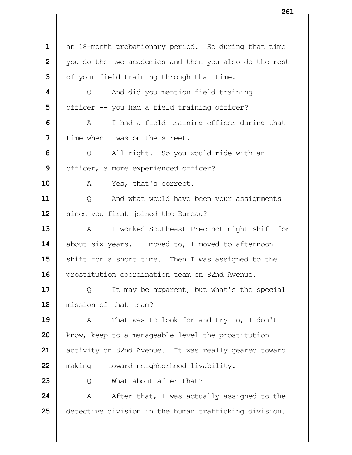an 18-month probationary period. So during that time you do the two academies and then you also do the rest | of your field training through that time.  $\parallel$  Q And did you mention field training | officer -- you had a field training officer?  $\parallel$  A I had a field training officer during that I time when I was on the street. |  $\bullet$  0 All right. So you would ride with an | officer, a more experienced officer? A Yes, that's correct. | Q And what would have been your assignments Since you first joined the Bureau? 13 | A I worked Southeast Precinct night shift for 14 | about six years. I moved to, I moved to afternoon Shift for a short time. Then I was assigned to the 16 | prostitution coordination team on 82nd Avenue.  $\Box$  Q It may be apparent, but what's the special mission of that team? 19 | A That was to look for and try to, I don't **k**now, keep to a manageable level the prostitution activity on 82nd Avenue. It was really geared toward **making -- toward neighborhood livability.**   $\parallel$  0 What about after that? A After that, I was actually assigned to the detective division in the human trafficking division.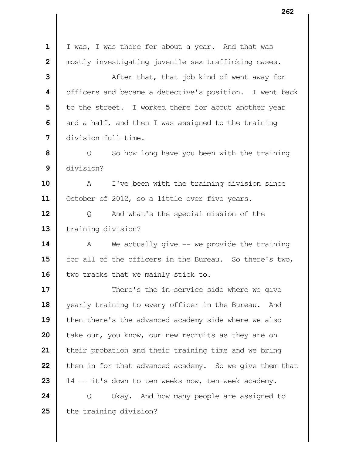| $\mathbf{1}$   | I was, I was there for about a year. And that was       |
|----------------|---------------------------------------------------------|
| $\overline{2}$ | mostly investigating juvenile sex trafficking cases.    |
| 3              | After that, that job kind of went away for              |
| 4              | officers and became a detective's position. I went back |
| 5              | to the street. I worked there for about another year    |
| 6              | and a half, and then I was assigned to the training     |
| 7              | division full-time.                                     |
| 8              | $Q \sim$<br>So how long have you been with the training |
| 9              | division?                                               |
| 10             | I've been with the training division since<br>A         |
| 11             | October of 2012, so a little over five years.           |
| 12             | And what's the special mission of the<br>Q              |
| 13             | training division?                                      |
| 14             | We actually give $-$ we provide the training<br>A       |
| 15             | for all of the officers in the Bureau. So there's two,  |
| 16             | two tracks that we mainly stick to.                     |
| 17             | There's the in-service side where we give               |
| 18             | yearly training to every officer in the Bureau.<br>And  |
| 19             | then there's the advanced academy side where we also    |
| 20             | take our, you know, our new recruits as they are on     |
| 21             | their probation and their training time and we bring    |
| 22             | them in for that advanced academy. So we give them that |
| 23             | 14 -- it's down to ten weeks now, ten-week academy.     |
| 24             | Okay. And how many people are assigned to<br>Q          |
| 25             | the training division?                                  |
|                |                                                         |
|                |                                                         |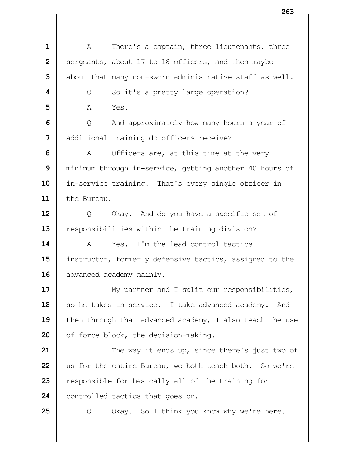A There's a captain, three lieutenants, three Sergeants, about 17 to 18 officers, and then maybe  $\parallel$  about that many non-sworn administrative staff as well.  $\vert \vert$  Q So it's a pretty large operation? **A** Yes.  $\Box$  Q And approximately how many hours a year of  $\parallel$  additional training do officers receive? A Officers are, at this time at the very minimum through in-service, getting another 40 hours of in-service training. That's every single officer in the Bureau. | Q Okay. And do you have a specific set of **e** responsibilities within the training division? A Yes. I'm the lead control tactics **||** instructor, formerly defensive tactics, assigned to the 16 advanced academy mainly.  $\parallel$  My partner and I split our responsibilities, 18 | so he takes in-service. I take advanced academy. And **|** then through that advanced academy, I also teach the use 20 | of force block, the decision-making.  $\parallel$  The way it ends up, since there's just two of us for the entire Bureau, we both teach both. So we're **e** responsible for basically all of the training for 24 | controlled tactics that goes on.  $\Box$  Q Okay. So I think you know why we're here.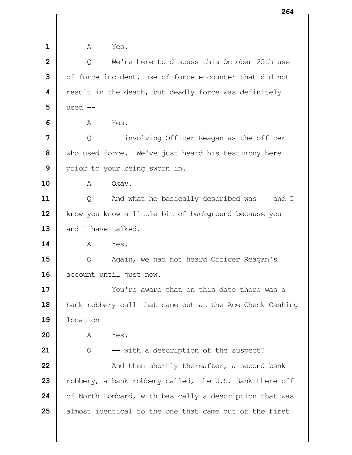| $\mathbf{1}$            | A<br>Yes.                                                |
|-------------------------|----------------------------------------------------------|
| $\overline{\mathbf{2}}$ | We're here to discuss this October 25th use<br>Q         |
| 3                       | of force incident, use of force encounter that did not   |
| 4                       | result in the death, but deadly force was definitely     |
| 5                       | used $--$                                                |
| 6                       | Yes.<br>Α                                                |
| 7                       | -- involving Officer Reagan as the officer<br>Q          |
| 8                       | who used force. We've just heard his testimony here      |
| 9                       | prior to your being sworn in.                            |
| 10                      | Okay.<br>A                                               |
| 11                      | And what he basically described was -- and I<br>Q        |
| 12                      | know you know a little bit of background because you     |
| 13                      | and I have talked.                                       |
| 14                      | Yes.<br>A                                                |
| 15                      | Again, we had not heard Officer Reagan's<br>Q            |
| 16                      | account until just now.                                  |
| 17                      | You're aware that on this date there was a               |
| 18                      | bank robbery call that came out at the Ace Check Cashing |
| 19                      | location --                                              |
| 20                      | Yes.<br>Α                                                |
| 21                      | -- with a description of the suspect?<br>Q               |
| 22                      | And then shortly thereafter, a second bank               |
| 23                      | robbery, a bank robbery called, the U.S. Bank there off  |
| 24                      | of North Lombard, with basically a description that was  |
| 25                      | almost identical to the one that came out of the first   |
|                         |                                                          |
|                         |                                                          |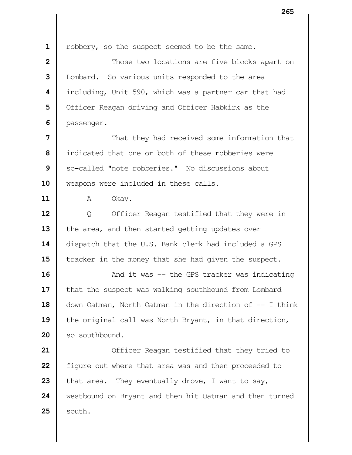**1** | robbery, so the suspect seemed to be the same. **2**  $\parallel$  Those two locations are five blocks apart on **3** | Lombard. So various units responded to the area  **4** including, Unit 590, which was a partner car that had **5** Officer Reagan driving and Officer Habkirk as the **6 |** passenger. **7**  $\parallel$ **8** I indicated that one or both of these robberies were **9** So-called "note robberies." No discussions about 10 | weapons were included in these calls. **11 A** Okay. **12** | Q Officer Reagan testified that they were in 13 the area, and then started getting updates over 14 dispatch that the U.S. Bank clerk had included a GPS **15** Tracker in the money that she had given the suspect. **16**  $\parallel$  And it was -- the GPS tracker was indicating 17 | that the suspect was walking southbound from Lombard 18 | down Oatman, North Oatman in the direction of  $-$  I think 19 the original call was North Bryant, in that direction, 20 | so southbound. **21** | Officer Reagan testified that they tried to **22 f** figure out where that area was and then proceeded to **23**  $\parallel$  that area. They eventually drove, I want to say, 24 Westbound on Bryant and then hit Oatman and then turned  $25$  | south.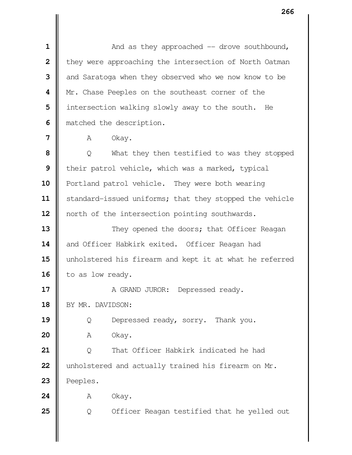$\parallel$  **2** And as they approached -- drove southbound, | they were approaching the intersection of North Oatman and Saratoga when they observed who we now know to be | Mr. Chase Peeples on the southeast corner of the | intersection walking slowly away to the south. He **matched the description.** 

 | Q What they then testified to was they stopped their patrol vehicle, which was a marked, typical 10 | Portland patrol vehicle. They were both wearing 11 | standard-issued uniforms; that they stopped the vehicle 12 | north of the intersection pointing southwards.

**13**  $\parallel$  They opened the doors; that Officer Reagan 14 and Officer Habkirk exited. Officer Reagan had unholstered his firearm and kept it at what he referred 16 to as low ready.

 A GRAND JUROR: Depressed ready. 18 | BY MR. DAVIDSON:

| Q Depressed ready, sorry. Thank you.

A Okay.

 | Q That Officer Habkirk indicated he had | unholstered and actually trained his firearm on Mr. | Peeples.

**A** Okay.

**25**  $\begin{bmatrix} 0 & 0 \end{bmatrix}$  Officer Reagan testified that he yelled out

**<sup>7</sup>**  $\parallel$  A Okay.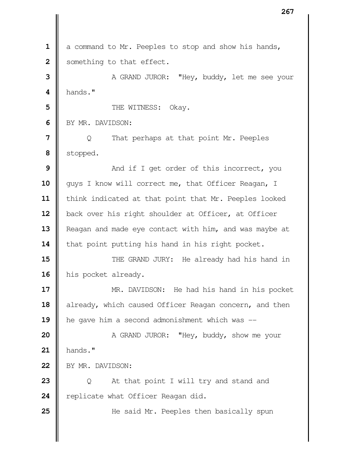**1** a command to Mr. Peeples to stop and show his hands, **2** Something to that effect. **3** A GRAND JUROR: "Hey, buddy, let me see your  **4** hands." **5** Number of the WITNESS: Okay. **6** BY MR. DAVIDSON: **7** | Q That perhaps at that point Mr. Peeples  **8** stopped. **9**  $\parallel$  And if I get order of this incorrect, you 10 || guys I know will correct me, that Officer Reagan, I 11 | think indicated at that point that Mr. Peeples looked 12 | back over his right shoulder at Officer, at Officer 13 **Reagan and made eye contact with him, and was maybe at** 14 | that point putting his hand in his right pocket. **15**  $\parallel$  THE GRAND JURY: He already had his hand in 16 his pocket already. **17** MR. DAVIDSON: He had his hand in his pocket 18 already, which caused Officer Reagan concern, and then 19 | he gave him a second admonishment which was --**20** A GRAND JUROR: "Hey, buddy, show me your **21** hands." 22 BY MR. DAVIDSON: **23** | Q At that point I will try and stand and 24 **P** replicate what Officer Reagan did. **25**  $\parallel$  He said Mr. Peeples then basically spun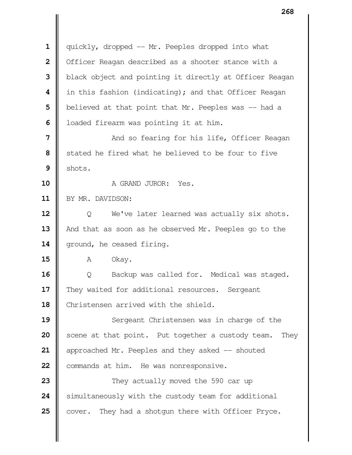1 | quickly, dropped -- Mr. Peeples dropped into what | Officer Reagan described as a shooter stance with a **black** object and pointing it directly at Officer Reagan in this fashion (indicating); and that Officer Reagan | believed at that point that Mr. Peeples was -- had a | loaded firearm was pointing it at him.  $\parallel$  And so fearing for his life, Officer Reagan Stated he fired what he believed to be four to five  $9 \parallel$  shots. A GRAND JUROR: Yes. BY MR. DAVIDSON: | Q We've later learned was actually six shots. 13 | And that as soon as he observed Mr. Peeples go to the 14 | ground, he ceased firing. **A** Okay.  $\Box$  Q Backup was called for. Medical was staged. They waited for additional resources. Sergeant  $\parallel$  Christensen arrived with the shield. Sergeant Christensen was in charge of the Scene at that point. Put together a custody team. They **approached Mr.** Peeples and they asked -- shouted 22 | commands at him. He was nonresponsive.  $\parallel$  They actually moved the 590 car up Simultaneously with the custody team for additional cover. They had a shotgun there with Officer Pryce.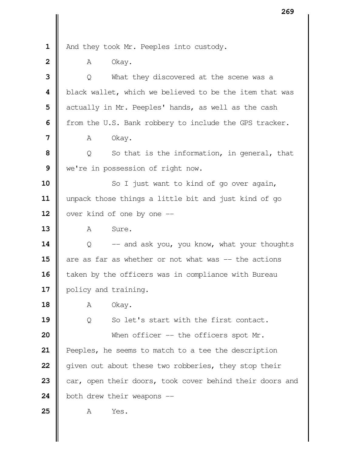- 
- 1 | And they took Mr. Peeples into custody.
- **A** Okay.

| 3                       | What they discovered at the scene was a<br>$\overline{Q}$ |
|-------------------------|-----------------------------------------------------------|
| $\overline{\mathbf{4}}$ | black wallet, which we believed to be the item that was   |
| 5                       | actually in Mr. Peeples' hands, as well as the cash       |
| 6                       | from the U.S. Bank robbery to include the GPS tracker.    |
| 7                       | Okay.<br>Α                                                |
| 8                       | So that is the information, in general, that<br>Q         |
| 9                       | we're in possession of right now.                         |
| 10                      | So I just want to kind of go over again,                  |
| 11                      | unpack those things a little bit and just kind of go      |
| 12                      | over kind of one by one --                                |
| 13                      | Sure.<br>A                                                |
| 14                      | -- and ask you, you know, what your thoughts<br>Q         |
| 15                      | are as far as whether or not what was -- the actions      |
| 16                      | taken by the officers was in compliance with Bureau       |
| 17                      | policy and training.                                      |
| 18                      | Okay.<br>А                                                |
| 19                      | So let's start with the first contact.<br>Q               |
| 20                      | When officer $-$ the officers spot Mr.                    |
| 21                      | Peeples, he seems to match to a tee the description       |
| 22                      | given out about these two robberies, they stop their      |
| 23                      | car, open their doors, took cover behind their doors and  |
| 24                      | both drew their weapons --                                |
| 25                      | Yes.<br>Α                                                 |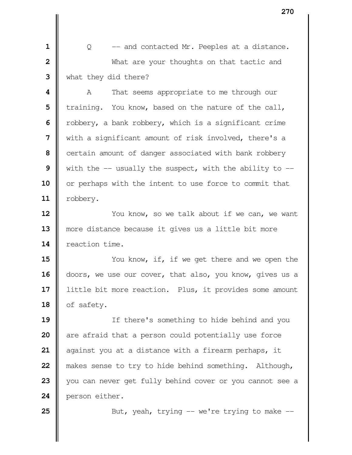**1** |  $\qquad$  Q -- and contacted Mr. Peeples at a distance. What are your thoughts on that tactic and what they did there?

  $\parallel$  A That seems appropriate to me through our **i** training. You know, based on the nature of the call, Thereform thank robbery, which is a significant crime with a significant amount of risk involved, there's a certain amount of danger associated with bank robbery With the  $-$  usually the suspect, with the ability to  $-$ 10 || or perhaps with the intent to use force to commit that robbery.

**12**  $\parallel$  You know, so we talk about if we can, we want 13 || more distance because it gives us a little bit more **I** reaction time.

**15**  $\parallel$  You know, if, if we get there and we open the doors, we use our cover, that also, you know, gives us a 17 | little bit more reaction. Plus, it provides some amount 18 | of safety.

 If there's something to hide behind and you are afraid that a person could potentially use force against you at a distance with a firearm perhaps, it makes sense to try to hide behind something. Although, you can never get fully behind cover or you cannot see a **person either.** 

**25**  $\parallel$  But, yeah, trying  $\text{--}$  we're trying to make  $\text{--}$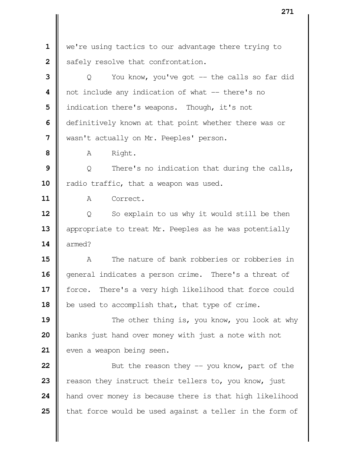we're using tactics to our advantage there trying to Safely resolve that confrontation.

 | Q You know, you've got -- the calls so far did  $\parallel$  not include any indication of what -- there's no | indication there's weapons. Though, it's not **d** definitively known at that point whether there was or wasn't actually on Mr. Peeples' person.

A Right.

**9**  $\parallel$  Q There's no indication that during the calls, 10 | radio traffic, that a weapon was used.

A Correct.

 | Q So explain to us why it would still be then 13 | appropriate to treat Mr. Peeples as he was potentially armed?

 A The nature of bank robberies or robberies in general indicates a person crime. There's a threat of 17 | force. There's a very high likelihood that force could be used to accomplish that, that type of crime.

**19**  $\parallel$  The other thing is, you know, you look at why **banks** just hand over money with just a note with not even a weapon being seen.

 **But the reason they -- you know, part of the e** reason they instruct their tellers to, you know, just **hand over money is because there is that high likelihood t** that force would be used against a teller in the form of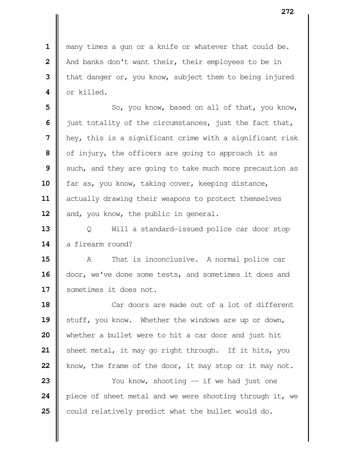many times a gun or a knife or whatever that could be. | And banks don't want their, their employees to be in **i** that danger or, you know, subject them to being injured or killed.

 So, you know, based on all of that, you know, | just totality of the circumstances, just the fact that, hey, this is a significant crime with a significant risk | of injury, the officers are going to approach it as Such, and they are going to take much more precaution as 10 | far as, you know, taking cover, keeping distance,  $\parallel$  actually drawing their weapons to protect themselves 12 | and, you know, the public in general.

 | Q Will a standard-issued police car door stop 14 a firearm round?

 A That is inconclusive. A normal police car 16 | door, we've done some tests, and sometimes it does and sometimes it does not.

 **I** Car doors are made out of a lot of different Stuff, you know. Whether the windows are up or down, whether a bullet were to hit a car door and just hit 21 | sheet metal, it may go right through. If it hits, you **k** how, the frame of the door, it may stop or it may not. Xou know, shooting -- if we had just one 24 | piece of sheet metal and we were shooting through it, we

could relatively predict what the bullet would do.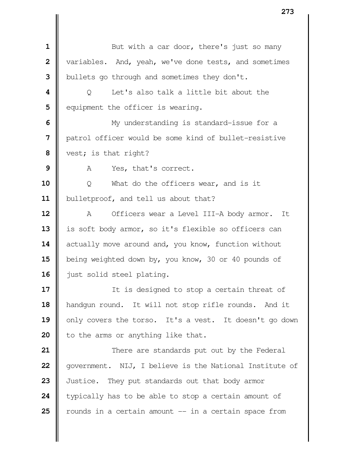But with a car door, there's just so many variables. And, yeah, we've done tests, and sometimes | bullets go through and sometimes they don't. Q Let's also talk a little bit about the **e**quipment the officer is wearing.  $\parallel$  My understanding is standard-issue for a patrol officer would be some kind of bullet-resistive vest; is that right? A Yes, that's correct. | O What do the officers wear, and is it 11 | bulletproof, and tell us about that? A Officers wear a Level III-A body armor. It 13 | is soft body armor, so it's flexible so officers can 14 actually move around and, you know, function without **b**eing weighted down by, you know, 30 or 40 pounds of 16 | just solid steel plating. If is designed to stop a certain threat of 18 | handgun round. It will not stop rifle rounds. And it 19 || only covers the torso. It's a vest. It doesn't go down | to the arms or anything like that.  $\parallel$  There are standards put out by the Federal | government. NIJ, I believe is the National Institute of Justice. They put standards out that body armor typically has to be able to stop a certain amount of  $\parallel$  rounds in a certain amount  $\frac{1}{x}$  - in a certain space from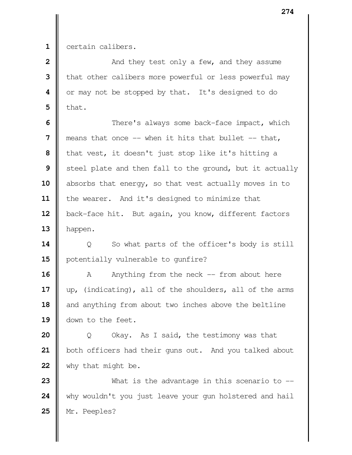1 certain calibers.

| $\overline{2}$ | And they test only a few, and they assume                  |
|----------------|------------------------------------------------------------|
|                | 3   that other calibers more powerful or less powerful may |
|                | 4   or may not be stopped by that. It's designed to do     |
|                | $\mathbf{5}$ that.                                         |

  $\parallel$  There's always some back-face impact, which  $\parallel$  means that once -- when it hits that bullet -- that, | that vest, it doesn't just stop like it's hitting a Steel plate and then fall to the ground, but it actually 10 absorbs that energy, so that vest actually moves in to 11 | the wearer. And it's designed to minimize that 12 | back-face hit. But again, you know, different factors | happen.

**14**  $\parallel$  Q So what parts of the officer's body is still 15 | potentially vulnerable to qunfire?

 A Anything from the neck -- from about here up, (indicating), all of the shoulders, all of the arms and anything from about two inches above the beltline down to the feet.

 | Q Okay. As I said, the testimony was that 21 | both officers had their guns out. And you talked about why that might be.

 What is the advantage in this scenario to -- why wouldn't you just leave your gun holstered and hail Mr. Peeples?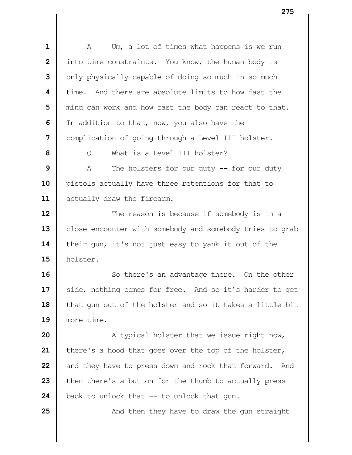A Um, a lot of times what happens is we run | into time constraints. You know, the human body is | only physically capable of doing so much in so much time. And there are absolute limits to how fast the | mind can work and how fast the body can react to that. I In addition to that, now, you also have the | complication of going through a Level III holster. | O What is a Level III holster? A The holsters for our duty -- for our duty 10 | pistols actually have three retentions for that to 11 | actually draw the firearm.  $\parallel$  The reason is because if somebody is in a 13 | close encounter with somebody and somebody tries to grab 14 their gun, it's not just easy to yank it out of the holster. So there's an advantage there. On the other 17 | side, nothing comes for free. And so it's harder to get 18 | that gun out of the holster and so it takes a little bit more time. A typical holster that we issue right now, | there's a hood that goes over the top of the holster, and they have to press down and rock that forward. And then there's a button for the thumb to actually press  $\parallel$  back to unlock that  $\parallel$  -- to unlock that gun.  $\parallel$  And then they have to draw the gun straight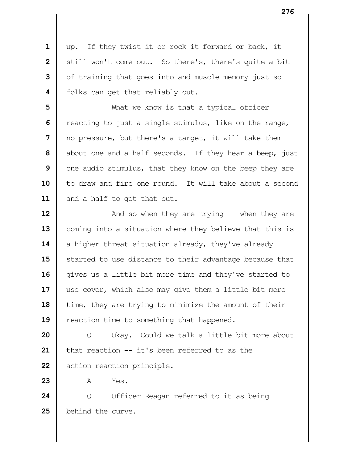up. If they twist it or rock it forward or back, it | still won't come out. So there's, there's quite a bit | of training that goes into and muscle memory just so **|** folks can get that reliably out.

 What we know is that a typical officer Teacting to just a single stimulus, like on the range, | no pressure, but there's a target, it will take them about one and a half seconds. If they hear a beep, just | one audio stimulus, that they know on the beep they are 10 || to draw and fire one round. It will take about a second 11 | and a half to get that out.

  $\parallel$  And so when they are trying -- when they are 13 | coming into a situation where they believe that this is a higher threat situation already, they've already **S** started to use distance to their advantage because that 16 | gives us a little bit more time and they've started to 17 || use cover, which also may give them a little bit more time, they are trying to minimize the amount of their **| reaction time to something that happened.** 

 | Q Okay. Could we talk a little bit more about | that reaction -- it's been referred to as the **d** action-reaction principle.

**A** Yes.

 | Q Officer Reagan referred to it as being **b**ehind the curve.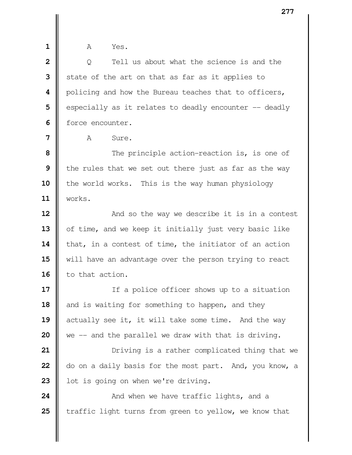| ۰, |  |  |
|----|--|--|
|    |  |  |
|    |  |  |
|    |  |  |

 **1** A Yes.

  $\parallel$  0 Tell us about what the science is and the State of the art on that as far as it applies to | policing and how the Bureau teaches that to officers, Supecially as it relates to deadly encounter -- deadly **II** force encounter.

**7**  $\parallel$   $\parallel$   $\parallel$   $\parallel$  Sure.

  $\parallel$  The principle action-reaction is, is one of I the rules that we set out there just as far as the way the world works. This is the way human physiology **11** works.

**12**  $\parallel$  **And so the way we describe it is in a contest** 13 | of time, and we keep it initially just very basic like 14 that, in a contest of time, the initiator of an action 15 | will have an advantage over the person trying to react 16 | to that action.

 If a police officer shows up to a situation and is waiting for something to happen, and they 19 actually see it, it will take some time. And the way we -- and the parallel we draw with that is driving.

**21**  $\parallel$  Driving is a rather complicated thing that we **22** do on a daily basis for the most part. And, you know, a 23 | lot is going on when we're driving.

**24**  $\parallel$  **And when we have traffic lights, and a 25** Traffic light turns from green to yellow, we know that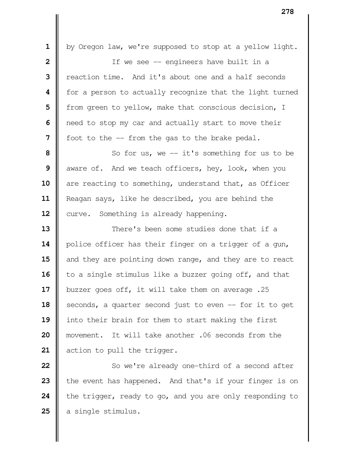1 | by Oregon law, we're supposed to stop at a yellow light. | If we see -- engineers have built in a **l** reaction time. And it's about one and a half seconds **f** for a person to actually recognize that the light turned | from green to yellow, make that conscious decision, I **|** need to stop my car and actually start to move their | foot to the -- from the gas to the brake pedal. So for us, we -- it's something for us to be aware of. And we teach officers, hey, look, when you are reacting to something, understand that, as Officer 11 | Reagan says, like he described, you are behind the 12 | curve. Something is already happening.  $\parallel$  **There's been some studies done that if a** 14 | police officer has their finger on a trigger of a gun, 15 and they are pointing down range, and they are to react to a single stimulus like a buzzer going off, and that 17 | buzzer goes off, it will take them on average .25 18 | seconds, a quarter second just to even -- for it to get into their brain for them to start making the first movement. It will take another .06 seconds from the 21 | action to pull the trigger. So we're already one-third of a second after 23 the event has happened. And that's if your finger is on

**24** the trigger, ready to go, and you are only responding to 25 | a single stimulus.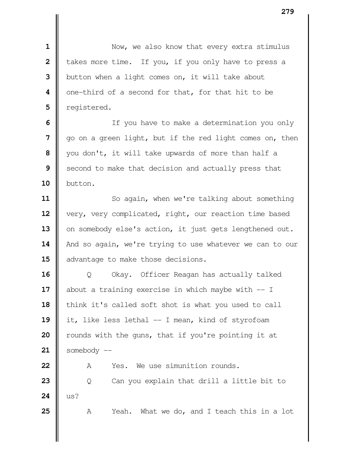Now, we also know that every extra stimulus **d** takes more time. If you, if you only have to press a U button when a light comes on, it will take about | one-third of a second for that, for that hit to be | registered.

 | If you have to make a determination you only go on a green light, but if the red light comes on, then you don't, it will take upwards of more than half a Second to make that decision and actually press that button.

 So again, when we're talking about something 12 | very, very complicated, right, our reaction time based 13 | on somebody else's action, it just gets lengthened out. 14 | And so again, we're trying to use whatever we can to our 15  $\parallel$  advantage to make those decisions.

 | Q Okay. Officer Reagan has actually talked about a training exercise in which maybe with  $-$  I 18 | think it's called soft shot is what you used to call 19 it, like less lethal -- I mean, kind of styrofoam **w** rounds with the guns, that if you're pointing it at somebody  $-$ 

22 | A Yes. We use simunition rounds. | Q Can you explain that drill a little bit to **24**  $\|$  us?

A Yeah. What we do, and I teach this in a lot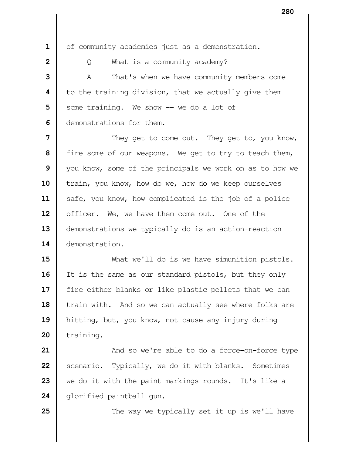1 | of community academies just as a demonstration.

 | Q What is a community academy?  $\parallel$  A That's when we have community members come | to the training division, that we actually give them Some training. We show -- we do a lot of I demonstrations for them.

  $\parallel$  They get to come out. They get to, you know, fire some of our weapons. We get to try to teach them, Vou know, some of the principals we work on as to how we frain, you know, how do we, how do we keep ourselves 11 | safe, you know, how complicated is the job of a police | officer. We, we have them come out. One of the **demonstrations we typically do is an action-reaction** demonstration.

 What we'll do is we have simunition pistols. It is the same as our standard pistols, but they only **f** fire either blanks or like plastic pellets that we can 18 train with. And so we can actually see where folks are hitting, but, you know, not cause any injury during | training.

  $\parallel$  And so we're able to do a force-on-force type Scenario. Typically, we do it with blanks. Sometimes we do it with the paint markings rounds. It's like a 24 | glorified paintball gun.

**25**  $\parallel$  The way we typically set it up is we'll have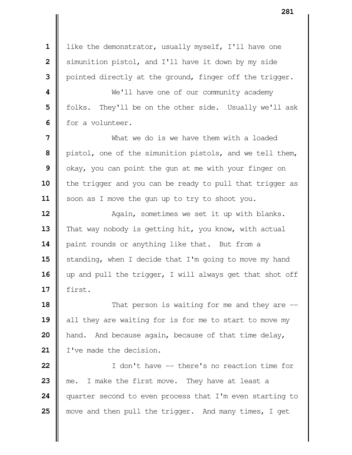1 | like the demonstrator, usually myself, I'll have one Simunition pistol, and I'll have it down by my side | pointed directly at the ground, finger off the trigger.  $\parallel$  **We'll have one of our community academy**  | folks. They'll be on the other side. Usually we'll ask **II** for a volunteer. What we do is we have them with a loaded | pistol, one of the simunition pistols, and we tell them, | okay, you can point the gun at me with your finger on 10 || the trigger and you can be ready to pull that trigger as 11 | soon as I move the gun up to try to shoot you. **Again, sometimes we set it up with blanks.** 13 That way nobody is getting hit, you know, with actual 14 | paint rounds or anything like that. But from a Standing, when I decide that I'm going to move my hand 16 || up and pull the trigger, I will always get that shot off first. **18**  $\parallel$  That person is waiting for me and they are --19 all they are waiting for is for me to start to move my **hand.** And because again, because of that time delay, 21 | I've made the decision.

 I don't have -- there's no reaction time for me. I make the first move. They have at least a quarter second to even process that I'm even starting to **w** move and then pull the trigger. And many times, I get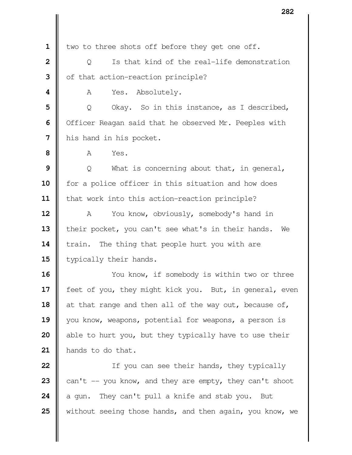1 | two to three shots off before they get one off.

**2**  $\parallel$  0 Is that kind of the real-life demonstration of that action-reaction principle?

**A** Yes. Absolutely.

**5**  $\parallel$  Q Okay. So in this instance, as I described, | Officer Reagan said that he observed Mr. Peeples with | his hand in his pocket.

**A** Yes.

 | Q What is concerning about that, in general, for a police officer in this situation and how does 11 | that work into this action-reaction principle?

 A You know, obviously, somebody's hand in 13 | their pocket, you can't see what's in their hands. We **train.** The thing that people hurt you with are | typically their hands.

 You know, if somebody is within two or three 17 | feet of you, they might kick you. But, in general, even 18 at that range and then all of the way out, because of, 19 || you know, weapons, potential for weapons, a person is able to hurt you, but they typically have to use their hands to do that.

 **I** If you can see their hands, they typically  $\parallel$  can't -- you know, and they are empty, they can't shoot  $\parallel$  a gun. They can't pull a knife and stab you. But Without seeing those hands, and then again, you know, we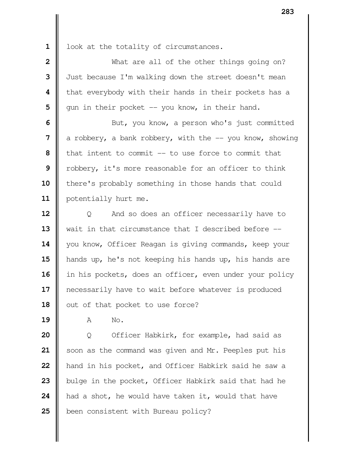1 | look at the totality of circumstances.

 What are all of the other things going on?  $\parallel$  Just because I'm walking down the street doesn't mean **|** that everybody with their hands in their pockets has a | qun in their pocket -- you know, in their hand.  $\parallel$  But, you know, a person who's just committed  $\parallel$  a robbery, a bank robbery, with the  $\parallel$ - you know, showing **I** that intent to commit -- to use force to commit that Tobbery, it's more reasonable for an officer to think **there's probably something in those hands that could** 11 | potentially hurt me.  $\vert$  Q And so does an officer necessarily have to Wait in that circumstance that I described before  $-$ 14 | you know, Officer Reagan is giving commands, keep your hands up, he's not keeping his hands up, his hands are 16 | in his pockets, does an officer, even under your policy **e** necessarily have to wait before whatever is produced 18 || out of that pocket to use force?

**A** No.

 | Q Officer Habkirk, for example, had said as Soon as the command was given and Mr. Peeples put his **h** hand in his pocket, and Officer Habkirk said he saw a bulge in the pocket, Officer Habkirk said that had he had a shot, he would have taken it, would that have **b**een consistent with Bureau policy?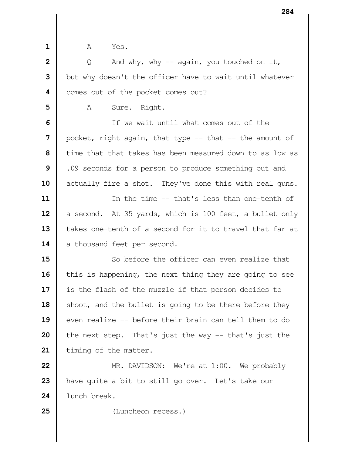**h A** Yes.

**2**  $\parallel$  Q And why, why -- again, you touched on it, | but why doesn't the officer have to wait until whatever comes out of the pocket comes out?

A Sure. Right.

 If we wait until what comes out of the | pocket, right again, that type -- that -- the amount of time that that takes has been measured down to as low as | .09 seconds for a person to produce something out and 10 | actually fire a shot. They've done this with real guns.

 In the time -- that's less than one-tenth of 12 a second. At 35 yards, which is 100 feet, a bullet only 13 | takes one-tenth of a second for it to travel that far at 14 | a thousand feet per second.

 So before the officer can even realize that ithis is happening, the next thing they are going to see 17 | is the flash of the muzzle if that person decides to 18 | shoot, and the bullet is going to be there before they even realize -- before their brain can tell them to do **h** the next step. That's just the way -- that's just the 21 | timing of the matter.

 **MR.** DAVIDSON: We're at 1:00. We probably 23 || have quite a bit to still go over. Let's take our lunch break.

(Luncheon recess.)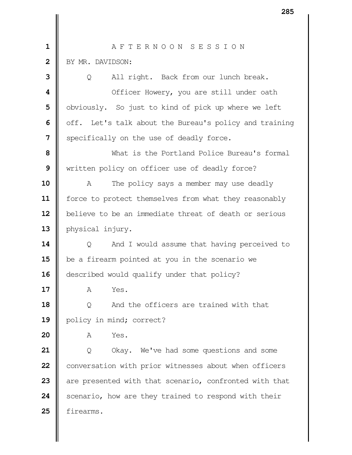| $\mathbf 1$             | AFTERNOON SESSION                                      |
|-------------------------|--------------------------------------------------------|
| $\overline{\mathbf{2}}$ | BY MR. DAVIDSON:                                       |
| 3                       | All right. Back from our lunch break.<br>Q             |
| 4                       | Officer Howery, you are still under oath               |
| 5                       | obviously. So just to kind of pick up where we left    |
| 6                       | off. Let's talk about the Bureau's policy and training |
| 7                       | specifically on the use of deadly force.               |
| 8                       | What is the Portland Police Bureau's formal            |
| 9                       | written policy on officer use of deadly force?         |
| 10                      | The policy says a member may use deadly<br>A           |
| 11                      | force to protect themselves from what they reasonably  |
| 12                      | believe to be an immediate threat of death or serious  |
| 13                      | physical injury.                                       |
| 14                      | And I would assume that having perceived to<br>Q       |
| 15                      | be a firearm pointed at you in the scenario we         |
| 16                      | described would qualify under that policy?             |
| 17                      | Yes.<br>Α                                              |
| 18                      | And the officers are trained with that<br>Q            |
| 19                      | policy in mind; correct?                               |
| 20                      | Yes.<br>Α                                              |
| 21                      | Okay. We've had some questions and some<br>Q           |
| 22                      | conversation with prior witnesses about when officers  |
| 23                      | are presented with that scenario, confronted with that |
| 24                      | scenario, how are they trained to respond with their   |
| 25                      | firearms.                                              |
|                         |                                                        |
|                         |                                                        |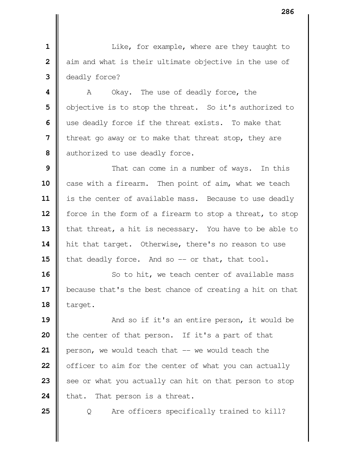|| Like, for example, where are they taught to aim and what is their ultimate objective in the use of deadly force?

  $\parallel$  A Okay. The use of deadly force, the | objective is to stop the threat. So it's authorized to use deadly force if the threat exists. To make that **I** threat go away or to make that threat stop, they are authorized to use deadly force.

**9**  $\parallel$  That can come in a number of ways. In this 10 case with a firearm. Then point of aim, what we teach 11 | is the center of available mass. Because to use deadly **f** force in the form of a firearm to stop a threat, to stop 13 | that threat, a hit is necessary. You have to be able to 14 | hit that target. Otherwise, there's no reason to use ithat deadly force. And so -- or that, that tool.

 So to hit, we teach center of available mass 17 | because that's the best chance of creating a hit on that | target.

  $\parallel$  And so if it's an entire person, it would be **i** the center of that person. If it's a part of that **person, we would teach that -- we would teach the o** officer to aim for the center of what you can actually See or what you actually can hit on that person to stop 24 that. That person is a threat.

**25**  $\Box$  Q Are officers specifically trained to kill?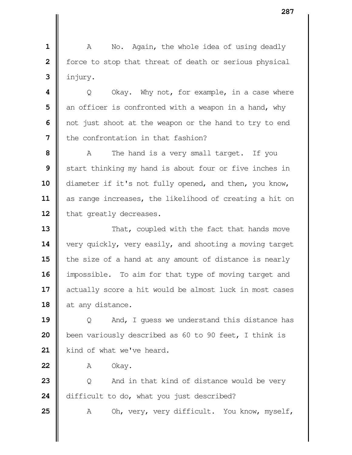**1** A No. Again, the whole idea of using deadly **2** | force to stop that threat of death or serious physical  $3$  | injury.

  $\parallel$  Q Okay. Why not, for example, in a case where an officer is confronted with a weapon in a hand, why | not just shoot at the weapon or the hand to try to end I the confrontation in that fashion?

**8** A The hand is a very small target. If you **9** Start thinking my hand is about four or five inches in 10 | diameter if it's not fully opened, and then, you know, 11 | as range increases, the likelihood of creating a hit on 12 | that greatly decreases.

**13** That, coupled with the fact that hands move 14 very quickly, very easily, and shooting a moving target 15 the size of a hand at any amount of distance is nearly 16 | impossible. To aim for that type of moving target and 17 | actually score a hit would be almost luck in most cases 18 at any distance.

**19**  $\parallel$  0 And, I guess we understand this distance has **20 b**een variously described as 60 to 90 feet, I think is 21 | kind of what we've heard.

**22** A Okay.

**23** | Q And in that kind of distance would be very 24 difficult to do, what you just described?

25 | A Oh, very, very difficult. You know, myself,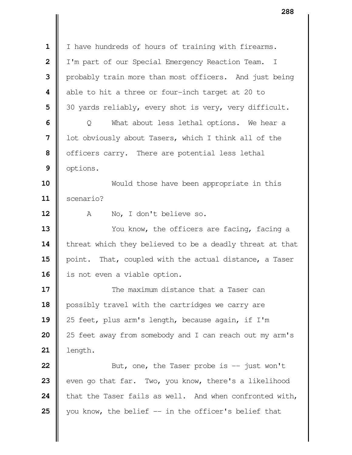I have hundreds of hours of training with firearms. | I'm part of our Special Emergency Reaction Team. I | probably train more than most officers. And just being **|** able to hit a three or four-inch target at 20 to | 30 yards reliably, every shot is very, very difficult. | Q What about less lethal options. We hear a **||** lot obviously about Tasers, which I think all of the | officers carry. There are potential less lethal | options. Would those have been appropriate in this scenario? A No, I don't believe so. You know, the officers are facing, facing a 14 | threat which they believed to be a deadly threat at that 15 | point. That, coupled with the actual distance, a Taser 16 | is not even a viable option. **II** The maximum distance that a Taser can **possibly travel with the cartridges we carry are**  25 feet, plus arm's length, because again, if I'm | 25 feet away from somebody and I can reach out my arm's length.  $\parallel$  But, one, the Taser probe is  $-$  just won't even go that far. Two, you know, there's a likelihood 24 that the Taser fails as well. And when confronted with, you know, the belief  $-$  in the officer's belief that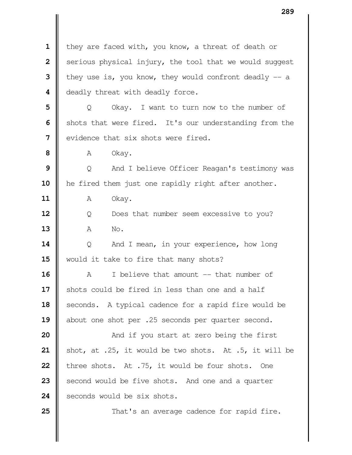| they are faced with, you know, a threat of death or  $\parallel$  serious physical injury, the tool that we would suggest they use is, you know, they would confront deadly  $-$  a **d** deadly threat with deadly force. | Q Okay. I want to turn now to the number of Shots that were fired. It's our understanding from the **I** evidence that six shots were fired. **A** Okay.  $\parallel$  Q And I believe Officer Reagan's testimony was 10 | he fired them just one rapidly right after another. **A** Okay. | Q Does that number seem excessive to you? A No. Q And I mean, in your experience, how long **w**ould it take to fire that many shots? A I believe that amount -- that number of Shots could be fired in less than one and a half 18 | seconds. A typical cadence for a rapid fire would be 19 about one shot per .25 seconds per quarter second.  $\parallel$  **And if you start at zero being the first**   $\parallel$  shot, at .25, it would be two shots. At .5, it will be three shots. At .75, it would be four shots. One Second would be five shots. And one and a quarter **I** seconds would be six shots.  $\parallel$  That's an average cadence for rapid fire.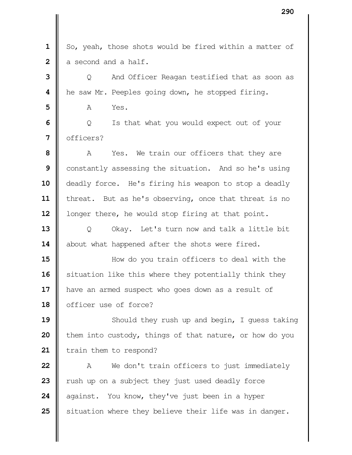1 | So, yeah, those shots would be fired within a matter of a second and a half.

**3** |  $\Box$  0 And Officer Reagan testified that as soon as **|** he saw Mr. Peeples going down, he stopped firing.

**A** Yes.

**6**  $\Box$  Q Is that what you would expect out of your | officers?

 A Yes. We train our officers that they are Constantly assessing the situation. And so he's using 10 deadly force. He's firing his weapon to stop a deadly 11 | threat. But as he's observing, once that threat is no **|** longer there, he would stop firing at that point.

 | O Okay. Let's turn now and talk a little bit 14 about what happened after the shots were fired.

  $\parallel$  **How do you train officers to deal with the**  Situation like this where they potentially think they 17 | have an armed suspect who goes down as a result of **o** officer use of force?

 Should they rush up and begin, I quess taking **i** them into custody, things of that nature, or how do you 21 | train them to respond?

 A We don't train officers to just immediately xush up on a subject they just used deadly force against. You know, they've just been in a hyper Situation where they believe their life was in danger.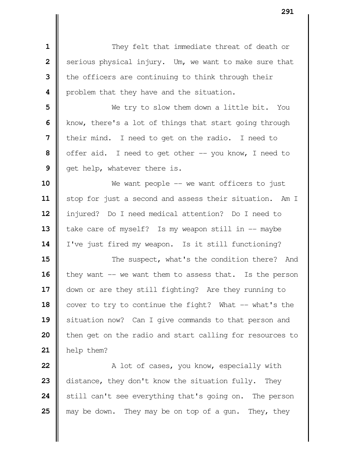**I** They felt that immediate threat of death or Serious physical injury. Um, we want to make sure that the officers are continuing to think through their **|** problem that they have and the situation. Ne try to slow them down a little bit. You Know, there's a lot of things that start going through I their mind. I need to get on the radio. I need to | offer aid. I need to get other -- you know, I need to et help, whatever there is. We want people -- we want officers to just 11 | stop for just a second and assess their situation. Am I injured? Do I need medical attention? Do I need to take care of myself? Is my weapon still in -- maybe 14 | I've just fired my weapon. Is it still functioning?  $\parallel$  The suspect, what's the condition there? And | they want -- we want them to assess that. Is the person 17 | down or are they still fighting? Are they running to cover to try to continue the fight? What -- what's the 19 || situation now? Can I give commands to that person and | then get on the radio and start calling for resources to help them?  $\parallel$  A lot of cases, you know, especially with distance, they don't know the situation fully. They

 Still can't see everything that's going on. The person **|** may be down. They may be on top of a gun. They, they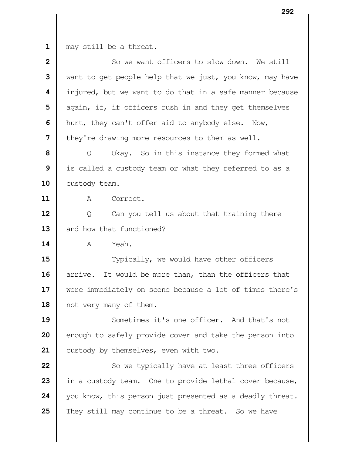may still be a threat.

| $\mathbf{2}$ | So we want officers to slow down. We still               |  |
|--------------|----------------------------------------------------------|--|
| 3            | want to get people help that we just, you know, may have |  |
| 4            | injured, but we want to do that in a safe manner because |  |
| 5            | again, if, if officers rush in and they get themselves   |  |
| 6            | hurt, they can't offer aid to anybody else. Now,         |  |
| 7            | they're drawing more resources to them as well.          |  |
| 8            | Okay. So in this instance they formed what<br>Q          |  |
| 9            | is called a custody team or what they referred to as a   |  |
| 10           | custody team.                                            |  |
| 11           | A<br>Correct.                                            |  |
| 12           | Can you tell us about that training there<br>Q           |  |
| 13           | and how that functioned?                                 |  |
| 14           | Yeah.<br>A                                               |  |
| 15           | Typically, we would have other officers                  |  |
| 16           | It would be more than, than the officers that<br>arrive. |  |
| 17           | were immediately on scene because a lot of times there's |  |
| 18           | not very many of them.                                   |  |
| 19           | Sometimes it's one officer. And that's not               |  |
| 20           | enough to safely provide cover and take the person into  |  |
| 21           | custody by themselves, even with two.                    |  |
| 22           | So we typically have at least three officers             |  |
| 23           | in a custody team. One to provide lethal cover because,  |  |
| 24           | you know, this person just presented as a deadly threat. |  |
| 25           | They still may continue to be a threat. So we have       |  |
|              |                                                          |  |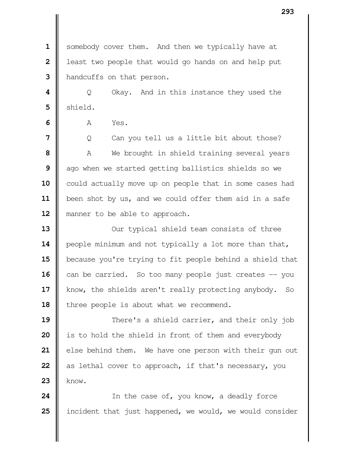Somebody cover them. And then we typically have at **l** least two people that would go hands on and help put **handcuffs** on that person.

  $\vert$  Q Okay. And in this instance they used the  $5 \parallel$  shield.

**I A** Yes.

 |  $\Box$  0 Can you tell us a little bit about those? A We brought in shield training several years ago when we started getting ballistics shields so we could actually move up on people that in some cases had been shot by us, and we could offer them aid in a safe 12 || manner to be able to approach.

 Our typical shield team consists of three **|** people minimum and not typically a lot more than that, 15 | because you're trying to fit people behind a shield that can be carried. So too many people just creates -- you 17 | know, the shields aren't really protecting anybody. So 18 | three people is about what we recommend.

  $\parallel$  **There's a shield carrier, and their only job i** is to hold the shield in front of them and everybody else behind them. We have one person with their gun out as lethal cover to approach, if that's necessary, you know.

 In the case of, you know, a deadly force incident that just happened, we would, we would consider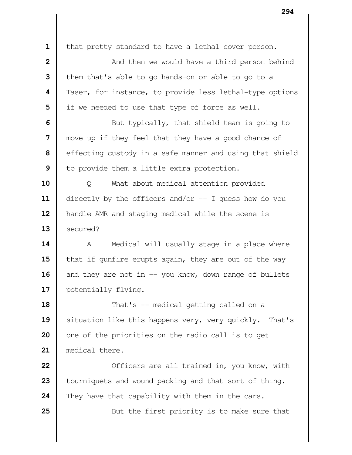| that pretty standard to have a lethal cover person.  $\parallel$  **2** And then we would have a third person behind them that's able to go hands-on or able to go to a Taser, for instance, to provide less lethal-type options | if we needed to use that type of force as well. **6** But typically, that shield team is going to | move up if they feel that they have a good chance of effecting custody in a safe manner and using that shield | to provide them a little extra protection. | O What about medical attention provided directly by the officers and/or -- I guess how do you 12 | handle AMR and staging medical while the scene is **II** secured? A Medical will usually stage in a place where **that if gunfire erupts again, they are out of the way**  and they are not in -- you know, down range of bullets 17 | potentially flying.  $\parallel$  That's -- medical getting called on a 19 | situation like this happens very, very quickly. That's | one of the priorities on the radio call is to get medical there. **O**fficers are all trained in, you know, with **b** tourniquets and wound packing and that sort of thing. They have that capability with them in the cars.  $\parallel$  But the first priority is to make sure that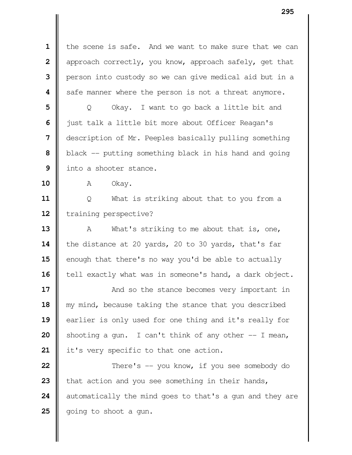the scene is safe. And we want to make sure that we can | approach correctly, you know, approach safely, get that | person into custody so we can give medical aid but in a **|** safe manner where the person is not a threat anymore.

 | Q Okay. I want to go back a little bit and  $\parallel$  just talk a little bit more about Officer Reagan's description of Mr. Peeples basically pulling something black -- putting something black in his hand and going I into a shooter stance.

10 | A Okay.

 | Q What is striking about that to you from a Training perspective?

 A What's striking to me about that is, one, 14 the distance at 20 yards, 20 to 30 yards, that's far enough that there's no way you'd be able to actually 16 | tell exactly what was in someone's hand, a dark object.

**17**  $\parallel$ 18 || my mind, because taking the stance that you described 19 earlier is only used for one thing and it's really for **20** Shooting a gun. I can't think of any other  $-$  I mean, 21 | it's very specific to that one action.

  $\parallel$  There's -- you know, if you see somebody do **t**hat action and you see something in their hands, automatically the mind goes to that's a gun and they are | going to shoot a gun.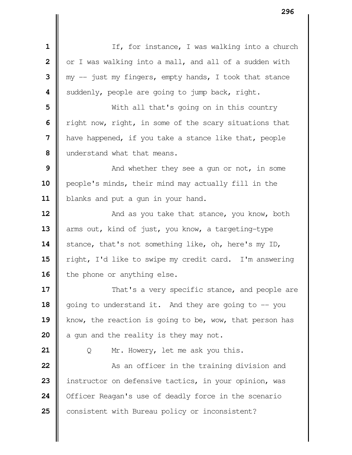| $\mathbf 1$             | If, for instance, I was walking into a church            |
|-------------------------|----------------------------------------------------------|
| $\overline{\mathbf{2}}$ | or I was walking into a mall, and all of a sudden with   |
| 3                       | $my$ -- just my fingers, empty hands, I took that stance |
| 4                       | suddenly, people are going to jump back, right.          |
| 5                       | With all that's going on in this country                 |
| 6                       | right now, right, in some of the scary situations that   |
| 7                       | have happened, if you take a stance like that, people    |
| 8                       | understand what that means.                              |
| 9                       | And whether they see a gun or not, in some               |
| 10                      | people's minds, their mind may actually fill in the      |
| 11                      | blanks and put a gun in your hand.                       |
| 12                      | And as you take that stance, you know, both              |
| 13                      | arms out, kind of just, you know, a targeting-type       |
| 14                      | stance, that's not something like, oh, here's my ID,     |
| 15                      | right, I'd like to swipe my credit card. I'm answering   |
| 16                      | the phone or anything else.                              |
| 17                      | That's a very specific stance, and people are            |
| 18                      | going to understand it. And they are going to -- you     |
| 19                      | know, the reaction is going to be, wow, that person has  |
| 20                      | a gun and the reality is they may not.                   |
| 21                      | Mr. Howery, let me ask you this.<br>Q                    |
| 22                      | As an officer in the training division and               |
| 23                      | instructor on defensive tactics, in your opinion, was    |
| 24                      | Officer Reagan's use of deadly force in the scenario     |
| 25                      | consistent with Bureau policy or inconsistent?           |
|                         |                                                          |
|                         |                                                          |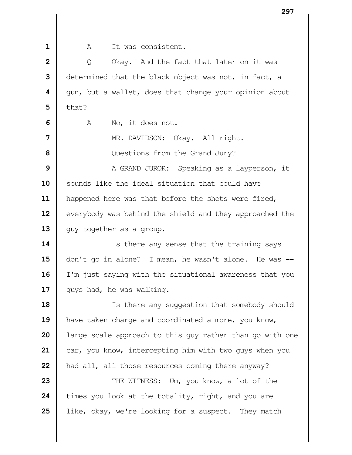A It was consistent.

 | Q Okay. And the fact that later on it was determined that the black object was not, in fact, a  $\parallel$  gun, but a wallet, does that change your opinion about  $\parallel$  that? A No, it does not. NR. DAVIDSON: Okay. All right. Questions from the Grand Jury?  $\parallel$  A GRAND JUROR: Speaking as a layperson, it 10 || sounds like the ideal situation that could have 11 | happened here was that before the shots were fired, 12 | everybody was behind the shield and they approached the 13 || guy together as a group. Is there any sense that the training says don't go in alone? I mean, he wasn't alone. He was -- I'm just saying with the situational awareness that you 17 | guys had, he was walking. Is there any suggestion that somebody should **have taken charge and coordinated a more, you know,**  arge scale approach to this guy rather than go with one car, you know, intercepting him with two guys when you **had all, all those resources coming there anyway?**   $\parallel$  THE WITNESS: Um, you know, a lot of the times you look at the totality, right, and you are like, okay, we're looking for a suspect. They match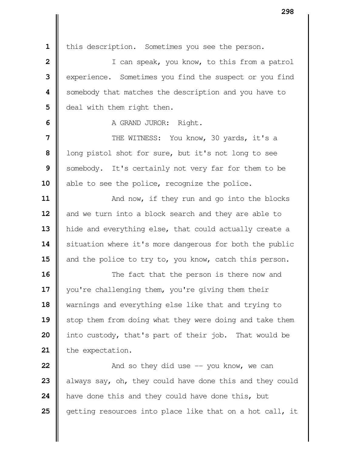1 | this description. Sometimes you see the person.

 | I can speak, you know, to this from a patrol experience. Sometimes you find the suspect or you find Somebody that matches the description and you have to **d** deal with them right then.

A GRAND JUROR: Right.

  $\parallel$  THE WITNESS: You know, 30 yards, it's a long pistol shot for sure, but it's not long to see Somebody. It's certainly not very far for them to be 10 | able to see the police, recognize the police.

**11**  $\parallel$  And now, if they run and go into the blocks | and we turn into a block search and they are able to hide and everything else, that could actually create a 14 | situation where it's more dangerous for both the public 15 and the police to try to, you know, catch this person.

 The fact that the person is there now and 17 | you're challenging them, you're giving them their warnings and everything else like that and trying to 19 || stop them from doing what they were doing and take them into custody, that's part of their job. That would be 21 the expectation.

  $\parallel$  **And so they did use**  $-$  **you know, we can**  always say, oh, they could have done this and they could **h**ave done this and they could have done this, but getting resources into place like that on a hot call, it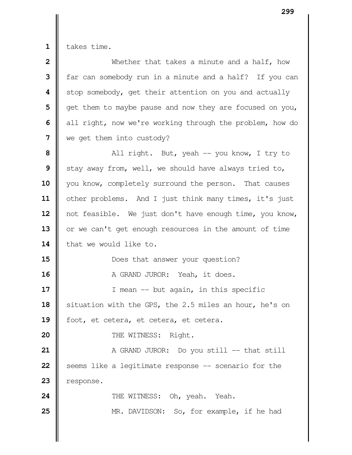$1 \parallel$  takes time.

| 2  | Whether that takes a minute and a half, how              |
|----|----------------------------------------------------------|
| 3  | far can somebody run in a minute and a half? If you can  |
| 4  | stop somebody, get their attention on you and actually   |
| 5  | get them to maybe pause and now they are focused on you, |
| 6  | all right, now we're working through the problem, how do |
| 7  | we get them into custody?                                |
| 8  | All right. But, yeah -- you know, I try to               |
| 9  | stay away from, well, we should have always tried to,    |
| 10 | you know, completely surround the person. That causes    |
| 11 | other problems. And I just think many times, it's just   |
| 12 | not feasible. We just don't have enough time, you know,  |
| 13 | or we can't get enough resources in the amount of time   |
| 14 | that we would like to.                                   |
| 15 | Does that answer your question?                          |
| 16 | A GRAND JUROR: Yeah, it does.                            |
| 17 | I mean $-$ but again, in this specific                   |
| 18 | situation with the GPS, the 2.5 miles an hour, he's on   |
| 19 | foot, et cetera, et cetera, et cetera.                   |
| 20 | THE WITNESS: Right.                                      |
| 21 | A GRAND JUROR: Do you still -- that still                |
| 22 | seems like a legitimate response -- scenario for the     |
| 23 | response.                                                |
| 24 | THE WITNESS: Oh, yeah. Yeah.                             |
| 25 | MR. DAVIDSON: So, for example, if he had                 |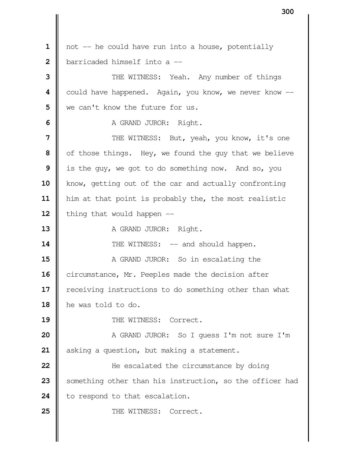| not -- he could have run into a house, potentially **b**arricaded himself into a -- THE WITNESS: Yeah. Any number of things could have happened. Again, you know, we never know -- we can't know the future for us. A GRAND JUROR: Right.  $\parallel$  THE WITNESS: But, yeah, you know, it's one of those things. Hey, we found the guy that we believe is the guy, we got to do something now. And so, you 10 | know, getting out of the car and actually confronting him at that point is probably the, the most realistic  $\parallel$  thing that would happen  $\equiv$  A GRAND JUROR: Right.  $\parallel$  THE WITNESS: -- and should happen.  $\parallel$  A GRAND JUROR: So in escalating the 16 | circumstance, Mr. Peeples made the decision after 17 | receiving instructions to do something other than what he was told to do. 19 || THE WITNESS: Correct.  $\parallel$  A GRAND JUROR: So I quess I'm not sure I'm asking a question, but making a statement.  $\parallel$  He escalated the circumstance by doing Something other than his instruction, so the officer had 24 | to respond to that escalation. 25 || THE WITNESS: Correct.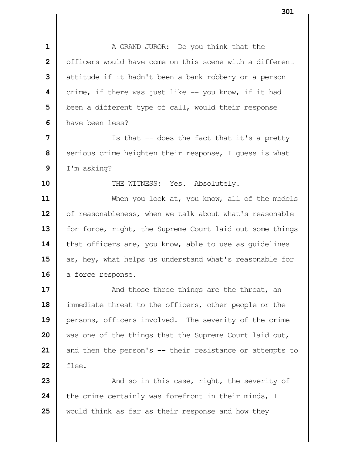A GRAND JUROR: Do you think that the | officers would have come on this scene with a different diattitude if it hadn't been a bank robbery or a person **c**rime, if there was just like -- you know, if it had | been a different type of call, would their response **I** have been less?

 | Is that -- does the fact that it's a pretty Serious crime heighten their response, I quess is what I'm asking?

**10**  $\parallel$  THE WITNESS: Yes. Absolutely.

 When you look at, you know, all of the models 12 | of reasonableness, when we talk about what's reasonable 13 | for force, right, the Supreme Court laid out some things 14 | that officers are, you know, able to use as quidelines 15 as, hey, what helps us understand what's reasonable for 16 a force response.

  $\parallel$  **And those three things are the threat, an**  immediate threat to the officers, other people or the persons, officers involved. The severity of the crime was one of the things that the Supreme Court laid out, 21 || and then the person's -- their resistance or attempts to flee.

**23**  $\parallel$  And so in this case, right, the severity of the crime certainly was forefront in their minds, I would think as far as their response and how they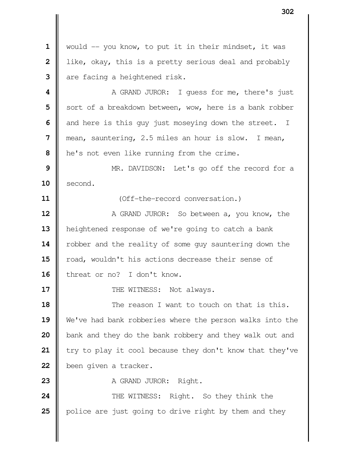| would -- you know, to put it in their mindset, it was | like, okay, this is a pretty serious deal and probably are facing a heightened risk. **1** A GRAND JUROR: I quess for me, there's just Sort of a breakdown between, wow, here is a bank robber and here is this guy just moseying down the street. I mean, sauntering, 2.5 miles an hour is slow. I mean, **h** he's not even like running from the crime. MR. DAVIDSON: Let's go off the record for a **second. II** (Off-the-record conversation.) A GRAND JUROR: So between a, you know, the heightened response of we're going to catch a bank 14 | robber and the reality of some guy sauntering down the **| road, wouldn't his actions decrease their sense of** 16 | threat or no? I don't know.  $\parallel$  THE WITNESS: Not always. **I** The reason I want to touch on that is this. We've had bank robberies where the person walks into the bank and they do the bank robbery and they walk out and | try to play it cool because they don't know that they've been given a tracker. **A** GRAND JUROR: Right.  $\parallel$  THE WITNESS: Right. So they think the **p**olice are just going to drive right by them and they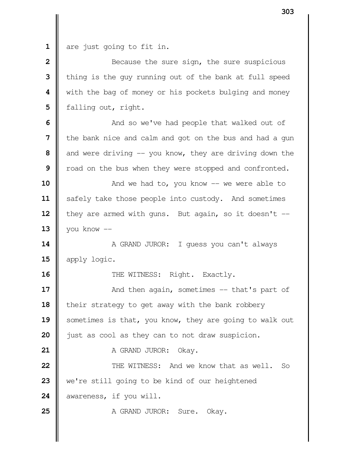**1** are just going to fit in.

 Because the sure sign, the sure suspicious | thing is the guy running out of the bank at full speed With the bag of money or his pockets bulging and money **d** falling out, right.

  $\parallel$  And so we've had people that walked out of **I** the bank nice and calm and got on the bus and had a gun and were driving -- you know, they are driving down the | road on the bus when they were stopped and confronted.

  $\parallel$  **And we had to, you know -- we were able to** 11 | safely take those people into custody. And sometimes | they are armed with guns. But again, so it doesn't -- $\parallel$  you know  $\parallel$ 

**14** A GRAND JUROR: I guess you can't always 15 apply logic.

**16**  $\parallel$  THE WITNESS: Right. Exactly.

**17**  $\parallel$  And then again, sometimes -- that's part of 18 | their strategy to get away with the bank robbery 19 Sometimes is that, you know, they are going to walk out **20 just as cool as they can to not draw suspicion.** 

**21** A GRAND JUROR: Okay.

**22 | CONDUCTRENT AND SOLUT AND WE KNOW that as well.** So **23** we're still going to be kind of our heightened 24 awareness, if you will.

**25** A GRAND JUROR: Sure. Okay.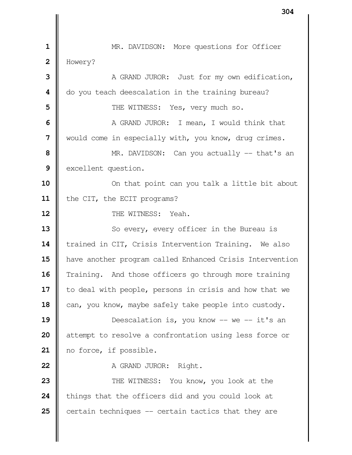| MR. DAVIDSON: More questions for Officer Howery? A GRAND JUROR: Just for my own edification,  $\parallel$  do you teach deescalation in the training bureau?  $\parallel$  THE WITNESS: Yes, very much so. A GRAND JUROR: I mean, I would think that Would come in especially with, you know, drug crimes. MR. DAVIDSON: Can you actually -- that's an excellent question. On that point can you talk a little bit about 11 | the CIT, the ECIT programs? **II** THE WITNESS: Yeah. So every, every officer in the Bureau is **trained in CIT, Crisis Intervention Training.** We also have another program called Enhanced Crisis Intervention Training. And those officers go through more training 17 | to deal with people, persons in crisis and how that we 18 can, you know, maybe safely take people into custody.  $\parallel$  Deescalation is, you know -- we -- it's an | attempt to resolve a confrontation using less force or 21 | no force, if possible. **A** GRAND JUROR: Right.  $\parallel$  THE WITNESS: You know, you look at the **t**hings that the officers did and you could look at certain techniques -- certain tactics that they are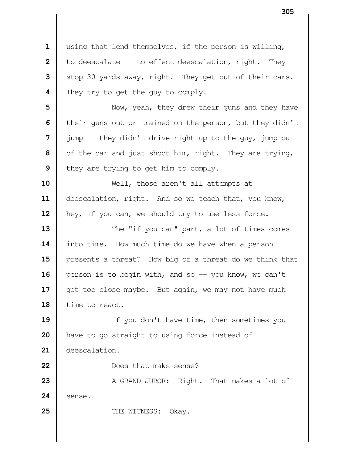using that lend themselves, if the person is willing,  $\parallel$  to deescalate -- to effect deescalation, right. They Stop 30 yards away, right. They get out of their cars. **||** They try to get the guy to comply. Now, yeah, they drew their guns and they have | their guns out or trained on the person, but they didn't jump -- they didn't drive right up to the guy, jump out of the car and just shoot him, right. They are trying, I they are trying to get him to comply. Well, those aren't all attempts at 11 | deescalation, right. And so we teach that, you know, 12 | hey, if you can, we should try to use less force.  $\parallel$  The "if you can" part, a lot of times comes 14 | into time. How much time do we have when a person **||** presents a threat? How big of a threat do we think that **person is to begin with, and so -- you know, we can't**  get too close maybe. But again, we may not have much 18 | time to react. If you don't have time, then sometimes you **h** have to go straight to using force instead of deescalation. **Does** that make sense? A GRAND JUROR: Right. That makes a lot of **Sense.** Number of the WITNESS: Okay.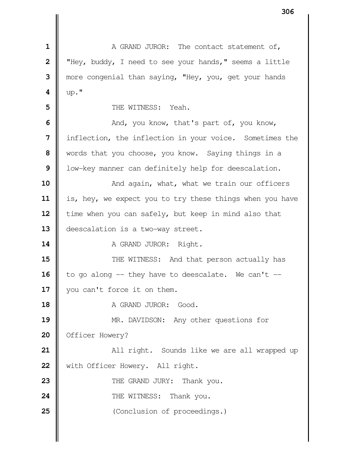A GRAND JUROR: The contact statement of,  $\parallel$  "Hey, buddy, I need to see your hands," seems a little more congenial than saying, "Hey, you, get your hands **4**  $\|$  up."  $\parallel$  THE WITNESS: Yeah.  $\parallel$  And, you know, that's part of, you know, inflection, the inflection in your voice. Sometimes the words that you choose, you know. Saying things in a | low-key manner can definitely help for deescalation.  $\parallel$  And again, what, what we train our officers 11 | is, hey, we expect you to try these things when you have **i** time when you can safely, but keep in mind also that **deescalation is a two-way street.**  A GRAND JUROR: Right.  $\parallel$  THE WITNESS: And that person actually has  $\parallel$  to go along -- they have to deescalate. We can't --17 || you can't force it on them. **A** GRAND JUROR: Good. MR. DAVIDSON: Any other questions for **Officer Howery?**   $\parallel$  **All right.** Sounds like we are all wrapped up 22 | with Officer Howery. All right. THE GRAND JURY: Thank you. **24 | CONTRIGENT THE WITNESS: Thank you.** Conclusion of proceedings.)